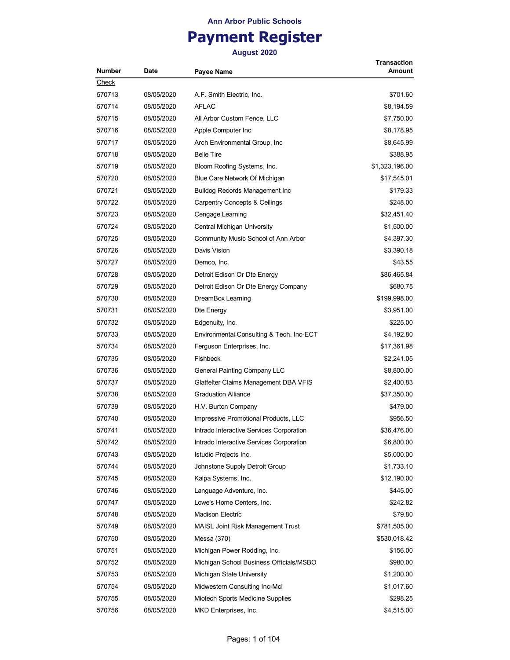# **Payment Register**

| <b>Number</b> | Date       | Payee Name                               | Transaction<br>Amount |
|---------------|------------|------------------------------------------|-----------------------|
| Check         |            |                                          |                       |
| 570713        | 08/05/2020 | A.F. Smith Electric, Inc.                | \$701.60              |
| 570714        | 08/05/2020 | <b>AFLAC</b>                             | \$8,194.59            |
| 570715        | 08/05/2020 | All Arbor Custom Fence, LLC              | \$7,750.00            |
| 570716        | 08/05/2020 | Apple Computer Inc                       | \$8,178.95            |
| 570717        | 08/05/2020 | Arch Environmental Group, Inc.           | \$8,645.99            |
| 570718        | 08/05/2020 | <b>Belle Tire</b>                        | \$388.95              |
| 570719        | 08/05/2020 | Bloom Roofing Systems, Inc.              | \$1,323,196.00        |
| 570720        | 08/05/2020 | Blue Care Network Of Michigan            | \$17,545.01           |
| 570721        | 08/05/2020 | <b>Bulldog Records Management Inc</b>    | \$179.33              |
| 570722        | 08/05/2020 | <b>Carpentry Concepts &amp; Ceilings</b> | \$248.00              |
| 570723        | 08/05/2020 | Cengage Learning                         | \$32,451.40           |
| 570724        | 08/05/2020 | Central Michigan University              | \$1,500.00            |
| 570725        | 08/05/2020 | Community Music School of Ann Arbor      | \$4,397.30            |
| 570726        | 08/05/2020 | Davis Vision                             | \$3,390.18            |
| 570727        | 08/05/2020 | Demco. Inc.                              | \$43.55               |
| 570728        | 08/05/2020 | Detroit Edison Or Dte Energy             | \$86,465.84           |
| 570729        | 08/05/2020 | Detroit Edison Or Dte Energy Company     | \$680.75              |
| 570730        | 08/05/2020 | DreamBox Learning                        | \$199,998.00          |
| 570731        | 08/05/2020 | Dte Energy                               | \$3,951.00            |
| 570732        | 08/05/2020 | Edgenuity, Inc.                          | \$225.00              |
| 570733        | 08/05/2020 | Environmental Consulting & Tech. Inc-ECT | \$4,192.80            |
| 570734        | 08/05/2020 | Ferguson Enterprises, Inc.               | \$17,361.98           |
| 570735        | 08/05/2020 | <b>Fishbeck</b>                          | \$2,241.05            |
| 570736        | 08/05/2020 | General Painting Company LLC             | \$8,800.00            |
| 570737        | 08/05/2020 | Glatfelter Claims Management DBA VFIS    | \$2,400.83            |
| 570738        | 08/05/2020 | <b>Graduation Alliance</b>               | \$37,350.00           |
| 570739        | 08/05/2020 | H.V. Burton Company                      | \$479.00              |
| 570740        | 08/05/2020 | Impressive Promotional Products, LLC     | \$956.50              |
| 570741        | 08/05/2020 | Intrado Interactive Services Corporation | \$36,476.00           |
| 570742        | 08/05/2020 | Intrado Interactive Services Corporation | \$6,800.00            |
| 570743        | 08/05/2020 | Istudio Projects Inc.                    | \$5,000.00            |
| 570744        | 08/05/2020 | Johnstone Supply Detroit Group           | \$1,733.10            |
| 570745        | 08/05/2020 | Kalpa Systems, Inc.                      | \$12,190.00           |
| 570746        | 08/05/2020 | Language Adventure, Inc.                 | \$445.00              |
| 570747        | 08/05/2020 | Lowe's Home Centers, Inc.                | \$242.82              |
| 570748        | 08/05/2020 | <b>Madison Electric</b>                  | \$79.80               |
| 570749        | 08/05/2020 | <b>MAISL Joint Risk Management Trust</b> | \$781,505.00          |
| 570750        | 08/05/2020 | Messa (370)                              | \$530,018.42          |
| 570751        | 08/05/2020 | Michigan Power Rodding, Inc.             | \$156.00              |
| 570752        | 08/05/2020 | Michigan School Business Officials/MSBO  | \$980.00              |
| 570753        | 08/05/2020 | Michigan State University                | \$1,200.00            |
| 570754        | 08/05/2020 | Midwestern Consulting Inc-Mci            | \$1,017.60            |
| 570755        | 08/05/2020 | Miotech Sports Medicine Supplies         | \$298.25              |
| 570756        | 08/05/2020 | MKD Enterprises, Inc.                    | \$4,515.00            |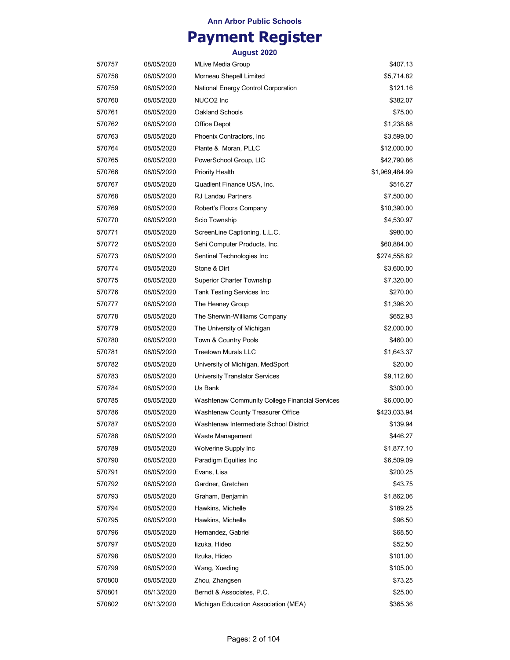## **Payment Register**

| 570757 | 08/05/2020 | <b>MLive Media Group</b>                       | \$407.13       |
|--------|------------|------------------------------------------------|----------------|
| 570758 | 08/05/2020 | Morneau Shepell Limited                        | \$5,714.82     |
| 570759 | 08/05/2020 | National Energy Control Corporation            | \$121.16       |
| 570760 | 08/05/2020 | NUCO <sub>2</sub> Inc                          | \$382.07       |
| 570761 | 08/05/2020 | Oakland Schools                                | \$75.00        |
| 570762 | 08/05/2020 | Office Depot                                   | \$1,238.88     |
| 570763 | 08/05/2020 | Phoenix Contractors, Inc.                      | \$3,599.00     |
| 570764 | 08/05/2020 | Plante & Moran, PLLC                           | \$12,000.00    |
| 570765 | 08/05/2020 | PowerSchool Group, LIC                         | \$42,790.86    |
| 570766 | 08/05/2020 | Priority Health                                | \$1,969,484.99 |
| 570767 | 08/05/2020 | Quadient Finance USA, Inc.                     | \$516.27       |
| 570768 | 08/05/2020 | <b>RJ Landau Partners</b>                      | \$7,500.00     |
| 570769 | 08/05/2020 | Robert's Floors Company                        | \$10,390.00    |
| 570770 | 08/05/2020 | Scio Township                                  | \$4,530.97     |
| 570771 | 08/05/2020 | ScreenLine Captioning, L.L.C.                  | \$980.00       |
| 570772 | 08/05/2020 | Sehi Computer Products, Inc.                   | \$60,884.00    |
| 570773 | 08/05/2020 | Sentinel Technologies Inc                      | \$274,558.82   |
| 570774 | 08/05/2020 | Stone & Dirt                                   | \$3,600.00     |
| 570775 | 08/05/2020 | <b>Superior Charter Township</b>               | \$7,320.00     |
| 570776 | 08/05/2020 | Tank Testing Services Inc                      | \$270.00       |
| 570777 | 08/05/2020 | The Heaney Group                               | \$1,396.20     |
| 570778 | 08/05/2020 | The Sherwin-Williams Company                   | \$652.93       |
| 570779 | 08/05/2020 | The University of Michigan                     | \$2,000.00     |
| 570780 | 08/05/2020 | Town & Country Pools                           | \$460.00       |
| 570781 | 08/05/2020 | <b>Treetown Murals LLC</b>                     | \$1,643.37     |
| 570782 | 08/05/2020 | University of Michigan, MedSport               | \$20.00        |
| 570783 | 08/05/2020 | <b>University Translator Services</b>          | \$9,112.80     |
| 570784 | 08/05/2020 | Us Bank                                        | \$300.00       |
| 570785 | 08/05/2020 | Washtenaw Community College Financial Services | \$6,000.00     |
| 570786 | 08/05/2020 | Washtenaw County Treasurer Office              | \$423,033.94   |
| 570787 | 08/05/2020 | Washtenaw Intermediate School District         | \$139.94       |
| 570788 | 08/05/2020 | Waste Management                               | \$446.27       |
| 570789 | 08/05/2020 | Wolverine Supply Inc                           | \$1,877.10     |
| 570790 | 08/05/2020 | Paradigm Equities Inc.                         | \$6,509.09     |
| 570791 | 08/05/2020 | Evans, Lisa                                    | \$200.25       |
| 570792 | 08/05/2020 | Gardner, Gretchen                              | \$43.75        |
| 570793 | 08/05/2020 | Graham, Benjamin                               | \$1,862.06     |
| 570794 | 08/05/2020 | Hawkins, Michelle                              | \$189.25       |
| 570795 | 08/05/2020 | Hawkins, Michelle                              | \$96.50        |
| 570796 | 08/05/2020 | Hernandez, Gabriel                             | \$68.50        |
| 570797 | 08/05/2020 | lizuka, Hideo                                  | \$52.50        |
| 570798 | 08/05/2020 | Ilzuka, Hideo                                  | \$101.00       |
| 570799 | 08/05/2020 | Wang, Xueding                                  | \$105.00       |
| 570800 | 08/05/2020 | Zhou, Zhangsen                                 | \$73.25        |
| 570801 | 08/13/2020 | Berndt & Associates, P.C.                      | \$25.00        |
| 570802 | 08/13/2020 | Michigan Education Association (MEA)           | \$365.36       |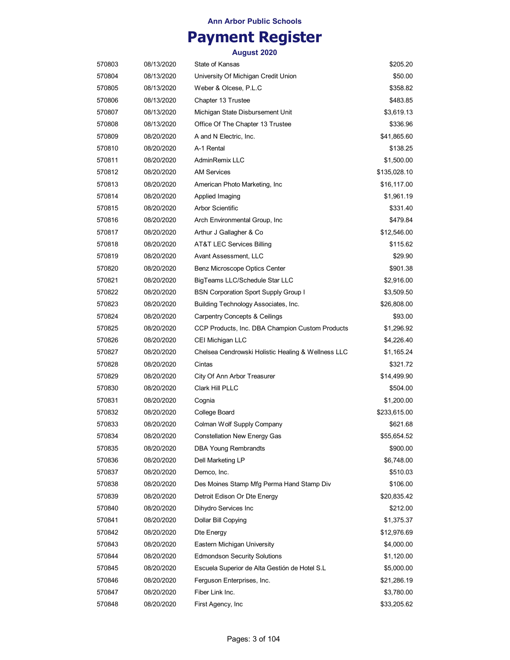## **Payment Register**

| 570803 | 08/13/2020 | State of Kansas                                    | \$205.20     |
|--------|------------|----------------------------------------------------|--------------|
| 570804 | 08/13/2020 | University Of Michigan Credit Union                | \$50.00      |
| 570805 | 08/13/2020 | Weber & Olcese, P.L.C                              | \$358.82     |
| 570806 | 08/13/2020 | Chapter 13 Trustee                                 | \$483.85     |
| 570807 | 08/13/2020 | Michigan State Disbursement Unit                   | \$3,619.13   |
| 570808 | 08/13/2020 | Office Of The Chapter 13 Trustee                   | \$336.96     |
| 570809 | 08/20/2020 | A and N Electric, Inc.                             | \$41,865.60  |
| 570810 | 08/20/2020 | A-1 Rental                                         | \$138.25     |
| 570811 | 08/20/2020 | AdminRemix LLC                                     | \$1,500.00   |
| 570812 | 08/20/2020 | <b>AM Services</b>                                 | \$135,028.10 |
| 570813 | 08/20/2020 | American Photo Marketing, Inc                      | \$16,117.00  |
| 570814 | 08/20/2020 | Applied Imaging                                    | \$1,961.19   |
| 570815 | 08/20/2020 | <b>Arbor Scientific</b>                            | \$331.40     |
| 570816 | 08/20/2020 | Arch Environmental Group, Inc.                     | \$479.84     |
| 570817 | 08/20/2020 | Arthur J Gallagher & Co                            | \$12,546.00  |
| 570818 | 08/20/2020 | AT&T LEC Services Billing                          | \$115.62     |
| 570819 | 08/20/2020 | Avant Assessment, LLC                              | \$29.90      |
| 570820 | 08/20/2020 | Benz Microscope Optics Center                      | \$901.38     |
| 570821 | 08/20/2020 | BigTeams LLC/Schedule Star LLC                     | \$2,916.00   |
| 570822 | 08/20/2020 | <b>BSN Corporation Sport Supply Group I</b>        | \$3,509.50   |
| 570823 | 08/20/2020 | Building Technology Associates, Inc.               | \$26,808.00  |
| 570824 | 08/20/2020 | Carpentry Concepts & Ceilings                      | \$93.00      |
| 570825 | 08/20/2020 | CCP Products, Inc. DBA Champion Custom Products    | \$1,296.92   |
| 570826 | 08/20/2020 | CEI Michigan LLC                                   | \$4,226.40   |
| 570827 | 08/20/2020 | Chelsea Cendrowski Holistic Healing & Wellness LLC | \$1,165.24   |
| 570828 | 08/20/2020 | Cintas                                             | \$321.72     |
| 570829 | 08/20/2020 | City Of Ann Arbor Treasurer                        | \$14,499.90  |
| 570830 | 08/20/2020 | Clark Hill PLLC                                    | \$504.00     |
| 570831 | 08/20/2020 | Cognia                                             | \$1,200.00   |
| 570832 | 08/20/2020 | College Board                                      | \$233,615.00 |
| 570833 | 08/20/2020 | Colman Wolf Supply Company                         | \$621.68     |
| 570834 | 08/20/2020 | <b>Constellation New Energy Gas</b>                | \$55,654.52  |
| 570835 | 08/20/2020 | <b>DBA Young Rembrandts</b>                        | \$900.00     |
| 570836 | 08/20/2020 | Dell Marketing LP                                  | \$6,748.00   |
| 570837 | 08/20/2020 | Demco, Inc.                                        | \$510.03     |
| 570838 | 08/20/2020 | Des Moines Stamp Mfg Perma Hand Stamp Div          | \$106.00     |
| 570839 | 08/20/2020 | Detroit Edison Or Dte Energy                       | \$20,835.42  |
| 570840 | 08/20/2020 | Dihydro Services Inc                               | \$212.00     |
| 570841 | 08/20/2020 | Dollar Bill Copying                                | \$1,375.37   |
| 570842 | 08/20/2020 | Dte Energy                                         | \$12,976.69  |
| 570843 | 08/20/2020 | Eastern Michigan University                        | \$4,000.00   |
| 570844 | 08/20/2020 | <b>Edmondson Security Solutions</b>                | \$1,120.00   |
| 570845 | 08/20/2020 | Escuela Superior de Alta Gestión de Hotel S.L      | \$5,000.00   |
| 570846 | 08/20/2020 | Ferguson Enterprises, Inc.                         | \$21,286.19  |
|        |            | Fiber Link Inc.                                    |              |
| 570847 | 08/20/2020 |                                                    | \$3,780.00   |
| 570848 | 08/20/2020 | First Agency, Inc.                                 | \$33,205.62  |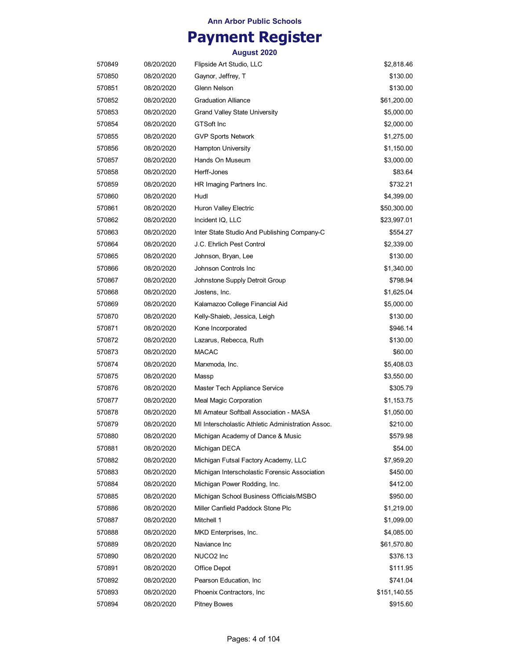## **Payment Register**

| 570849 | 08/20/2020 | Flipside Art Studio, LLC                          | \$2,818.46   |
|--------|------------|---------------------------------------------------|--------------|
| 570850 | 08/20/2020 | Gaynor, Jeffrey, T                                | \$130.00     |
| 570851 | 08/20/2020 | Glenn Nelson                                      | \$130.00     |
| 570852 | 08/20/2020 | <b>Graduation Alliance</b>                        | \$61,200.00  |
| 570853 | 08/20/2020 | <b>Grand Valley State University</b>              | \$5,000.00   |
| 570854 | 08/20/2020 | <b>GTSoft Inc</b>                                 | \$2,000.00   |
| 570855 | 08/20/2020 | <b>GVP Sports Network</b>                         | \$1,275.00   |
| 570856 | 08/20/2020 | <b>Hampton University</b>                         | \$1,150.00   |
| 570857 | 08/20/2020 | Hands On Museum                                   | \$3,000.00   |
| 570858 | 08/20/2020 | Herff-Jones                                       | \$83.64      |
| 570859 | 08/20/2020 | HR Imaging Partners Inc.                          | \$732.21     |
| 570860 | 08/20/2020 | Hudl                                              | \$4,399.00   |
| 570861 | 08/20/2020 | Huron Valley Electric                             | \$50,300.00  |
| 570862 | 08/20/2020 | Incident IQ, LLC                                  | \$23,997.01  |
| 570863 | 08/20/2020 | Inter State Studio And Publishing Company-C       | \$554.27     |
| 570864 | 08/20/2020 | J.C. Ehrlich Pest Control                         | \$2,339.00   |
| 570865 | 08/20/2020 | Johnson, Bryan, Lee                               | \$130.00     |
| 570866 | 08/20/2020 | Johnson Controls Inc                              | \$1,340.00   |
| 570867 | 08/20/2020 | Johnstone Supply Detroit Group                    | \$798.94     |
| 570868 | 08/20/2020 | Jostens, Inc.                                     | \$1,625.04   |
| 570869 | 08/20/2020 | Kalamazoo College Financial Aid                   | \$5,000.00   |
| 570870 | 08/20/2020 | Kelly-Shaieb, Jessica, Leigh                      | \$130.00     |
| 570871 | 08/20/2020 | Kone Incorporated                                 | \$946.14     |
| 570872 | 08/20/2020 | Lazarus, Rebecca, Ruth                            | \$130.00     |
| 570873 | 08/20/2020 | <b>MACAC</b>                                      | \$60.00      |
| 570874 | 08/20/2020 | Marxmoda, Inc.                                    | \$5,408.03   |
| 570875 | 08/20/2020 | Massp                                             | \$3,550.00   |
| 570876 | 08/20/2020 | Master Tech Appliance Service                     | \$305.79     |
| 570877 | 08/20/2020 | <b>Meal Magic Corporation</b>                     | \$1,153.75   |
| 570878 | 08/20/2020 | MI Amateur Softball Association - MASA            | \$1,050.00   |
| 570879 | 08/20/2020 | MI Interscholastic Athletic Administration Assoc. | \$210.00     |
| 570880 | 08/20/2020 | Michigan Academy of Dance & Music                 | \$579.98     |
| 570881 | 08/20/2020 | Michigan DECA                                     | \$54.00      |
| 570882 | 08/20/2020 | Michigan Futsal Factory Academy, LLC              | \$7,959.20   |
| 570883 | 08/20/2020 | Michigan Interscholastic Forensic Association     | \$450.00     |
| 570884 | 08/20/2020 | Michigan Power Rodding, Inc.                      | \$412.00     |
| 570885 | 08/20/2020 | Michigan School Business Officials/MSBO           | \$950.00     |
| 570886 | 08/20/2020 | Miller Canfield Paddock Stone Plc                 | \$1,219.00   |
| 570887 | 08/20/2020 | Mitchell 1                                        | \$1,099.00   |
| 570888 | 08/20/2020 | MKD Enterprises, Inc.                             | \$4,085.00   |
| 570889 | 08/20/2020 | Naviance Inc                                      | \$61,570.80  |
| 570890 | 08/20/2020 | NUCO2 Inc                                         | \$376.13     |
| 570891 | 08/20/2020 | Office Depot                                      | \$111.95     |
| 570892 | 08/20/2020 | Pearson Education, Inc.                           | \$741.04     |
| 570893 | 08/20/2020 | Phoenix Contractors, Inc.                         | \$151,140.55 |
| 570894 | 08/20/2020 | <b>Pitney Bowes</b>                               | \$915.60     |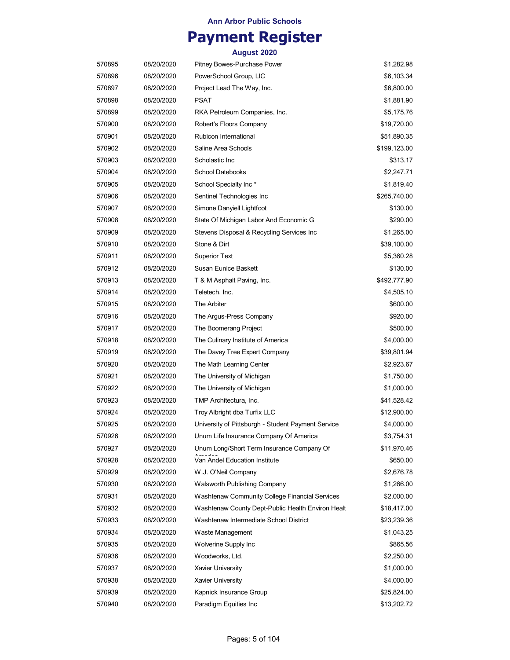## **Payment Register**

| 570895 | 08/20/2020 | Pitney Bowes-Purchase Power                        | \$1,282.98   |
|--------|------------|----------------------------------------------------|--------------|
| 570896 | 08/20/2020 | PowerSchool Group, LIC                             | \$6,103.34   |
| 570897 | 08/20/2020 | Project Lead The Way, Inc.                         | \$6,800.00   |
| 570898 | 08/20/2020 | PSAT                                               | \$1,881.90   |
| 570899 | 08/20/2020 | RKA Petroleum Companies, Inc.                      | \$5,175.76   |
| 570900 | 08/20/2020 | Robert's Floors Company                            | \$19,720.00  |
| 570901 | 08/20/2020 | Rubicon International                              | \$51,890.35  |
| 570902 | 08/20/2020 | Saline Area Schools                                | \$199,123.00 |
| 570903 | 08/20/2020 | Scholastic Inc                                     | \$313.17     |
| 570904 | 08/20/2020 | <b>School Datebooks</b>                            | \$2,247.71   |
| 570905 | 08/20/2020 | School Specialty Inc *                             | \$1,819.40   |
| 570906 | 08/20/2020 | Sentinel Technologies Inc                          | \$265,740.00 |
| 570907 | 08/20/2020 | Simone Danyiell Lightfoot                          | \$130.00     |
| 570908 | 08/20/2020 | State Of Michigan Labor And Economic G             | \$290.00     |
| 570909 | 08/20/2020 | Stevens Disposal & Recycling Services Inc          | \$1,265.00   |
| 570910 | 08/20/2020 | Stone & Dirt                                       | \$39,100.00  |
| 570911 | 08/20/2020 | Superior Text                                      | \$5,360.28   |
| 570912 | 08/20/2020 | Susan Eunice Baskett                               | \$130.00     |
| 570913 | 08/20/2020 | T & M Asphalt Paving, Inc.                         | \$492,777.90 |
| 570914 | 08/20/2020 | Teletech, Inc.                                     | \$4,505.10   |
| 570915 | 08/20/2020 | The Arbiter                                        | \$600.00     |
| 570916 | 08/20/2020 | The Argus-Press Company                            | \$920.00     |
| 570917 | 08/20/2020 | The Boomerang Project                              | \$500.00     |
| 570918 | 08/20/2020 | The Culinary Institute of America                  | \$4,000.00   |
| 570919 | 08/20/2020 | The Davey Tree Expert Company                      | \$39,801.94  |
| 570920 | 08/20/2020 | The Math Learning Center                           | \$2,923.67   |
| 570921 | 08/20/2020 | The University of Michigan                         | \$1,750.00   |
| 570922 | 08/20/2020 | The University of Michigan                         | \$1,000.00   |
| 570923 | 08/20/2020 | TMP Architectura, Inc.                             | \$41,528.42  |
| 570924 | 08/20/2020 | Troy Albright dba Turfix LLC                       | \$12,900.00  |
| 570925 | 08/20/2020 | University of Pittsburgh - Student Payment Service | \$4,000.00   |
| 570926 | 08/20/2020 | Unum Life Insurance Company Of America             | \$3,754.31   |
| 570927 | 08/20/2020 | Unum Long/Short Term Insurance Company Of          | \$11,970.46  |
| 570928 | 08/20/2020 | Van Andel Education Institute                      | \$650.00     |
| 570929 | 08/20/2020 | W.J. O'Neil Company                                | \$2,676.78   |
| 570930 | 08/20/2020 | Walsworth Publishing Company                       | \$1,266.00   |
| 570931 | 08/20/2020 | Washtenaw Community College Financial Services     | \$2,000.00   |
| 570932 | 08/20/2020 | Washtenaw County Dept-Public Health Environ Healt  | \$18,417.00  |
| 570933 | 08/20/2020 | Washtenaw Intermediate School District             | \$23,239.36  |
| 570934 | 08/20/2020 | Waste Management                                   | \$1,043.25   |
| 570935 | 08/20/2020 | Wolverine Supply Inc                               | \$865.56     |
| 570936 | 08/20/2020 | Woodworks, Ltd.                                    | \$2,250.00   |
| 570937 | 08/20/2020 | <b>Xavier University</b>                           | \$1,000.00   |
| 570938 | 08/20/2020 | <b>Xavier University</b>                           | \$4,000.00   |
| 570939 | 08/20/2020 | Kapnick Insurance Group                            | \$25,824.00  |
| 570940 | 08/20/2020 | Paradigm Equities Inc                              | \$13,202.72  |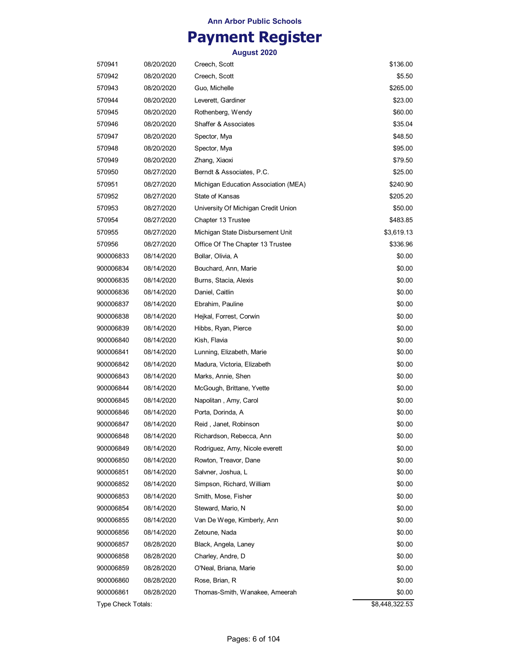### **Payment Register**

| 570941             | 08/20/2020 | Creech, Scott                        | \$136.00       |
|--------------------|------------|--------------------------------------|----------------|
| 570942             | 08/20/2020 | Creech, Scott                        | \$5.50         |
| 570943             | 08/20/2020 | Guo, Michelle                        | \$265.00       |
| 570944             | 08/20/2020 | Leverett, Gardiner                   | \$23.00        |
| 570945             | 08/20/2020 | Rothenberg, Wendy                    | \$60.00        |
| 570946             | 08/20/2020 | Shaffer & Associates                 | \$35.04        |
| 570947             | 08/20/2020 | Spector, Mya                         | \$48.50        |
| 570948             | 08/20/2020 | Spector, Mya                         | \$95.00        |
| 570949             | 08/20/2020 | Zhang, Xiaoxi                        | \$79.50        |
| 570950             | 08/27/2020 | Berndt & Associates, P.C.            | \$25.00        |
| 570951             | 08/27/2020 | Michigan Education Association (MEA) | \$240.90       |
| 570952             | 08/27/2020 | State of Kansas                      | \$205.20       |
| 570953             | 08/27/2020 | University Of Michigan Credit Union  | \$50.00        |
| 570954             | 08/27/2020 | Chapter 13 Trustee                   | \$483.85       |
| 570955             | 08/27/2020 | Michigan State Disbursement Unit     | \$3,619.13     |
| 570956             | 08/27/2020 | Office Of The Chapter 13 Trustee     | \$336.96       |
| 900006833          | 08/14/2020 | Bollar, Olivia, A                    | \$0.00         |
| 900006834          | 08/14/2020 | Bouchard, Ann, Marie                 | \$0.00         |
| 900006835          | 08/14/2020 | Burns, Stacia, Alexis                | \$0.00         |
| 900006836          | 08/14/2020 | Daniel, Caitlin                      | \$0.00         |
| 900006837          | 08/14/2020 | Ebrahim, Pauline                     | \$0.00         |
| 900006838          | 08/14/2020 | Hejkal, Forrest, Corwin              | \$0.00         |
| 900006839          | 08/14/2020 | Hibbs, Ryan, Pierce                  | \$0.00         |
| 900006840          | 08/14/2020 | Kish, Flavia                         | \$0.00         |
| 900006841          | 08/14/2020 | Lunning, Elizabeth, Marie            | \$0.00         |
| 900006842          | 08/14/2020 | Madura, Victoria, Elizabeth          | \$0.00         |
| 900006843          | 08/14/2020 | Marks, Annie, Shen                   | \$0.00         |
| 900006844          | 08/14/2020 | McGough, Brittane, Yvette            | \$0.00         |
| 900006845          | 08/14/2020 | Napolitan , Amy, Carol               | \$0.00         |
| 900006846          | 08/14/2020 | Porta, Dorinda, A                    | \$0.00         |
| 900006847          | 08/14/2020 | Reid , Janet, Robinson               | \$0.00         |
| 900006848          | 08/14/2020 | Richardson, Rebecca, Ann             | \$0.00         |
| 900006849          | 08/14/2020 | Rodriguez, Amy, Nicole everett       | \$0.00         |
| 900006850          | 08/14/2020 | Rowton, Treavor, Dane                | \$0.00         |
| 900006851          | 08/14/2020 | Salvner, Joshua, L                   | \$0.00         |
| 900006852          | 08/14/2020 | Simpson, Richard, William            | \$0.00         |
| 900006853          | 08/14/2020 | Smith, Mose, Fisher                  | \$0.00         |
| 900006854          | 08/14/2020 | Steward, Mario, N                    | \$0.00         |
| 900006855          | 08/14/2020 | Van De Wege, Kimberly, Ann           | \$0.00         |
| 900006856          | 08/14/2020 | Zetoune, Nada                        | \$0.00         |
| 900006857          | 08/28/2020 | Black, Angela, Laney                 | \$0.00         |
| 900006858          | 08/28/2020 | Charley, Andre, D                    | \$0.00         |
| 900006859          | 08/28/2020 | O'Neal, Briana, Marie                | \$0.00         |
| 900006860          | 08/28/2020 | Rose, Brian, R                       | \$0.00         |
| 900006861          | 08/28/2020 | Thomas-Smith, Wanakee, Ameerah       | \$0.00         |
| Type Check Totals: |            |                                      | \$8,448,322.53 |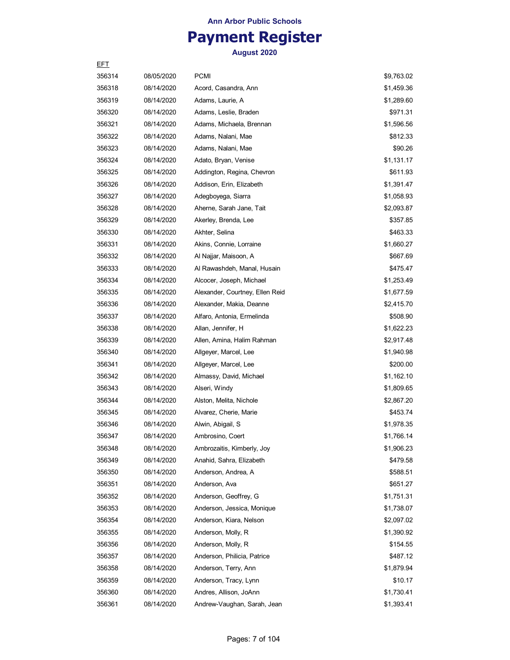## **Payment Register**

| EFT    |            |                                 |            |
|--------|------------|---------------------------------|------------|
| 356314 | 08/05/2020 | <b>PCMI</b>                     | \$9,763.02 |
| 356318 | 08/14/2020 | Acord, Casandra, Ann            | \$1,459.36 |
| 356319 | 08/14/2020 | Adams, Laurie, A                | \$1,289.60 |
| 356320 | 08/14/2020 | Adams, Leslie, Braden           | \$971.31   |
| 356321 | 08/14/2020 | Adams, Michaela, Brennan        | \$1,596.56 |
| 356322 | 08/14/2020 | Adams, Nalani, Mae              | \$812.33   |
| 356323 | 08/14/2020 | Adams, Nalani, Mae              | \$90.26    |
| 356324 | 08/14/2020 | Adato, Bryan, Venise            | \$1,131.17 |
| 356325 | 08/14/2020 | Addington, Regina, Chevron      | \$611.93   |
| 356326 | 08/14/2020 | Addison, Erin, Elizabeth        | \$1,391.47 |
| 356327 | 08/14/2020 | Adegboyega, Siarra              | \$1,058.93 |
| 356328 | 08/14/2020 | Aherne, Sarah Jane, Tait        | \$2,093.87 |
| 356329 | 08/14/2020 | Akerley, Brenda, Lee            | \$357.85   |
| 356330 | 08/14/2020 | Akhter, Selina                  | \$463.33   |
| 356331 | 08/14/2020 | Akins, Connie, Lorraine         | \$1,660.27 |
| 356332 | 08/14/2020 | Al Najjar, Maisoon, A           | \$667.69   |
| 356333 | 08/14/2020 | Al Rawashdeh, Manal, Husain     | \$475.47   |
| 356334 | 08/14/2020 | Alcocer, Joseph, Michael        | \$1,253.49 |
| 356335 | 08/14/2020 | Alexander, Courtney, Ellen Reid | \$1,677.59 |
| 356336 | 08/14/2020 | Alexander, Makia, Deanne        | \$2,415.70 |
| 356337 | 08/14/2020 | Alfaro, Antonia, Ermelinda      | \$508.90   |
| 356338 | 08/14/2020 | Allan, Jennifer, H              | \$1,622.23 |
| 356339 | 08/14/2020 | Allen, Amina, Halim Rahman      | \$2,917.48 |
| 356340 | 08/14/2020 | Allgeyer, Marcel, Lee           | \$1,940.98 |
| 356341 | 08/14/2020 | Allgeyer, Marcel, Lee           | \$200.00   |
| 356342 | 08/14/2020 | Almassy, David, Michael         | \$1,162.10 |
| 356343 | 08/14/2020 | Alseri, Windy                   | \$1,809.65 |
| 356344 | 08/14/2020 | Alston, Melita, Nichole         | \$2,867.20 |
| 356345 | 08/14/2020 | Alvarez, Cherie, Marie          | \$453.74   |
| 356346 | 08/14/2020 | Alwin, Abigail, S               | \$1,978.35 |
| 356347 | 08/14/2020 | Ambrosino, Coert                | \$1,766.14 |
| 356348 | 08/14/2020 | Ambrozaitis, Kimberly, Joy      | \$1,906.23 |
| 356349 | 08/14/2020 | Anahid, Sahra, Elizabeth        | \$479.58   |
| 356350 | 08/14/2020 | Anderson, Andrea, A             | \$588.51   |
| 356351 | 08/14/2020 | Anderson, Ava                   | \$651.27   |
| 356352 | 08/14/2020 | Anderson, Geoffrey, G           | \$1,751.31 |
| 356353 | 08/14/2020 | Anderson, Jessica, Monique      | \$1,738.07 |
| 356354 | 08/14/2020 | Anderson, Kiara, Nelson         | \$2,097.02 |
| 356355 | 08/14/2020 | Anderson, Molly, R              | \$1,390.92 |
| 356356 | 08/14/2020 | Anderson, Molly, R              | \$154.55   |
| 356357 | 08/14/2020 | Anderson, Philicia, Patrice     | \$487.12   |
| 356358 | 08/14/2020 | Anderson, Terry, Ann            | \$1,879.94 |
| 356359 | 08/14/2020 | Anderson, Tracy, Lynn           | \$10.17    |
| 356360 | 08/14/2020 | Andres, Allison, JoAnn          | \$1,730.41 |
| 356361 | 08/14/2020 | Andrew-Vaughan, Sarah, Jean     | \$1,393.41 |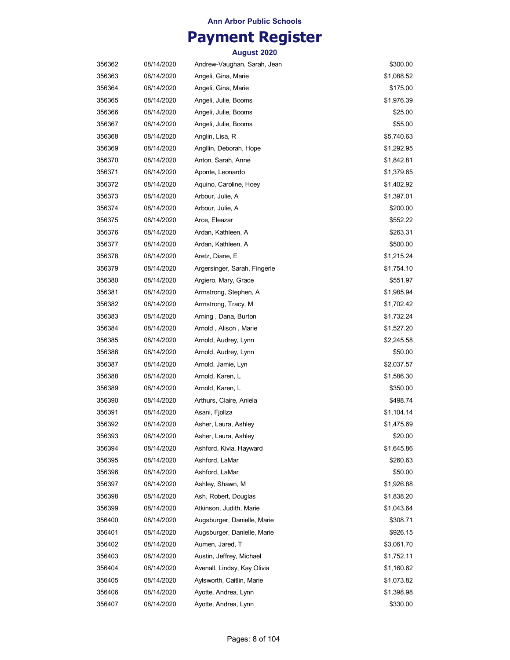## **Payment Register**

| 356362 | 08/14/2020 | Andrew-Vaughan, Sarah, Jean  | \$300.00   |
|--------|------------|------------------------------|------------|
| 356363 | 08/14/2020 | Angeli, Gina, Marie          | \$1,088.52 |
| 356364 | 08/14/2020 | Angeli, Gina, Marie          | \$175.00   |
| 356365 | 08/14/2020 | Angeli, Julie, Booms         | \$1,976.39 |
| 356366 | 08/14/2020 | Angeli, Julie, Booms         | \$25.00    |
| 356367 | 08/14/2020 | Angeli, Julie, Booms         | \$55.00    |
| 356368 | 08/14/2020 | Anglin, Lisa, R              | \$5,740.63 |
| 356369 | 08/14/2020 | Angllin, Deborah, Hope       | \$1,292.95 |
| 356370 | 08/14/2020 | Anton, Sarah, Anne           | \$1,842.81 |
| 356371 | 08/14/2020 | Aponte, Leonardo             | \$1,379.65 |
| 356372 | 08/14/2020 | Aquino, Caroline, Hoey       | \$1,402.92 |
| 356373 | 08/14/2020 | Arbour, Julie, A             | \$1,397.01 |
| 356374 | 08/14/2020 | Arbour, Julie, A             | \$200.00   |
| 356375 | 08/14/2020 | Arce, Eleazar                | \$552.22   |
| 356376 | 08/14/2020 | Ardan, Kathleen, A           | \$263.31   |
| 356377 | 08/14/2020 | Ardan, Kathleen, A           | \$500.00   |
| 356378 | 08/14/2020 | Aretz, Diane, E              | \$1,215.24 |
| 356379 | 08/14/2020 | Argersinger, Sarah, Fingerle | \$1,754.10 |
| 356380 | 08/14/2020 | Argiero, Mary, Grace         | \$551.97   |
| 356381 | 08/14/2020 | Armstrong, Stephen, A        | \$1,985.94 |
| 356382 | 08/14/2020 | Armstrong, Tracy, M          | \$1,702.42 |
| 356383 | 08/14/2020 | Arning, Dana, Burton         | \$1,732.24 |
| 356384 | 08/14/2020 | Arnold, Alison, Marie        | \$1,527.20 |
| 356385 | 08/14/2020 | Arnold, Audrey, Lynn         | \$2,245.58 |
| 356386 | 08/14/2020 | Arnold, Audrey, Lynn         | \$50.00    |
| 356387 | 08/14/2020 | Arnold, Jamie, Lyn           | \$2,037.57 |
| 356388 | 08/14/2020 | Arnold, Karen, L             | \$1,586.30 |
| 356389 | 08/14/2020 | Arnold, Karen, L             | \$350.00   |
| 356390 | 08/14/2020 | Arthurs, Claire, Aniela      | \$498.74   |
| 356391 | 08/14/2020 | Asani, Fjollza               | \$1,104.14 |
| 356392 | 08/14/2020 | Asher, Laura, Ashley         | \$1,475.69 |
| 356393 | 08/14/2020 | Asher, Laura, Ashley         | \$20.00    |
| 356394 | 08/14/2020 | Ashford, Kivia, Hayward      | \$1,645.86 |
| 356395 | 08/14/2020 | Ashford, LaMar               | \$260.63   |
| 356396 | 08/14/2020 | Ashford, LaMar               | \$50.00    |
| 356397 | 08/14/2020 | Ashley, Shawn, M             | \$1,926.88 |
| 356398 | 08/14/2020 | Ash, Robert, Douglas         | \$1,838.20 |
| 356399 | 08/14/2020 | Atkinson, Judith, Marie      | \$1,043.64 |
| 356400 | 08/14/2020 | Augsburger, Danielle, Marie  | \$308.71   |
| 356401 | 08/14/2020 | Augsburger, Danielle, Marie  | \$926.15   |
| 356402 | 08/14/2020 | Aumen, Jared, T              | \$3,061.70 |
| 356403 | 08/14/2020 | Austin, Jeffrey, Michael     | \$1,752.11 |
| 356404 | 08/14/2020 | Avenall, Lindsy, Kay Olivia  | \$1,160.62 |
| 356405 | 08/14/2020 | Aylsworth, Caitlin, Marie    | \$1,073.82 |
| 356406 | 08/14/2020 | Ayotte, Andrea, Lynn         | \$1,398.98 |
| 356407 | 08/14/2020 | Ayotte, Andrea, Lynn         | \$330.00   |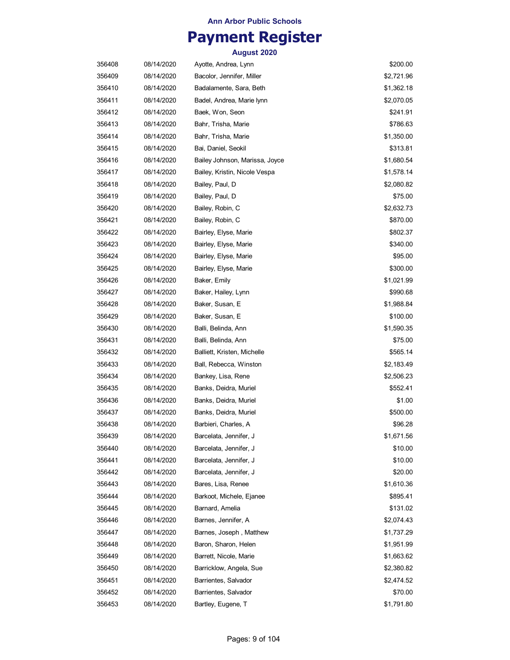## **Payment Register**

| 356408 | 08/14/2020 | Ayotte, Andrea, Lynn           | \$200.00   |
|--------|------------|--------------------------------|------------|
| 356409 | 08/14/2020 | Bacolor, Jennifer, Miller      | \$2,721.96 |
| 356410 | 08/14/2020 | Badalamente, Sara, Beth        | \$1,362.18 |
| 356411 | 08/14/2020 | Badel, Andrea, Marie lynn      | \$2,070.05 |
| 356412 | 08/14/2020 | Baek, Won, Seon                | \$241.91   |
| 356413 | 08/14/2020 | Bahr, Trisha, Marie            | \$786.63   |
| 356414 | 08/14/2020 | Bahr, Trisha, Marie            | \$1,350.00 |
| 356415 | 08/14/2020 | Bai, Daniel, Seokil            | \$313.81   |
| 356416 | 08/14/2020 | Bailey Johnson, Marissa, Joyce | \$1,680.54 |
| 356417 | 08/14/2020 | Bailey, Kristin, Nicole Vespa  | \$1,578.14 |
| 356418 | 08/14/2020 | Bailey, Paul, D                | \$2,080.82 |
| 356419 | 08/14/2020 | Bailey, Paul, D                | \$75.00    |
| 356420 | 08/14/2020 | Bailey, Robin, C               | \$2,632.73 |
| 356421 | 08/14/2020 | Bailey, Robin, C               | \$870.00   |
| 356422 | 08/14/2020 | Bairley, Elyse, Marie          | \$802.37   |
| 356423 | 08/14/2020 | Bairley, Elyse, Marie          | \$340.00   |
| 356424 | 08/14/2020 | Bairley, Elyse, Marie          | \$95.00    |
| 356425 | 08/14/2020 | Bairley, Elyse, Marie          | \$300.00   |
| 356426 | 08/14/2020 | Baker, Emily                   | \$1,021.99 |
| 356427 | 08/14/2020 | Baker, Hailey, Lynn            | \$990.68   |
| 356428 | 08/14/2020 | Baker, Susan, E                | \$1,988.84 |
| 356429 | 08/14/2020 | Baker, Susan, E                | \$100.00   |
| 356430 | 08/14/2020 | Balli, Belinda, Ann            | \$1,590.35 |
| 356431 | 08/14/2020 | Balli, Belinda, Ann            | \$75.00    |
| 356432 | 08/14/2020 | Balliett, Kristen, Michelle    | \$565.14   |
| 356433 | 08/14/2020 | Ball, Rebecca, Winston         | \$2,183.49 |
| 356434 | 08/14/2020 | Bankey, Lisa, Rene             | \$2,506.23 |
| 356435 | 08/14/2020 | Banks, Deidra, Muriel          | \$552.41   |
| 356436 | 08/14/2020 | Banks, Deidra, Muriel          | \$1.00     |
| 356437 | 08/14/2020 | Banks, Deidra, Muriel          | \$500.00   |
| 356438 | 08/14/2020 | Barbieri, Charles, A           | \$96.28    |
| 356439 | 08/14/2020 | Barcelata, Jennifer, J         | \$1,671.56 |
| 356440 | 08/14/2020 | Barcelata, Jennifer, J         | \$10.00    |
| 356441 | 08/14/2020 | Barcelata, Jennifer, J         | \$10.00    |
| 356442 | 08/14/2020 | Barcelata, Jennifer, J         | \$20.00    |
| 356443 | 08/14/2020 | Bares, Lisa, Renee             | \$1,610.36 |
| 356444 | 08/14/2020 | Barkoot, Michele, Ejanee       | \$895.41   |
| 356445 | 08/14/2020 | Barnard, Amelia                | \$131.02   |
| 356446 | 08/14/2020 | Barnes, Jennifer, A            | \$2,074.43 |
| 356447 | 08/14/2020 | Barnes, Joseph, Matthew        | \$1,737.29 |
| 356448 | 08/14/2020 | Baron, Sharon, Helen           | \$1,951.99 |
| 356449 | 08/14/2020 | Barrett, Nicole, Marie         | \$1,663.62 |
| 356450 | 08/14/2020 | Barricklow, Angela, Sue        | \$2,380.82 |
| 356451 | 08/14/2020 | Barrientes, Salvador           | \$2,474.52 |
| 356452 | 08/14/2020 | Barrientes, Salvador           | \$70.00    |
| 356453 | 08/14/2020 | Bartley, Eugene, T             | \$1,791.80 |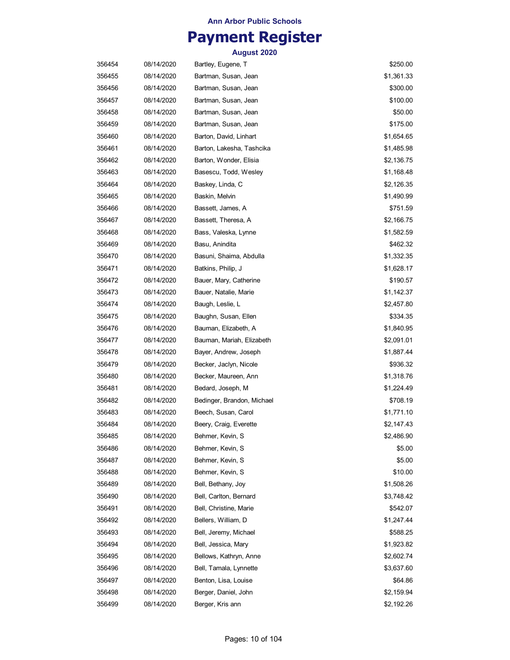## **Payment Register**

| 356454 | 08/14/2020 | Bartley, Eugene, T         | \$250.00   |
|--------|------------|----------------------------|------------|
| 356455 | 08/14/2020 | Bartman, Susan, Jean       | \$1,361.33 |
| 356456 | 08/14/2020 | Bartman, Susan, Jean       | \$300.00   |
| 356457 | 08/14/2020 | Bartman, Susan, Jean       | \$100.00   |
| 356458 | 08/14/2020 | Bartman, Susan, Jean       | \$50.00    |
| 356459 | 08/14/2020 | Bartman, Susan, Jean       | \$175.00   |
| 356460 | 08/14/2020 | Barton, David, Linhart     | \$1,654.65 |
| 356461 | 08/14/2020 | Barton, Lakesha, Tashcika  | \$1,485.98 |
| 356462 | 08/14/2020 | Barton, Wonder, Elisia     | \$2,136.75 |
| 356463 | 08/14/2020 | Basescu, Todd, Wesley      | \$1,168.48 |
| 356464 | 08/14/2020 | Baskey, Linda, C           | \$2,126.35 |
| 356465 | 08/14/2020 | Baskin, Melvin             | \$1,490.99 |
| 356466 | 08/14/2020 | Bassett, James, A          | \$751.59   |
| 356467 | 08/14/2020 | Bassett, Theresa, A        | \$2,166.75 |
| 356468 | 08/14/2020 | Bass, Valeska, Lynne       | \$1,582.59 |
| 356469 | 08/14/2020 | Basu, Anindita             | \$462.32   |
| 356470 | 08/14/2020 | Basuni, Shaima, Abdulla    | \$1,332.35 |
| 356471 | 08/14/2020 | Batkins, Philip, J         | \$1,628.17 |
| 356472 | 08/14/2020 | Bauer, Mary, Catherine     | \$190.57   |
| 356473 | 08/14/2020 | Bauer, Natalie, Marie      | \$1,142.37 |
| 356474 | 08/14/2020 | Baugh, Leslie, L           | \$2,457.80 |
| 356475 | 08/14/2020 | Baughn, Susan, Ellen       | \$334.35   |
| 356476 | 08/14/2020 | Bauman, Elizabeth, A       | \$1,840.95 |
| 356477 | 08/14/2020 | Bauman, Mariah, Elizabeth  | \$2,091.01 |
| 356478 | 08/14/2020 | Bayer, Andrew, Joseph      | \$1,887.44 |
| 356479 | 08/14/2020 | Becker, Jaclyn, Nicole     | \$936.32   |
| 356480 | 08/14/2020 | Becker, Maureen, Ann       | \$1,318.76 |
| 356481 | 08/14/2020 | Bedard, Joseph, M          | \$1,224.49 |
| 356482 | 08/14/2020 | Bedinger, Brandon, Michael | \$708.19   |
| 356483 | 08/14/2020 | Beech, Susan, Carol        | \$1,771.10 |
| 356484 | 08/14/2020 | Beery, Craig, Everette     | \$2,147.43 |
| 356485 | 08/14/2020 | Behmer, Kevin, S           | \$2,486.90 |
| 356486 | 08/14/2020 | Behmer, Kevin, S           | \$5.00     |
| 356487 | 08/14/2020 | Behmer, Kevin, S           | \$5.00     |
| 356488 | 08/14/2020 | Behmer, Kevin, S           | \$10.00    |
| 356489 | 08/14/2020 | Bell, Bethany, Joy         | \$1,508.26 |
| 356490 | 08/14/2020 | Bell, Carlton, Bernard     | \$3,748.42 |
| 356491 | 08/14/2020 | Bell, Christine, Marie     | \$542.07   |
| 356492 | 08/14/2020 | Bellers, William, D        | \$1,247.44 |
| 356493 | 08/14/2020 | Bell, Jeremy, Michael      | \$588.25   |
| 356494 | 08/14/2020 | Bell, Jessica, Mary        | \$1,923.82 |
| 356495 | 08/14/2020 | Bellows, Kathryn, Anne     | \$2,602.74 |
| 356496 | 08/14/2020 | Bell, Tamala, Lynnette     | \$3,637.60 |
| 356497 | 08/14/2020 | Benton, Lisa, Louise       | \$64.86    |
| 356498 | 08/14/2020 | Berger, Daniel, John       | \$2,159.94 |
| 356499 | 08/14/2020 | Berger, Kris ann           | \$2,192.26 |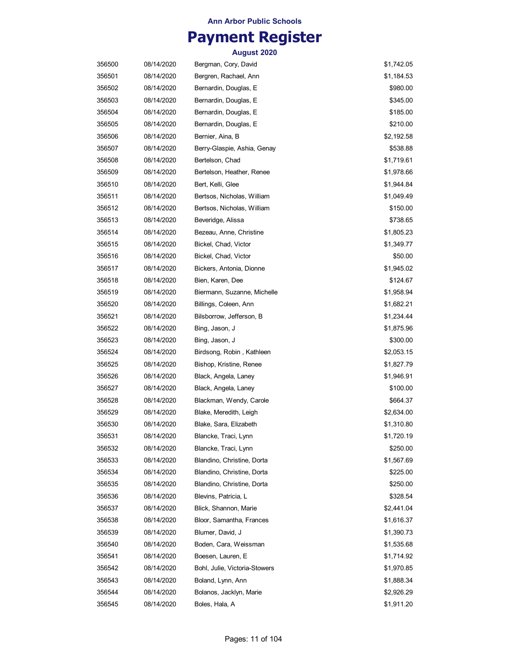## **Payment Register**

| 356500 | 08/14/2020 | Bergman, Cory, David          | \$1,742.05 |
|--------|------------|-------------------------------|------------|
| 356501 | 08/14/2020 | Bergren, Rachael, Ann         | \$1,184.53 |
| 356502 | 08/14/2020 | Bernardin, Douglas, E         | \$980.00   |
| 356503 | 08/14/2020 | Bernardin, Douglas, E         | \$345.00   |
| 356504 | 08/14/2020 | Bernardin, Douglas, E         | \$185.00   |
| 356505 | 08/14/2020 | Bernardin, Douglas, E         | \$210.00   |
| 356506 | 08/14/2020 | Bernier, Aina, B              | \$2,192.58 |
| 356507 | 08/14/2020 | Berry-Glaspie, Ashia, Genay   | \$538.88   |
| 356508 | 08/14/2020 | Bertelson, Chad               | \$1,719.61 |
| 356509 | 08/14/2020 | Bertelson, Heather, Renee     | \$1,978.66 |
| 356510 | 08/14/2020 | Bert, Kelli, Glee             | \$1,944.84 |
| 356511 | 08/14/2020 | Bertsos, Nicholas, William    | \$1,049.49 |
| 356512 | 08/14/2020 | Bertsos, Nicholas, William    | \$150.00   |
| 356513 | 08/14/2020 | Beveridge, Alissa             | \$738.65   |
| 356514 | 08/14/2020 | Bezeau, Anne, Christine       | \$1,805.23 |
| 356515 | 08/14/2020 | Bickel, Chad, Victor          | \$1,349.77 |
| 356516 | 08/14/2020 | Bickel, Chad, Victor          | \$50.00    |
| 356517 | 08/14/2020 | Bickers, Antonia, Dionne      | \$1,945.02 |
| 356518 | 08/14/2020 | Bien, Karen, Dee              | \$124.67   |
| 356519 | 08/14/2020 | Biermann, Suzanne, Michelle   | \$1,958.94 |
| 356520 | 08/14/2020 | Billings, Coleen, Ann         | \$1,682.21 |
| 356521 | 08/14/2020 | Bilsborrow, Jefferson, B      | \$1,234.44 |
| 356522 | 08/14/2020 | Bing, Jason, J                | \$1,875.96 |
| 356523 | 08/14/2020 | Bing, Jason, J                | \$300.00   |
| 356524 | 08/14/2020 | Birdsong, Robin, Kathleen     | \$2,053.15 |
| 356525 | 08/14/2020 | Bishop, Kristine, Renee       | \$1,827.79 |
| 356526 | 08/14/2020 | Black, Angela, Laney          | \$1,946.91 |
| 356527 | 08/14/2020 | Black, Angela, Laney          | \$100.00   |
| 356528 | 08/14/2020 | Blackman, Wendy, Carole       | \$664.37   |
| 356529 | 08/14/2020 | Blake, Meredith, Leigh        | \$2,634.00 |
| 356530 | 08/14/2020 | Blake, Sara, Elizabeth        | \$1,310.80 |
| 356531 | 08/14/2020 | Blancke, Traci, Lynn          | \$1,720.19 |
| 356532 | 08/14/2020 | Blancke, Traci, Lynn          | \$250.00   |
| 356533 | 08/14/2020 | Blandino, Christine, Dorta    | \$1,567.69 |
| 356534 | 08/14/2020 | Blandino, Christine, Dorta    | \$225.00   |
| 356535 | 08/14/2020 | Blandino, Christine, Dorta    | \$250.00   |
| 356536 | 08/14/2020 | Blevins, Patricia, L          | \$328.54   |
| 356537 | 08/14/2020 | Blick, Shannon, Marie         | \$2,441.04 |
| 356538 | 08/14/2020 | Bloor, Samantha, Frances      | \$1,616.37 |
| 356539 | 08/14/2020 | Blumer, David, J              | \$1,390.73 |
| 356540 | 08/14/2020 | Boden, Cara, Weissman         | \$1,535.68 |
| 356541 | 08/14/2020 | Boesen, Lauren, E             | \$1,714.92 |
| 356542 | 08/14/2020 | Bohl, Julie, Victoria-Stowers | \$1,970.85 |
| 356543 | 08/14/2020 | Boland, Lynn, Ann             | \$1,888.34 |
| 356544 | 08/14/2020 | Bolanos, Jacklyn, Marie       | \$2,926.29 |
| 356545 | 08/14/2020 | Boles, Hala, A                | \$1,911.20 |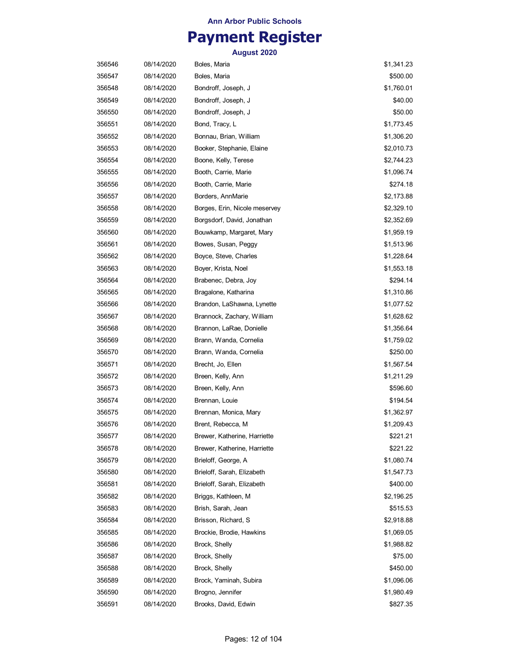## **Payment Register**

| 356546 | 08/14/2020 | Boles, Maria                  | \$1,341.23 |
|--------|------------|-------------------------------|------------|
| 356547 | 08/14/2020 | Boles, Maria                  | \$500.00   |
| 356548 | 08/14/2020 | Bondroff, Joseph, J           | \$1,760.01 |
| 356549 | 08/14/2020 | Bondroff, Joseph, J           | \$40.00    |
| 356550 | 08/14/2020 | Bondroff, Joseph, J           | \$50.00    |
| 356551 | 08/14/2020 | Bond, Tracy, L                | \$1,773.45 |
| 356552 | 08/14/2020 | Bonnau, Brian, William        | \$1,306.20 |
| 356553 | 08/14/2020 | Booker, Stephanie, Elaine     | \$2,010.73 |
| 356554 | 08/14/2020 | Boone, Kelly, Terese          | \$2,744.23 |
| 356555 | 08/14/2020 | Booth, Carrie, Marie          | \$1,096.74 |
| 356556 | 08/14/2020 | Booth, Carrie, Marie          | \$274.18   |
| 356557 | 08/14/2020 | Borders, AnnMarie             | \$2,173.88 |
| 356558 | 08/14/2020 | Borges, Erin, Nicole meservey | \$2,329.10 |
| 356559 | 08/14/2020 | Borgsdorf, David, Jonathan    | \$2,352.69 |
| 356560 | 08/14/2020 | Bouwkamp, Margaret, Mary      | \$1,959.19 |
| 356561 | 08/14/2020 | Bowes, Susan, Peggy           | \$1,513.96 |
| 356562 | 08/14/2020 | Boyce, Steve, Charles         | \$1,228.64 |
| 356563 | 08/14/2020 | Boyer, Krista, Noel           | \$1,553.18 |
| 356564 | 08/14/2020 | Brabenec, Debra, Joy          | \$294.14   |
| 356565 | 08/14/2020 | Bragalone, Katharina          | \$1,310.86 |
| 356566 | 08/14/2020 | Brandon, LaShawna, Lynette    | \$1,077.52 |
| 356567 | 08/14/2020 | Brannock, Zachary, William    | \$1,628.62 |
| 356568 | 08/14/2020 | Brannon, LaRae, Donielle      | \$1,356.64 |
| 356569 | 08/14/2020 | Brann, Wanda, Cornelia        | \$1,759.02 |
| 356570 | 08/14/2020 | Brann, Wanda, Cornelia        | \$250.00   |
| 356571 | 08/14/2020 | Brecht, Jo, Ellen             | \$1,567.54 |
| 356572 | 08/14/2020 | Breen, Kelly, Ann             | \$1,211.29 |
| 356573 | 08/14/2020 | Breen, Kelly, Ann             | \$596.60   |
| 356574 | 08/14/2020 | Brennan, Louie                | \$194.54   |
| 356575 | 08/14/2020 | Brennan, Monica, Mary         | \$1,362.97 |
| 356576 | 08/14/2020 | Brent, Rebecca, M             | \$1,209.43 |
| 356577 | 08/14/2020 | Brewer, Katherine, Harriette  | \$221.21   |
| 356578 | 08/14/2020 | Brewer, Katherine, Harriette  | \$221.22   |
| 356579 | 08/14/2020 | Brieloff, George, A           | \$1,080.74 |
| 356580 | 08/14/2020 | Brieloff, Sarah, Elizabeth    | \$1,547.73 |
| 356581 | 08/14/2020 | Brieloff, Sarah, Elizabeth    | \$400.00   |
| 356582 | 08/14/2020 | Briggs, Kathleen, M           | \$2,196.25 |
| 356583 | 08/14/2020 | Brish, Sarah, Jean            | \$515.53   |
| 356584 | 08/14/2020 | Brisson, Richard, S           | \$2,918.88 |
| 356585 | 08/14/2020 | Brockie, Brodie, Hawkins      | \$1,069.05 |
| 356586 | 08/14/2020 | Brock, Shelly                 | \$1,988.82 |
| 356587 | 08/14/2020 | Brock, Shelly                 | \$75.00    |
| 356588 | 08/14/2020 | Brock, Shelly                 | \$450.00   |
| 356589 | 08/14/2020 | Brock, Yaminah, Subira        | \$1,096.06 |
| 356590 | 08/14/2020 | Brogno, Jennifer              | \$1,980.49 |
| 356591 | 08/14/2020 | Brooks, David, Edwin          | \$827.35   |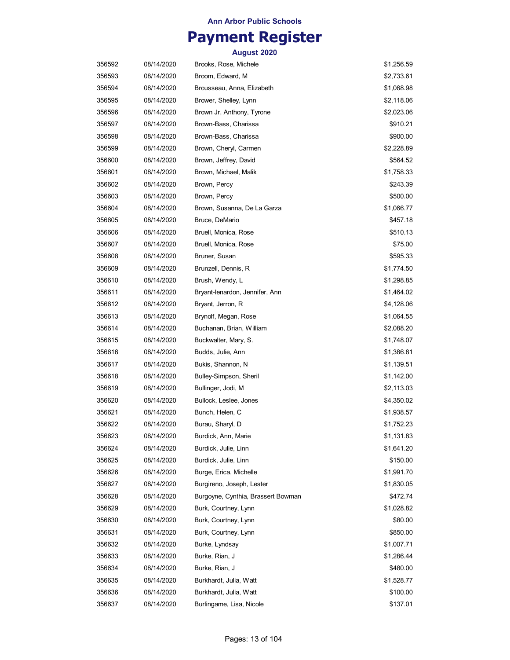## **Payment Register**

| 356592 | 08/14/2020 | Brooks, Rose, Michele              | \$1,256.59 |
|--------|------------|------------------------------------|------------|
| 356593 | 08/14/2020 | Broom, Edward, M                   | \$2,733.61 |
| 356594 | 08/14/2020 | Brousseau, Anna, Elizabeth         | \$1,068.98 |
| 356595 | 08/14/2020 | Brower, Shelley, Lynn              | \$2,118.06 |
| 356596 | 08/14/2020 | Brown Jr, Anthony, Tyrone          | \$2,023.06 |
| 356597 | 08/14/2020 | Brown-Bass, Charissa               | \$910.21   |
| 356598 | 08/14/2020 | Brown-Bass, Charissa               | \$900.00   |
| 356599 | 08/14/2020 | Brown, Cheryl, Carmen              | \$2,228.89 |
| 356600 | 08/14/2020 | Brown, Jeffrey, David              | \$564.52   |
| 356601 | 08/14/2020 | Brown, Michael, Malik              | \$1,758.33 |
| 356602 | 08/14/2020 | Brown, Percy                       | \$243.39   |
| 356603 | 08/14/2020 | Brown, Percy                       | \$500.00   |
| 356604 | 08/14/2020 | Brown, Susanna, De La Garza        | \$1,066.77 |
| 356605 | 08/14/2020 | Bruce, DeMario                     | \$457.18   |
| 356606 | 08/14/2020 | Bruell, Monica, Rose               | \$510.13   |
| 356607 | 08/14/2020 | Bruell, Monica, Rose               | \$75.00    |
| 356608 | 08/14/2020 | Bruner, Susan                      | \$595.33   |
| 356609 | 08/14/2020 | Brunzell, Dennis, R                | \$1,774.50 |
| 356610 | 08/14/2020 | Brush, Wendy, L                    | \$1,298.85 |
| 356611 | 08/14/2020 | Bryant-lenardon, Jennifer, Ann     | \$1,464.02 |
| 356612 | 08/14/2020 | Bryant, Jerron, R                  | \$4,128.06 |
| 356613 | 08/14/2020 | Brynolf, Megan, Rose               | \$1,064.55 |
| 356614 | 08/14/2020 | Buchanan, Brian, William           | \$2,088.20 |
| 356615 | 08/14/2020 | Buckwalter, Mary, S.               | \$1,748.07 |
| 356616 | 08/14/2020 | Budds, Julie, Ann                  | \$1,386.81 |
| 356617 | 08/14/2020 | Bukis, Shannon, N                  | \$1,139.51 |
| 356618 | 08/14/2020 | Bulley-Simpson, Sheril             | \$1,142.00 |
| 356619 | 08/14/2020 | Bullinger, Jodi, M                 | \$2,113.03 |
| 356620 | 08/14/2020 | Bullock, Leslee, Jones             | \$4,350.02 |
| 356621 | 08/14/2020 | Bunch, Helen, C                    | \$1,938.57 |
| 356622 | 08/14/2020 | Burau, Sharyl, D                   | \$1,752.23 |
| 356623 | 08/14/2020 | Burdick, Ann, Marie                | \$1,131.83 |
| 356624 | 08/14/2020 | Burdick, Julie, Linn               | \$1,641.20 |
| 356625 | 08/14/2020 | Burdick, Julie, Linn               | \$150.00   |
| 356626 | 08/14/2020 | Burge, Erica, Michelle             | \$1,991.70 |
| 356627 | 08/14/2020 | Burgireno, Joseph, Lester          | \$1,830.05 |
| 356628 | 08/14/2020 | Burgoyne, Cynthia, Brassert Bowman | \$472.74   |
| 356629 | 08/14/2020 | Burk, Courtney, Lynn               | \$1,028.82 |
| 356630 | 08/14/2020 | Burk, Courtney, Lynn               | \$80.00    |
| 356631 | 08/14/2020 | Burk, Courtney, Lynn               | \$850.00   |
| 356632 | 08/14/2020 | Burke, Lyndsay                     | \$1,007.71 |
| 356633 | 08/14/2020 | Burke, Rian, J                     | \$1,286.44 |
| 356634 | 08/14/2020 | Burke, Rian, J                     | \$480.00   |
| 356635 | 08/14/2020 | Burkhardt, Julia, Watt             | \$1,528.77 |
| 356636 | 08/14/2020 | Burkhardt, Julia, Watt             | \$100.00   |
| 356637 | 08/14/2020 | Burlingame, Lisa, Nicole           | \$137.01   |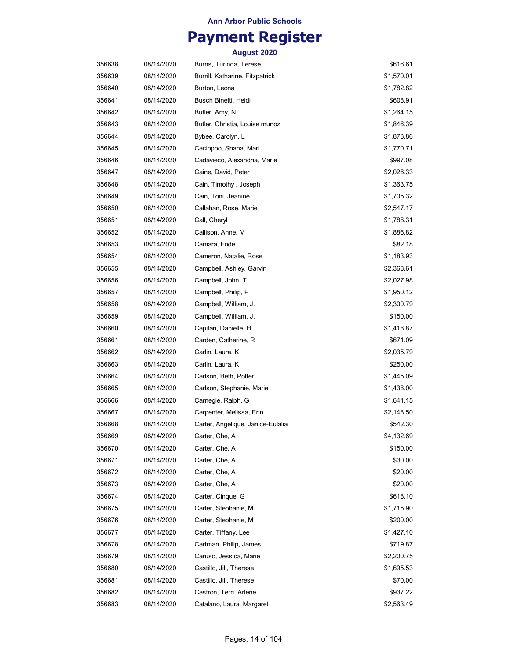## **Payment Register**

| 356638 | 08/14/2020 | Burns, Turinda, Terese            | \$616.61   |
|--------|------------|-----------------------------------|------------|
| 356639 | 08/14/2020 | Burrill, Katharine, Fitzpatrick   | \$1,570.01 |
| 356640 | 08/14/2020 | Burton, Leona                     | \$1,782.82 |
| 356641 | 08/14/2020 | Busch Binetti, Heidi              | \$608.91   |
| 356642 | 08/14/2020 | Butler, Amy, N                    | \$1,264.15 |
| 356643 | 08/14/2020 | Butler, Christia, Louise munoz    | \$1,846.39 |
| 356644 | 08/14/2020 | Bybee, Carolyn, L                 | \$1,873.86 |
| 356645 | 08/14/2020 | Cacioppo, Shana, Mari             | \$1,770.71 |
| 356646 | 08/14/2020 | Cadavieco, Alexandria, Marie      | \$997.08   |
| 356647 | 08/14/2020 | Caine, David, Peter               | \$2,026.33 |
| 356648 | 08/14/2020 | Cain, Timothy, Joseph             | \$1,363.75 |
| 356649 | 08/14/2020 | Cain, Toni, Jeanine               | \$1,705.32 |
| 356650 | 08/14/2020 | Callahan, Rose, Marie             | \$2,547.17 |
| 356651 | 08/14/2020 | Call, Cheryl                      | \$1,788.31 |
| 356652 | 08/14/2020 | Callison, Anne, M                 | \$1,886.82 |
| 356653 | 08/14/2020 | Camara, Fode                      | \$82.18    |
| 356654 | 08/14/2020 | Cameron, Natalie, Rose            | \$1,183.93 |
| 356655 | 08/14/2020 | Campbell, Ashley, Garvin          | \$2,368.61 |
| 356656 | 08/14/2020 | Campbell, John, T                 | \$2,027.98 |
| 356657 | 08/14/2020 | Campbell, Philip, P               | \$1,950.12 |
| 356658 | 08/14/2020 | Campbell, William, J.             | \$2,300.79 |
| 356659 | 08/14/2020 | Campbell, William, J.             | \$150.00   |
| 356660 | 08/14/2020 | Capitan, Danielle, H              | \$1,418.87 |
| 356661 | 08/14/2020 | Carden, Catherine, R              | \$671.09   |
| 356662 | 08/14/2020 | Carlin, Laura, K                  | \$2,035.79 |
| 356663 | 08/14/2020 | Carlin, Laura, K                  | \$250.00   |
| 356664 | 08/14/2020 | Carlson, Beth, Potter             | \$1,445.09 |
| 356665 | 08/14/2020 | Carlson, Stephanie, Marie         | \$1,438.00 |
| 356666 | 08/14/2020 | Carnegie, Ralph, G                | \$1,641.15 |
| 356667 | 08/14/2020 | Carpenter, Melissa, Erin          | \$2,148.50 |
| 356668 | 08/14/2020 | Carter, Angelique, Janice-Eulalia | \$542.30   |
| 356669 | 08/14/2020 | Carter, Che, A                    | \$4,132.69 |
| 356670 | 08/14/2020 | Carter, Che, A                    | \$150.00   |
| 356671 | 08/14/2020 | Carter, Che, A                    | \$30.00    |
| 356672 | 08/14/2020 | Carter, Che, A                    | \$20.00    |
| 356673 | 08/14/2020 | Carter, Che, A                    | \$20.00    |
| 356674 | 08/14/2020 | Carter, Cinque, G                 | \$618.10   |
| 356675 | 08/14/2020 | Carter, Stephanie, M              | \$1,715.90 |
| 356676 | 08/14/2020 | Carter, Stephanie, M              | \$200.00   |
| 356677 | 08/14/2020 | Carter, Tiffany, Lee              | \$1,427.10 |
| 356678 | 08/14/2020 | Cartman, Philip, James            | \$719.87   |
| 356679 | 08/14/2020 | Caruso, Jessica, Marie            | \$2,200.75 |
| 356680 | 08/14/2020 | Castillo, Jill, Therese           | \$1,695.53 |
| 356681 | 08/14/2020 | Castillo, Jill, Therese           | \$70.00    |
| 356682 | 08/14/2020 | Castron, Terri, Arlene            | \$937.22   |
| 356683 | 08/14/2020 | Catalano, Laura, Margaret         | \$2,563.49 |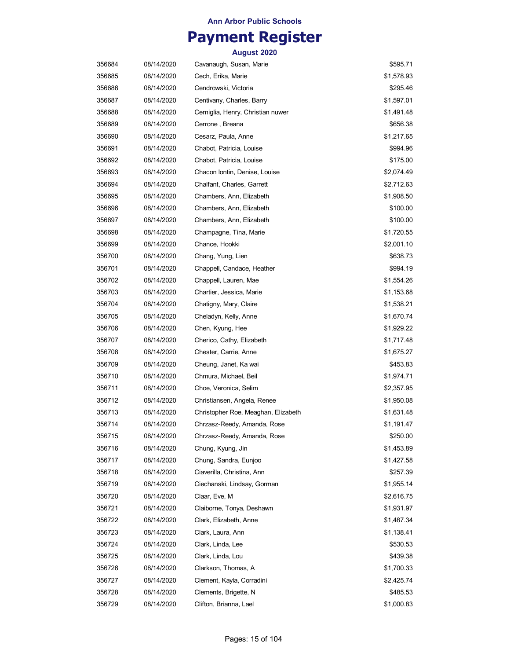## **Payment Register**

| 356684 | 08/14/2020 | Cavanaugh, Susan, Marie             | \$595.71   |
|--------|------------|-------------------------------------|------------|
| 356685 | 08/14/2020 | Cech, Erika, Marie                  | \$1,578.93 |
| 356686 | 08/14/2020 | Cendrowski, Victoria                | \$295.46   |
| 356687 | 08/14/2020 | Centivany, Charles, Barry           | \$1,597.01 |
| 356688 | 08/14/2020 | Cerniglia, Henry, Christian nuwer   | \$1,491.48 |
| 356689 | 08/14/2020 | Cerrone, Breana                     | \$656.38   |
| 356690 | 08/14/2020 | Cesarz, Paula, Anne                 | \$1,217.65 |
| 356691 | 08/14/2020 | Chabot, Patricia, Louise            | \$994.96   |
| 356692 | 08/14/2020 | Chabot, Patricia, Louise            | \$175.00   |
| 356693 | 08/14/2020 | Chacon Iontin, Denise, Louise       | \$2,074.49 |
| 356694 | 08/14/2020 | Chalfant, Charles, Garrett          | \$2,712.63 |
| 356695 | 08/14/2020 | Chambers, Ann, Elizabeth            | \$1,908.50 |
| 356696 | 08/14/2020 | Chambers, Ann, Elizabeth            | \$100.00   |
| 356697 | 08/14/2020 | Chambers, Ann, Elizabeth            | \$100.00   |
| 356698 | 08/14/2020 | Champagne, Tina, Marie              | \$1,720.55 |
| 356699 | 08/14/2020 | Chance, Hookki                      | \$2,001.10 |
| 356700 | 08/14/2020 | Chang, Yung, Lien                   | \$638.73   |
| 356701 | 08/14/2020 | Chappell, Candace, Heather          | \$994.19   |
| 356702 | 08/14/2020 | Chappell, Lauren, Mae               | \$1,554.26 |
| 356703 | 08/14/2020 | Chartier, Jessica, Marie            | \$1,153.68 |
| 356704 | 08/14/2020 | Chatigny, Mary, Claire              | \$1,538.21 |
| 356705 | 08/14/2020 | Cheladyn, Kelly, Anne               | \$1,670.74 |
| 356706 | 08/14/2020 | Chen, Kyung, Hee                    | \$1,929.22 |
| 356707 | 08/14/2020 | Cherico, Cathy, Elizabeth           | \$1,717.48 |
| 356708 | 08/14/2020 | Chester, Carrie, Anne               | \$1,675.27 |
| 356709 | 08/14/2020 | Cheung, Janet, Ka wai               | \$453.83   |
| 356710 | 08/14/2020 | Chmura, Michael, Beil               | \$1,974.71 |
| 356711 | 08/14/2020 | Choe, Veronica, Selim               | \$2,357.95 |
| 356712 | 08/14/2020 | Christiansen, Angela, Renee         | \$1,950.08 |
| 356713 | 08/14/2020 | Christopher Roe, Meaghan, Elizabeth | \$1,631.48 |
| 356714 | 08/14/2020 | Chrzasz-Reedy, Amanda, Rose         | \$1,191.47 |
| 356715 | 08/14/2020 | Chrzasz-Reedy, Amanda, Rose         | \$250.00   |
| 356716 | 08/14/2020 | Chung, Kyung, Jin                   | \$1,453.89 |
| 356717 | 08/14/2020 | Chung, Sandra, Eunjoo               | \$1,427.58 |
| 356718 | 08/14/2020 | Ciaverilla, Christina, Ann          | \$257.39   |
| 356719 | 08/14/2020 | Ciechanski, Lindsay, Gorman         | \$1,955.14 |
| 356720 | 08/14/2020 | Claar, Eve, M                       | \$2,616.75 |
| 356721 | 08/14/2020 | Claiborne, Tonya, Deshawn           | \$1,931.97 |
| 356722 | 08/14/2020 | Clark, Elizabeth, Anne              | \$1,487.34 |
| 356723 | 08/14/2020 | Clark, Laura, Ann                   | \$1,138.41 |
| 356724 | 08/14/2020 | Clark, Linda, Lee                   | \$530.53   |
| 356725 | 08/14/2020 | Clark, Linda, Lou                   | \$439.38   |
| 356726 | 08/14/2020 | Clarkson, Thomas, A                 | \$1,700.33 |
| 356727 | 08/14/2020 | Clement, Kayla, Corradini           | \$2,425.74 |
| 356728 | 08/14/2020 | Clements, Brigette, N               | \$485.53   |
| 356729 | 08/14/2020 | Clifton, Brianna, Lael              | \$1,000.83 |
|        |            |                                     |            |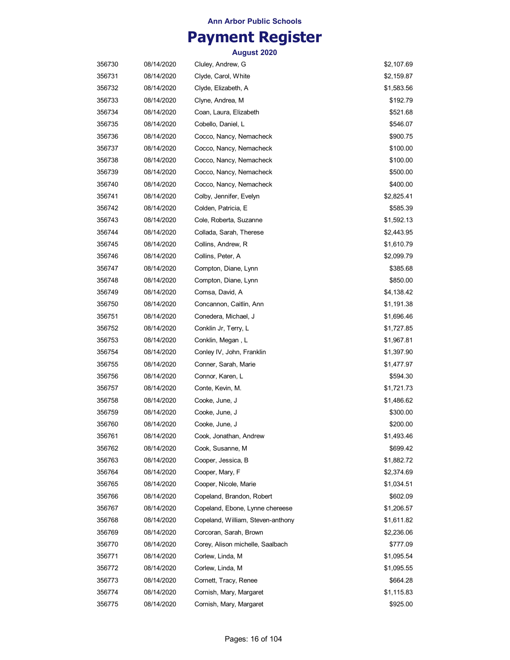## **Payment Register**

| 356730 | 08/14/2020 | Cluley, Andrew, G                 | \$2,107.69 |
|--------|------------|-----------------------------------|------------|
| 356731 | 08/14/2020 | Clyde, Carol, White               | \$2,159.87 |
| 356732 | 08/14/2020 | Clyde, Elizabeth, A               | \$1,583.56 |
| 356733 | 08/14/2020 | Clyne, Andrea, M                  | \$192.79   |
| 356734 | 08/14/2020 | Coan, Laura, Elizabeth            | \$521.68   |
| 356735 | 08/14/2020 | Cobello, Daniel, L                | \$546.07   |
| 356736 | 08/14/2020 | Cocco, Nancy, Nemacheck           | \$900.75   |
| 356737 | 08/14/2020 | Cocco, Nancy, Nemacheck           | \$100.00   |
| 356738 | 08/14/2020 | Cocco, Nancy, Nemacheck           | \$100.00   |
| 356739 | 08/14/2020 | Cocco, Nancy, Nemacheck           | \$500.00   |
| 356740 | 08/14/2020 | Cocco, Nancy, Nemacheck           | \$400.00   |
| 356741 | 08/14/2020 | Colby, Jennifer, Evelyn           | \$2,825.41 |
| 356742 | 08/14/2020 | Colden, Patricia, E               | \$585.39   |
| 356743 | 08/14/2020 | Cole, Roberta, Suzanne            | \$1,592.13 |
| 356744 | 08/14/2020 | Collada, Sarah, Therese           | \$2,443.95 |
| 356745 | 08/14/2020 | Collins, Andrew, R                | \$1,610.79 |
| 356746 | 08/14/2020 | Collins, Peter, A                 | \$2,099.79 |
| 356747 | 08/14/2020 | Compton, Diane, Lynn              | \$385.68   |
| 356748 | 08/14/2020 | Compton, Diane, Lynn              | \$850.00   |
| 356749 | 08/14/2020 | Comsa, David, A                   | \$4,138.42 |
| 356750 | 08/14/2020 | Concannon, Caitlin, Ann           | \$1,191.38 |
| 356751 | 08/14/2020 | Conedera, Michael, J              | \$1,696.46 |
| 356752 | 08/14/2020 | Conklin Jr, Terry, L              | \$1,727.85 |
| 356753 | 08/14/2020 | Conklin, Megan, L                 | \$1,967.81 |
| 356754 | 08/14/2020 | Conley IV, John, Franklin         | \$1,397.90 |
| 356755 | 08/14/2020 | Conner, Sarah, Marie              | \$1,477.97 |
| 356756 | 08/14/2020 | Connor, Karen, L                  | \$594.30   |
| 356757 | 08/14/2020 | Conte, Kevin, M.                  | \$1,721.73 |
| 356758 | 08/14/2020 | Cooke, June, J                    | \$1,486.62 |
| 356759 | 08/14/2020 | Cooke, June, J                    | \$300.00   |
| 356760 | 08/14/2020 | Cooke, June, J                    | \$200.00   |
| 356761 | 08/14/2020 | Cook, Jonathan, Andrew            | \$1,493.46 |
| 356762 | 08/14/2020 | Cook, Susanne, M                  | \$699.42   |
| 356763 | 08/14/2020 | Cooper, Jessica, B                | \$1,882.72 |
| 356764 | 08/14/2020 | Cooper, Mary, F                   | \$2,374.69 |
| 356765 | 08/14/2020 | Cooper, Nicole, Marie             | \$1,034.51 |
| 356766 | 08/14/2020 | Copeland, Brandon, Robert         | \$602.09   |
| 356767 | 08/14/2020 | Copeland, Ebone, Lynne chereese   | \$1,206.57 |
| 356768 | 08/14/2020 | Copeland, William, Steven-anthony | \$1,611.82 |
| 356769 | 08/14/2020 | Corcoran, Sarah, Brown            | \$2,236.06 |
| 356770 | 08/14/2020 | Corey, Alison michelle, Saalbach  | \$777.09   |
| 356771 | 08/14/2020 | Corlew, Linda, M                  | \$1,095.54 |
| 356772 | 08/14/2020 | Corlew, Linda, M                  | \$1,095.55 |
| 356773 | 08/14/2020 | Cornett, Tracy, Renee             | \$664.28   |
| 356774 | 08/14/2020 | Cornish, Mary, Margaret           | \$1,115.83 |
| 356775 | 08/14/2020 | Cornish, Mary, Margaret           | \$925.00   |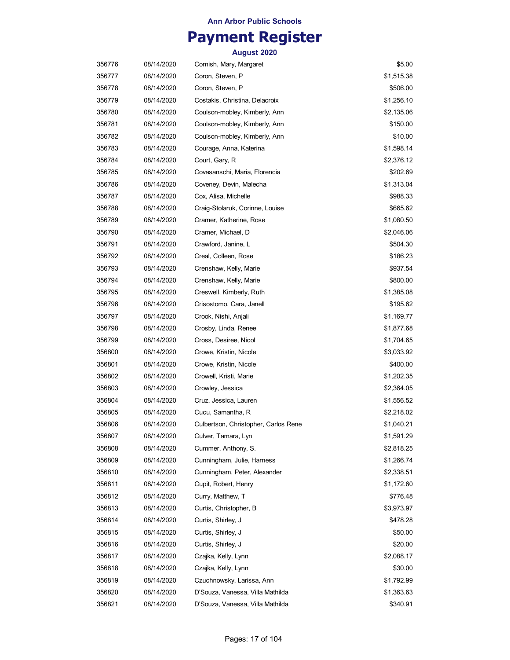# **Payment Register**

| 356776 | 08/14/2020 | Cornish, Mary, Margaret              | \$5.00     |
|--------|------------|--------------------------------------|------------|
| 356777 | 08/14/2020 | Coron, Steven, P                     | \$1,515.38 |
| 356778 | 08/14/2020 | Coron, Steven, P                     | \$506.00   |
| 356779 | 08/14/2020 | Costakis, Christina, Delacroix       | \$1,256.10 |
| 356780 | 08/14/2020 | Coulson-mobley, Kimberly, Ann        | \$2,135.06 |
| 356781 | 08/14/2020 | Coulson-mobley, Kimberly, Ann        | \$150.00   |
| 356782 | 08/14/2020 | Coulson-mobley, Kimberly, Ann        | \$10.00    |
| 356783 | 08/14/2020 | Courage, Anna, Katerina              | \$1,598.14 |
| 356784 | 08/14/2020 | Court, Gary, R                       | \$2,376.12 |
| 356785 | 08/14/2020 | Covasanschi, Maria, Florencia        | \$202.69   |
| 356786 | 08/14/2020 | Coveney, Devin, Malecha              | \$1,313.04 |
| 356787 | 08/14/2020 | Cox, Alisa, Michelle                 | \$988.33   |
| 356788 | 08/14/2020 | Craig-Stolaruk, Corinne, Louise      | \$665.62   |
| 356789 | 08/14/2020 | Cramer, Katherine, Rose              | \$1,080.50 |
| 356790 | 08/14/2020 | Cramer, Michael, D                   | \$2,046.06 |
| 356791 | 08/14/2020 | Crawford, Janine, L                  | \$504.30   |
| 356792 | 08/14/2020 | Creal, Colleen, Rose                 | \$186.23   |
| 356793 | 08/14/2020 | Crenshaw, Kelly, Marie               | \$937.54   |
| 356794 | 08/14/2020 | Crenshaw, Kelly, Marie               | \$800.00   |
| 356795 | 08/14/2020 | Creswell, Kimberly, Ruth             | \$1,385.08 |
| 356796 | 08/14/2020 | Crisostomo, Cara, Janell             | \$195.62   |
| 356797 | 08/14/2020 | Crook, Nishi, Anjali                 | \$1,169.77 |
| 356798 | 08/14/2020 | Crosby, Linda, Renee                 | \$1,877.68 |
| 356799 | 08/14/2020 | Cross, Desiree, Nicol                | \$1,704.65 |
| 356800 | 08/14/2020 | Crowe, Kristin, Nicole               | \$3,033.92 |
| 356801 | 08/14/2020 | Crowe, Kristin, Nicole               | \$400.00   |
| 356802 | 08/14/2020 | Crowell, Kristi, Marie               | \$1,202.35 |
| 356803 | 08/14/2020 | Crowley, Jessica                     | \$2,364.05 |
| 356804 | 08/14/2020 | Cruz, Jessica, Lauren                | \$1,556.52 |
| 356805 | 08/14/2020 | Cucu, Samantha, R                    | \$2,218.02 |
| 356806 | 08/14/2020 | Culbertson, Christopher, Carlos Rene | \$1,040.21 |
| 356807 | 08/14/2020 | Culver, Tamara, Lyn                  | \$1,591.29 |
| 356808 | 08/14/2020 | Cummer, Anthony, S.                  | \$2,818.25 |
| 356809 | 08/14/2020 | Cunningham, Julie, Harness           | \$1,266.74 |
| 356810 | 08/14/2020 | Cunningham, Peter, Alexander         | \$2,338.51 |
| 356811 | 08/14/2020 | Cupit, Robert, Henry                 | \$1,172.60 |
| 356812 | 08/14/2020 | Curry, Matthew, T                    | \$776.48   |
| 356813 | 08/14/2020 | Curtis, Christopher, B               | \$3,973.97 |
| 356814 | 08/14/2020 | Curtis, Shirley, J                   | \$478.28   |
| 356815 | 08/14/2020 | Curtis, Shirley, J                   | \$50.00    |
| 356816 | 08/14/2020 | Curtis, Shirley, J                   | \$20.00    |
| 356817 | 08/14/2020 | Czajka, Kelly, Lynn                  | \$2,088.17 |
| 356818 | 08/14/2020 | Czajka, Kelly, Lynn                  | \$30.00    |
| 356819 | 08/14/2020 | Czuchnowsky, Larissa, Ann            | \$1,792.99 |
| 356820 | 08/14/2020 | D'Souza, Vanessa, Villa Mathilda     | \$1,363.63 |
| 356821 | 08/14/2020 | D'Souza, Vanessa, Villa Mathilda     | \$340.91   |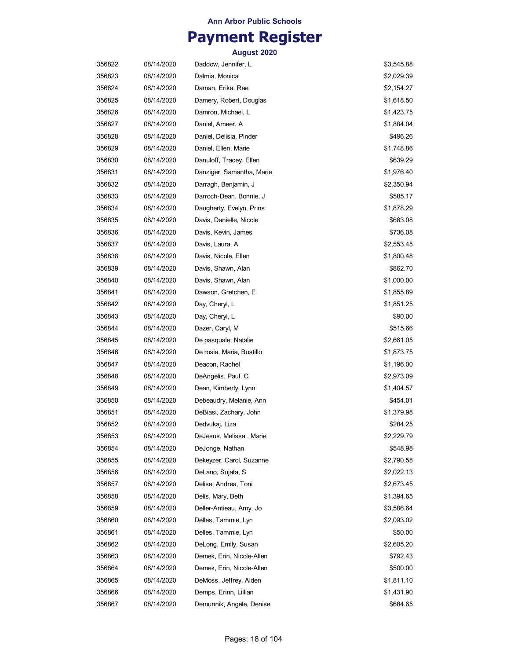## **Payment Register**

| 356822 | 08/14/2020 | Daddow, Jennifer, L       | \$3,545.88 |
|--------|------------|---------------------------|------------|
| 356823 | 08/14/2020 | Dalmia, Monica            | \$2,029.39 |
| 356824 | 08/14/2020 | Daman, Erika, Rae         | \$2,154.27 |
| 356825 | 08/14/2020 | Damery, Robert, Douglas   | \$1,618.50 |
| 356826 | 08/14/2020 | Damron, Michael, L        | \$1,423.75 |
| 356827 | 08/14/2020 | Daniel, Ameer, A          | \$1,884.04 |
| 356828 | 08/14/2020 | Daniel, Delisia, Pinder   | \$496.26   |
| 356829 | 08/14/2020 | Daniel, Ellen, Marie      | \$1,748.86 |
| 356830 | 08/14/2020 | Danuloff, Tracey, Ellen   | \$639.29   |
| 356831 | 08/14/2020 | Danziger, Samantha, Marie | \$1,976.40 |
| 356832 | 08/14/2020 | Darragh, Benjamin, J      | \$2,350.94 |
| 356833 | 08/14/2020 | Darroch-Dean, Bonnie, J   | \$585.17   |
| 356834 | 08/14/2020 | Daugherty, Evelyn, Prins  | \$1,878.29 |
| 356835 | 08/14/2020 | Davis, Danielle, Nicole   | \$683.08   |
| 356836 | 08/14/2020 | Davis, Kevin, James       | \$736.08   |
| 356837 | 08/14/2020 | Davis, Laura, A           | \$2,553.45 |
| 356838 | 08/14/2020 | Davis, Nicole, Ellen      | \$1,800.48 |
| 356839 | 08/14/2020 | Davis, Shawn, Alan        | \$862.70   |
| 356840 | 08/14/2020 | Davis, Shawn, Alan        | \$1,000.00 |
| 356841 | 08/14/2020 | Dawson, Gretchen, E       | \$1,855.89 |
| 356842 | 08/14/2020 | Day, Cheryl, L            | \$1,851.25 |
| 356843 | 08/14/2020 | Day, Cheryl, L            | \$90.00    |
| 356844 | 08/14/2020 | Dazer, Caryl, M           | \$515.66   |
| 356845 | 08/14/2020 | De pasquale, Natalie      | \$2,661.05 |
| 356846 | 08/14/2020 | De rosia, Maria, Bustillo | \$1,873.75 |
| 356847 | 08/14/2020 | Deacon, Rachel            | \$1,196.00 |
| 356848 | 08/14/2020 | DeAngelis, Paul, C        | \$2,973.09 |
| 356849 | 08/14/2020 | Dean, Kimberly, Lynn      | \$1,404.57 |
| 356850 | 08/14/2020 | Debeaudry, Melanie, Ann   | \$454.01   |
| 356851 | 08/14/2020 | DeBiasi, Zachary, John    | \$1,379.98 |
| 356852 | 08/14/2020 | Dedvukaj, Liza            | \$284.25   |
| 356853 | 08/14/2020 | DeJesus, Melissa, Marie   | \$2,229.79 |
| 356854 | 08/14/2020 | DeJonge, Nathan           | \$548.98   |
| 356855 | 08/14/2020 | Dekeyzer, Carol, Suzanne  | \$2,790.58 |
| 356856 | 08/14/2020 | DeLano, Sujata, S         | \$2,022.13 |
| 356857 | 08/14/2020 | Delise, Andrea, Toni      | \$2,673.45 |
| 356858 | 08/14/2020 | Delis, Mary, Beth         | \$1,394.65 |
| 356859 | 08/14/2020 | Deller-Antieau, Amy, Jo   | \$3,586.64 |
| 356860 | 08/14/2020 | Delles, Tammie, Lyn       | \$2,093.02 |
| 356861 | 08/14/2020 | Delles, Tammie, Lyn       | \$50.00    |
| 356862 | 08/14/2020 | DeLong, Emily, Susan      | \$2,605.20 |
| 356863 | 08/14/2020 | Demek, Erin, Nicole-Allen | \$792.43   |
| 356864 | 08/14/2020 | Demek, Erin, Nicole-Allen | \$500.00   |
| 356865 | 08/14/2020 | DeMoss, Jeffrey, Alden    | \$1,811.10 |
| 356866 | 08/14/2020 | Demps, Erinn, Lillian     | \$1,431.90 |
| 356867 | 08/14/2020 | Demunnik, Angele, Denise  | \$684.65   |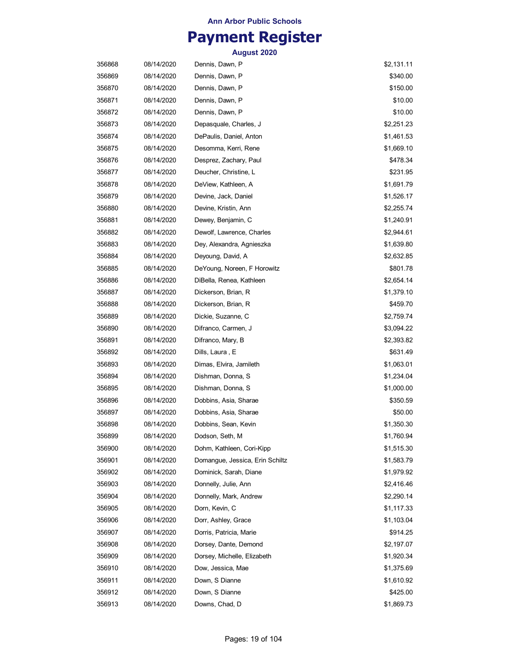## **Payment Register**

| 356868 | 08/14/2020 | Dennis, Dawn, P                 | \$2,131.11 |
|--------|------------|---------------------------------|------------|
| 356869 | 08/14/2020 | Dennis, Dawn, P                 | \$340.00   |
| 356870 | 08/14/2020 | Dennis, Dawn, P                 | \$150.00   |
| 356871 | 08/14/2020 | Dennis, Dawn, P                 | \$10.00    |
| 356872 | 08/14/2020 | Dennis, Dawn, P                 | \$10.00    |
| 356873 | 08/14/2020 | Depasquale, Charles, J          | \$2,251.23 |
| 356874 | 08/14/2020 | DePaulis, Daniel, Anton         | \$1,461.53 |
| 356875 | 08/14/2020 | Desomma, Kerri, Rene            | \$1,669.10 |
| 356876 | 08/14/2020 | Desprez, Zachary, Paul          | \$478.34   |
| 356877 | 08/14/2020 | Deucher, Christine, L           | \$231.95   |
| 356878 | 08/14/2020 | DeView, Kathleen, A             | \$1,691.79 |
| 356879 | 08/14/2020 | Devine, Jack, Daniel            | \$1,526.17 |
| 356880 | 08/14/2020 | Devine, Kristin, Ann            | \$2,255.74 |
| 356881 | 08/14/2020 | Dewey, Benjamin, C              | \$1,240.91 |
| 356882 | 08/14/2020 | Dewolf, Lawrence, Charles       | \$2,944.61 |
| 356883 | 08/14/2020 | Dey, Alexandra, Agnieszka       | \$1,639.80 |
| 356884 | 08/14/2020 | Deyoung, David, A               | \$2,632.85 |
| 356885 | 08/14/2020 | DeYoung, Noreen, F Horowitz     | \$801.78   |
| 356886 | 08/14/2020 | DiBella, Renea, Kathleen        | \$2,654.14 |
| 356887 | 08/14/2020 | Dickerson, Brian, R             | \$1,379.10 |
| 356888 | 08/14/2020 | Dickerson, Brian, R             | \$459.70   |
| 356889 | 08/14/2020 | Dickie, Suzanne, C              | \$2,759.74 |
| 356890 | 08/14/2020 | Difranco, Carmen, J             | \$3,094.22 |
| 356891 | 08/14/2020 | Difranco, Mary, B               | \$2,393.82 |
| 356892 | 08/14/2020 | Dills, Laura , E                | \$631.49   |
| 356893 | 08/14/2020 | Dimas, Elvira, Jamileth         | \$1,063.01 |
| 356894 | 08/14/2020 | Dishman, Donna, S               | \$1,234.04 |
| 356895 | 08/14/2020 | Dishman, Donna, S               | \$1,000.00 |
| 356896 | 08/14/2020 | Dobbins, Asia, Sharae           | \$350.59   |
| 356897 | 08/14/2020 | Dobbins, Asia, Sharae           | \$50.00    |
| 356898 | 08/14/2020 | Dobbins, Sean, Kevin            | \$1,350.30 |
| 356899 | 08/14/2020 | Dodson, Seth, M                 | \$1,760.94 |
| 356900 | 08/14/2020 | Dohm, Kathleen, Cori-Kipp       | \$1,515.30 |
| 356901 | 08/14/2020 | Domangue, Jessica, Erin Schiltz | \$1,583.79 |
| 356902 | 08/14/2020 | Dominick, Sarah, Diane          | \$1,979.92 |
| 356903 | 08/14/2020 | Donnelly, Julie, Ann            | \$2,416.46 |
| 356904 | 08/14/2020 | Donnelly, Mark, Andrew          | \$2,290.14 |
| 356905 | 08/14/2020 | Dorn, Kevin, C                  | \$1,117.33 |
| 356906 | 08/14/2020 | Dorr, Ashley, Grace             | \$1,103.04 |
| 356907 | 08/14/2020 | Dorris, Patricia, Marie         | \$914.25   |
| 356908 | 08/14/2020 | Dorsey, Dante, Demond           | \$2,197.07 |
| 356909 | 08/14/2020 | Dorsey, Michelle, Elizabeth     | \$1,920.34 |
| 356910 | 08/14/2020 | Dow, Jessica, Mae               | \$1,375.69 |
| 356911 | 08/14/2020 | Down, S Dianne                  | \$1,610.92 |
| 356912 | 08/14/2020 | Down, S Dianne                  | \$425.00   |
| 356913 | 08/14/2020 | Downs, Chad, D                  | \$1,869.73 |
|        |            |                                 |            |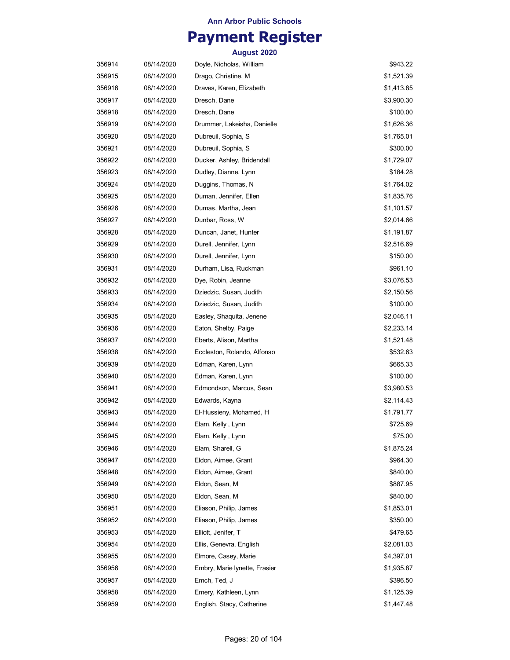## **Payment Register**

| 356914 | 08/14/2020 | Doyle, Nicholas, William      | \$943.22   |
|--------|------------|-------------------------------|------------|
| 356915 | 08/14/2020 | Drago, Christine, M           | \$1,521.39 |
| 356916 | 08/14/2020 | Draves, Karen, Elizabeth      | \$1,413.85 |
| 356917 | 08/14/2020 | Dresch, Dane                  | \$3,900.30 |
| 356918 | 08/14/2020 | Dresch, Dane                  | \$100.00   |
| 356919 | 08/14/2020 | Drummer, Lakeisha, Danielle   | \$1,626.36 |
| 356920 | 08/14/2020 | Dubreuil, Sophia, S           | \$1,765.01 |
| 356921 | 08/14/2020 | Dubreuil, Sophia, S           | \$300.00   |
| 356922 | 08/14/2020 | Ducker, Ashley, Bridendall    | \$1,729.07 |
| 356923 | 08/14/2020 | Dudley, Dianne, Lynn          | \$184.28   |
| 356924 | 08/14/2020 | Duggins, Thomas, N            | \$1,764.02 |
| 356925 | 08/14/2020 | Duman, Jennifer, Ellen        | \$1,835.76 |
| 356926 | 08/14/2020 | Dumas, Martha, Jean           | \$1,101.57 |
| 356927 | 08/14/2020 | Dunbar, Ross, W               | \$2,014.66 |
| 356928 | 08/14/2020 | Duncan, Janet, Hunter         | \$1,191.87 |
| 356929 | 08/14/2020 | Durell, Jennifer, Lynn        | \$2,516.69 |
| 356930 | 08/14/2020 | Durell, Jennifer, Lynn        | \$150.00   |
| 356931 | 08/14/2020 | Durham, Lisa, Ruckman         | \$961.10   |
| 356932 | 08/14/2020 | Dye, Robin, Jeanne            | \$3,076.53 |
| 356933 | 08/14/2020 | Dziedzic, Susan, Judith       | \$2,150.56 |
| 356934 | 08/14/2020 | Dziedzic, Susan, Judith       | \$100.00   |
| 356935 | 08/14/2020 | Easley, Shaquita, Jenene      | \$2,046.11 |
| 356936 | 08/14/2020 | Eaton, Shelby, Paige          | \$2,233.14 |
| 356937 | 08/14/2020 | Eberts, Alison, Martha        | \$1,521.48 |
| 356938 | 08/14/2020 | Eccleston, Rolando, Alfonso   | \$532.63   |
| 356939 | 08/14/2020 | Edman, Karen, Lynn            | \$665.33   |
| 356940 | 08/14/2020 | Edman, Karen, Lynn            | \$100.00   |
| 356941 | 08/14/2020 | Edmondson, Marcus, Sean       | \$3,980.53 |
| 356942 | 08/14/2020 | Edwards, Kayna                | \$2,114.43 |
| 356943 | 08/14/2020 | El-Hussieny, Mohamed, H       | \$1,791.77 |
| 356944 | 08/14/2020 | Elam, Kelly , Lynn            | \$725.69   |
| 356945 | 08/14/2020 | Elam, Kelly, Lynn             | \$75.00    |
| 356946 | 08/14/2020 | Elam, Sharell, G              | \$1,875.24 |
| 356947 | 08/14/2020 | Eldon, Aimee, Grant           | \$964.30   |
| 356948 | 08/14/2020 | Eldon, Aimee, Grant           | \$840.00   |
| 356949 | 08/14/2020 | Eldon, Sean, M                | \$887.95   |
| 356950 | 08/14/2020 | Eldon, Sean, M                | \$840.00   |
| 356951 | 08/14/2020 | Eliason, Philip, James        | \$1,853.01 |
| 356952 | 08/14/2020 | Eliason, Philip, James        | \$350.00   |
| 356953 | 08/14/2020 | Elliott, Jenifer, T           | \$479.65   |
| 356954 | 08/14/2020 | Ellis, Genevra, English       | \$2,081.03 |
| 356955 | 08/14/2020 | Elmore, Casey, Marie          | \$4,397.01 |
| 356956 | 08/14/2020 | Embry, Marie lynette, Frasier | \$1,935.87 |
| 356957 | 08/14/2020 | Emch, Ted, J                  | \$396.50   |
| 356958 | 08/14/2020 | Emery, Kathleen, Lynn         | \$1,125.39 |
| 356959 | 08/14/2020 | English, Stacy, Catherine     | \$1,447.48 |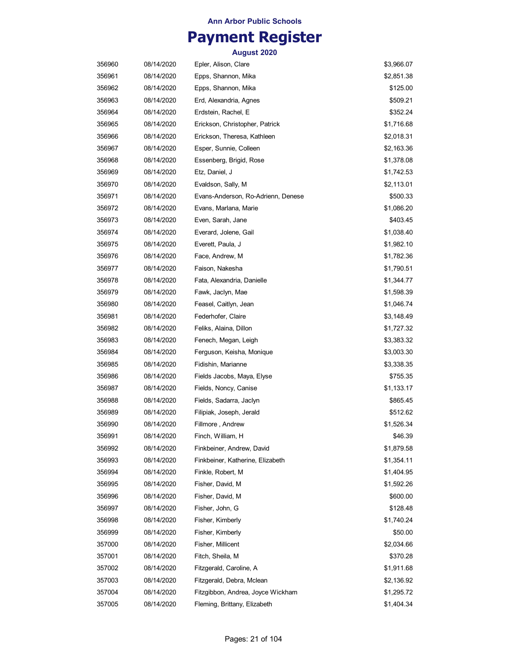## **Payment Register**

| 356960 | 08/14/2020 | Epler, Alison, Clare               | \$3,966.07 |
|--------|------------|------------------------------------|------------|
| 356961 | 08/14/2020 | Epps, Shannon, Mika                | \$2,851.38 |
| 356962 | 08/14/2020 | Epps, Shannon, Mika                | \$125.00   |
| 356963 | 08/14/2020 | Erd, Alexandria, Agnes             | \$509.21   |
| 356964 | 08/14/2020 | Erdstein, Rachel, E                | \$352.24   |
| 356965 | 08/14/2020 | Erickson, Christopher, Patrick     | \$1,716.68 |
| 356966 | 08/14/2020 | Erickson, Theresa, Kathleen        | \$2,018.31 |
| 356967 | 08/14/2020 | Esper, Sunnie, Colleen             | \$2,163.36 |
| 356968 | 08/14/2020 | Essenberg, Brigid, Rose            | \$1,378.08 |
| 356969 | 08/14/2020 | Etz, Daniel, J                     | \$1,742.53 |
| 356970 | 08/14/2020 | Evaldson, Sally, M                 | \$2,113.01 |
| 356971 | 08/14/2020 | Evans-Anderson, Ro-Adrienn, Denese | \$500.33   |
| 356972 | 08/14/2020 | Evans, Marlana, Marie              | \$1,086.20 |
| 356973 | 08/14/2020 | Even, Sarah, Jane                  | \$403.45   |
| 356974 | 08/14/2020 | Everard, Jolene, Gail              | \$1,038.40 |
| 356975 | 08/14/2020 | Everett, Paula, J                  | \$1,982.10 |
| 356976 | 08/14/2020 | Face, Andrew, M                    | \$1,782.36 |
| 356977 | 08/14/2020 | Faison, Nakesha                    | \$1,790.51 |
| 356978 | 08/14/2020 | Fata, Alexandria, Danielle         | \$1,344.77 |
| 356979 | 08/14/2020 | Fawk, Jaclyn, Mae                  | \$1,598.39 |
| 356980 | 08/14/2020 | Feasel, Caitlyn, Jean              | \$1,046.74 |
| 356981 | 08/14/2020 | Federhofer, Claire                 | \$3,148.49 |
| 356982 | 08/14/2020 | Feliks, Alaina, Dillon             | \$1,727.32 |
| 356983 | 08/14/2020 | Fenech, Megan, Leigh               | \$3,383.32 |
| 356984 | 08/14/2020 | Ferguson, Keisha, Monique          | \$3,003.30 |
| 356985 | 08/14/2020 | Fidishin, Marianne                 | \$3,338.35 |
| 356986 | 08/14/2020 | Fields Jacobs, Maya, Elyse         | \$755.35   |
| 356987 | 08/14/2020 | Fields, Noncy, Canise              | \$1,133.17 |
| 356988 | 08/14/2020 | Fields, Sadarra, Jaclyn            | \$865.45   |
| 356989 | 08/14/2020 | Filipiak, Joseph, Jerald           | \$512.62   |
| 356990 | 08/14/2020 | Fillmore, Andrew                   | \$1,526.34 |
| 356991 | 08/14/2020 | Finch, William, H                  | \$46.39    |
| 356992 | 08/14/2020 | Finkbeiner, Andrew, David          | \$1,879.58 |
| 356993 | 08/14/2020 | Finkbeiner, Katherine, Elizabeth   | \$1,354.11 |
| 356994 | 08/14/2020 | Finkle, Robert, M                  | \$1,404.95 |
| 356995 | 08/14/2020 | Fisher, David, M                   | \$1,592.26 |
| 356996 | 08/14/2020 | Fisher, David, M                   | \$600.00   |
| 356997 | 08/14/2020 | Fisher, John, G                    | \$128.48   |
| 356998 | 08/14/2020 | Fisher, Kimberly                   | \$1,740.24 |
| 356999 | 08/14/2020 | Fisher, Kimberly                   | \$50.00    |
| 357000 | 08/14/2020 | Fisher, Millicent                  | \$2,034.66 |
| 357001 | 08/14/2020 | Fitch, Sheila, M                   | \$370.28   |
| 357002 | 08/14/2020 | Fitzgerald, Caroline, A            | \$1,911.68 |
| 357003 | 08/14/2020 | Fitzgerald, Debra, Mclean          | \$2,136.92 |
| 357004 | 08/14/2020 | Fitzgibbon, Andrea, Joyce Wickham  | \$1,295.72 |
| 357005 | 08/14/2020 | Fleming, Brittany, Elizabeth       | \$1,404.34 |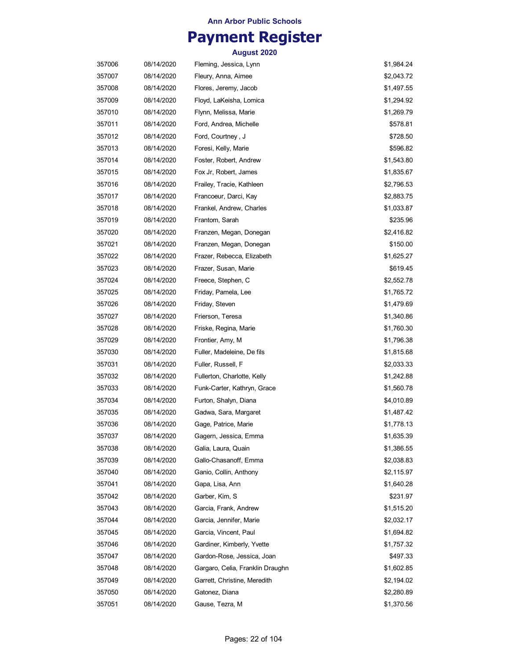## **Payment Register**

| 357006 | 08/14/2020 | Fleming, Jessica, Lynn           | \$1,984.24 |
|--------|------------|----------------------------------|------------|
| 357007 | 08/14/2020 | Fleury, Anna, Aimee              | \$2,043.72 |
| 357008 | 08/14/2020 | Flores, Jeremy, Jacob            | \$1,497.55 |
| 357009 | 08/14/2020 | Floyd, LaKeisha, Lomica          | \$1,294.92 |
| 357010 | 08/14/2020 | Flynn, Melissa, Marie            | \$1,269.79 |
| 357011 | 08/14/2020 | Ford, Andrea, Michelle           | \$578.81   |
| 357012 | 08/14/2020 | Ford, Courtney, J                | \$728.50   |
| 357013 | 08/14/2020 | Foresi, Kelly, Marie             | \$596.82   |
| 357014 | 08/14/2020 | Foster, Robert, Andrew           | \$1,543.80 |
| 357015 | 08/14/2020 | Fox Jr, Robert, James            | \$1,835.67 |
| 357016 | 08/14/2020 | Frailey, Tracie, Kathleen        | \$2,796.53 |
| 357017 | 08/14/2020 | Francoeur, Darci, Kay            | \$2,883.75 |
| 357018 | 08/14/2020 | Frankel, Andrew, Charles         | \$1,033.87 |
| 357019 | 08/14/2020 | Frantom, Sarah                   | \$235.96   |
| 357020 | 08/14/2020 | Franzen, Megan, Donegan          | \$2,416.82 |
| 357021 | 08/14/2020 | Franzen, Megan, Donegan          | \$150.00   |
| 357022 | 08/14/2020 | Frazer, Rebecca, Elizabeth       | \$1,625.27 |
| 357023 | 08/14/2020 | Frazer, Susan, Marie             | \$619.45   |
| 357024 | 08/14/2020 | Freece, Stephen, C               | \$2,552.78 |
| 357025 | 08/14/2020 | Friday, Pamela, Lee              | \$1,765.72 |
| 357026 | 08/14/2020 | Friday, Steven                   | \$1,479.69 |
| 357027 | 08/14/2020 | Frierson, Teresa                 | \$1,340.86 |
| 357028 | 08/14/2020 | Friske, Regina, Marie            | \$1,760.30 |
| 357029 | 08/14/2020 | Frontier, Amy, M                 | \$1,796.38 |
| 357030 | 08/14/2020 | Fuller, Madeleine, De fils       | \$1,815.68 |
| 357031 | 08/14/2020 | Fuller, Russell, F               | \$2,033.33 |
| 357032 | 08/14/2020 | Fullerton, Charlotte, Kelly      | \$1,242.88 |
| 357033 | 08/14/2020 | Funk-Carter, Kathryn, Grace      | \$1,560.78 |
| 357034 | 08/14/2020 | Furton, Shalyn, Diana            | \$4,010.89 |
| 357035 | 08/14/2020 | Gadwa, Sara, Margaret            | \$1,487.42 |
| 357036 | 08/14/2020 | Gage, Patrice, Marie             | \$1,778.13 |
| 357037 | 08/14/2020 | Gagern, Jessica, Emma            | \$1,635.39 |
| 357038 | 08/14/2020 | Galia, Laura, Quain              | \$1,386.55 |
| 357039 | 08/14/2020 | Gallo-Chasanoff, Emma            | \$2,038.83 |
| 357040 | 08/14/2020 | Ganio, Collin, Anthony           | \$2,115.97 |
| 357041 | 08/14/2020 | Gapa, Lisa, Ann                  | \$1,640.28 |
| 357042 | 08/14/2020 | Garber, Kim, S                   | \$231.97   |
| 357043 | 08/14/2020 | Garcia, Frank, Andrew            | \$1,515.20 |
| 357044 | 08/14/2020 | Garcia, Jennifer, Marie          | \$2,032.17 |
| 357045 | 08/14/2020 | Garcia, Vincent, Paul            | \$1,694.82 |
| 357046 | 08/14/2020 | Gardiner, Kimberly, Yvette       | \$1,757.32 |
| 357047 | 08/14/2020 | Gardon-Rose, Jessica, Joan       | \$497.33   |
| 357048 | 08/14/2020 | Gargaro, Celia, Franklin Draughn | \$1,602.85 |
| 357049 | 08/14/2020 | Garrett, Christine, Meredith     | \$2,194.02 |
| 357050 | 08/14/2020 | Gatonez, Diana                   | \$2,280.89 |
| 357051 | 08/14/2020 | Gause, Tezra, M                  | \$1,370.56 |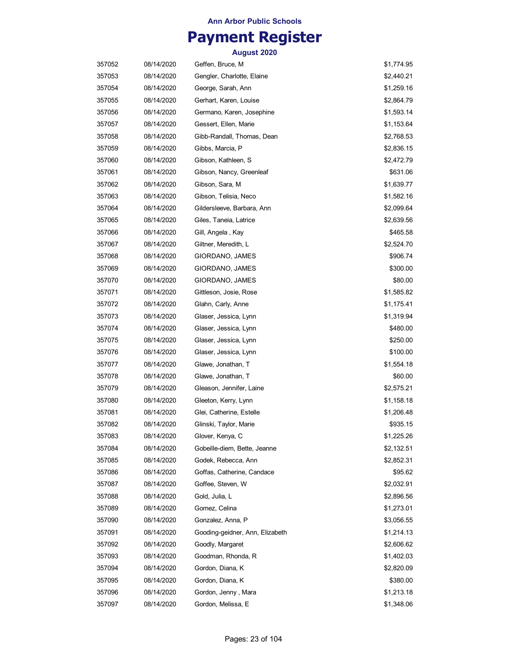## **Payment Register**

| 357052 | 08/14/2020 | Geffen, Bruce, M                | \$1,774.95 |
|--------|------------|---------------------------------|------------|
| 357053 | 08/14/2020 | Gengler, Charlotte, Elaine      | \$2,440.21 |
| 357054 | 08/14/2020 | George, Sarah, Ann              | \$1,259.16 |
| 357055 | 08/14/2020 | Gerhart, Karen, Louise          | \$2,864.79 |
| 357056 | 08/14/2020 | Germano, Karen, Josephine       | \$1,593.14 |
| 357057 | 08/14/2020 | Gessert, Ellen, Marie           | \$1,153.64 |
| 357058 | 08/14/2020 | Gibb-Randall, Thomas, Dean      | \$2,768.53 |
| 357059 | 08/14/2020 | Gibbs, Marcia, P                | \$2,836.15 |
| 357060 | 08/14/2020 | Gibson, Kathleen, S             | \$2,472.79 |
| 357061 | 08/14/2020 | Gibson, Nancy, Greenleaf        | \$631.06   |
| 357062 | 08/14/2020 | Gibson, Sara, M                 | \$1,639.77 |
| 357063 | 08/14/2020 | Gibson, Telisia, Neco           | \$1,582.16 |
| 357064 | 08/14/2020 | Gildersleeve, Barbara, Ann      | \$2,099.64 |
| 357065 | 08/14/2020 | Giles, Taneia, Latrice          | \$2,639.56 |
| 357066 | 08/14/2020 | Gill, Angela, Kay               | \$465.58   |
| 357067 | 08/14/2020 | Giltner, Meredith, L            | \$2,524.70 |
| 357068 | 08/14/2020 | GIORDANO, JAMES                 | \$906.74   |
| 357069 | 08/14/2020 | GIORDANO, JAMES                 | \$300.00   |
| 357070 | 08/14/2020 | GIORDANO, JAMES                 | \$80.00    |
| 357071 | 08/14/2020 | Gittleson, Josie, Rose          | \$1,585.82 |
| 357072 | 08/14/2020 | Glahn, Carly, Anne              | \$1,175.41 |
| 357073 | 08/14/2020 | Glaser, Jessica, Lynn           | \$1,319.94 |
| 357074 | 08/14/2020 | Glaser, Jessica, Lynn           | \$480.00   |
| 357075 | 08/14/2020 | Glaser, Jessica, Lynn           | \$250.00   |
| 357076 | 08/14/2020 | Glaser, Jessica, Lynn           | \$100.00   |
| 357077 | 08/14/2020 | Glawe, Jonathan, T              | \$1,554.18 |
| 357078 | 08/14/2020 | Glawe, Jonathan, T              | \$60.00    |
| 357079 | 08/14/2020 | Gleason, Jennifer, Laine        | \$2,575.21 |
| 357080 | 08/14/2020 | Gleeton, Kerry, Lynn            | \$1,158.18 |
| 357081 | 08/14/2020 | Glei, Catherine, Estelle        | \$1,206.48 |
| 357082 | 08/14/2020 | Glinski, Taylor, Marie          | \$935.15   |
| 357083 | 08/14/2020 | Glover, Kenya, C                | \$1,225.26 |
| 357084 | 08/14/2020 | Gobeille-diem, Bette, Jeanne    | \$2,132.51 |
| 357085 | 08/14/2020 | Godek, Rebecca, Ann             | \$2,852.31 |
| 357086 | 08/14/2020 | Goffas, Catherine, Candace      | \$95.62    |
| 357087 | 08/14/2020 | Goffee, Steven, W               | \$2,032.91 |
| 357088 | 08/14/2020 | Gold, Julia, L                  | \$2,896.56 |
| 357089 | 08/14/2020 | Gomez, Celina                   | \$1,273.01 |
| 357090 | 08/14/2020 | Gonzalez, Anna, P               | \$3,056.55 |
| 357091 | 08/14/2020 | Gooding-geidner, Ann, Elizabeth | \$1,214.13 |
| 357092 | 08/14/2020 | Goodly, Margaret                | \$2,606.62 |
| 357093 | 08/14/2020 | Goodman, Rhonda, R              | \$1,402.03 |
| 357094 | 08/14/2020 | Gordon, Diana, K                | \$2,820.09 |
| 357095 | 08/14/2020 | Gordon, Diana, K                | \$380.00   |
| 357096 | 08/14/2020 | Gordon, Jenny, Mara             | \$1,213.18 |
| 357097 | 08/14/2020 | Gordon, Melissa, E              | \$1,348.06 |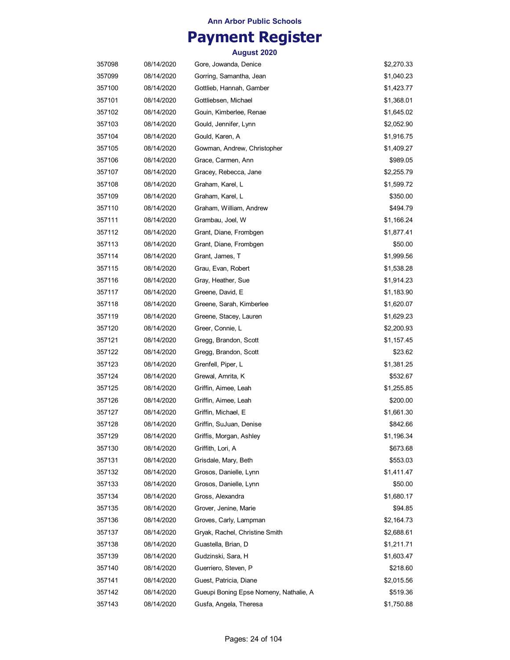## **Payment Register**

| 357098 | 08/14/2020 | Gore, Jowanda, Denice                  | \$2,270.33 |
|--------|------------|----------------------------------------|------------|
| 357099 | 08/14/2020 | Gorring, Samantha, Jean                | \$1,040.23 |
| 357100 | 08/14/2020 | Gottlieb, Hannah, Gamber               | \$1,423.77 |
| 357101 | 08/14/2020 | Gottliebsen, Michael                   | \$1,368.01 |
| 357102 | 08/14/2020 | Gouin, Kimberlee, Renae                | \$1,645.02 |
| 357103 | 08/14/2020 | Gould, Jennifer, Lynn                  | \$2,052.90 |
| 357104 | 08/14/2020 | Gould, Karen, A                        | \$1,916.75 |
| 357105 | 08/14/2020 | Gowman, Andrew, Christopher            | \$1,409.27 |
| 357106 | 08/14/2020 | Grace, Carmen, Ann                     | \$989.05   |
| 357107 | 08/14/2020 | Gracey, Rebecca, Jane                  | \$2,255.79 |
| 357108 | 08/14/2020 | Graham, Karel, L                       | \$1,599.72 |
| 357109 | 08/14/2020 | Graham, Karel, L                       | \$350.00   |
| 357110 | 08/14/2020 | Graham, William, Andrew                | \$494.79   |
| 357111 | 08/14/2020 | Grambau, Joel, W                       | \$1,166.24 |
| 357112 | 08/14/2020 | Grant, Diane, Frombgen                 | \$1,877.41 |
| 357113 | 08/14/2020 | Grant, Diane, Frombgen                 | \$50.00    |
| 357114 | 08/14/2020 | Grant, James, T                        | \$1,999.56 |
| 357115 | 08/14/2020 | Grau, Evan, Robert                     | \$1,538.28 |
| 357116 | 08/14/2020 | Gray, Heather, Sue                     | \$1,914.23 |
| 357117 | 08/14/2020 | Greene, David, E                       | \$1,183.90 |
| 357118 | 08/14/2020 | Greene, Sarah, Kimberlee               | \$1,620.07 |
| 357119 | 08/14/2020 | Greene, Stacey, Lauren                 | \$1,629.23 |
| 357120 | 08/14/2020 | Greer, Connie, L                       | \$2,200.93 |
| 357121 | 08/14/2020 | Gregg, Brandon, Scott                  | \$1,157.45 |
| 357122 | 08/14/2020 | Gregg, Brandon, Scott                  | \$23.62    |
| 357123 | 08/14/2020 | Grenfell, Piper, L                     | \$1,381.25 |
| 357124 | 08/14/2020 | Grewal, Amrita, K                      | \$532.67   |
| 357125 | 08/14/2020 | Griffin, Aimee, Leah                   | \$1,255.85 |
| 357126 | 08/14/2020 | Griffin, Aimee, Leah                   | \$200.00   |
| 357127 | 08/14/2020 | Griffin, Michael, E                    | \$1,661.30 |
| 357128 | 08/14/2020 | Griffin, SuJuan, Denise                | \$842.66   |
| 357129 | 08/14/2020 | Griffis, Morgan, Ashley                | \$1,196.34 |
| 357130 | 08/14/2020 | Griffith, Lori, A                      | \$673.68   |
| 357131 | 08/14/2020 | Grisdale, Mary, Beth                   | \$553.03   |
| 357132 | 08/14/2020 | Grosos, Danielle, Lynn                 | \$1,411.47 |
| 357133 | 08/14/2020 | Grosos, Danielle, Lynn                 | \$50.00    |
| 357134 | 08/14/2020 | Gross, Alexandra                       | \$1,680.17 |
| 357135 | 08/14/2020 | Grover, Jenine, Marie                  | \$94.85    |
| 357136 | 08/14/2020 | Groves, Carly, Lampman                 | \$2,164.73 |
| 357137 | 08/14/2020 | Gryak, Rachel, Christine Smith         | \$2,688.61 |
| 357138 | 08/14/2020 | Guastella, Brian, D                    | \$1,211.71 |
| 357139 | 08/14/2020 | Gudzinski, Sara, H                     | \$1,603.47 |
| 357140 | 08/14/2020 | Guerriero, Steven, P                   | \$218.60   |
| 357141 | 08/14/2020 | Guest, Patricia, Diane                 | \$2,015.56 |
| 357142 | 08/14/2020 | Gueupi Boning Epse Nomeny, Nathalie, A | \$519.36   |
| 357143 | 08/14/2020 | Gusfa, Angela, Theresa                 | \$1,750.88 |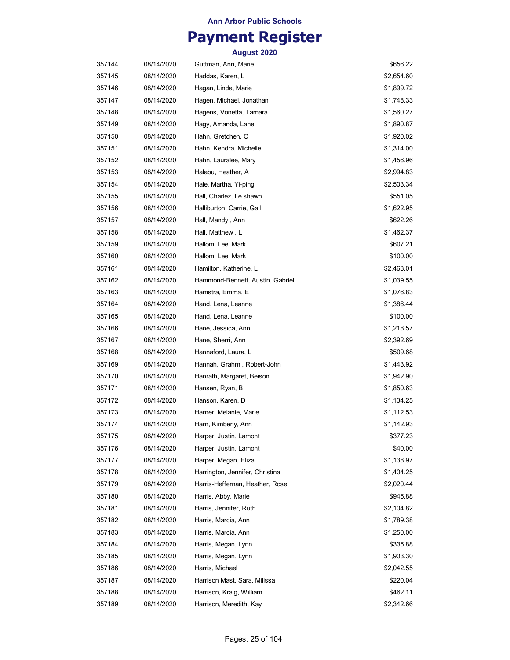## **Payment Register**

| 357144 | 08/14/2020 | Guttman, Ann, Marie              | \$656.22   |
|--------|------------|----------------------------------|------------|
| 357145 | 08/14/2020 | Haddas, Karen, L                 | \$2,654.60 |
| 357146 | 08/14/2020 | Hagan, Linda, Marie              | \$1,899.72 |
| 357147 | 08/14/2020 | Hagen, Michael, Jonathan         | \$1,748.33 |
| 357148 | 08/14/2020 | Hagens, Vonetta, Tamara          | \$1,560.27 |
| 357149 | 08/14/2020 | Hagy, Amanda, Lane               | \$1,890.87 |
| 357150 | 08/14/2020 | Hahn, Gretchen, C                | \$1,920.02 |
| 357151 | 08/14/2020 | Hahn, Kendra, Michelle           | \$1,314.00 |
| 357152 | 08/14/2020 | Hahn, Lauralee, Mary             | \$1,456.96 |
| 357153 | 08/14/2020 | Halabu, Heather, A               | \$2,994.83 |
| 357154 | 08/14/2020 | Hale, Martha, Yi-ping            | \$2,503.34 |
| 357155 | 08/14/2020 | Hall, Charlez, Le shawn          | \$551.05   |
| 357156 | 08/14/2020 | Halliburton, Carrie, Gail        | \$1,622.95 |
| 357157 | 08/14/2020 | Hall, Mandy , Ann                | \$622.26   |
| 357158 | 08/14/2020 | Hall, Matthew, L                 | \$1,462.37 |
| 357159 | 08/14/2020 | Hallom, Lee, Mark                | \$607.21   |
| 357160 | 08/14/2020 | Hallom, Lee, Mark                | \$100.00   |
| 357161 | 08/14/2020 | Hamilton, Katherine, L           | \$2,463.01 |
| 357162 | 08/14/2020 | Hammond-Bennett, Austin, Gabriel | \$1,039.55 |
| 357163 | 08/14/2020 | Hamstra, Emma, E                 | \$1,076.83 |
| 357164 | 08/14/2020 | Hand, Lena, Leanne               | \$1,386.44 |
| 357165 | 08/14/2020 | Hand, Lena, Leanne               | \$100.00   |
| 357166 | 08/14/2020 | Hane, Jessica, Ann               | \$1,218.57 |
| 357167 | 08/14/2020 | Hane, Sherri, Ann                | \$2,392.69 |
| 357168 | 08/14/2020 | Hannaford, Laura, L              | \$509.68   |
| 357169 | 08/14/2020 | Hannah, Grahm, Robert-John       | \$1,443.92 |
| 357170 | 08/14/2020 | Hanrath, Margaret, Beison        | \$1,942.90 |
| 357171 | 08/14/2020 | Hansen, Ryan, B                  | \$1,850.63 |
| 357172 | 08/14/2020 | Hanson, Karen, D                 | \$1,134.25 |
| 357173 | 08/14/2020 | Harner, Melanie, Marie           | \$1,112.53 |
| 357174 | 08/14/2020 | Harn, Kimberly, Ann              | \$1,142.93 |
| 357175 | 08/14/2020 | Harper, Justin, Lamont           | \$377.23   |
| 357176 | 08/14/2020 | Harper, Justin, Lamont           | \$40.00    |
| 357177 | 08/14/2020 | Harper, Megan, Eliza             | \$1,138.97 |
| 357178 | 08/14/2020 | Harrington, Jennifer, Christina  | \$1,404.25 |
| 357179 | 08/14/2020 | Harris-Heffernan, Heather, Rose  | \$2,020.44 |
| 357180 | 08/14/2020 | Harris, Abby, Marie              | \$945.88   |
| 357181 | 08/14/2020 | Harris, Jennifer, Ruth           | \$2,104.82 |
| 357182 | 08/14/2020 | Harris, Marcia, Ann              | \$1,789.38 |
| 357183 | 08/14/2020 | Harris, Marcia, Ann              | \$1,250.00 |
| 357184 | 08/14/2020 | Harris, Megan, Lynn              | \$335.88   |
| 357185 | 08/14/2020 | Harris, Megan, Lynn              | \$1,903.30 |
| 357186 | 08/14/2020 | Harris, Michael                  | \$2,042.55 |
| 357187 | 08/14/2020 | Harrison Mast, Sara, Milissa     | \$220.04   |
| 357188 | 08/14/2020 | Harrison, Kraig, William         | \$462.11   |
| 357189 | 08/14/2020 | Harrison, Meredith, Kay          | \$2,342.66 |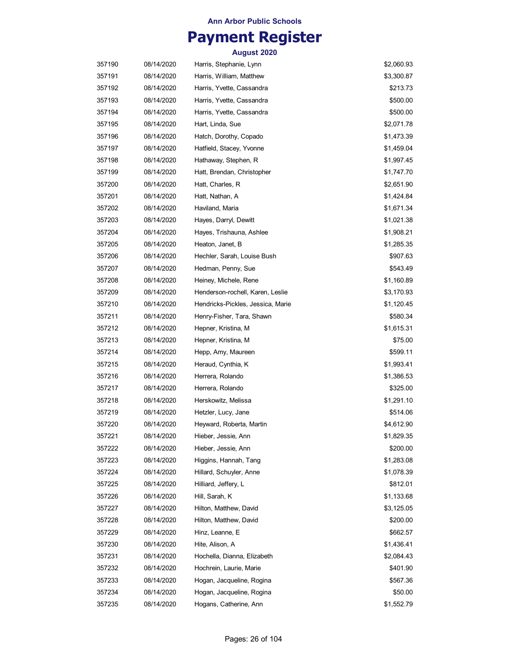## **Payment Register**

| 357190 | 08/14/2020 | Harris, Stephanie, Lynn           | \$2,060.93 |
|--------|------------|-----------------------------------|------------|
| 357191 | 08/14/2020 | Harris, William, Matthew          | \$3,300.87 |
| 357192 | 08/14/2020 | Harris, Yvette, Cassandra         | \$213.73   |
| 357193 | 08/14/2020 | Harris, Yvette, Cassandra         | \$500.00   |
| 357194 | 08/14/2020 | Harris, Yvette, Cassandra         | \$500.00   |
| 357195 | 08/14/2020 | Hart, Linda, Sue                  | \$2,071.78 |
| 357196 | 08/14/2020 | Hatch, Dorothy, Copado            | \$1,473.39 |
| 357197 | 08/14/2020 | Hatfield, Stacey, Yvonne          | \$1,459.04 |
| 357198 | 08/14/2020 | Hathaway, Stephen, R              | \$1,997.45 |
| 357199 | 08/14/2020 | Hatt, Brendan, Christopher        | \$1,747.70 |
| 357200 | 08/14/2020 | Hatt, Charles, R                  | \$2,651.90 |
| 357201 | 08/14/2020 | Hatt, Nathan, A                   | \$1,424.84 |
| 357202 | 08/14/2020 | Haviland, Maria                   | \$1,671.34 |
| 357203 | 08/14/2020 | Hayes, Darryl, Dewitt             | \$1,021.38 |
| 357204 | 08/14/2020 | Hayes, Trishauna, Ashlee          | \$1,908.21 |
| 357205 | 08/14/2020 | Heaton, Janet, B                  | \$1,285.35 |
| 357206 | 08/14/2020 | Hechler, Sarah, Louise Bush       | \$907.63   |
| 357207 | 08/14/2020 | Hedman, Penny, Sue                | \$543.49   |
| 357208 | 08/14/2020 | Heiney, Michele, Rene             | \$1,160.89 |
| 357209 | 08/14/2020 | Henderson-rochell, Karen, Leslie  | \$3,170.93 |
| 357210 | 08/14/2020 | Hendricks-Pickles, Jessica, Marie | \$1,120.45 |
| 357211 | 08/14/2020 | Henry-Fisher, Tara, Shawn         | \$580.34   |
| 357212 | 08/14/2020 | Hepner, Kristina, M               | \$1,615.31 |
| 357213 | 08/14/2020 | Hepner, Kristina, M               | \$75.00    |
| 357214 | 08/14/2020 | Hepp, Amy, Maureen                | \$599.11   |
| 357215 | 08/14/2020 | Heraud, Cynthia, K                | \$1,993.41 |
| 357216 | 08/14/2020 | Herrera, Rolando                  | \$1,386.53 |
| 357217 | 08/14/2020 | Herrera, Rolando                  | \$325.00   |
| 357218 | 08/14/2020 | Herskowitz, Melissa               | \$1,291.10 |
| 357219 | 08/14/2020 | Hetzler, Lucy, Jane               | \$514.06   |
| 357220 | 08/14/2020 | Heyward, Roberta, Martin          | \$4,612.90 |
| 357221 | 08/14/2020 | Hieber, Jessie, Ann               | \$1,829.35 |
| 357222 | 08/14/2020 | Hieber, Jessie, Ann               | \$200.00   |
| 357223 | 08/14/2020 | Higgins, Hannah, Tang             | \$1,283.08 |
| 357224 | 08/14/2020 | Hillard, Schuyler, Anne           | \$1,078.39 |
| 357225 | 08/14/2020 | Hilliard, Jeffery, L              | \$812.01   |
| 357226 | 08/14/2020 | Hill, Sarah, K                    | \$1,133.68 |
| 357227 | 08/14/2020 | Hilton, Matthew, David            | \$3,125.05 |
| 357228 | 08/14/2020 | Hilton, Matthew, David            | \$200.00   |
| 357229 | 08/14/2020 | Hinz, Leanne, E                   | \$662.57   |
| 357230 | 08/14/2020 | Hite, Alison, A                   | \$1,436.41 |
| 357231 | 08/14/2020 | Hochella, Dianna, Elizabeth       | \$2,084.43 |
| 357232 | 08/14/2020 | Hochrein, Laurie, Marie           | \$401.90   |
| 357233 | 08/14/2020 | Hogan, Jacqueline, Rogina         | \$567.36   |
| 357234 | 08/14/2020 | Hogan, Jacqueline, Rogina         | \$50.00    |
| 357235 | 08/14/2020 | Hogans, Catherine, Ann            | \$1,552.79 |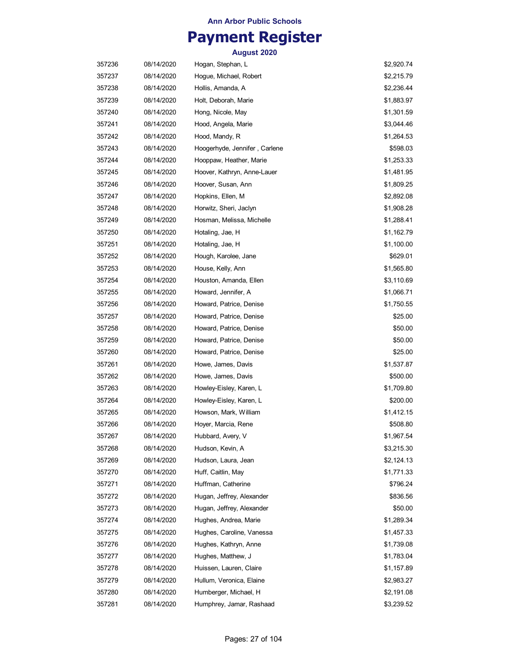## **Payment Register**

| 357236 | 08/14/2020 | Hogan, Stephan, L             | \$2,920.74 |
|--------|------------|-------------------------------|------------|
| 357237 | 08/14/2020 | Hoque, Michael, Robert        | \$2,215.79 |
| 357238 | 08/14/2020 | Hollis, Amanda, A             | \$2,236.44 |
| 357239 | 08/14/2020 | Holt, Deborah, Marie          | \$1,883.97 |
| 357240 | 08/14/2020 | Hong, Nicole, May             | \$1,301.59 |
| 357241 | 08/14/2020 | Hood, Angela, Marie           | \$3,044.46 |
| 357242 | 08/14/2020 | Hood, Mandy, R                | \$1,264.53 |
| 357243 | 08/14/2020 | Hoogerhyde, Jennifer, Carlene | \$598.03   |
| 357244 | 08/14/2020 | Hooppaw, Heather, Marie       | \$1,253.33 |
| 357245 | 08/14/2020 | Hoover, Kathryn, Anne-Lauer   | \$1,481.95 |
| 357246 | 08/14/2020 | Hoover, Susan, Ann            | \$1,809.25 |
| 357247 | 08/14/2020 | Hopkins, Ellen, M             | \$2,892.08 |
| 357248 | 08/14/2020 | Horwitz, Sheri, Jaclyn        | \$1,908.28 |
| 357249 | 08/14/2020 | Hosman, Melissa, Michelle     | \$1,288.41 |
| 357250 | 08/14/2020 | Hotaling, Jae, H              | \$1,162.79 |
| 357251 | 08/14/2020 | Hotaling, Jae, H              | \$1,100.00 |
| 357252 | 08/14/2020 | Hough, Karolee, Jane          | \$629.01   |
| 357253 | 08/14/2020 | House, Kelly, Ann             | \$1,565.80 |
| 357254 | 08/14/2020 | Houston, Amanda, Ellen        | \$3,110.69 |
| 357255 | 08/14/2020 | Howard, Jennifer, A           | \$1,066.71 |
| 357256 | 08/14/2020 | Howard, Patrice, Denise       | \$1,750.55 |
| 357257 | 08/14/2020 | Howard, Patrice, Denise       | \$25.00    |
| 357258 | 08/14/2020 | Howard, Patrice, Denise       | \$50.00    |
| 357259 | 08/14/2020 | Howard, Patrice, Denise       | \$50.00    |
| 357260 | 08/14/2020 | Howard, Patrice, Denise       | \$25.00    |
| 357261 | 08/14/2020 | Howe, James, Davis            | \$1,537.87 |
| 357262 | 08/14/2020 | Howe, James, Davis            | \$500.00   |
| 357263 | 08/14/2020 | Howley-Eisley, Karen, L       | \$1,709.80 |
| 357264 | 08/14/2020 | Howley-Eisley, Karen, L       | \$200.00   |
| 357265 | 08/14/2020 | Howson, Mark, William         | \$1,412.15 |
| 357266 | 08/14/2020 | Hoyer, Marcia, Rene           | \$508.80   |
| 357267 | 08/14/2020 | Hubbard, Avery, V             | \$1,967.54 |
| 357268 | 08/14/2020 | Hudson, Kevin, A              | \$3,215.30 |
| 357269 | 08/14/2020 | Hudson, Laura, Jean           | \$2,124.13 |
| 357270 | 08/14/2020 | Huff, Caitlin, May            | \$1,771.33 |
| 357271 | 08/14/2020 | Huffman, Catherine            | \$796.24   |
| 357272 | 08/14/2020 | Hugan, Jeffrey, Alexander     | \$836.56   |
| 357273 | 08/14/2020 | Hugan, Jeffrey, Alexander     | \$50.00    |
| 357274 | 08/14/2020 | Hughes, Andrea, Marie         | \$1,289.34 |
| 357275 | 08/14/2020 | Hughes, Caroline, Vanessa     | \$1,457.33 |
| 357276 | 08/14/2020 | Hughes, Kathryn, Anne         | \$1,739.08 |
| 357277 | 08/14/2020 | Hughes, Matthew, J            | \$1,783.04 |
| 357278 | 08/14/2020 | Huissen, Lauren, Claire       | \$1,157.89 |
| 357279 | 08/14/2020 | Hullum, Veronica, Elaine      | \$2,983.27 |
| 357280 | 08/14/2020 | Humberger, Michael, H         | \$2,191.08 |
| 357281 | 08/14/2020 | Humphrey, Jamar, Rashaad      | \$3,239.52 |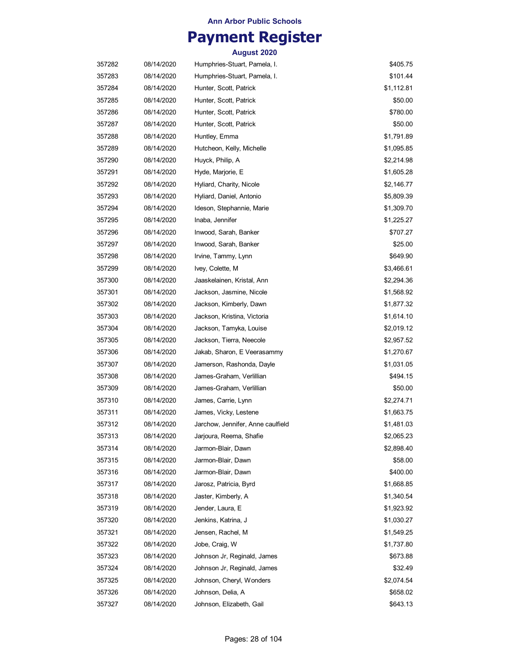# **Payment Register**

| 357282 | 08/14/2020 | Humphries-Stuart, Pamela, I.      | \$405.75   |
|--------|------------|-----------------------------------|------------|
| 357283 | 08/14/2020 | Humphries-Stuart, Pamela, I.      | \$101.44   |
| 357284 | 08/14/2020 | Hunter, Scott, Patrick            | \$1,112.81 |
| 357285 | 08/14/2020 | Hunter, Scott, Patrick            | \$50.00    |
| 357286 | 08/14/2020 | Hunter, Scott, Patrick            | \$780.00   |
| 357287 | 08/14/2020 | Hunter, Scott, Patrick            | \$50.00    |
| 357288 | 08/14/2020 | Huntley, Emma                     | \$1,791.89 |
| 357289 | 08/14/2020 | Hutcheon, Kelly, Michelle         | \$1,095.85 |
| 357290 | 08/14/2020 | Huyck, Philip, A                  | \$2,214.98 |
| 357291 | 08/14/2020 | Hyde, Marjorie, E                 | \$1,605.28 |
| 357292 | 08/14/2020 | Hyliard, Charity, Nicole          | \$2,146.77 |
| 357293 | 08/14/2020 | Hyliard, Daniel, Antonio          | \$5,809.39 |
| 357294 | 08/14/2020 | Ideson, Stephannie, Marie         | \$1,309.70 |
| 357295 | 08/14/2020 | Inaba, Jennifer                   | \$1,225.27 |
| 357296 | 08/14/2020 | Inwood, Sarah, Banker             | \$707.27   |
| 357297 | 08/14/2020 | Inwood, Sarah, Banker             | \$25.00    |
| 357298 | 08/14/2020 | Irvine, Tammy, Lynn               | \$649.90   |
| 357299 | 08/14/2020 | Ivey, Colette, M                  | \$3,466.61 |
| 357300 | 08/14/2020 | Jaaskelainen, Kristal, Ann        | \$2,294.36 |
| 357301 | 08/14/2020 | Jackson, Jasmine, Nicole          | \$1,568.92 |
| 357302 | 08/14/2020 | Jackson, Kimberly, Dawn           | \$1,877.32 |
| 357303 | 08/14/2020 | Jackson, Kristina, Victoria       | \$1,614.10 |
| 357304 | 08/14/2020 | Jackson, Tamyka, Louise           | \$2,019.12 |
| 357305 | 08/14/2020 | Jackson, Tierra, Neecole          | \$2,957.52 |
| 357306 | 08/14/2020 | Jakab, Sharon, E Veerasammy       | \$1,270.67 |
| 357307 | 08/14/2020 | Jamerson, Rashonda, Dayle         | \$1,031.05 |
| 357308 | 08/14/2020 | James-Graham, Verlillian          | \$494.15   |
| 357309 | 08/14/2020 | James-Graham, Verlillian          | \$50.00    |
| 357310 | 08/14/2020 | James, Carrie, Lynn               | \$2,274.71 |
| 357311 | 08/14/2020 | James, Vicky, Lestene             | \$1,663.75 |
| 357312 | 08/14/2020 | Jarchow, Jennifer, Anne caulfield | \$1,481.03 |
| 357313 | 08/14/2020 | Jarjoura, Reema, Shafie           | \$2,065.23 |
| 357314 | 08/14/2020 | Jarmon-Blair, Dawn                | \$2,898.40 |
| 357315 | 08/14/2020 | Jarmon-Blair, Dawn                | \$58.00    |
| 357316 | 08/14/2020 | Jarmon-Blair, Dawn                | \$400.00   |
| 357317 | 08/14/2020 | Jarosz, Patricia, Byrd            | \$1,668.85 |
| 357318 | 08/14/2020 | Jaster, Kimberly, A               | \$1,340.54 |
| 357319 | 08/14/2020 | Jender, Laura, E                  | \$1,923.92 |
| 357320 | 08/14/2020 | Jenkins, Katrina, J               | \$1,030.27 |
| 357321 | 08/14/2020 | Jensen, Rachel, M                 | \$1,549.25 |
| 357322 | 08/14/2020 | Jobe, Craig, W                    | \$1,737.80 |
| 357323 | 08/14/2020 | Johnson Jr, Reginald, James       | \$673.88   |
| 357324 | 08/14/2020 | Johnson Jr, Reginald, James       | \$32.49    |
| 357325 | 08/14/2020 | Johnson, Cheryl, Wonders          | \$2,074.54 |
| 357326 | 08/14/2020 | Johnson, Delia, A                 | \$658.02   |
| 357327 | 08/14/2020 | Johnson, Elizabeth, Gail          | \$643.13   |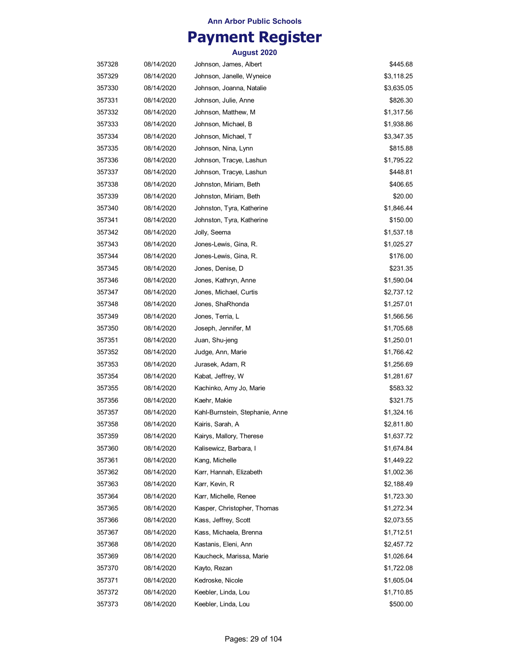## **Payment Register**

| 357328 | 08/14/2020 | Johnson, James, Albert          | \$445.68   |
|--------|------------|---------------------------------|------------|
| 357329 | 08/14/2020 | Johnson, Janelle, Wyneice       | \$3,118.25 |
| 357330 | 08/14/2020 | Johnson, Joanna, Natalie        | \$3,635.05 |
| 357331 | 08/14/2020 | Johnson, Julie, Anne            | \$826.30   |
| 357332 | 08/14/2020 | Johnson, Matthew, M             | \$1,317.56 |
| 357333 | 08/14/2020 | Johnson, Michael, B             | \$1,938.86 |
| 357334 | 08/14/2020 | Johnson, Michael, T             | \$3,347.35 |
| 357335 | 08/14/2020 | Johnson, Nina, Lynn             | \$815.88   |
| 357336 | 08/14/2020 | Johnson, Tracye, Lashun         | \$1,795.22 |
| 357337 | 08/14/2020 | Johnson, Tracye, Lashun         | \$448.81   |
| 357338 | 08/14/2020 | Johnston, Miriam, Beth          | \$406.65   |
| 357339 | 08/14/2020 | Johnston, Miriam, Beth          | \$20.00    |
| 357340 | 08/14/2020 | Johnston, Tyra, Katherine       | \$1,846.44 |
| 357341 | 08/14/2020 | Johnston, Tyra, Katherine       | \$150.00   |
| 357342 | 08/14/2020 | Jolly, Seema                    | \$1,537.18 |
| 357343 | 08/14/2020 | Jones-Lewis, Gina, R.           | \$1,025.27 |
| 357344 | 08/14/2020 | Jones-Lewis, Gina, R.           | \$176.00   |
| 357345 | 08/14/2020 | Jones, Denise, D                | \$231.35   |
| 357346 | 08/14/2020 | Jones, Kathryn, Anne            | \$1,590.04 |
| 357347 | 08/14/2020 | Jones, Michael, Curtis          | \$2,737.12 |
| 357348 | 08/14/2020 | Jones, ShaRhonda                | \$1,257.01 |
| 357349 | 08/14/2020 | Jones, Terria, L                | \$1,566.56 |
| 357350 | 08/14/2020 | Joseph, Jennifer, M             | \$1,705.68 |
| 357351 | 08/14/2020 | Juan, Shu-jeng                  | \$1,250.01 |
| 357352 | 08/14/2020 | Judge, Ann, Marie               | \$1,766.42 |
| 357353 | 08/14/2020 | Jurasek, Adam, R                | \$1,256.69 |
| 357354 | 08/14/2020 | Kabat, Jeffrey, W               | \$1,281.67 |
| 357355 | 08/14/2020 | Kachinko, Amy Jo, Marie         | \$583.32   |
| 357356 | 08/14/2020 | Kaehr, Makie                    | \$321.75   |
| 357357 | 08/14/2020 | Kahl-Burnstein, Stephanie, Anne | \$1,324.16 |
| 357358 | 08/14/2020 | Kairis, Sarah, A                | \$2,811.80 |
| 357359 | 08/14/2020 | Kairys, Mallory, Therese        | \$1,637.72 |
| 357360 | 08/14/2020 | Kalisewicz, Barbara, I          | \$1,674.84 |
| 357361 | 08/14/2020 | Kang, Michelle                  | \$1,449.22 |
| 357362 | 08/14/2020 | Karr, Hannah, Elizabeth         | \$1,002.36 |
| 357363 | 08/14/2020 | Karr, Kevin, R                  | \$2,188.49 |
| 357364 | 08/14/2020 | Karr, Michelle, Renee           | \$1,723.30 |
| 357365 | 08/14/2020 | Kasper, Christopher, Thomas     | \$1,272.34 |
| 357366 | 08/14/2020 | Kass, Jeffrey, Scott            | \$2,073.55 |
| 357367 | 08/14/2020 | Kass, Michaela, Brenna          | \$1,712.51 |
| 357368 | 08/14/2020 | Kastanis, Eleni, Ann            | \$2,457.72 |
| 357369 | 08/14/2020 | Kaucheck, Marissa, Marie        | \$1,026.64 |
| 357370 | 08/14/2020 | Kayto, Rezan                    | \$1,722.08 |
| 357371 | 08/14/2020 | Kedroske, Nicole                | \$1,605.04 |
| 357372 | 08/14/2020 | Keebler, Linda, Lou             | \$1,710.85 |
| 357373 | 08/14/2020 | Keebler, Linda, Lou             | \$500.00   |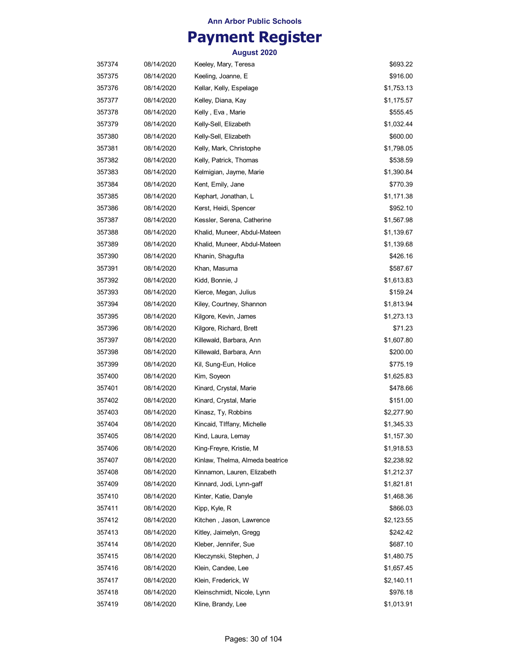## **Payment Register**

| 357374 | 08/14/2020 | Keeley, Mary, Teresa            | \$693.22   |
|--------|------------|---------------------------------|------------|
| 357375 | 08/14/2020 | Keeling, Joanne, E              | \$916.00   |
| 357376 | 08/14/2020 | Kellar, Kelly, Espelage         | \$1,753.13 |
| 357377 | 08/14/2020 | Kelley, Diana, Kay              | \$1,175.57 |
| 357378 | 08/14/2020 | Kelly, Eva, Marie               | \$555.45   |
| 357379 | 08/14/2020 | Kelly-Sell, Elizabeth           | \$1,032.44 |
| 357380 | 08/14/2020 | Kelly-Sell, Elizabeth           | \$600.00   |
| 357381 | 08/14/2020 | Kelly, Mark, Christophe         | \$1,798.05 |
| 357382 | 08/14/2020 | Kelly, Patrick, Thomas          | \$538.59   |
| 357383 | 08/14/2020 | Kelmigian, Jayme, Marie         | \$1,390.84 |
| 357384 | 08/14/2020 | Kent, Emily, Jane               | \$770.39   |
| 357385 | 08/14/2020 | Kephart, Jonathan, L            | \$1,171.38 |
| 357386 | 08/14/2020 | Kerst, Heidi, Spencer           | \$952.10   |
| 357387 | 08/14/2020 | Kessler, Serena, Catherine      | \$1,567.98 |
| 357388 | 08/14/2020 | Khalid, Muneer, Abdul-Mateen    | \$1,139.67 |
| 357389 | 08/14/2020 | Khalid, Muneer, Abdul-Mateen    | \$1,139.68 |
| 357390 | 08/14/2020 | Khanin, Shagufta                | \$426.16   |
| 357391 | 08/14/2020 | Khan, Masuma                    | \$587.67   |
| 357392 | 08/14/2020 | Kidd, Bonnie, J                 | \$1,613.83 |
| 357393 | 08/14/2020 | Kierce, Megan, Julius           | \$159.24   |
| 357394 | 08/14/2020 | Kiley, Courtney, Shannon        | \$1,813.94 |
| 357395 | 08/14/2020 | Kilgore, Kevin, James           | \$1,273.13 |
| 357396 | 08/14/2020 | Kilgore, Richard, Brett         | \$71.23    |
| 357397 | 08/14/2020 | Killewald, Barbara, Ann         | \$1,607.80 |
| 357398 | 08/14/2020 | Killewald, Barbara, Ann         | \$200.00   |
| 357399 | 08/14/2020 | Kil, Sung-Eun, Holice           | \$775.19   |
| 357400 | 08/14/2020 | Kim, Soyeon                     | \$1,625.83 |
| 357401 | 08/14/2020 | Kinard, Crystal, Marie          | \$478.66   |
| 357402 | 08/14/2020 | Kinard, Crystal, Marie          | \$151.00   |
| 357403 | 08/14/2020 | Kinasz, Ty, Robbins             | \$2,277.90 |
| 357404 | 08/14/2020 | Kincaid, TIffany, Michelle      | \$1,345.33 |
| 357405 | 08/14/2020 | Kind, Laura, Lemay              | \$1,157.30 |
| 357406 | 08/14/2020 | King-Freyre, Kristie, M         | \$1,918.53 |
| 357407 | 08/14/2020 | Kinlaw, Thelma, Almeda beatrice | \$2,238.92 |
| 357408 | 08/14/2020 | Kinnamon, Lauren, Elizabeth     | \$1,212.37 |
| 357409 | 08/14/2020 | Kinnard, Jodi, Lynn-gaff        | \$1,821.81 |
| 357410 | 08/14/2020 | Kinter, Katie, Danyle           | \$1,468.36 |
| 357411 | 08/14/2020 | Kipp, Kyle, R                   | \$866.03   |
| 357412 | 08/14/2020 | Kitchen, Jason, Lawrence        | \$2,123.55 |
| 357413 | 08/14/2020 | Kitley, Jaimelyn, Gregg         | \$242.42   |
| 357414 | 08/14/2020 | Kleber, Jennifer, Sue           | \$687.10   |
| 357415 | 08/14/2020 | Kleczynski, Stephen, J          | \$1,480.75 |
| 357416 | 08/14/2020 | Klein, Candee, Lee              | \$1,657.45 |
| 357417 | 08/14/2020 | Klein, Frederick, W             | \$2,140.11 |
| 357418 | 08/14/2020 | Kleinschmidt, Nicole, Lynn      | \$976.18   |
| 357419 | 08/14/2020 | Kline, Brandy, Lee              | \$1,013.91 |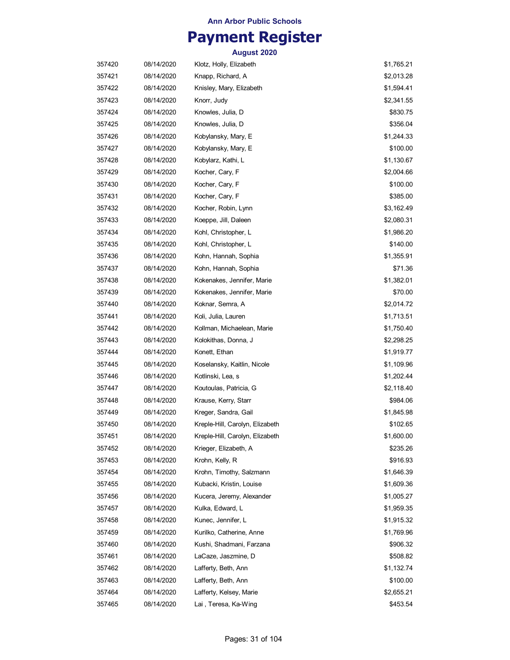## **Payment Register**

| 357420 | 08/14/2020 | Klotz, Holly, Elizabeth         | \$1,765.21 |
|--------|------------|---------------------------------|------------|
| 357421 | 08/14/2020 | Knapp, Richard, A               | \$2,013.28 |
| 357422 | 08/14/2020 | Knisley, Mary, Elizabeth        | \$1,594.41 |
| 357423 | 08/14/2020 | Knorr, Judy                     | \$2,341.55 |
| 357424 | 08/14/2020 | Knowles, Julia, D               | \$830.75   |
| 357425 | 08/14/2020 | Knowles, Julia, D               | \$356.04   |
| 357426 | 08/14/2020 | Kobylansky, Mary, E             | \$1,244.33 |
| 357427 | 08/14/2020 | Kobylansky, Mary, E             | \$100.00   |
| 357428 | 08/14/2020 | Kobylarz, Kathi, L              | \$1,130.67 |
| 357429 | 08/14/2020 | Kocher, Cary, F                 | \$2,004.66 |
| 357430 | 08/14/2020 | Kocher, Cary, F                 | \$100.00   |
| 357431 | 08/14/2020 | Kocher, Cary, F                 | \$385.00   |
| 357432 | 08/14/2020 | Kocher, Robin, Lynn             | \$3,162.49 |
| 357433 | 08/14/2020 | Koeppe, Jill, Daleen            | \$2,080.31 |
| 357434 | 08/14/2020 | Kohl, Christopher, L            | \$1,986.20 |
| 357435 | 08/14/2020 | Kohl, Christopher, L            | \$140.00   |
| 357436 | 08/14/2020 | Kohn, Hannah, Sophia            | \$1,355.91 |
| 357437 | 08/14/2020 | Kohn, Hannah, Sophia            | \$71.36    |
| 357438 | 08/14/2020 | Kokenakes, Jennifer, Marie      | \$1,382.01 |
| 357439 | 08/14/2020 | Kokenakes, Jennifer, Marie      | \$70.00    |
| 357440 | 08/14/2020 | Koknar, Semra, A                | \$2,014.72 |
| 357441 | 08/14/2020 | Koli, Julia, Lauren             | \$1,713.51 |
| 357442 | 08/14/2020 | Kollman, Michaelean, Marie      | \$1,750.40 |
| 357443 | 08/14/2020 | Kolokithas, Donna, J            | \$2,298.25 |
| 357444 | 08/14/2020 | Konett, Ethan                   | \$1,919.77 |
| 357445 | 08/14/2020 | Koselansky, Kaitlin, Nicole     | \$1,109.96 |
| 357446 | 08/14/2020 | Kotlinski, Lea, s               | \$1,202.44 |
| 357447 | 08/14/2020 | Koutoulas, Patricia, G          | \$2,118.40 |
| 357448 | 08/14/2020 | Krause, Kerry, Starr            | \$984.06   |
| 357449 | 08/14/2020 | Kreger, Sandra, Gail            | \$1,845.98 |
| 357450 | 08/14/2020 | Kreple-Hill, Carolyn, Elizabeth | \$102.65   |
| 357451 | 08/14/2020 | Kreple-Hill, Carolyn, Elizabeth | \$1,600.00 |
| 357452 | 08/14/2020 | Krieger, Elizabeth, A           | \$235.26   |
| 357453 | 08/14/2020 | Krohn, Kelly, R                 | \$916.93   |
| 357454 | 08/14/2020 | Krohn, Timothy, Salzmann        | \$1,646.39 |
| 357455 | 08/14/2020 | Kubacki, Kristin, Louise        | \$1,609.36 |
| 357456 | 08/14/2020 | Kucera, Jeremy, Alexander       | \$1,005.27 |
| 357457 | 08/14/2020 | Kulka, Edward, L                | \$1,959.35 |
| 357458 | 08/14/2020 | Kunec, Jennifer, L              | \$1,915.32 |
| 357459 | 08/14/2020 | Kurilko, Catherine, Anne        | \$1,769.96 |
| 357460 | 08/14/2020 | Kushi, Shadmani, Farzana        | \$906.32   |
| 357461 | 08/14/2020 | LaCaze, Jaszmine, D             | \$508.82   |
| 357462 | 08/14/2020 | Lafferty, Beth, Ann             | \$1,132.74 |
| 357463 | 08/14/2020 | Lafferty, Beth, Ann             | \$100.00   |
| 357464 | 08/14/2020 | Lafferty, Kelsey, Marie         | \$2,655.21 |
| 357465 | 08/14/2020 | Lai, Teresa, Ka-Wing            | \$453.54   |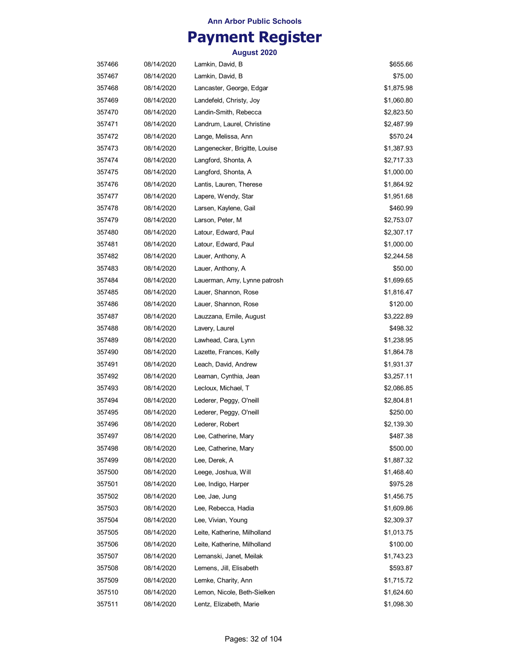## **Payment Register**

| 357466 | 08/14/2020 | Lamkin, David, B              | \$655.66   |
|--------|------------|-------------------------------|------------|
| 357467 | 08/14/2020 | Lamkin, David, B              | \$75.00    |
| 357468 | 08/14/2020 | Lancaster, George, Edgar      | \$1,875.98 |
| 357469 | 08/14/2020 | Landefeld, Christy, Joy       | \$1,060.80 |
| 357470 | 08/14/2020 | Landin-Smith, Rebecca         | \$2,823.50 |
| 357471 | 08/14/2020 | Landrum, Laurel, Christine    | \$2,487.99 |
| 357472 | 08/14/2020 | Lange, Melissa, Ann           | \$570.24   |
| 357473 | 08/14/2020 | Langenecker, Brigitte, Louise | \$1,387.93 |
| 357474 | 08/14/2020 | Langford, Shonta, A           | \$2,717.33 |
| 357475 | 08/14/2020 | Langford, Shonta, A           | \$1,000.00 |
| 357476 | 08/14/2020 | Lantis, Lauren, Therese       | \$1,864.92 |
| 357477 | 08/14/2020 | Lapere, Wendy, Star           | \$1,951.68 |
| 357478 | 08/14/2020 | Larsen, Kaylene, Gail         | \$460.99   |
| 357479 | 08/14/2020 | Larson, Peter, M              | \$2,753.07 |
| 357480 | 08/14/2020 | Latour, Edward, Paul          | \$2,307.17 |
| 357481 | 08/14/2020 | Latour, Edward, Paul          | \$1,000.00 |
| 357482 | 08/14/2020 | Lauer, Anthony, A             | \$2,244.58 |
| 357483 | 08/14/2020 | Lauer, Anthony, A             | \$50.00    |
| 357484 | 08/14/2020 | Lauerman, Amy, Lynne patrosh  | \$1,699.65 |
| 357485 | 08/14/2020 | Lauer, Shannon, Rose          | \$1,816.47 |
| 357486 | 08/14/2020 | Lauer, Shannon, Rose          | \$120.00   |
| 357487 | 08/14/2020 | Lauzzana, Emile, August       | \$3,222.89 |
| 357488 | 08/14/2020 | Lavery, Laurel                | \$498.32   |
| 357489 | 08/14/2020 | Lawhead, Cara, Lynn           | \$1,238.95 |
| 357490 | 08/14/2020 | Lazette, Frances, Kelly       | \$1,864.78 |
| 357491 | 08/14/2020 | Leach, David, Andrew          | \$1,931.37 |
| 357492 | 08/14/2020 | Leaman, Cynthia, Jean         | \$3,257.11 |
| 357493 | 08/14/2020 | Lecloux, Michael, T           | \$2,086.85 |
| 357494 | 08/14/2020 | Lederer, Peggy, O'neill       | \$2,804.81 |
| 357495 | 08/14/2020 | Lederer, Peggy, O'neill       | \$250.00   |
| 357496 | 08/14/2020 | Lederer, Robert               | \$2,139.30 |
| 357497 | 08/14/2020 | Lee, Catherine, Mary          | \$487.38   |
| 357498 | 08/14/2020 | Lee, Catherine, Mary          | \$500.00   |
| 357499 | 08/14/2020 | Lee, Derek, A                 | \$1,887.32 |
| 357500 | 08/14/2020 | Leege, Joshua, Will           | \$1,468.40 |
| 357501 | 08/14/2020 | Lee, Indigo, Harper           | \$975.28   |
| 357502 | 08/14/2020 | Lee, Jae, Jung                | \$1,456.75 |
| 357503 | 08/14/2020 | Lee, Rebecca, Hadia           | \$1,609.86 |
| 357504 | 08/14/2020 | Lee, Vivian, Young            | \$2,309.37 |
| 357505 | 08/14/2020 | Leite, Katherine, Milholland  | \$1,013.75 |
| 357506 | 08/14/2020 | Leite, Katherine, Milholland  | \$100.00   |
| 357507 | 08/14/2020 | Lemanski, Janet, Meilak       | \$1,743.23 |
| 357508 | 08/14/2020 | Lemens, Jill, Elisabeth       | \$593.87   |
| 357509 | 08/14/2020 | Lemke, Charity, Ann           | \$1,715.72 |
| 357510 | 08/14/2020 | Lemon, Nicole, Beth-Sielken   | \$1,624.60 |
| 357511 | 08/14/2020 | Lentz, Elizabeth, Marie       | \$1,098.30 |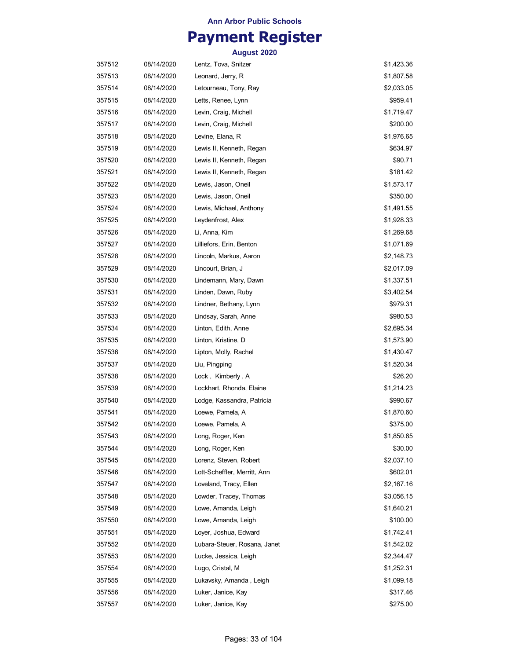## **Payment Register**

| 357512 | 08/14/2020 | Lentz, Tova, Snitzer         | \$1,423.36 |
|--------|------------|------------------------------|------------|
| 357513 | 08/14/2020 | Leonard, Jerry, R            | \$1,807.58 |
| 357514 | 08/14/2020 | Letourneau, Tony, Ray        | \$2,033.05 |
| 357515 | 08/14/2020 | Letts, Renee, Lynn           | \$959.41   |
| 357516 | 08/14/2020 | Levin, Craig, Michell        | \$1,719.47 |
| 357517 | 08/14/2020 | Levin, Craig, Michell        | \$200.00   |
| 357518 | 08/14/2020 | Levine, Elana, R             | \$1,976.65 |
| 357519 | 08/14/2020 | Lewis II, Kenneth, Regan     | \$634.97   |
| 357520 | 08/14/2020 | Lewis II, Kenneth, Regan     | \$90.71    |
| 357521 | 08/14/2020 | Lewis II, Kenneth, Regan     | \$181.42   |
| 357522 | 08/14/2020 | Lewis, Jason, Oneil          | \$1,573.17 |
| 357523 | 08/14/2020 | Lewis, Jason, Oneil          | \$350.00   |
| 357524 | 08/14/2020 | Lewis, Michael, Anthony      | \$1,491.55 |
| 357525 | 08/14/2020 | Leydenfrost, Alex            | \$1,928.33 |
| 357526 | 08/14/2020 | Li, Anna, Kim                | \$1,269.68 |
| 357527 | 08/14/2020 | Lilliefors, Erin, Benton     | \$1,071.69 |
| 357528 | 08/14/2020 | Lincoln, Markus, Aaron       | \$2,148.73 |
| 357529 | 08/14/2020 | Lincourt, Brian, J           | \$2,017.09 |
| 357530 | 08/14/2020 | Lindemann, Mary, Dawn        | \$1,337.51 |
| 357531 | 08/14/2020 | Linden, Dawn, Ruby           | \$3,402.54 |
| 357532 | 08/14/2020 | Lindner, Bethany, Lynn       | \$979.31   |
| 357533 | 08/14/2020 | Lindsay, Sarah, Anne         | \$980.53   |
| 357534 | 08/14/2020 | Linton, Edith, Anne          | \$2,695.34 |
| 357535 | 08/14/2020 | Linton, Kristine, D          | \$1,573.90 |
| 357536 | 08/14/2020 | Lipton, Molly, Rachel        | \$1,430.47 |
| 357537 | 08/14/2020 | Liu, Pingping                | \$1,520.34 |
| 357538 | 08/14/2020 | Lock, Kimberly, A            | \$26.20    |
| 357539 | 08/14/2020 | Lockhart, Rhonda, Elaine     | \$1,214.23 |
| 357540 | 08/14/2020 | Lodge, Kassandra, Patricia   | \$990.67   |
| 357541 | 08/14/2020 | Loewe, Pamela, A             | \$1,870.60 |
| 357542 | 08/14/2020 | Loewe, Pamela, A             | \$375.00   |
| 357543 | 08/14/2020 | Long, Roger, Ken             | \$1,850.65 |
| 357544 | 08/14/2020 | Long, Roger, Ken             | \$30.00    |
| 357545 | 08/14/2020 | Lorenz, Steven, Robert       | \$2,037.10 |
| 357546 | 08/14/2020 | Lott-Scheffler, Merritt, Ann | \$602.01   |
| 357547 | 08/14/2020 | Loveland, Tracy, Ellen       | \$2,167.16 |
| 357548 | 08/14/2020 | Lowder, Tracey, Thomas       | \$3,056.15 |
| 357549 | 08/14/2020 | Lowe, Amanda, Leigh          | \$1,640.21 |
| 357550 | 08/14/2020 | Lowe, Amanda, Leigh          | \$100.00   |
| 357551 | 08/14/2020 | Loyer, Joshua, Edward        | \$1,742.41 |
| 357552 | 08/14/2020 | Lubara-Steuer, Rosana, Janet | \$1,542.02 |
| 357553 | 08/14/2020 | Lucke, Jessica, Leigh        | \$2,344.47 |
| 357554 | 08/14/2020 | Lugo, Cristal, M             | \$1,252.31 |
| 357555 | 08/14/2020 | Lukavsky, Amanda, Leigh      | \$1,099.18 |
| 357556 | 08/14/2020 | Luker, Janice, Kay           | \$317.46   |
| 357557 | 08/14/2020 | Luker, Janice, Kay           | \$275.00   |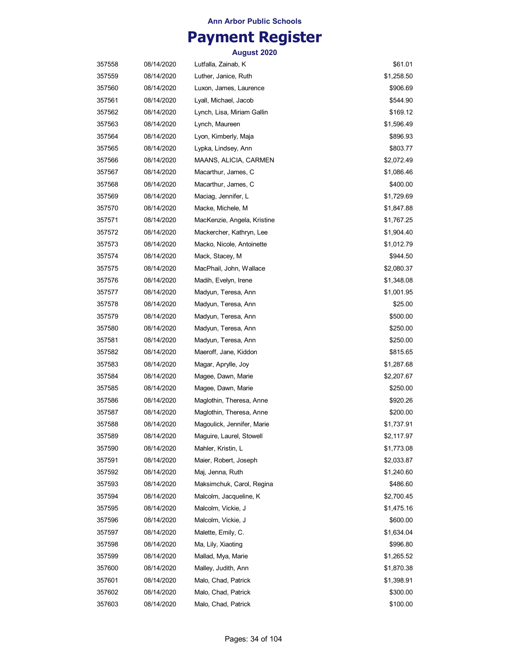## **Payment Register**

| 357558 | 08/14/2020 | Lutfalla, Zainab, K         | \$61.01    |
|--------|------------|-----------------------------|------------|
| 357559 | 08/14/2020 | Luther, Janice, Ruth        | \$1,258.50 |
| 357560 | 08/14/2020 | Luxon, James, Laurence      | \$906.69   |
| 357561 | 08/14/2020 | Lyall, Michael, Jacob       | \$544.90   |
| 357562 | 08/14/2020 | Lynch, Lisa, Miriam Gallin  | \$169.12   |
| 357563 | 08/14/2020 | Lynch, Maureen              | \$1,596.49 |
| 357564 | 08/14/2020 | Lyon, Kimberly, Maja        | \$896.93   |
| 357565 | 08/14/2020 | Lypka, Lindsey, Ann         | \$803.77   |
| 357566 | 08/14/2020 | MAANS, ALICIA, CARMEN       | \$2,072.49 |
| 357567 | 08/14/2020 | Macarthur, James, C         | \$1,086.46 |
| 357568 | 08/14/2020 | Macarthur, James, C         | \$400.00   |
| 357569 | 08/14/2020 | Maciag, Jennifer, L         | \$1,729.69 |
| 357570 | 08/14/2020 | Macke, Michele, M           | \$1,847.88 |
| 357571 | 08/14/2020 | MacKenzie, Angela, Kristine | \$1,767.25 |
| 357572 | 08/14/2020 | Mackercher, Kathryn, Lee    | \$1,904.40 |
| 357573 | 08/14/2020 | Macko, Nicole, Antoinette   | \$1,012.79 |
| 357574 | 08/14/2020 | Mack, Stacey, M             | \$944.50   |
| 357575 | 08/14/2020 | MacPhail, John, Wallace     | \$2,080.37 |
| 357576 | 08/14/2020 | Madih, Evelyn, Irene        | \$1,348.08 |
| 357577 | 08/14/2020 | Madyun, Teresa, Ann         | \$1,001.95 |
| 357578 | 08/14/2020 | Madyun, Teresa, Ann         | \$25.00    |
| 357579 | 08/14/2020 | Madyun, Teresa, Ann         | \$500.00   |
| 357580 | 08/14/2020 | Madyun, Teresa, Ann         | \$250.00   |
| 357581 | 08/14/2020 | Madyun, Teresa, Ann         | \$250.00   |
| 357582 | 08/14/2020 | Maeroff, Jane, Kiddon       | \$815.65   |
| 357583 | 08/14/2020 | Magar, Aprylle, Joy         | \$1,287.68 |
| 357584 | 08/14/2020 | Magee, Dawn, Marie          | \$2,207.67 |
| 357585 | 08/14/2020 | Magee, Dawn, Marie          | \$250.00   |
| 357586 | 08/14/2020 | Maglothin, Theresa, Anne    | \$920.26   |
| 357587 | 08/14/2020 | Maglothin, Theresa, Anne    | \$200.00   |
| 357588 | 08/14/2020 | Magoulick, Jennifer, Marie  | \$1,737.91 |
| 357589 | 08/14/2020 | Maguire, Laurel, Stowell    | \$2,117.97 |
| 357590 | 08/14/2020 | Mahler, Kristin, L          | \$1,773.08 |
| 357591 | 08/14/2020 | Maier, Robert, Joseph       | \$2,033.87 |
| 357592 | 08/14/2020 | Maj, Jenna, Ruth            | \$1,240.60 |
| 357593 | 08/14/2020 | Maksimchuk, Carol, Regina   | \$486.60   |
| 357594 | 08/14/2020 | Malcolm, Jacqueline, K      | \$2,700.45 |
| 357595 | 08/14/2020 | Malcolm, Vickie, J          | \$1,475.16 |
| 357596 | 08/14/2020 | Malcolm, Vickie, J          | \$600.00   |
| 357597 | 08/14/2020 | Malette, Emily, C.          | \$1,634.04 |
| 357598 | 08/14/2020 | Ma, Lily, Xiaoting          | \$996.80   |
| 357599 | 08/14/2020 | Mallad, Mya, Marie          | \$1,265.52 |
| 357600 | 08/14/2020 | Malley, Judith, Ann         | \$1,870.38 |
| 357601 | 08/14/2020 | Malo, Chad, Patrick         | \$1,398.91 |
| 357602 | 08/14/2020 | Malo, Chad, Patrick         | \$300.00   |
| 357603 | 08/14/2020 | Malo, Chad, Patrick         | \$100.00   |
|        |            |                             |            |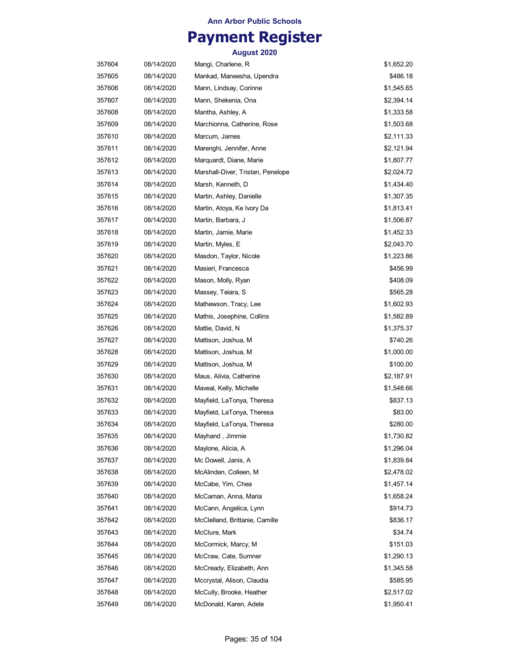## **Payment Register**

| 357604 | 08/14/2020 | Mangi, Charlene, R                | \$1,652.20 |
|--------|------------|-----------------------------------|------------|
| 357605 | 08/14/2020 | Mankad, Maneesha, Upendra         | \$486.18   |
| 357606 | 08/14/2020 | Mann, Lindsay, Corinne            | \$1,545.65 |
| 357607 | 08/14/2020 | Mann, Shekenia, Ona               | \$2,394.14 |
| 357608 | 08/14/2020 | Mantha, Ashley, A                 | \$1,333.58 |
| 357609 | 08/14/2020 | Marchionna, Catherine, Rose       | \$1,503.68 |
| 357610 | 08/14/2020 | Marcum, James                     | \$2,111.33 |
| 357611 | 08/14/2020 | Marenghi, Jennifer, Anne          | \$2,121.94 |
| 357612 | 08/14/2020 | Marquardt, Diane, Marie           | \$1,807.77 |
| 357613 | 08/14/2020 | Marshall-Diver, Tristan, Penelope | \$2,024.72 |
| 357614 | 08/14/2020 | Marsh, Kenneth, D                 | \$1,434.40 |
| 357615 | 08/14/2020 | Martin, Ashley, Danielle          | \$1,307.35 |
| 357616 | 08/14/2020 | Martin, Atoya, Ke Ivory Da        | \$1,813.41 |
| 357617 | 08/14/2020 | Martin, Barbara, J                | \$1,506.87 |
| 357618 | 08/14/2020 | Martin, Jamie, Marie              | \$1,452.33 |
| 357619 | 08/14/2020 | Martin, Myles, E                  | \$2,043.70 |
| 357620 | 08/14/2020 | Masdon, Taylor, Nicole            | \$1,223.86 |
| 357621 | 08/14/2020 | Masieri, Francesca                | \$456.99   |
| 357622 | 08/14/2020 | Mason, Molly, Ryan                | \$408.09   |
| 357623 | 08/14/2020 | Massey, Teiara, S                 | \$565.28   |
| 357624 | 08/14/2020 | Mathewson, Tracy, Lee             | \$1,602.93 |
| 357625 | 08/14/2020 | Mathis, Josephine, Collins        | \$1,582.89 |
| 357626 | 08/14/2020 | Mattie, David, N                  | \$1,375.37 |
| 357627 | 08/14/2020 | Mattison, Joshua, M               | \$740.26   |
| 357628 | 08/14/2020 | Mattison, Joshua, M               | \$1,000.00 |
| 357629 | 08/14/2020 | Mattison, Joshua, M               | \$100.00   |
| 357630 | 08/14/2020 | Maus, Alivia, Catherine           | \$2,187.91 |
| 357631 | 08/14/2020 | Maveal, Kelly, Michelle           | \$1,548.66 |
| 357632 | 08/14/2020 | Mayfield, LaTonya, Theresa        | \$837.13   |
| 357633 | 08/14/2020 | Mayfield, LaTonya, Theresa        | \$83.00    |
| 357634 | 08/14/2020 | Mayfield, LaTonya, Theresa        | \$280.00   |
| 357635 | 08/14/2020 | Mayhand, Jimmie                   | \$1,730.82 |
| 357636 | 08/14/2020 | Maylone, Alicia, A                | \$1,296.04 |
| 357637 | 08/14/2020 | Mc Dowell, Janis, A               | \$1,839.84 |
| 357638 | 08/14/2020 | McAlinden, Colleen, M             | \$2,478.02 |
| 357639 | 08/14/2020 | McCabe, Yim, Chea                 | \$1,457.14 |
| 357640 | 08/14/2020 | McCaman, Anna, Maria              | \$1,658.24 |
| 357641 | 08/14/2020 | McCann, Angelica, Lynn            | \$914.73   |
| 357642 | 08/14/2020 | McClelland, Brittanie, Camille    | \$836.17   |
| 357643 | 08/14/2020 | McClure, Mark                     | \$34.74    |
| 357644 | 08/14/2020 | McCormick, Marcy, M               | \$151.03   |
| 357645 | 08/14/2020 | McCraw, Cate, Sumner              | \$1,290.13 |
| 357646 | 08/14/2020 | McCready, Elizabeth, Ann          | \$1,345.58 |
| 357647 | 08/14/2020 | Mccrystal, Alison, Claudia        | \$585.95   |
| 357648 | 08/14/2020 | McCully, Brooke, Heather          | \$2,517.02 |
| 357649 | 08/14/2020 | McDonald, Karen, Adele            | \$1,950.41 |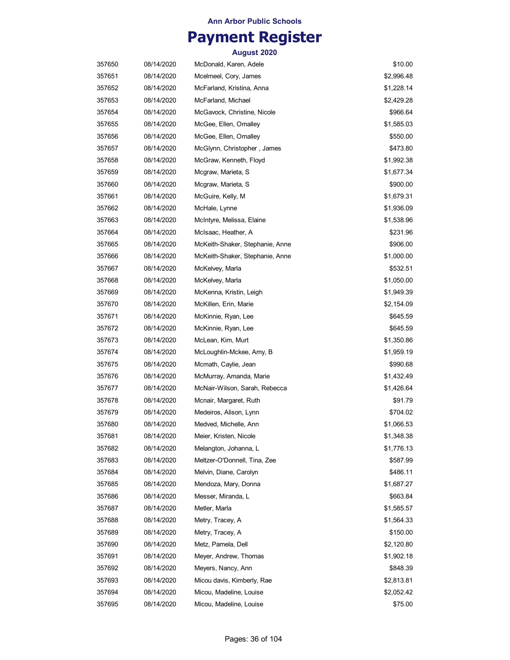## **Payment Register**

| 357650 | 08/14/2020 | McDonald, Karen, Adele          | \$10.00    |
|--------|------------|---------------------------------|------------|
| 357651 | 08/14/2020 | Mcelmeel, Cory, James           | \$2,996.48 |
| 357652 | 08/14/2020 | McFarland, Kristina, Anna       | \$1,228.14 |
| 357653 | 08/14/2020 | McFarland, Michael              | \$2,429.28 |
| 357654 | 08/14/2020 | McGavock, Christine, Nicole     | \$966.64   |
| 357655 | 08/14/2020 | McGee, Ellen, Omalley           | \$1,585.03 |
| 357656 | 08/14/2020 | McGee, Ellen, Omalley           | \$550.00   |
| 357657 | 08/14/2020 | McGlynn, Christopher, James     | \$473.80   |
| 357658 | 08/14/2020 | McGraw, Kenneth, Floyd          | \$1,992.38 |
| 357659 | 08/14/2020 | Mcgraw, Marieta, S              | \$1,677.34 |
| 357660 | 08/14/2020 | Mcgraw, Marieta, S              | \$900.00   |
| 357661 | 08/14/2020 | McGuire, Kelly, M               | \$1,679.31 |
| 357662 | 08/14/2020 | McHale, Lynne                   | \$1,936.09 |
| 357663 | 08/14/2020 | McIntyre, Melissa, Elaine       | \$1,538.96 |
| 357664 | 08/14/2020 | McIsaac, Heather, A             | \$231.96   |
| 357665 | 08/14/2020 | McKeith-Shaker, Stephanie, Anne | \$906.00   |
| 357666 | 08/14/2020 | McKeith-Shaker, Stephanie, Anne | \$1,000.00 |
| 357667 | 08/14/2020 | McKelvey, Marla                 | \$532.51   |
| 357668 | 08/14/2020 | McKelvey, Marla                 | \$1,050.00 |
| 357669 | 08/14/2020 | McKenna, Kristin, Leigh         | \$1,949.39 |
| 357670 | 08/14/2020 | McKillen, Erin, Marie           | \$2,154.09 |
| 357671 | 08/14/2020 | McKinnie, Ryan, Lee             | \$645.59   |
| 357672 | 08/14/2020 | McKinnie, Ryan, Lee             | \$645.59   |
| 357673 | 08/14/2020 | McLean, Kim, Murt               | \$1,350.86 |
| 357674 | 08/14/2020 | McLoughlin-Mckee, Amy, B        | \$1,959.19 |
| 357675 | 08/14/2020 | Mcmath, Caylie, Jean            | \$990.68   |
| 357676 | 08/14/2020 | McMurray, Amanda, Marie         | \$1,432.49 |
| 357677 | 08/14/2020 | McNair-Wilson, Sarah, Rebecca   | \$1,426.64 |
| 357678 | 08/14/2020 | Mcnair, Margaret, Ruth          | \$91.79    |
| 357679 | 08/14/2020 | Medeiros, Alison, Lynn          | \$704.02   |
| 357680 | 08/14/2020 | Medved, Michelle, Ann           | \$1,066.53 |
| 357681 | 08/14/2020 | Meier, Kristen, Nicole          | \$1,348.38 |
| 357682 | 08/14/2020 | Melangton, Johanna, L           | \$1,776.13 |
| 357683 | 08/14/2020 | Meltzer-O'Donnell, Tina, Zee    | \$587.99   |
| 357684 | 08/14/2020 | Melvin, Diane, Carolyn          | \$486.11   |
| 357685 | 08/14/2020 | Mendoza, Mary, Donna            | \$1,687.27 |
| 357686 | 08/14/2020 | Messer, Miranda, L              | \$663.84   |
| 357687 | 08/14/2020 | Metler, Marla                   | \$1,585.57 |
| 357688 | 08/14/2020 | Metry, Tracey, A                | \$1,564.33 |
| 357689 | 08/14/2020 | Metry, Tracey, A                | \$150.00   |
| 357690 | 08/14/2020 | Metz, Pamela, Dell              | \$2,120.80 |
| 357691 | 08/14/2020 | Meyer, Andrew, Thomas           | \$1,902.18 |
| 357692 | 08/14/2020 | Meyers, Nancy, Ann              | \$848.39   |
| 357693 | 08/14/2020 | Micou davis, Kimberly, Rae      | \$2,813.81 |
| 357694 | 08/14/2020 | Micou, Madeline, Louise         | \$2,052.42 |
| 357695 | 08/14/2020 | Micou, Madeline, Louise         | \$75.00    |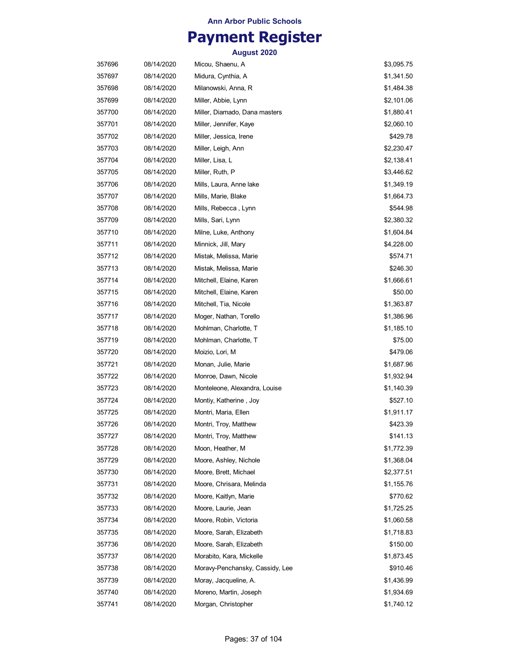# **Payment Register**

| 357696 | 08/14/2020 | Micou, Shaenu, A                | \$3,095.75 |
|--------|------------|---------------------------------|------------|
| 357697 | 08/14/2020 | Midura, Cynthia, A              | \$1,341.50 |
| 357698 | 08/14/2020 | Milanowski, Anna, R             | \$1,484.38 |
| 357699 | 08/14/2020 | Miller, Abbie, Lynn             | \$2,101.06 |
| 357700 | 08/14/2020 | Miller, Diamado, Dana masters   | \$1,880.41 |
| 357701 | 08/14/2020 | Miller, Jennifer, Kaye          | \$2,060.10 |
| 357702 | 08/14/2020 | Miller, Jessica, Irene          | \$429.78   |
| 357703 | 08/14/2020 | Miller, Leigh, Ann              | \$2,230.47 |
| 357704 | 08/14/2020 | Miller, Lisa, L                 | \$2,138.41 |
| 357705 | 08/14/2020 | Miller, Ruth, P                 | \$3,446.62 |
| 357706 | 08/14/2020 | Mills, Laura, Anne lake         | \$1,349.19 |
| 357707 | 08/14/2020 | Mills, Marie, Blake             | \$1,664.73 |
| 357708 | 08/14/2020 | Mills, Rebecca, Lynn            | \$544.98   |
| 357709 | 08/14/2020 | Mills, Sari, Lynn               | \$2,380.32 |
| 357710 | 08/14/2020 | Milne, Luke, Anthony            | \$1,604.84 |
| 357711 | 08/14/2020 | Minnick, Jill, Mary             | \$4,228.00 |
| 357712 | 08/14/2020 | Mistak, Melissa, Marie          | \$574.71   |
| 357713 | 08/14/2020 | Mistak, Melissa, Marie          | \$246.30   |
| 357714 | 08/14/2020 | Mitchell, Elaine, Karen         | \$1,666.61 |
| 357715 | 08/14/2020 | Mitchell, Elaine, Karen         | \$50.00    |
| 357716 | 08/14/2020 | Mitchell, Tia, Nicole           | \$1,363.87 |
| 357717 | 08/14/2020 | Moger, Nathan, Torello          | \$1,386.96 |
| 357718 | 08/14/2020 | Mohlman, Charlotte, T           | \$1,185.10 |
| 357719 | 08/14/2020 | Mohlman, Charlotte, T           | \$75.00    |
| 357720 | 08/14/2020 | Moizio, Lori, M                 | \$479.06   |
| 357721 | 08/14/2020 | Monan, Julie, Marie             | \$1,687.96 |
| 357722 | 08/14/2020 | Monroe, Dawn, Nicole            | \$1,932.94 |
| 357723 | 08/14/2020 | Monteleone, Alexandra, Louise   | \$1,140.39 |
| 357724 | 08/14/2020 | Montiy, Katherine, Joy          | \$527.10   |
| 357725 | 08/14/2020 | Montri, Maria, Ellen            | \$1,911.17 |
| 357726 | 08/14/2020 | Montri, Troy, Matthew           | \$423.39   |
| 357727 | 08/14/2020 | Montri, Troy, Matthew           | \$141.13   |
| 357728 | 08/14/2020 | Moon, Heather, M                | \$1,772.39 |
| 357729 | 08/14/2020 | Moore, Ashley, Nichole          | \$1,368.04 |
| 357730 | 08/14/2020 | Moore, Brett, Michael           | \$2,377.51 |
| 357731 | 08/14/2020 | Moore, Chrisara, Melinda        | \$1,155.76 |
| 357732 | 08/14/2020 | Moore, Kaitlyn, Marie           | \$770.62   |
| 357733 | 08/14/2020 | Moore, Laurie, Jean             | \$1,725.25 |
| 357734 | 08/14/2020 | Moore, Robin, Victoria          | \$1,060.58 |
| 357735 | 08/14/2020 | Moore, Sarah, Elizabeth         | \$1,718.83 |
| 357736 | 08/14/2020 | Moore, Sarah, Elizabeth         | \$150.00   |
| 357737 | 08/14/2020 | Morabito, Kara, Mickelle        | \$1,873.45 |
| 357738 | 08/14/2020 | Moravy-Penchansky, Cassidy, Lee | \$910.46   |
| 357739 | 08/14/2020 | Moray, Jacqueline, A.           | \$1,436.99 |
| 357740 | 08/14/2020 | Moreno, Martin, Joseph          | \$1,934.69 |
| 357741 | 08/14/2020 | Morgan, Christopher             | \$1,740.12 |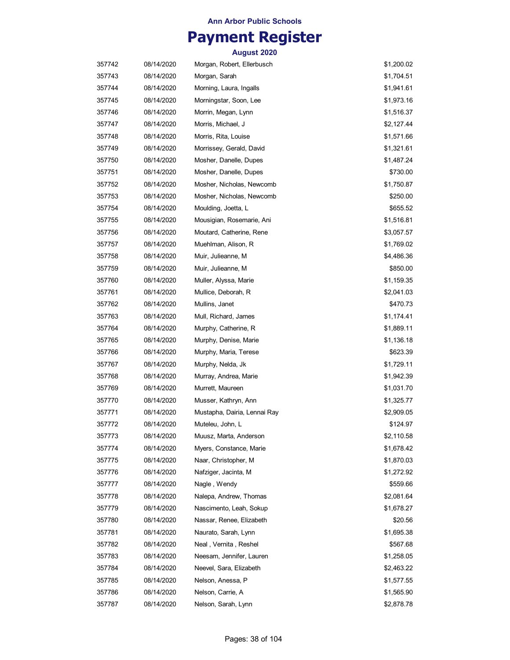## **Payment Register**

| 357742 | 08/14/2020 | Morgan, Robert, Ellerbusch   | \$1,200.02 |
|--------|------------|------------------------------|------------|
| 357743 | 08/14/2020 | Morgan, Sarah                | \$1,704.51 |
| 357744 | 08/14/2020 | Morning, Laura, Ingalls      | \$1,941.61 |
| 357745 | 08/14/2020 | Morningstar, Soon, Lee       | \$1,973.16 |
| 357746 | 08/14/2020 | Morrin, Megan, Lynn          | \$1,516.37 |
| 357747 | 08/14/2020 | Morris, Michael, J           | \$2,127.44 |
| 357748 | 08/14/2020 | Morris, Rita, Louise         | \$1,571.66 |
| 357749 | 08/14/2020 | Morrissey, Gerald, David     | \$1,321.61 |
| 357750 | 08/14/2020 | Mosher, Danelle, Dupes       | \$1,487.24 |
| 357751 | 08/14/2020 | Mosher, Danelle, Dupes       | \$730.00   |
| 357752 | 08/14/2020 | Mosher, Nicholas, Newcomb    | \$1,750.87 |
| 357753 | 08/14/2020 | Mosher, Nicholas, Newcomb    | \$250.00   |
| 357754 | 08/14/2020 | Moulding, Joetta, L          | \$655.52   |
| 357755 | 08/14/2020 | Mousigian, Rosemarie, Ani    | \$1,516.81 |
| 357756 | 08/14/2020 | Moutard, Catherine, Rene     | \$3,057.57 |
| 357757 | 08/14/2020 | Muehlman, Alison, R          | \$1,769.02 |
| 357758 | 08/14/2020 | Muir, Julieanne, M           | \$4,486.36 |
| 357759 | 08/14/2020 | Muir, Julieanne, M           | \$850.00   |
| 357760 | 08/14/2020 | Muller, Alyssa, Marie        | \$1,159.35 |
| 357761 | 08/14/2020 | Mullice, Deborah, R          | \$2,041.03 |
| 357762 | 08/14/2020 | Mullins, Janet               | \$470.73   |
| 357763 | 08/14/2020 | Mull, Richard, James         | \$1,174.41 |
| 357764 | 08/14/2020 | Murphy, Catherine, R         | \$1,889.11 |
| 357765 | 08/14/2020 | Murphy, Denise, Marie        | \$1,136.18 |
| 357766 | 08/14/2020 | Murphy, Maria, Terese        | \$623.39   |
| 357767 | 08/14/2020 | Murphy, Nelda, Jk            | \$1,729.11 |
| 357768 | 08/14/2020 | Murray, Andrea, Marie        | \$1,942.39 |
| 357769 | 08/14/2020 | Murrett, Maureen             | \$1,031.70 |
| 357770 | 08/14/2020 | Musser, Kathryn, Ann         | \$1,325.77 |
| 357771 | 08/14/2020 | Mustapha, Dairia, Lennai Ray | \$2,909.05 |
| 357772 | 08/14/2020 | Muteleu, John, L             | \$124.97   |
| 357773 | 08/14/2020 | Muusz, Marta, Anderson       | \$2,110.58 |
| 357774 | 08/14/2020 | Myers, Constance, Marie      | \$1,678.42 |
| 357775 | 08/14/2020 | Naar, Christopher, M         | \$1,870.03 |
| 357776 | 08/14/2020 | Nafziger, Jacinta, M         | \$1,272.92 |
| 357777 | 08/14/2020 | Nagle, Wendy                 | \$559.66   |
| 357778 | 08/14/2020 | Nalepa, Andrew, Thomas       | \$2,081.64 |
| 357779 | 08/14/2020 | Nascimento, Leah, Sokup      | \$1,678.27 |
| 357780 | 08/14/2020 | Nassar, Renee, Elizabeth     | \$20.56    |
| 357781 | 08/14/2020 | Naurato, Sarah, Lynn         | \$1,695.38 |
| 357782 | 08/14/2020 | Neal , Vernita , Reshel      | \$567.68   |
| 357783 | 08/14/2020 | Neesam, Jennifer, Lauren     | \$1,258.05 |
| 357784 | 08/14/2020 | Neevel, Sara, Elizabeth      | \$2,463.22 |
| 357785 | 08/14/2020 | Nelson, Anessa, P            | \$1,577.55 |
| 357786 | 08/14/2020 | Nelson, Carrie, A            | \$1,565.90 |
| 357787 | 08/14/2020 | Nelson, Sarah, Lynn          | \$2,878.78 |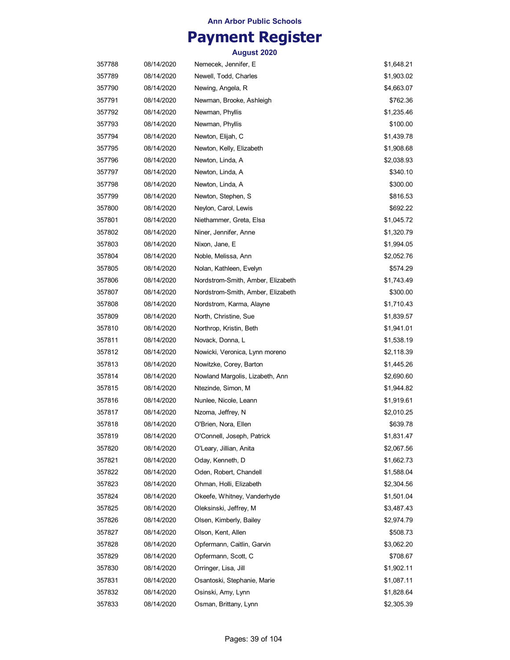## **Payment Register**

| 357788 | 08/14/2020 | Nemecek, Jennifer, E              | \$1,648.21 |
|--------|------------|-----------------------------------|------------|
| 357789 | 08/14/2020 | Newell, Todd, Charles             | \$1,903.02 |
| 357790 | 08/14/2020 | Newing, Angela, R                 | \$4,663.07 |
| 357791 | 08/14/2020 | Newman, Brooke, Ashleigh          | \$762.36   |
| 357792 | 08/14/2020 | Newman, Phyllis                   | \$1,235.46 |
| 357793 | 08/14/2020 | Newman, Phyllis                   | \$100.00   |
| 357794 | 08/14/2020 | Newton, Elijah, C                 | \$1,439.78 |
| 357795 | 08/14/2020 | Newton, Kelly, Elizabeth          | \$1,908.68 |
| 357796 | 08/14/2020 | Newton, Linda, A                  | \$2,038.93 |
| 357797 | 08/14/2020 | Newton, Linda, A                  | \$340.10   |
| 357798 | 08/14/2020 | Newton, Linda, A                  | \$300.00   |
| 357799 | 08/14/2020 | Newton, Stephen, S                | \$816.53   |
| 357800 | 08/14/2020 | Neylon, Carol, Lewis              | \$692.22   |
| 357801 | 08/14/2020 | Niethammer, Greta, Elsa           | \$1,045.72 |
| 357802 | 08/14/2020 | Niner, Jennifer, Anne             | \$1,320.79 |
| 357803 | 08/14/2020 | Nixon, Jane, E                    | \$1,994.05 |
| 357804 | 08/14/2020 | Noble, Melissa, Ann               | \$2,052.76 |
| 357805 | 08/14/2020 | Nolan, Kathleen, Evelyn           | \$574.29   |
| 357806 | 08/14/2020 | Nordstrom-Smith, Amber, Elizabeth | \$1,743.49 |
| 357807 | 08/14/2020 | Nordstrom-Smith, Amber, Elizabeth | \$300.00   |
| 357808 | 08/14/2020 | Nordstrom, Karma, Alayne          | \$1,710.43 |
| 357809 | 08/14/2020 | North, Christine, Sue             | \$1,839.57 |
| 357810 | 08/14/2020 | Northrop, Kristin, Beth           | \$1,941.01 |
| 357811 | 08/14/2020 | Novack, Donna, L                  | \$1,538.19 |
| 357812 | 08/14/2020 | Nowicki, Veronica, Lynn moreno    | \$2,118.39 |
| 357813 | 08/14/2020 | Nowitzke, Corey, Barton           | \$1,445.26 |
| 357814 | 08/14/2020 | Nowland Margolis, Lizabeth, Ann   | \$2,690.60 |
| 357815 | 08/14/2020 | Ntezinde, Simon, M                | \$1,944.82 |
| 357816 | 08/14/2020 | Nunlee, Nicole, Leann             | \$1,919.61 |
| 357817 | 08/14/2020 | Nzoma, Jeffrey, N                 | \$2,010.25 |
| 357818 | 08/14/2020 | O'Brien, Nora, Ellen              | \$639.78   |
| 357819 | 08/14/2020 | O'Connell, Joseph, Patrick        | \$1,831.47 |
| 357820 | 08/14/2020 | O'Leary, Jillian, Anita           | \$2,067.56 |
| 357821 | 08/14/2020 | Oday, Kenneth, D                  | \$1,662.73 |
| 357822 | 08/14/2020 | Oden, Robert, Chandell            | \$1,588.04 |
| 357823 | 08/14/2020 | Ohman, Holli, Elizabeth           | \$2,304.56 |
| 357824 | 08/14/2020 | Okeefe, Whitney, Vanderhyde       | \$1,501.04 |
| 357825 | 08/14/2020 | Oleksinski, Jeffrey, M            | \$3,487.43 |
| 357826 | 08/14/2020 | Olsen, Kimberly, Bailey           | \$2,974.79 |
| 357827 | 08/14/2020 | Olson, Kent, Allen                | \$508.73   |
| 357828 | 08/14/2020 | Opfermann, Caitlin, Garvin        | \$3,062.20 |
| 357829 | 08/14/2020 | Opfermann, Scott, C               | \$708.67   |
| 357830 | 08/14/2020 | Orringer, Lisa, Jill              | \$1,902.11 |
| 357831 | 08/14/2020 | Osantoski, Stephanie, Marie       | \$1,087.11 |
| 357832 | 08/14/2020 | Osinski, Amy, Lynn                | \$1,828.64 |
| 357833 | 08/14/2020 | Osman, Brittany, Lynn             | \$2,305.39 |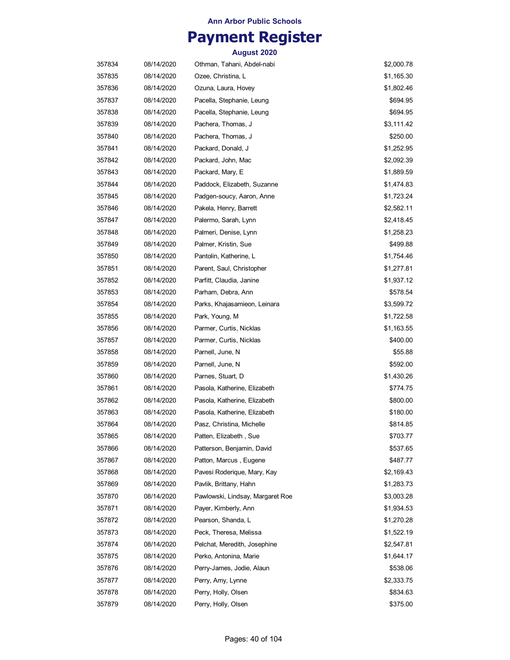## **Payment Register**

| 357834 | 08/14/2020 | Othman, Tahani, Abdel-nabi       | \$2,000.78 |
|--------|------------|----------------------------------|------------|
| 357835 | 08/14/2020 | Ozee, Christina, L               | \$1,165.30 |
| 357836 | 08/14/2020 | Ozuna, Laura, Hovey              | \$1,802.46 |
| 357837 | 08/14/2020 | Pacella, Stephanie, Leung        | \$694.95   |
| 357838 | 08/14/2020 | Pacella, Stephanie, Leung        | \$694.95   |
| 357839 | 08/14/2020 | Pachera, Thomas, J               | \$3,111.42 |
| 357840 | 08/14/2020 | Pachera, Thomas, J               | \$250.00   |
| 357841 | 08/14/2020 | Packard, Donald, J               | \$1,252.95 |
| 357842 | 08/14/2020 | Packard, John, Mac               | \$2,092.39 |
| 357843 | 08/14/2020 | Packard, Mary, E                 | \$1,889.59 |
| 357844 | 08/14/2020 | Paddock, Elizabeth, Suzanne      | \$1,474.83 |
| 357845 | 08/14/2020 | Padgen-soucy, Aaron, Anne        | \$1,723.24 |
| 357846 | 08/14/2020 | Pakela, Henry, Barrett           | \$2,582.11 |
| 357847 | 08/14/2020 | Palermo, Sarah, Lynn             | \$2,418.45 |
| 357848 | 08/14/2020 | Palmeri, Denise, Lynn            | \$1,258.23 |
| 357849 | 08/14/2020 | Palmer, Kristin, Sue             | \$499.88   |
| 357850 | 08/14/2020 | Pantolin, Katherine, L           | \$1,754.46 |
| 357851 | 08/14/2020 | Parent, Saul, Christopher        | \$1,277.81 |
| 357852 | 08/14/2020 | Parfitt, Claudia, Janine         | \$1,937.12 |
| 357853 | 08/14/2020 | Parham, Debra, Ann               | \$578.54   |
| 357854 | 08/14/2020 | Parks, Khajasamieon, Leinara     | \$3,599.72 |
| 357855 | 08/14/2020 | Park, Young, M                   | \$1,722.58 |
| 357856 | 08/14/2020 | Parmer, Curtis, Nicklas          | \$1,163.55 |
| 357857 | 08/14/2020 | Parmer, Curtis, Nicklas          | \$400.00   |
| 357858 | 08/14/2020 | Parnell, June, N                 | \$55.88    |
| 357859 | 08/14/2020 | Parnell, June, N                 | \$592.00   |
| 357860 | 08/14/2020 | Parnes, Stuart, D                | \$1,430.26 |
| 357861 | 08/14/2020 | Pasola, Katherine, Elizabeth     | \$774.75   |
| 357862 | 08/14/2020 | Pasola, Katherine, Elizabeth     | \$800.00   |
| 357863 | 08/14/2020 | Pasola, Katherine, Elizabeth     | \$180.00   |
| 357864 | 08/14/2020 | Pasz, Christina, Michelle        | \$814.85   |
| 357865 | 08/14/2020 | Patten, Elizabeth , Sue          | \$703.77   |
| 357866 | 08/14/2020 | Patterson, Benjamin, David       | \$537.65   |
| 357867 | 08/14/2020 | Patton, Marcus, Eugene           | \$487.77   |
| 357868 | 08/14/2020 | Pavesi Roderique, Mary, Kay      | \$2,169.43 |
| 357869 | 08/14/2020 | Pavlik, Brittany, Hahn           | \$1,283.73 |
| 357870 | 08/14/2020 | Pawlowski, Lindsay, Margaret Roe | \$3,003.28 |
| 357871 | 08/14/2020 | Payer, Kimberly, Ann             | \$1,934.53 |
| 357872 | 08/14/2020 | Pearson, Shanda, L               | \$1,270.28 |
| 357873 | 08/14/2020 | Peck, Theresa, Melissa           | \$1,522.19 |
| 357874 | 08/14/2020 | Pelchat, Meredith, Josephine     | \$2,547.81 |
| 357875 | 08/14/2020 | Perko, Antonina, Marie           | \$1,644.17 |
| 357876 | 08/14/2020 | Perry-James, Jodie, Alaun        | \$538.06   |
| 357877 | 08/14/2020 | Perry, Amy, Lynne                | \$2,333.75 |
| 357878 | 08/14/2020 | Perry, Holly, Olsen              | \$834.63   |
| 357879 | 08/14/2020 | Perry, Holly, Olsen              | \$375.00   |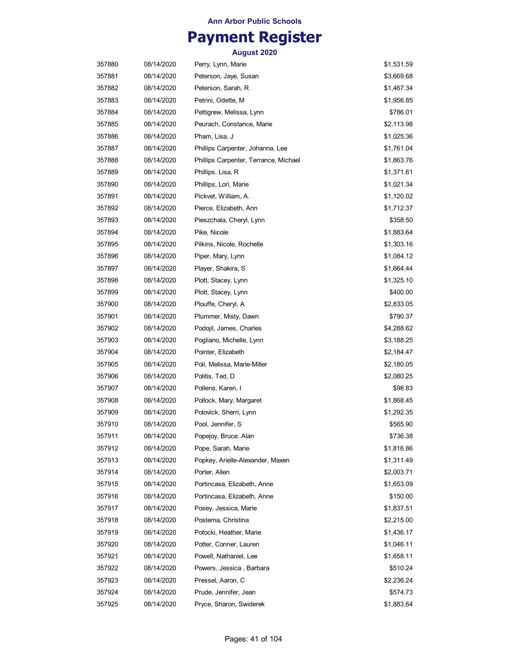## **Payment Register**

| 357880 | 08/14/2020 | Perry, Lynn, Marie                    | \$1,531.59 |
|--------|------------|---------------------------------------|------------|
| 357881 | 08/14/2020 | Peterson, Jaye, Susan                 | \$3,669.68 |
| 357882 | 08/14/2020 | Peterson, Sarah, R                    | \$1,467.34 |
| 357883 | 08/14/2020 | Petrini, Odette, M                    | \$1,956.85 |
| 357884 | 08/14/2020 | Pettigrew, Melissa, Lynn              | \$786.01   |
| 357885 | 08/14/2020 | Peurach, Constance, Marie             | \$2,113.98 |
| 357886 | 08/14/2020 | Pham, Lisa, J                         | \$1,025.36 |
| 357887 | 08/14/2020 | Phillips Carpenter, Johanna, Lee      | \$1,761.04 |
| 357888 | 08/14/2020 | Phillips Carpenter, Terrance, Michael | \$1,863.76 |
| 357889 | 08/14/2020 | Phillips, Lisa, R                     | \$1,371.61 |
| 357890 | 08/14/2020 | Phillips, Lori, Marie                 | \$1,021.34 |
| 357891 | 08/14/2020 | Pickvet, William, A.                  | \$1,120.02 |
| 357892 | 08/14/2020 | Pierce, Elizabeth, Ann                | \$1,712.37 |
| 357893 | 08/14/2020 | Pieszchala, Cheryl, Lynn              | \$358.50   |
| 357894 | 08/14/2020 | Pike, Nicole                          | \$1,883.64 |
| 357895 | 08/14/2020 | Pilkins, Nicole, Rochelle             | \$1,303.16 |
| 357896 | 08/14/2020 | Piper, Mary, Lynn                     | \$1,084.12 |
| 357897 | 08/14/2020 | Player, Shakira, S                    | \$1,664.44 |
| 357898 | 08/14/2020 | Plott, Stacey, Lynn                   | \$1,325.10 |
| 357899 | 08/14/2020 | Plott, Stacey, Lynn                   | \$400.00   |
| 357900 | 08/14/2020 | Plouffe, Cheryl, A                    | \$2,833.05 |
| 357901 | 08/14/2020 | Plummer, Misty, Dawn                  | \$790.37   |
| 357902 | 08/14/2020 | Podojil, James, Charles               | \$4,288.62 |
| 357903 | 08/14/2020 | Pogliano, Michelle, Lynn              | \$3,188.25 |
| 357904 | 08/14/2020 | Pointer, Elizabeth                    | \$2,184.47 |
| 357905 | 08/14/2020 | Poli, Melissa, Marie-Miller           | \$2,180.05 |
| 357906 | 08/14/2020 | Politis, Ted, D                       | \$2,080.25 |
| 357907 | 08/14/2020 | Pollens, Karen, I                     | \$98.83    |
| 357908 | 08/14/2020 | Pollock, Mary, Margaret               | \$1,868.45 |
| 357909 | 08/14/2020 | Polovick, Sherri, Lynn                | \$1,292.35 |
| 357910 | 08/14/2020 | Pool, Jennifer, S                     | \$565.90   |
| 357911 | 08/14/2020 | Popejoy, Bruce, Alan                  | \$736.38   |
| 357912 | 08/14/2020 | Pope, Sarah, Marie                    | \$1,816.86 |
| 357913 | 08/14/2020 | Popkey, Arielle-Alexander, Maxen      | \$1,311.49 |
| 357914 | 08/14/2020 | Porter, Allen                         | \$2,003.71 |
| 357915 | 08/14/2020 | Portincasa, Elizabeth, Anne           | \$1,653.09 |
| 357916 | 08/14/2020 | Portincasa, Elizabeth, Anne           | \$150.00   |
| 357917 | 08/14/2020 | Posey, Jessica, Marie                 | \$1,837.51 |
| 357918 | 08/14/2020 | Postema, Christina                    | \$2,215.00 |
| 357919 | 08/14/2020 | Potocki, Heather, Marie               | \$1,436.17 |
| 357920 | 08/14/2020 | Potter, Conner, Lauren                | \$1,046.11 |
| 357921 | 08/14/2020 | Powell, Nathaniel, Lee                | \$1,658.11 |
| 357922 | 08/14/2020 | Powers, Jessica, Barbara              | \$510.24   |
| 357923 | 08/14/2020 | Pressel, Aaron, C                     | \$2,236.24 |
| 357924 | 08/14/2020 | Prude, Jennifer, Jean                 | \$574.73   |
| 357925 | 08/14/2020 | Pryce, Sharon, Swiderek               | \$1,883.64 |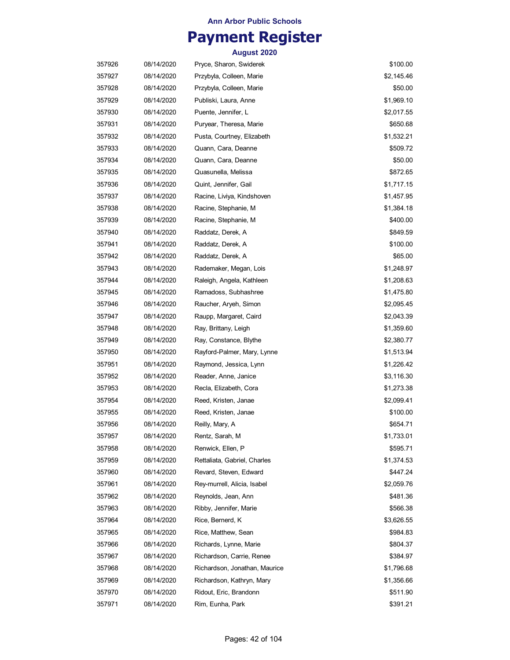## **Payment Register**

| 357926 | 08/14/2020 | Pryce, Sharon, Swiderek       | \$100.00   |
|--------|------------|-------------------------------|------------|
| 357927 | 08/14/2020 | Przybyla, Colleen, Marie      | \$2,145.46 |
| 357928 | 08/14/2020 | Przybyla, Colleen, Marie      | \$50.00    |
| 357929 | 08/14/2020 | Publiski, Laura, Anne         | \$1,969.10 |
| 357930 | 08/14/2020 | Puente, Jennifer, L           | \$2,017.55 |
| 357931 | 08/14/2020 | Puryear, Theresa, Marie       | \$650.68   |
| 357932 | 08/14/2020 | Pusta, Courtney, Elizabeth    | \$1,532.21 |
| 357933 | 08/14/2020 | Quann, Cara, Deanne           | \$509.72   |
| 357934 | 08/14/2020 | Quann, Cara, Deanne           | \$50.00    |
| 357935 | 08/14/2020 | Quasunella, Melissa           | \$872.65   |
| 357936 | 08/14/2020 | Quint, Jennifer, Gail         | \$1,717.15 |
| 357937 | 08/14/2020 | Racine, Liviya, Kindshoven    | \$1,457.95 |
| 357938 | 08/14/2020 | Racine, Stephanie, M          | \$1,384.18 |
| 357939 | 08/14/2020 | Racine, Stephanie, M          | \$400.00   |
| 357940 | 08/14/2020 | Raddatz, Derek, A             | \$849.59   |
| 357941 | 08/14/2020 | Raddatz, Derek, A             | \$100.00   |
| 357942 | 08/14/2020 | Raddatz, Derek, A             | \$65.00    |
| 357943 | 08/14/2020 | Rademaker, Megan, Lois        | \$1,248.97 |
| 357944 | 08/14/2020 | Raleigh, Angela, Kathleen     | \$1,208.63 |
| 357945 | 08/14/2020 | Ramadoss, Subhashree          | \$1,475.80 |
| 357946 | 08/14/2020 | Raucher, Aryeh, Simon         | \$2,095.45 |
| 357947 | 08/14/2020 | Raupp, Margaret, Caird        | \$2,043.39 |
| 357948 | 08/14/2020 | Ray, Brittany, Leigh          | \$1,359.60 |
| 357949 | 08/14/2020 | Ray, Constance, Blythe        | \$2,380.77 |
| 357950 | 08/14/2020 | Rayford-Palmer, Mary, Lynne   | \$1,513.94 |
| 357951 | 08/14/2020 | Raymond, Jessica, Lynn        | \$1,226.42 |
| 357952 | 08/14/2020 | Reader, Anne, Janice          | \$3,116.30 |
| 357953 | 08/14/2020 | Recla, Elizabeth, Cora        | \$1,273.38 |
| 357954 | 08/14/2020 | Reed, Kristen, Janae          | \$2,099.41 |
| 357955 | 08/14/2020 | Reed, Kristen, Janae          | \$100.00   |
| 357956 | 08/14/2020 | Reilly, Mary, A               | \$654.71   |
| 357957 | 08/14/2020 | Rentz, Sarah, M               | \$1,733.01 |
| 357958 | 08/14/2020 | Renwick, Ellen, P             | \$595.71   |
| 357959 | 08/14/2020 | Rettaliata, Gabriel, Charles  | \$1,374.53 |
| 357960 | 08/14/2020 | Revard, Steven, Edward        | \$447.24   |
| 357961 | 08/14/2020 | Rey-murrell, Alicia, Isabel   | \$2,059.76 |
| 357962 | 08/14/2020 | Reynolds, Jean, Ann           | \$481.36   |
| 357963 | 08/14/2020 | Ribby, Jennifer, Marie        | \$566.38   |
| 357964 | 08/14/2020 | Rice, Bernerd, K              | \$3,626.55 |
| 357965 | 08/14/2020 | Rice, Matthew, Sean           | \$984.83   |
| 357966 | 08/14/2020 | Richards, Lynne, Marie        | \$804.37   |
| 357967 | 08/14/2020 | Richardson, Carrie, Renee     | \$384.97   |
| 357968 | 08/14/2020 | Richardson, Jonathan, Maurice | \$1,796.68 |
| 357969 | 08/14/2020 | Richardson, Kathryn, Mary     | \$1,356.66 |
| 357970 | 08/14/2020 | Ridout, Eric, Brandonn        | \$511.90   |
| 357971 | 08/14/2020 | Rim, Eunha, Park              | \$391.21   |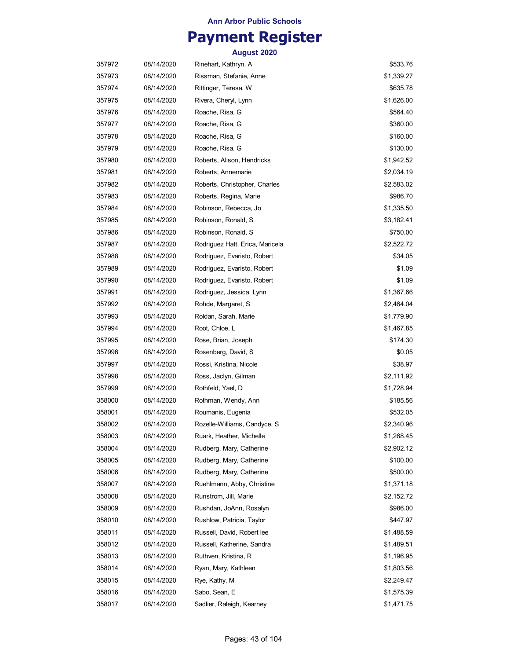## **Payment Register**

| 357972 | 08/14/2020 | Rinehart, Kathryn, A            | \$533.76   |
|--------|------------|---------------------------------|------------|
| 357973 | 08/14/2020 | Rissman, Stefanie, Anne         | \$1,339.27 |
| 357974 | 08/14/2020 | Rittinger, Teresa, W            | \$635.78   |
| 357975 | 08/14/2020 | Rivera, Cheryl, Lynn            | \$1,626.00 |
| 357976 | 08/14/2020 | Roache, Risa, G                 | \$564.40   |
| 357977 | 08/14/2020 | Roache, Risa, G                 | \$360.00   |
| 357978 | 08/14/2020 | Roache, Risa, G                 | \$160.00   |
| 357979 | 08/14/2020 | Roache, Risa, G                 | \$130.00   |
| 357980 | 08/14/2020 | Roberts, Alison, Hendricks      | \$1,942.52 |
| 357981 | 08/14/2020 | Roberts, Annemarie              | \$2,034.19 |
| 357982 | 08/14/2020 | Roberts, Christopher, Charles   | \$2,583.02 |
| 357983 | 08/14/2020 | Roberts, Regina, Marie          | \$986.70   |
| 357984 | 08/14/2020 | Robinson, Rebecca, Jo           | \$1,335.50 |
| 357985 | 08/14/2020 | Robinson, Ronald, S             | \$3,182.41 |
| 357986 | 08/14/2020 | Robinson, Ronald, S             | \$750.00   |
| 357987 | 08/14/2020 | Rodriguez Hatt, Erica, Maricela | \$2,522.72 |
| 357988 | 08/14/2020 | Rodriguez, Evaristo, Robert     | \$34.05    |
| 357989 | 08/14/2020 | Rodriguez, Evaristo, Robert     | \$1.09     |
| 357990 | 08/14/2020 | Rodriguez, Evaristo, Robert     | \$1.09     |
| 357991 | 08/14/2020 | Rodriguez, Jessica, Lynn        | \$1,367.66 |
| 357992 | 08/14/2020 | Rohde, Margaret, S              | \$2,464.04 |
| 357993 | 08/14/2020 | Roldan, Sarah, Marie            | \$1,779.90 |
| 357994 | 08/14/2020 | Root, Chloe, L                  | \$1,467.85 |
| 357995 | 08/14/2020 | Rose, Brian, Joseph             | \$174.30   |
| 357996 | 08/14/2020 | Rosenberg, David, S             | \$0.05     |
| 357997 | 08/14/2020 | Rossi, Kristina, Nicole         | \$38.97    |
| 357998 | 08/14/2020 | Ross, Jaclyn, Gilman            | \$2,111.92 |
| 357999 | 08/14/2020 | Rothfeld, Yael, D               | \$1,728.94 |
| 358000 | 08/14/2020 | Rothman, Wendy, Ann             | \$185.56   |
| 358001 | 08/14/2020 | Roumanis, Eugenia               | \$532.05   |
| 358002 | 08/14/2020 | Rozelle-Williams, Candyce, S    | \$2,340.96 |
| 358003 | 08/14/2020 | Ruark, Heather, Michelle        | \$1,268.45 |
| 358004 | 08/14/2020 | Rudberg, Mary, Catherine        | \$2,902.12 |
| 358005 | 08/14/2020 | Rudberg, Mary, Catherine        | \$100.00   |
| 358006 | 08/14/2020 | Rudberg, Mary, Catherine        | \$500.00   |
| 358007 | 08/14/2020 | Ruehlmann, Abby, Christine      | \$1,371.18 |
| 358008 | 08/14/2020 | Runstrom, Jill, Marie           | \$2,152.72 |
| 358009 | 08/14/2020 | Rushdan, JoAnn, Rosalyn         | \$986.00   |
| 358010 | 08/14/2020 | Rushlow, Patricia, Taylor       | \$447.97   |
| 358011 | 08/14/2020 | Russell, David, Robert lee      | \$1,488.59 |
| 358012 | 08/14/2020 | Russell, Katherine, Sandra      | \$1,489.51 |
| 358013 | 08/14/2020 | Ruthven, Kristina, R            | \$1,196.95 |
| 358014 | 08/14/2020 | Ryan, Mary, Kathleen            | \$1,803.56 |
| 358015 | 08/14/2020 | Rye, Kathy, M                   | \$2,249.47 |
| 358016 | 08/14/2020 | Sabo, Sean, E                   | \$1,575.39 |
| 358017 | 08/14/2020 | Sadlier, Raleigh, Kearney       | \$1,471.75 |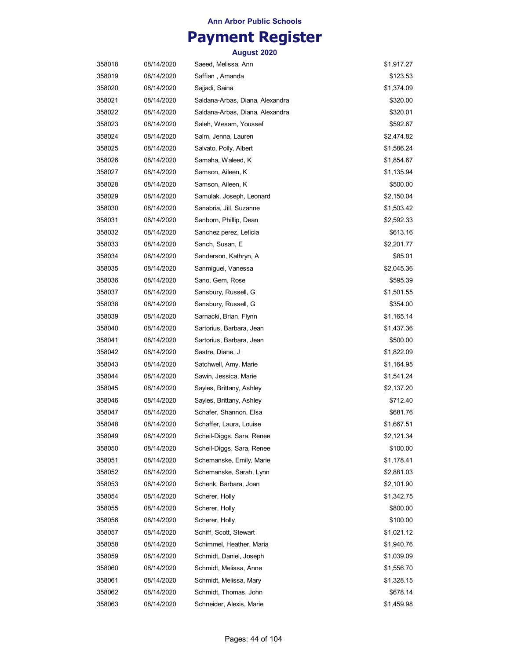## **Payment Register**

| 358018 | 08/14/2020 | Saeed, Melissa, Ann             | \$1,917.27 |
|--------|------------|---------------------------------|------------|
| 358019 | 08/14/2020 | Saffian , Amanda                | \$123.53   |
| 358020 | 08/14/2020 | Sajjadi, Saina                  | \$1,374.09 |
| 358021 | 08/14/2020 | Saldana-Arbas, Diana, Alexandra | \$320.00   |
| 358022 | 08/14/2020 | Saldana-Arbas, Diana, Alexandra | \$320.01   |
| 358023 | 08/14/2020 | Saleh, Wesam, Youssef           | \$592.67   |
| 358024 | 08/14/2020 | Salm, Jenna, Lauren             | \$2,474.82 |
| 358025 | 08/14/2020 | Salvato, Polly, Albert          | \$1,586.24 |
| 358026 | 08/14/2020 | Samaha, Waleed, K               | \$1,854.67 |
| 358027 | 08/14/2020 | Samson, Aileen, K               | \$1,135.94 |
| 358028 | 08/14/2020 | Samson, Aileen, K               | \$500.00   |
| 358029 | 08/14/2020 | Samulak, Joseph, Leonard        | \$2,150.04 |
| 358030 | 08/14/2020 | Sanabria, Jill, Suzanne         | \$1,503.42 |
| 358031 | 08/14/2020 | Sanborn, Phillip, Dean          | \$2,592.33 |
| 358032 | 08/14/2020 | Sanchez perez, Leticia          | \$613.16   |
| 358033 | 08/14/2020 | Sanch, Susan, E                 | \$2,201.77 |
| 358034 | 08/14/2020 | Sanderson, Kathryn, A           | \$85.01    |
| 358035 | 08/14/2020 | Sanmiguel, Vanessa              | \$2,045.36 |
| 358036 | 08/14/2020 | Sano, Gem, Rose                 | \$595.39   |
| 358037 | 08/14/2020 | Sansbury, Russell, G            | \$1,501.55 |
| 358038 | 08/14/2020 | Sansbury, Russell, G            | \$354.00   |
| 358039 | 08/14/2020 | Sarnacki, Brian, Flynn          | \$1,165.14 |
| 358040 | 08/14/2020 | Sartorius, Barbara, Jean        | \$1,437.36 |
| 358041 | 08/14/2020 | Sartorius, Barbara, Jean        | \$500.00   |
| 358042 | 08/14/2020 | Sastre, Diane, J                | \$1,822.09 |
| 358043 | 08/14/2020 | Satchwell, Amy, Marie           | \$1,164.95 |
| 358044 | 08/14/2020 | Sawin, Jessica, Marie           | \$1,541.24 |
| 358045 | 08/14/2020 | Sayles, Brittany, Ashley        | \$2,137.20 |
| 358046 | 08/14/2020 | Sayles, Brittany, Ashley        | \$712.40   |
| 358047 | 08/14/2020 | Schafer, Shannon, Elsa          | \$681.76   |
| 358048 | 08/14/2020 | Schaffer, Laura, Louise         | \$1,667.51 |
| 358049 | 08/14/2020 | Scheil-Diggs, Sara, Renee       | \$2,121.34 |
| 358050 | 08/14/2020 | Scheil-Diggs, Sara, Renee       | \$100.00   |
| 358051 | 08/14/2020 | Schemanske, Emily, Marie        | \$1,178.41 |
| 358052 | 08/14/2020 | Schemanske, Sarah, Lynn         | \$2,881.03 |
| 358053 | 08/14/2020 | Schenk, Barbara, Joan           | \$2,101.90 |
| 358054 | 08/14/2020 | Scherer, Holly                  | \$1,342.75 |
| 358055 | 08/14/2020 | Scherer, Holly                  | \$800.00   |
| 358056 | 08/14/2020 | Scherer, Holly                  | \$100.00   |
| 358057 | 08/14/2020 | Schiff, Scott, Stewart          | \$1,021.12 |
| 358058 | 08/14/2020 | Schimmel, Heather, Maria        | \$1,940.76 |
| 358059 | 08/14/2020 | Schmidt, Daniel, Joseph         | \$1,039.09 |
| 358060 | 08/14/2020 | Schmidt, Melissa, Anne          | \$1,556.70 |
| 358061 | 08/14/2020 | Schmidt, Melissa, Mary          | \$1,328.15 |
| 358062 | 08/14/2020 | Schmidt, Thomas, John           | \$678.14   |
| 358063 | 08/14/2020 | Schneider, Alexis, Marie        | \$1,459.98 |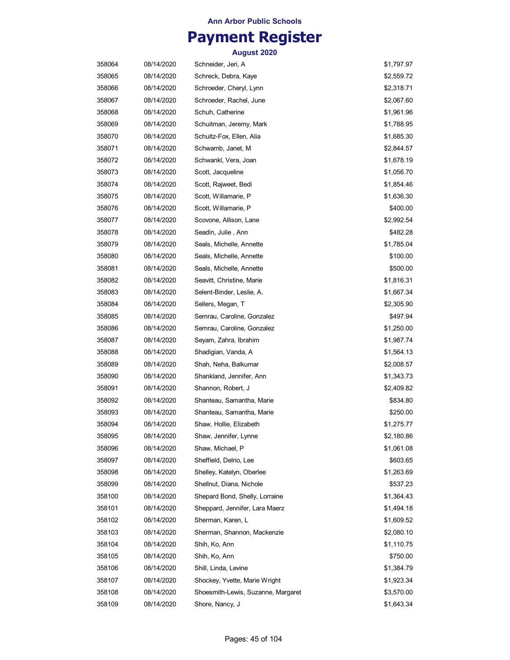## **Payment Register**

| 358064 | 08/14/2020 | Schneider, Jeri, A                 | \$1,797.97 |
|--------|------------|------------------------------------|------------|
| 358065 | 08/14/2020 | Schreck, Debra, Kaye               | \$2,559.72 |
| 358066 | 08/14/2020 | Schroeder, Cheryl, Lynn            | \$2,318.71 |
| 358067 | 08/14/2020 | Schroeder, Rachel, June            | \$2,067.60 |
| 358068 | 08/14/2020 | Schuh, Catherine                   | \$1,961.96 |
| 358069 | 08/14/2020 | Schuitman, Jeremy, Mark            | \$1,788.95 |
| 358070 | 08/14/2020 | Schultz-Fox, Ellen, Alia           | \$1,685.30 |
| 358071 | 08/14/2020 | Schwamb, Janet, M                  | \$2,844.57 |
| 358072 | 08/14/2020 | Schwankl, Vera, Joan               | \$1,678.19 |
| 358073 | 08/14/2020 | Scott, Jacqueline                  | \$1,056.70 |
| 358074 | 08/14/2020 | Scott, Rajweet, Bedi               | \$1,854.46 |
| 358075 | 08/14/2020 | Scott, Willamarie, P               | \$1,636.30 |
| 358076 | 08/14/2020 | Scott, Willamarie, P               | \$400.00   |
| 358077 | 08/14/2020 | Scovone, Allison, Lane             | \$2,992.54 |
| 358078 | 08/14/2020 | Seadin, Julie, Ann                 | \$482.28   |
| 358079 | 08/14/2020 | Seals, Michelle, Annette           | \$1,785.04 |
| 358080 | 08/14/2020 | Seals, Michelle, Annette           | \$100.00   |
| 358081 | 08/14/2020 | Seals, Michelle, Annette           | \$500.00   |
| 358082 | 08/14/2020 | Seavitt, Christine, Marie          | \$1,816.31 |
| 358083 | 08/14/2020 | Selent-Binder, Leslie, A.          | \$1,667.34 |
| 358084 | 08/14/2020 | Sellers, Megan, T                  | \$2,305.90 |
| 358085 | 08/14/2020 | Semrau, Caroline, Gonzalez         | \$497.94   |
| 358086 | 08/14/2020 | Semrau, Caroline, Gonzalez         | \$1,250.00 |
| 358087 | 08/14/2020 | Seyam, Zahra, Ibrahim              | \$1,987.74 |
| 358088 | 08/14/2020 | Shadigian, Vanda, A                | \$1,564.13 |
| 358089 | 08/14/2020 | Shah, Neha, Balkumar               | \$2,008.57 |
| 358090 | 08/14/2020 | Shankland, Jennifer, Ann           | \$1,343.73 |
| 358091 | 08/14/2020 | Shannon, Robert, J                 | \$2,409.82 |
| 358092 | 08/14/2020 | Shanteau, Samantha, Marie          | \$834.80   |
| 358093 | 08/14/2020 | Shanteau, Samantha, Marie          | \$250.00   |
| 358094 | 08/14/2020 | Shaw, Hollie, Elizabeth            | \$1,275.77 |
| 358095 | 08/14/2020 | Shaw, Jennifer, Lynne              | \$2,180.86 |
| 358096 | 08/14/2020 | Shaw, Michael, P                   | \$1,061.08 |
| 358097 | 08/14/2020 | Sheffield, Delrio, Lee             | \$603.65   |
| 358098 | 08/14/2020 | Shelley, Katelyn, Oberlee          | \$1,263.69 |
| 358099 | 08/14/2020 | Shellnut, Diana, Nichole           | \$537.23   |
| 358100 | 08/14/2020 | Shepard Bond, Shelly, Lorraine     | \$1,364.43 |
| 358101 | 08/14/2020 | Sheppard, Jennifer, Lara Maerz     | \$1,494.18 |
| 358102 | 08/14/2020 | Sherman, Karen, L                  | \$1,609.52 |
| 358103 | 08/14/2020 | Sherman, Shannon, Mackenzie        | \$2,080.10 |
| 358104 | 08/14/2020 | Shih, Ko, Ann                      | \$1,110.75 |
| 358105 | 08/14/2020 | Shih, Ko, Ann                      | \$750.00   |
| 358106 | 08/14/2020 | Shill, Linda, Levine               | \$1,384.79 |
| 358107 | 08/14/2020 | Shockey, Yvette, Marie Wright      | \$1,923.34 |
| 358108 | 08/14/2020 | Shoesmith-Lewis, Suzanne, Margaret | \$3,570.00 |
| 358109 | 08/14/2020 | Shore, Nancy, J                    | \$1,643.34 |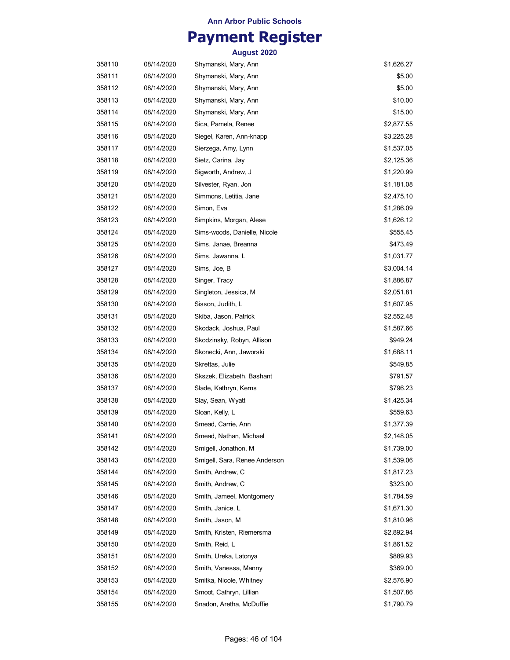## **Payment Register**

| 358110 | 08/14/2020 | Shymanski, Mary, Ann          | \$1,626.27 |
|--------|------------|-------------------------------|------------|
| 358111 | 08/14/2020 | Shymanski, Mary, Ann          | \$5.00     |
| 358112 | 08/14/2020 | Shymanski, Mary, Ann          | \$5.00     |
| 358113 | 08/14/2020 | Shymanski, Mary, Ann          | \$10.00    |
| 358114 | 08/14/2020 | Shymanski, Mary, Ann          | \$15.00    |
| 358115 | 08/14/2020 | Sica, Pamela, Renee           | \$2,877.55 |
| 358116 | 08/14/2020 | Siegel, Karen, Ann-knapp      | \$3,225.28 |
| 358117 | 08/14/2020 | Sierzega, Amy, Lynn           | \$1,537.05 |
| 358118 | 08/14/2020 | Sietz, Carina, Jay            | \$2,125.36 |
| 358119 | 08/14/2020 | Sigworth, Andrew, J           | \$1,220.99 |
| 358120 | 08/14/2020 | Silvester, Ryan, Jon          | \$1,181.08 |
| 358121 | 08/14/2020 | Simmons, Letitia, Jane        | \$2,475.10 |
| 358122 | 08/14/2020 | Simon, Eva                    | \$1,286.09 |
| 358123 | 08/14/2020 | Simpkins, Morgan, Alese       | \$1,626.12 |
| 358124 | 08/14/2020 | Sims-woods, Danielle, Nicole  | \$555.45   |
| 358125 | 08/14/2020 | Sims, Janae, Breanna          | \$473.49   |
| 358126 | 08/14/2020 | Sims, Jawanna, L              | \$1,031.77 |
| 358127 | 08/14/2020 | Sims, Joe, B                  | \$3,004.14 |
| 358128 | 08/14/2020 | Singer, Tracy                 | \$1,886.87 |
| 358129 | 08/14/2020 | Singleton, Jessica, M         | \$2,051.81 |
| 358130 | 08/14/2020 | Sisson, Judith, L             | \$1,607.95 |
| 358131 | 08/14/2020 | Skiba, Jason, Patrick         | \$2,552.48 |
| 358132 | 08/14/2020 | Skodack, Joshua, Paul         | \$1,587.66 |
| 358133 | 08/14/2020 | Skodzinsky, Robyn, Allison    | \$949.24   |
| 358134 | 08/14/2020 | Skonecki, Ann, Jaworski       | \$1,688.11 |
| 358135 | 08/14/2020 | Skrettas, Julie               | \$549.85   |
| 358136 | 08/14/2020 | Skszek, Elizabeth, Bashant    | \$791.57   |
| 358137 | 08/14/2020 | Slade, Kathryn, Kerns         | \$796.23   |
| 358138 | 08/14/2020 | Slay, Sean, Wyatt             | \$1,425.34 |
| 358139 | 08/14/2020 | Sloan, Kelly, L               | \$559.63   |
| 358140 | 08/14/2020 | Smead, Carrie, Ann            | \$1,377.39 |
| 358141 | 08/14/2020 | Smead, Nathan, Michael        | \$2,148.05 |
| 358142 | 08/14/2020 | Smigell, Jonathon, M          | \$1,739.00 |
| 358143 | 08/14/2020 | Smigell, Sara, Renee Anderson | \$1,539.06 |
| 358144 | 08/14/2020 | Smith, Andrew, C              | \$1,817.23 |
| 358145 | 08/14/2020 | Smith, Andrew, C              | \$323.00   |
| 358146 | 08/14/2020 | Smith, Jameel, Montgomery     | \$1,784.59 |
| 358147 | 08/14/2020 | Smith, Janice, L              | \$1,671.30 |
| 358148 | 08/14/2020 | Smith, Jason, M               | \$1,810.96 |
| 358149 | 08/14/2020 | Smith, Kristen, Riemersma     | \$2,892.94 |
| 358150 | 08/14/2020 | Smith, Reid, L                | \$1,861.52 |
| 358151 | 08/14/2020 | Smith, Ureka, Latonya         | \$889.93   |
| 358152 | 08/14/2020 | Smith, Vanessa, Manny         | \$369.00   |
| 358153 | 08/14/2020 | Smitka, Nicole, Whitney       | \$2,576.90 |
| 358154 | 08/14/2020 | Smoot, Cathryn, Lillian       | \$1,507.86 |
| 358155 | 08/14/2020 | Snadon, Aretha, McDuffie      | \$1,790.79 |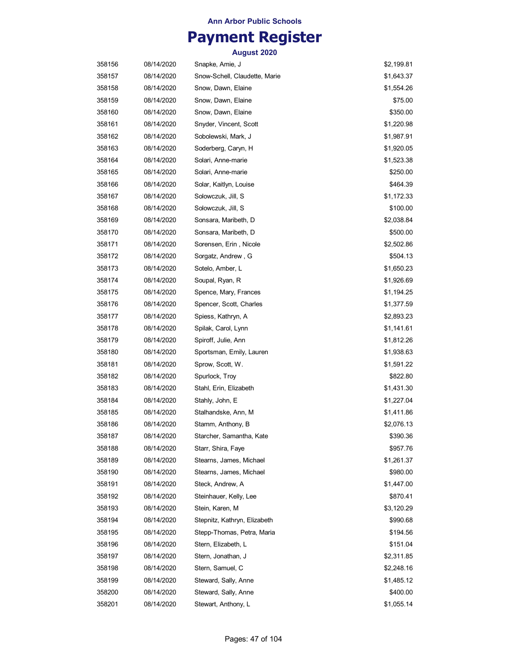# **Payment Register**

| 358156 | 08/14/2020 | Snapke, Amie, J               | \$2,199.81 |
|--------|------------|-------------------------------|------------|
| 358157 | 08/14/2020 | Snow-Schell, Claudette, Marie | \$1,643.37 |
| 358158 | 08/14/2020 | Snow, Dawn, Elaine            | \$1,554.26 |
| 358159 | 08/14/2020 | Snow, Dawn, Elaine            | \$75.00    |
| 358160 | 08/14/2020 | Snow, Dawn, Elaine            | \$350.00   |
| 358161 | 08/14/2020 | Snyder, Vincent, Scott        | \$1,220.98 |
| 358162 | 08/14/2020 | Sobolewski, Mark, J           | \$1,987.91 |
| 358163 | 08/14/2020 | Soderberg, Caryn, H           | \$1,920.05 |
| 358164 | 08/14/2020 | Solari, Anne-marie            | \$1,523.38 |
| 358165 | 08/14/2020 | Solari, Anne-marie            | \$250.00   |
| 358166 | 08/14/2020 | Solar, Kaitlyn, Louise        | \$464.39   |
| 358167 | 08/14/2020 | Solowczuk, Jill, S            | \$1,172.33 |
| 358168 | 08/14/2020 | Solowczuk, Jill, S            | \$100.00   |
| 358169 | 08/14/2020 | Sonsara, Maribeth, D          | \$2,038.84 |
| 358170 | 08/14/2020 | Sonsara, Maribeth, D          | \$500.00   |
| 358171 | 08/14/2020 | Sorensen, Erin, Nicole        | \$2,502.86 |
| 358172 | 08/14/2020 | Sorgatz, Andrew, G            | \$504.13   |
| 358173 | 08/14/2020 | Sotelo, Amber, L              | \$1,650.23 |
| 358174 | 08/14/2020 | Soupal, Ryan, R               | \$1,926.69 |
| 358175 | 08/14/2020 | Spence, Mary, Frances         | \$1,194.25 |
| 358176 | 08/14/2020 | Spencer, Scott, Charles       | \$1,377.59 |
| 358177 | 08/14/2020 | Spiess, Kathryn, A            | \$2,893.23 |
| 358178 | 08/14/2020 | Spilak, Carol, Lynn           | \$1,141.61 |
| 358179 | 08/14/2020 | Spiroff, Julie, Ann           | \$1,812.26 |
| 358180 | 08/14/2020 | Sportsman, Emily, Lauren      | \$1,938.63 |
| 358181 | 08/14/2020 | Sprow, Scott, W.              | \$1,591.22 |
| 358182 | 08/14/2020 | Spurlock, Troy                | \$822.80   |
| 358183 | 08/14/2020 | Stahl, Erin, Elizabeth        | \$1,431.30 |
| 358184 | 08/14/2020 | Stahly, John, E               | \$1,227.04 |
| 358185 | 08/14/2020 | Stalhandske, Ann, M           | \$1,411.86 |
| 358186 | 08/14/2020 | Stamm, Anthony, B             | \$2,076.13 |
| 358187 | 08/14/2020 | Starcher, Samantha, Kate      | \$390.36   |
| 358188 | 08/14/2020 | Starr, Shira, Faye            | \$957.76   |
| 358189 | 08/14/2020 | Stearns, James, Michael       | \$1,261.37 |
| 358190 | 08/14/2020 | Stearns, James, Michael       | \$980.00   |
| 358191 | 08/14/2020 | Steck, Andrew, A              | \$1,447.00 |
| 358192 | 08/14/2020 | Steinhauer, Kelly, Lee        | \$870.41   |
| 358193 | 08/14/2020 | Stein, Karen, M               | \$3,120.29 |
| 358194 | 08/14/2020 | Stepnitz, Kathryn, Elizabeth  | \$990.68   |
| 358195 | 08/14/2020 | Stepp-Thomas, Petra, Maria    | \$194.56   |
| 358196 | 08/14/2020 | Stern, Elizabeth, L           | \$151.04   |
| 358197 | 08/14/2020 | Stern, Jonathan, J            | \$2,311.85 |
| 358198 | 08/14/2020 | Stern, Samuel, C              | \$2,248.16 |
| 358199 | 08/14/2020 | Steward, Sally, Anne          | \$1,485.12 |
| 358200 | 08/14/2020 | Steward, Sally, Anne          | \$400.00   |
| 358201 | 08/14/2020 | Stewart, Anthony, L           | \$1,055.14 |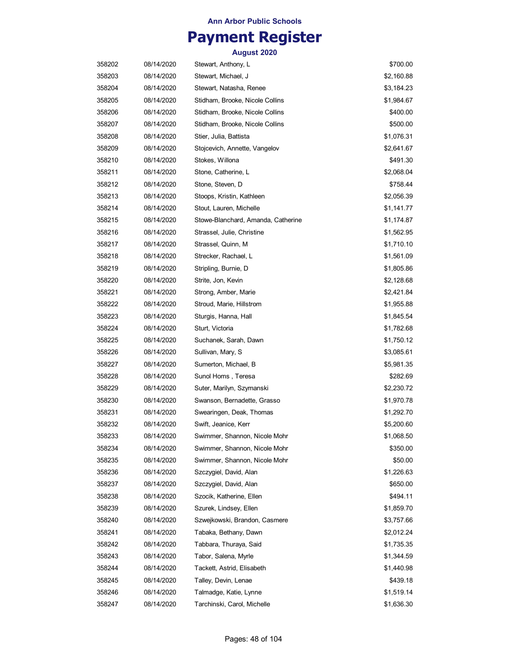## **Payment Register**

| 358202 | 08/14/2020 | Stewart, Anthony, L                | \$700.00   |
|--------|------------|------------------------------------|------------|
| 358203 | 08/14/2020 | Stewart, Michael, J                | \$2,160.88 |
| 358204 | 08/14/2020 | Stewart, Natasha, Renee            | \$3,184.23 |
| 358205 | 08/14/2020 | Stidham, Brooke, Nicole Collins    | \$1,984.67 |
| 358206 | 08/14/2020 | Stidham, Brooke, Nicole Collins    | \$400.00   |
| 358207 | 08/14/2020 | Stidham, Brooke, Nicole Collins    | \$500.00   |
| 358208 | 08/14/2020 | Stier, Julia, Battista             | \$1,076.31 |
| 358209 | 08/14/2020 | Stojcevich, Annette, Vangelov      | \$2,641.67 |
| 358210 | 08/14/2020 | Stokes, Willona                    | \$491.30   |
| 358211 | 08/14/2020 | Stone, Catherine, L                | \$2,068.04 |
| 358212 | 08/14/2020 | Stone, Steven, D                   | \$758.44   |
| 358213 | 08/14/2020 | Stoops, Kristin, Kathleen          | \$2,056.39 |
| 358214 | 08/14/2020 | Stout, Lauren, Michelle            | \$1,141.77 |
| 358215 | 08/14/2020 | Stowe-Blanchard, Amanda, Catherine | \$1,174.87 |
| 358216 | 08/14/2020 | Strassel, Julie, Christine         | \$1,562.95 |
| 358217 | 08/14/2020 | Strassel, Quinn, M                 | \$1,710.10 |
| 358218 | 08/14/2020 | Strecker, Rachael, L               | \$1,561.09 |
| 358219 | 08/14/2020 | Stripling, Burnie, D               | \$1,805.86 |
| 358220 | 08/14/2020 | Strite, Jon, Kevin                 | \$2,128.68 |
| 358221 | 08/14/2020 | Strong, Amber, Marie               | \$2,421.84 |
| 358222 | 08/14/2020 | Stroud, Marie, Hillstrom           | \$1,955.88 |
| 358223 | 08/14/2020 | Sturgis, Hanna, Hall               | \$1,845.54 |
| 358224 | 08/14/2020 | Sturt, Victoria                    | \$1,782.68 |
| 358225 | 08/14/2020 | Suchanek, Sarah, Dawn              | \$1,750.12 |
| 358226 | 08/14/2020 | Sullivan, Mary, S                  | \$3,085.61 |
| 358227 | 08/14/2020 | Sumerton, Michael, B               | \$5,981.35 |
| 358228 | 08/14/2020 | Sunol Homs, Teresa                 | \$282.69   |
| 358229 | 08/14/2020 | Suter, Marilyn, Szymanski          | \$2,230.72 |
| 358230 | 08/14/2020 | Swanson, Bernadette, Grasso        | \$1,970.78 |
| 358231 | 08/14/2020 | Swearingen, Deak, Thomas           | \$1,292.70 |
| 358232 | 08/14/2020 | Swift, Jeanice, Kerr               | \$5,200.60 |
| 358233 | 08/14/2020 | Swimmer, Shannon, Nicole Mohr      | \$1,068.50 |
| 358234 | 08/14/2020 | Swimmer, Shannon, Nicole Mohr      | \$350.00   |
| 358235 | 08/14/2020 | Swimmer, Shannon, Nicole Mohr      | \$50.00    |
| 358236 | 08/14/2020 | Szczygiel, David, Alan             | \$1,226.63 |
| 358237 | 08/14/2020 | Szczygiel, David, Alan             | \$650.00   |
| 358238 | 08/14/2020 | Szocik, Katherine, Ellen           | \$494.11   |
| 358239 | 08/14/2020 | Szurek, Lindsey, Ellen             | \$1,859.70 |
| 358240 | 08/14/2020 | Szwejkowski, Brandon, Casmere      | \$3,757.66 |
| 358241 | 08/14/2020 | Tabaka, Bethany, Dawn              | \$2,012.24 |
| 358242 | 08/14/2020 | Tabbara, Thuraya, Said             | \$1,735.35 |
| 358243 | 08/14/2020 | Tabor, Salena, Myrle               | \$1,344.59 |
| 358244 | 08/14/2020 | Tackett, Astrid, Elisabeth         | \$1,440.98 |
| 358245 | 08/14/2020 | Talley, Devin, Lenae               | \$439.18   |
| 358246 | 08/14/2020 | Talmadge, Katie, Lynne             | \$1,519.14 |
| 358247 | 08/14/2020 | Tarchinski, Carol, Michelle        | \$1,636.30 |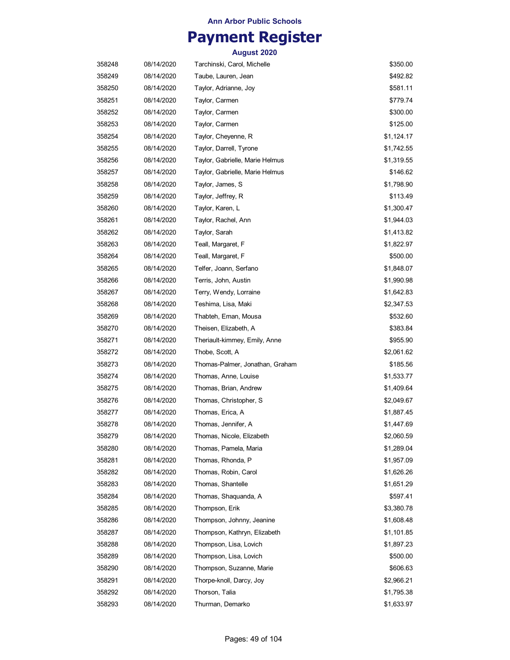## **Payment Register**

| 358248 | 08/14/2020 | Tarchinski, Carol, Michelle     | \$350.00   |
|--------|------------|---------------------------------|------------|
| 358249 | 08/14/2020 | Taube, Lauren, Jean             | \$492.82   |
| 358250 | 08/14/2020 | Taylor, Adrianne, Joy           | \$581.11   |
| 358251 | 08/14/2020 | Taylor, Carmen                  | \$779.74   |
| 358252 | 08/14/2020 | Taylor, Carmen                  | \$300.00   |
| 358253 | 08/14/2020 | Taylor, Carmen                  | \$125.00   |
| 358254 | 08/14/2020 | Taylor, Cheyenne, R             | \$1,124.17 |
| 358255 | 08/14/2020 | Taylor, Darrell, Tyrone         | \$1,742.55 |
| 358256 | 08/14/2020 | Taylor, Gabrielle, Marie Helmus | \$1,319.55 |
| 358257 | 08/14/2020 | Taylor, Gabrielle, Marie Helmus | \$146.62   |
| 358258 | 08/14/2020 | Taylor, James, S                | \$1,798.90 |
| 358259 | 08/14/2020 | Taylor, Jeffrey, R              | \$113.49   |
| 358260 | 08/14/2020 | Taylor, Karen, L                | \$1,300.47 |
| 358261 | 08/14/2020 | Taylor, Rachel, Ann             | \$1,944.03 |
| 358262 | 08/14/2020 | Taylor, Sarah                   | \$1,413.82 |
| 358263 | 08/14/2020 | Teall, Margaret, F              | \$1,822.97 |
| 358264 | 08/14/2020 | Teall, Margaret, F              | \$500.00   |
| 358265 | 08/14/2020 | Telfer, Joann, Serfano          | \$1,848.07 |
| 358266 | 08/14/2020 | Terris, John, Austin            | \$1,990.98 |
| 358267 | 08/14/2020 | Terry, Wendy, Lorraine          | \$1,642.83 |
| 358268 | 08/14/2020 | Teshima, Lisa, Maki             | \$2,347.53 |
| 358269 | 08/14/2020 | Thabteh, Eman, Mousa            | \$532.60   |
| 358270 | 08/14/2020 | Theisen, Elizabeth, A           | \$383.84   |
| 358271 | 08/14/2020 | Theriault-kimmey, Emily, Anne   | \$955.90   |
| 358272 | 08/14/2020 | Thobe, Scott, A                 | \$2,061.62 |
| 358273 | 08/14/2020 | Thomas-Palmer, Jonathan, Graham | \$185.56   |
| 358274 | 08/14/2020 | Thomas, Anne, Louise            | \$1,533.77 |
| 358275 | 08/14/2020 | Thomas, Brian, Andrew           | \$1,409.64 |
| 358276 | 08/14/2020 | Thomas, Christopher, S          | \$2,049.67 |
| 358277 | 08/14/2020 | Thomas, Erica, A                | \$1,887.45 |
| 358278 | 08/14/2020 | Thomas, Jennifer, A             | \$1,447.69 |
| 358279 | 08/14/2020 | Thomas, Nicole, Elizabeth       | \$2,060.59 |
| 358280 | 08/14/2020 | Thomas, Pamela, Maria           | \$1,289.04 |
| 358281 | 08/14/2020 | Thomas, Rhonda, P               | \$1,957.09 |
| 358282 | 08/14/2020 | Thomas, Robin, Carol            | \$1,626.26 |
| 358283 | 08/14/2020 | Thomas, Shantelle               | \$1,651.29 |
| 358284 | 08/14/2020 | Thomas, Shaquanda, A            | \$597.41   |
| 358285 | 08/14/2020 | Thompson, Erik                  | \$3,380.78 |
| 358286 | 08/14/2020 | Thompson, Johnny, Jeanine       | \$1,608.48 |
| 358287 | 08/14/2020 | Thompson, Kathryn, Elizabeth    | \$1,101.85 |
| 358288 | 08/14/2020 | Thompson, Lisa, Lovich          | \$1,897.23 |
| 358289 | 08/14/2020 | Thompson, Lisa, Lovich          | \$500.00   |
| 358290 | 08/14/2020 | Thompson, Suzanne, Marie        | \$606.63   |
| 358291 | 08/14/2020 | Thorpe-knoll, Darcy, Joy        | \$2,966.21 |
| 358292 | 08/14/2020 | Thorson, Talia                  | \$1,795.38 |
| 358293 | 08/14/2020 | Thurman, Demarko                | \$1,633.97 |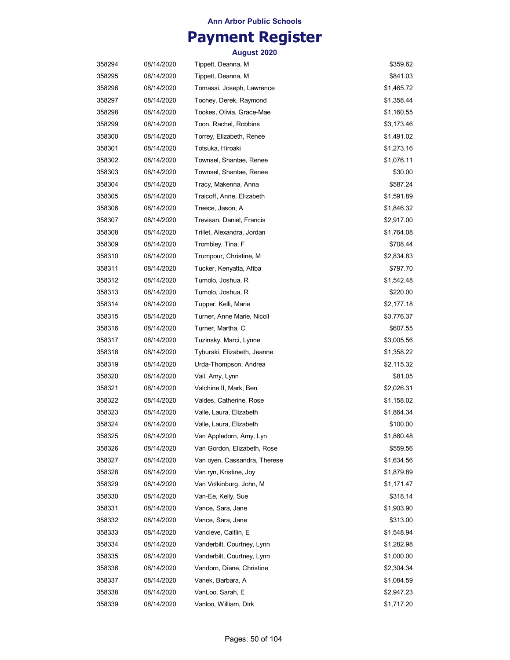## **Payment Register**

| 358294 | 08/14/2020 | Tippett, Deanna, M           | \$359.62   |
|--------|------------|------------------------------|------------|
| 358295 | 08/14/2020 | Tippett, Deanna, M           | \$841.03   |
| 358296 | 08/14/2020 | Tomassi, Joseph, Lawrence    | \$1,465.72 |
| 358297 | 08/14/2020 | Toohey, Derek, Raymond       | \$1,358.44 |
| 358298 | 08/14/2020 | Tookes, Olivia, Grace-Mae    | \$1,160.55 |
| 358299 | 08/14/2020 | Toon, Rachel, Robbins        | \$3,173.46 |
| 358300 | 08/14/2020 | Torrey, Elizabeth, Renee     | \$1,491.02 |
| 358301 | 08/14/2020 | Totsuka, Hiroaki             | \$1,273.16 |
| 358302 | 08/14/2020 | Townsel, Shantae, Renee      | \$1,076.11 |
| 358303 | 08/14/2020 | Townsel, Shantae, Renee      | \$30.00    |
| 358304 | 08/14/2020 | Tracy, Makenna, Anna         | \$587.24   |
| 358305 | 08/14/2020 | Traicoff, Anne, Elizabeth    | \$1,591.89 |
| 358306 | 08/14/2020 | Treece, Jason, A             | \$1,846.32 |
| 358307 | 08/14/2020 | Trevisan, Daniel, Francis    | \$2,917.00 |
| 358308 | 08/14/2020 | Trillet, Alexandra, Jordan   | \$1,764.08 |
| 358309 | 08/14/2020 | Trombley, Tina, F            | \$708.44   |
| 358310 | 08/14/2020 | Trumpour, Christine, M.      | \$2,834.83 |
| 358311 | 08/14/2020 | Tucker, Kenyatta, Afiba      | \$797.70   |
| 358312 | 08/14/2020 | Tumolo, Joshua, R            | \$1,542.48 |
| 358313 | 08/14/2020 | Tumolo, Joshua, R            | \$220.00   |
| 358314 | 08/14/2020 | Tupper, Kelli, Marie         | \$2,177.18 |
| 358315 | 08/14/2020 | Turner, Anne Marie, Nicoll   | \$3,776.37 |
| 358316 | 08/14/2020 | Turner, Martha, C            | \$607.55   |
| 358317 | 08/14/2020 | Tuzinsky, Marci, Lynne       | \$3,005.56 |
| 358318 | 08/14/2020 | Tyburski, Elizabeth, Jeanne  | \$1,358.22 |
| 358319 | 08/14/2020 | Urda-Thompson, Andrea        | \$2,115.32 |
| 358320 | 08/14/2020 | Vail, Amy, Lynn              | \$81.05    |
| 358321 | 08/14/2020 | Valchine II, Mark, Ben       | \$2,026.31 |
| 358322 | 08/14/2020 | Valdes, Catherine, Rose      | \$1,158.02 |
| 358323 | 08/14/2020 | Valle, Laura, Elizabeth      | \$1,864.34 |
| 358324 | 08/14/2020 | Valle, Laura, Elizabeth      | \$100.00   |
| 358325 | 08/14/2020 | Van Appledorn, Amy, Lyn      | \$1,860.48 |
| 358326 | 08/14/2020 | Van Gordon, Elizabeth, Rose  | \$559.56   |
| 358327 | 08/14/2020 | Van oyen, Cassandra, Therese | \$1,634.56 |
| 358328 | 08/14/2020 | Van ryn, Kristine, Joy       | \$1,879.89 |
| 358329 | 08/14/2020 | Van Volkinburg, John, M      | \$1,171.47 |
| 358330 | 08/14/2020 | Van-Ee, Kelly, Sue           | \$318.14   |
| 358331 | 08/14/2020 | Vance, Sara, Jane            | \$1,903.90 |
| 358332 | 08/14/2020 | Vance, Sara, Jane            | \$313.00   |
| 358333 | 08/14/2020 | Vancleve, Caitlin, E         | \$1,548.94 |
| 358334 | 08/14/2020 | Vanderbilt, Courtney, Lynn   | \$1,282.98 |
| 358335 | 08/14/2020 | Vanderbilt, Courtney, Lynn   | \$1,000.00 |
| 358336 | 08/14/2020 | Vandorn, Diane, Christine    | \$2,304.34 |
| 358337 | 08/14/2020 | Vanek, Barbara, A            | \$1,084.59 |
| 358338 | 08/14/2020 | VanLoo, Sarah, E             | \$2,947.23 |
| 358339 | 08/14/2020 | Vanloo, William, Dirk        | \$1,717.20 |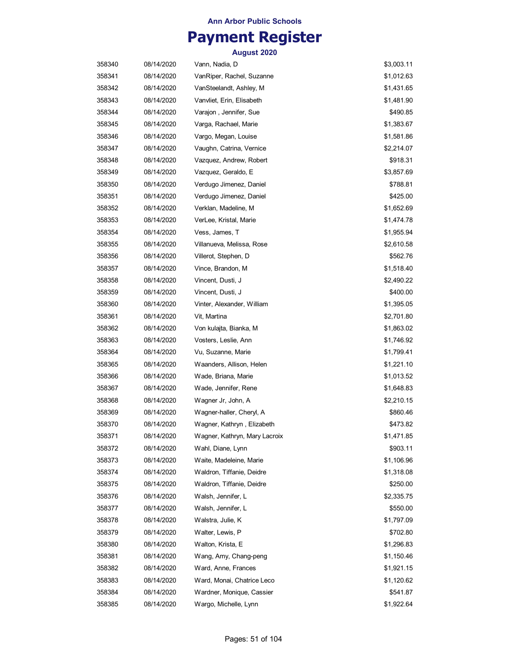## **Payment Register**

| 358340 | 08/14/2020 | Vann, Nadia, D                | \$3,003.11 |
|--------|------------|-------------------------------|------------|
| 358341 | 08/14/2020 | VanRiper, Rachel, Suzanne     | \$1,012.63 |
| 358342 | 08/14/2020 | VanSteelandt, Ashley, M       | \$1,431.65 |
| 358343 | 08/14/2020 | Vanvliet, Erin, Elisabeth     | \$1,481.90 |
| 358344 | 08/14/2020 | Varajon, Jennifer, Sue        | \$490.85   |
| 358345 | 08/14/2020 | Varga, Rachael, Marie         | \$1,383.67 |
| 358346 | 08/14/2020 | Vargo, Megan, Louise          | \$1,581.86 |
| 358347 | 08/14/2020 | Vaughn, Catrina, Vernice      | \$2,214.07 |
| 358348 | 08/14/2020 | Vazquez, Andrew, Robert       | \$918.31   |
| 358349 | 08/14/2020 | Vazquez, Geraldo, E           | \$3,857.69 |
| 358350 | 08/14/2020 | Verdugo Jimenez, Daniel       | \$788.81   |
| 358351 | 08/14/2020 | Verdugo Jimenez, Daniel       | \$425.00   |
| 358352 | 08/14/2020 | Verklan, Madeline, M          | \$1,652.69 |
| 358353 | 08/14/2020 | VerLee, Kristal, Marie        | \$1,474.78 |
| 358354 | 08/14/2020 | Vess, James, T                | \$1,955.94 |
| 358355 | 08/14/2020 | Villanueva, Melissa, Rose     | \$2,610.58 |
| 358356 | 08/14/2020 | Villerot, Stephen, D          | \$562.76   |
| 358357 | 08/14/2020 | Vince, Brandon, M             | \$1,518.40 |
| 358358 | 08/14/2020 | Vincent, Dusti, J             | \$2,490.22 |
| 358359 | 08/14/2020 | Vincent, Dusti, J             | \$400.00   |
| 358360 | 08/14/2020 | Vinter, Alexander, William    | \$1,395.05 |
| 358361 | 08/14/2020 | Vit, Martina                  | \$2,701.80 |
| 358362 | 08/14/2020 | Von kulajta, Bianka, M        | \$1,863.02 |
| 358363 | 08/14/2020 | Vosters, Leslie, Ann          | \$1,746.92 |
| 358364 | 08/14/2020 | Vu, Suzanne, Marie            | \$1,799.41 |
| 358365 | 08/14/2020 | Waanders, Allison, Helen      | \$1,221.10 |
| 358366 | 08/14/2020 | Wade, Briana, Marie           | \$1,013.52 |
| 358367 | 08/14/2020 | Wade, Jennifer, Rene          | \$1,648.83 |
| 358368 | 08/14/2020 | Wagner Jr, John, A            | \$2,210.15 |
| 358369 | 08/14/2020 | Wagner-haller, Cheryl, A      | \$860.46   |
| 358370 | 08/14/2020 | Wagner, Kathryn , Elizabeth   | \$473.82   |
| 358371 | 08/14/2020 | Wagner, Kathryn, Mary Lacroix | \$1,471.85 |
| 358372 | 08/14/2020 | Wahl, Diane, Lynn             | \$903.11   |
| 358373 | 08/14/2020 | Waite, Madeleine, Marie       | \$1,106.96 |
| 358374 | 08/14/2020 | Waldron, Tiffanie, Deidre     | \$1,318.08 |
| 358375 | 08/14/2020 | Waldron, Tiffanie, Deidre     | \$250.00   |
| 358376 | 08/14/2020 | Walsh, Jennifer, L            | \$2,335.75 |
| 358377 | 08/14/2020 | Walsh, Jennifer, L            | \$550.00   |
| 358378 | 08/14/2020 | Walstra, Julie, K             | \$1,797.09 |
| 358379 | 08/14/2020 | Walter, Lewis, P              | \$702.80   |
| 358380 | 08/14/2020 | Walton, Krista, E             | \$1,296.83 |
| 358381 | 08/14/2020 | Wang, Amy, Chang-peng         | \$1,150.46 |
| 358382 | 08/14/2020 | Ward, Anne, Frances           | \$1,921.15 |
| 358383 | 08/14/2020 | Ward, Monai, Chatrice Leco    | \$1,120.62 |
| 358384 | 08/14/2020 | Wardner, Monique, Cassier     | \$541.87   |
| 358385 | 08/14/2020 | Wargo, Michelle, Lynn         | \$1,922.64 |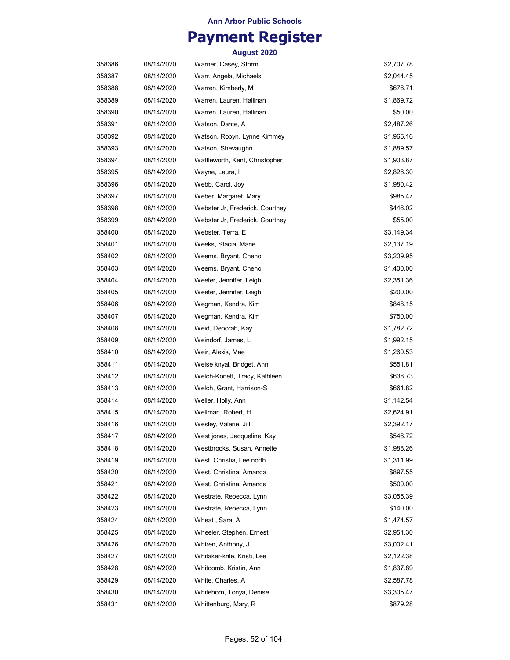## **Payment Register**

| 358386 | 08/14/2020 | Warner, Casey, Storm            | \$2,707.78 |
|--------|------------|---------------------------------|------------|
| 358387 | 08/14/2020 | Warr, Angela, Michaels          | \$2,044.45 |
| 358388 | 08/14/2020 | Warren, Kimberly, M             | \$676.71   |
| 358389 | 08/14/2020 | Warren, Lauren, Hallinan        | \$1,869.72 |
| 358390 | 08/14/2020 | Warren, Lauren, Hallinan        | \$50.00    |
| 358391 | 08/14/2020 | Watson, Dante, A                | \$2,487.26 |
| 358392 | 08/14/2020 | Watson, Robyn, Lynne Kimmey     | \$1,965.16 |
| 358393 | 08/14/2020 | Watson, Shevaughn               | \$1,889.57 |
| 358394 | 08/14/2020 | Wattleworth, Kent, Christopher  | \$1,903.87 |
| 358395 | 08/14/2020 | Wayne, Laura, I                 | \$2,826.30 |
| 358396 | 08/14/2020 | Webb, Carol, Joy                | \$1,980.42 |
| 358397 | 08/14/2020 | Weber, Margaret, Mary           | \$985.47   |
| 358398 | 08/14/2020 | Webster Jr, Frederick, Courtney | \$446.02   |
| 358399 | 08/14/2020 | Webster Jr, Frederick, Courtney | \$55.00    |
| 358400 | 08/14/2020 | Webster, Terra, E               | \$3,149.34 |
| 358401 | 08/14/2020 | Weeks, Stacia, Marie            | \$2,137.19 |
| 358402 | 08/14/2020 | Weems, Bryant, Cheno            | \$3,209.95 |
| 358403 | 08/14/2020 | Weems, Bryant, Cheno            | \$1,400.00 |
| 358404 | 08/14/2020 | Weeter, Jennifer, Leigh         | \$2,351.36 |
| 358405 | 08/14/2020 | Weeter, Jennifer, Leigh         | \$200.00   |
| 358406 | 08/14/2020 | Wegman, Kendra, Kim             | \$848.15   |
| 358407 | 08/14/2020 | Wegman, Kendra, Kim             | \$750.00   |
| 358408 | 08/14/2020 | Weid, Deborah, Kay              | \$1,782.72 |
| 358409 | 08/14/2020 | Weindorf, James, L              | \$1,992.15 |
| 358410 | 08/14/2020 | Weir, Alexis, Mae               | \$1,260.53 |
| 358411 | 08/14/2020 | Weise knyal, Bridget, Ann       | \$551.81   |
| 358412 | 08/14/2020 | Welch-Konett, Tracy, Kathleen   | \$638.73   |
| 358413 | 08/14/2020 | Welch, Grant, Harrison-S        | \$661.82   |
| 358414 | 08/14/2020 | Weller, Holly, Ann              | \$1,142.54 |
| 358415 | 08/14/2020 | Wellman, Robert, H              | \$2,624.91 |
| 358416 | 08/14/2020 | Wesley, Valerie, Jill           | \$2,392.17 |
| 358417 | 08/14/2020 | West jones, Jacqueline, Kay     | \$546.72   |
| 358418 | 08/14/2020 | Westbrooks, Susan, Annette      | \$1,988.26 |
| 358419 | 08/14/2020 | West, Christia, Lee north       | \$1,311.99 |
| 358420 | 08/14/2020 | West, Christina, Amanda         | \$897.55   |
| 358421 | 08/14/2020 | West, Christina, Amanda         | \$500.00   |
| 358422 | 08/14/2020 | Westrate, Rebecca, Lynn         | \$3,055.39 |
| 358423 | 08/14/2020 | Westrate, Rebecca, Lynn         | \$140.00   |
| 358424 | 08/14/2020 | Wheat, Sara, A                  | \$1,474.57 |
| 358425 | 08/14/2020 | Wheeler, Stephen, Ernest        | \$2,951.30 |
| 358426 | 08/14/2020 | Whiren, Anthony, J              | \$3,002.41 |
| 358427 | 08/14/2020 | Whitaker-krile, Kristi, Lee     | \$2,122.38 |
| 358428 | 08/14/2020 | Whitcomb, Kristin, Ann          | \$1,837.89 |
| 358429 | 08/14/2020 | White, Charles, A               | \$2,587.78 |
| 358430 | 08/14/2020 | Whitehorn, Tonya, Denise        | \$3,305.47 |
| 358431 | 08/14/2020 | Whittenburg, Mary, R            | \$879.28   |
|        |            |                                 |            |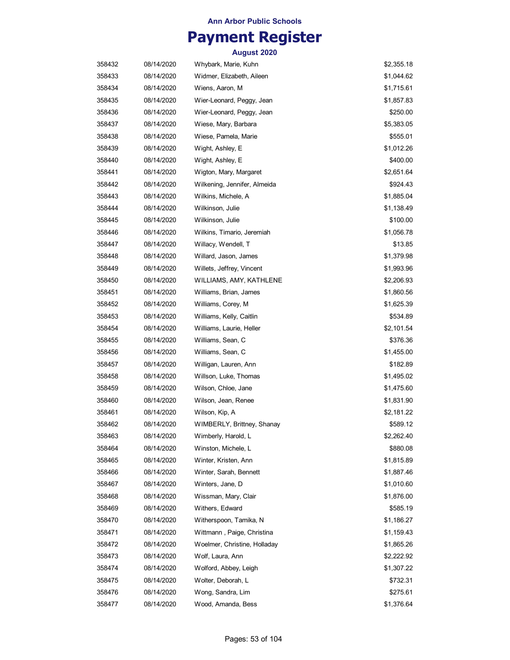## **Payment Register**

| 358432 | 08/14/2020 | Whybark, Marie, Kuhn         | \$2,355.18 |
|--------|------------|------------------------------|------------|
| 358433 | 08/14/2020 | Widmer, Elizabeth, Aileen    | \$1,044.62 |
| 358434 | 08/14/2020 | Wiens, Aaron, M              | \$1,715.61 |
| 358435 | 08/14/2020 | Wier-Leonard, Peggy, Jean    | \$1,857.83 |
| 358436 | 08/14/2020 | Wier-Leonard, Peggy, Jean    | \$250.00   |
| 358437 | 08/14/2020 | Wiese, Mary, Barbara         | \$5,383.05 |
| 358438 | 08/14/2020 | Wiese, Pamela, Marie         | \$555.01   |
| 358439 | 08/14/2020 | Wight, Ashley, E             | \$1,012.26 |
| 358440 | 08/14/2020 | Wight, Ashley, E             | \$400.00   |
| 358441 | 08/14/2020 | Wigton, Mary, Margaret       | \$2,651.64 |
| 358442 | 08/14/2020 | Wilkening, Jennifer, Almeida | \$924.43   |
| 358443 | 08/14/2020 | Wilkins, Michele, A          | \$1,885.04 |
| 358444 | 08/14/2020 | Wilkinson, Julie             | \$1,138.49 |
| 358445 | 08/14/2020 | Wilkinson, Julie             | \$100.00   |
| 358446 | 08/14/2020 | Wilkins, Timario, Jeremiah   | \$1,056.78 |
| 358447 | 08/14/2020 | Willacy, Wendell, T          | \$13.85    |
| 358448 | 08/14/2020 | Willard, Jason, James        | \$1,379.98 |
| 358449 | 08/14/2020 | Willets, Jeffrey, Vincent    | \$1,993.96 |
| 358450 | 08/14/2020 | WILLIAMS, AMY, KATHLENE      | \$2,206.93 |
| 358451 | 08/14/2020 | Williams, Brian, James       | \$1,860.56 |
| 358452 | 08/14/2020 | Williams, Corey, M           | \$1,625.39 |
| 358453 | 08/14/2020 | Williams, Kelly, Caitlin     | \$534.89   |
| 358454 | 08/14/2020 | Williams, Laurie, Heller     | \$2,101.54 |
| 358455 | 08/14/2020 | Williams, Sean, C            | \$376.36   |
| 358456 | 08/14/2020 | Williams, Sean, C            | \$1,455.00 |
| 358457 | 08/14/2020 | Willigan, Lauren, Ann        | \$182.89   |
| 358458 | 08/14/2020 | Willson, Luke, Thomas        | \$1,495.02 |
| 358459 | 08/14/2020 | Wilson, Chloe, Jane          | \$1,475.60 |
| 358460 | 08/14/2020 | Wilson, Jean, Renee          | \$1,831.90 |
| 358461 | 08/14/2020 | Wilson, Kip, A               | \$2,181.22 |
| 358462 | 08/14/2020 | WIMBERLY, Brittney, Shanay   | \$589.12   |
| 358463 | 08/14/2020 | Wimberly, Harold, L          | \$2,262.40 |
| 358464 | 08/14/2020 | Winston, Michele, L          | \$880.08   |
| 358465 | 08/14/2020 | Winter, Kristen, Ann         | \$1,815.89 |
| 358466 | 08/14/2020 | Winter, Sarah, Bennett       | \$1,887.46 |
| 358467 | 08/14/2020 | Winters, Jane, D             | \$1,010.60 |
| 358468 | 08/14/2020 | Wissman, Mary, Clair         | \$1,876.00 |
| 358469 | 08/14/2020 | Withers, Edward              | \$585.19   |
| 358470 | 08/14/2020 | Witherspoon, Tamika, N       | \$1,186.27 |
| 358471 | 08/14/2020 | Wittmann, Paige, Christina   | \$1,159.43 |
| 358472 | 08/14/2020 | Woelmer, Christine, Holladay | \$1,865.26 |
| 358473 | 08/14/2020 | Wolf, Laura, Ann             | \$2,222.92 |
| 358474 | 08/14/2020 | Wolford, Abbey, Leigh        | \$1,307.22 |
| 358475 | 08/14/2020 | Wolter, Deborah, L           | \$732.31   |
| 358476 | 08/14/2020 | Wong, Sandra, Lim            | \$275.61   |
| 358477 | 08/14/2020 | Wood, Amanda, Bess           | \$1,376.64 |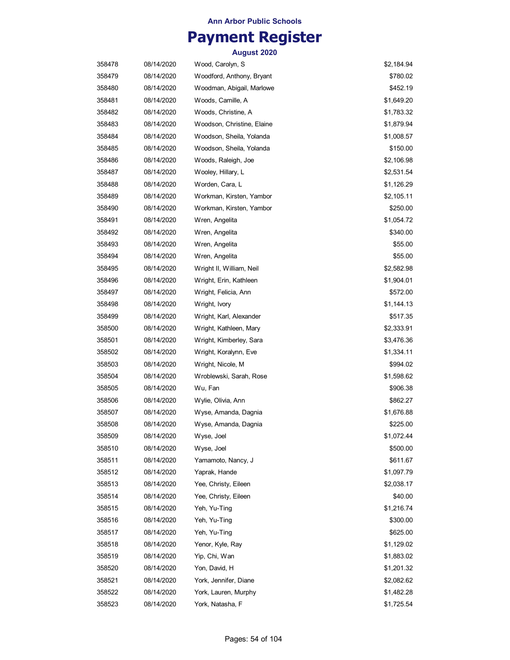## **Payment Register**

| 358478 | 08/14/2020 | Wood, Carolyn, S           | \$2,184.94 |
|--------|------------|----------------------------|------------|
| 358479 | 08/14/2020 | Woodford, Anthony, Bryant  | \$780.02   |
| 358480 | 08/14/2020 | Woodman, Abigail, Marlowe  | \$452.19   |
| 358481 | 08/14/2020 | Woods, Camille, A          | \$1,649.20 |
| 358482 | 08/14/2020 | Woods, Christine, A        | \$1,783.32 |
| 358483 | 08/14/2020 | Woodson, Christine, Elaine | \$1,879.94 |
| 358484 | 08/14/2020 | Woodson, Sheila, Yolanda   | \$1,008.57 |
| 358485 | 08/14/2020 | Woodson, Sheila, Yolanda   | \$150.00   |
| 358486 | 08/14/2020 | Woods, Raleigh, Joe        | \$2,106.98 |
| 358487 | 08/14/2020 | Wooley, Hillary, L         | \$2,531.54 |
| 358488 | 08/14/2020 | Worden, Cara, L            | \$1,126.29 |
| 358489 | 08/14/2020 | Workman, Kirsten, Yambor   | \$2,105.11 |
| 358490 | 08/14/2020 | Workman, Kirsten, Yambor   | \$250.00   |
| 358491 | 08/14/2020 | Wren, Angelita             | \$1,054.72 |
| 358492 | 08/14/2020 | Wren, Angelita             | \$340.00   |
| 358493 | 08/14/2020 | Wren, Angelita             | \$55.00    |
| 358494 | 08/14/2020 | Wren, Angelita             | \$55.00    |
| 358495 | 08/14/2020 | Wright II, William, Neil   | \$2,582.98 |
| 358496 | 08/14/2020 | Wright, Erin, Kathleen     | \$1,904.01 |
| 358497 | 08/14/2020 | Wright, Felicia, Ann       | \$572.00   |
| 358498 | 08/14/2020 | Wright, Ivory              | \$1,144.13 |
| 358499 | 08/14/2020 | Wright, Karl, Alexander    | \$517.35   |
| 358500 | 08/14/2020 | Wright, Kathleen, Mary     | \$2,333.91 |
| 358501 | 08/14/2020 | Wright, Kimberley, Sara    | \$3,476.36 |
| 358502 | 08/14/2020 | Wright, Koralynn, Eve      | \$1,334.11 |
| 358503 | 08/14/2020 | Wright, Nicole, M          | \$994.02   |
| 358504 | 08/14/2020 | Wroblewski, Sarah, Rose    | \$1,598.62 |
| 358505 | 08/14/2020 | Wu, Fan                    | \$906.38   |
| 358506 | 08/14/2020 | Wylie, Olivia, Ann         | \$862.27   |
| 358507 | 08/14/2020 | Wyse, Amanda, Dagnia       | \$1,676.88 |
| 358508 | 08/14/2020 | Wyse, Amanda, Dagnia       | \$225.00   |
| 358509 | 08/14/2020 | Wyse, Joel                 | \$1,072.44 |
| 358510 | 08/14/2020 | Wyse, Joel                 | \$500.00   |
| 358511 | 08/14/2020 | Yamamoto, Nancy, J         | \$611.67   |
| 358512 | 08/14/2020 | Yaprak, Hande              | \$1,097.79 |
| 358513 | 08/14/2020 | Yee, Christy, Eileen       | \$2,038.17 |
| 358514 | 08/14/2020 | Yee, Christy, Eileen       | \$40.00    |
| 358515 | 08/14/2020 | Yeh, Yu-Ting               | \$1,216.74 |
| 358516 | 08/14/2020 | Yeh, Yu-Ting               | \$300.00   |
| 358517 | 08/14/2020 | Yeh, Yu-Ting               | \$625.00   |
| 358518 | 08/14/2020 | Yenor, Kyle, Ray           | \$1,129.02 |
| 358519 | 08/14/2020 | Yip, Chi, Wan              | \$1,883.02 |
| 358520 | 08/14/2020 | Yon, David, H              | \$1,201.32 |
| 358521 | 08/14/2020 | York, Jennifer, Diane      | \$2,082.62 |
| 358522 | 08/14/2020 | York, Lauren, Murphy       | \$1,482.28 |
| 358523 | 08/14/2020 | York, Natasha, F           | \$1,725.54 |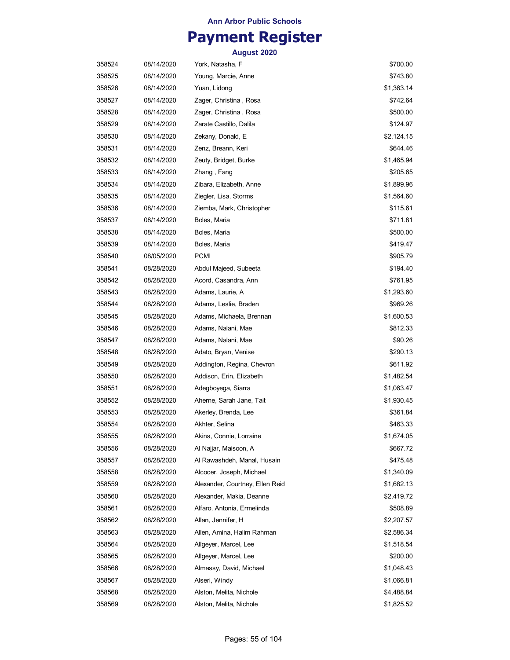## **Payment Register**

| 358524 | 08/14/2020 | York, Natasha, F                | \$700.00   |
|--------|------------|---------------------------------|------------|
| 358525 | 08/14/2020 | Young, Marcie, Anne             | \$743.80   |
| 358526 | 08/14/2020 | Yuan, Lidong                    | \$1,363.14 |
| 358527 | 08/14/2020 | Zager, Christina , Rosa         | \$742.64   |
| 358528 | 08/14/2020 | Zager, Christina, Rosa          | \$500.00   |
| 358529 | 08/14/2020 | Zarate Castillo, Dalila         | \$124.97   |
| 358530 | 08/14/2020 | Zekany, Donald, E               | \$2,124.15 |
| 358531 | 08/14/2020 | Zenz, Breann, Keri              | \$644.46   |
| 358532 | 08/14/2020 | Zeuty, Bridget, Burke           | \$1,465.94 |
| 358533 | 08/14/2020 | Zhang, Fang                     | \$205.65   |
| 358534 | 08/14/2020 | Zibara, Elizabeth, Anne         | \$1,899.96 |
| 358535 | 08/14/2020 | Ziegler, Lisa, Storms           | \$1,564.60 |
| 358536 | 08/14/2020 | Ziemba, Mark, Christopher       | \$115.61   |
| 358537 | 08/14/2020 | Boles, Maria                    | \$711.81   |
| 358538 | 08/14/2020 | Boles, Maria                    | \$500.00   |
| 358539 | 08/14/2020 | Boles, Maria                    | \$419.47   |
| 358540 | 08/05/2020 | PCMI                            | \$905.79   |
| 358541 | 08/28/2020 | Abdul Majeed, Subeeta           | \$194.40   |
| 358542 | 08/28/2020 | Acord, Casandra, Ann            | \$761.95   |
| 358543 | 08/28/2020 | Adams, Laurie, A                | \$1,293.60 |
| 358544 | 08/28/2020 | Adams, Leslie, Braden           | \$969.26   |
| 358545 | 08/28/2020 | Adams, Michaela, Brennan        | \$1,600.53 |
| 358546 | 08/28/2020 | Adams, Nalani, Mae              | \$812.33   |
| 358547 | 08/28/2020 | Adams, Nalani, Mae              | \$90.26    |
| 358548 | 08/28/2020 | Adato, Bryan, Venise            | \$290.13   |
| 358549 | 08/28/2020 | Addington, Regina, Chevron      | \$611.92   |
| 358550 | 08/28/2020 | Addison, Erin, Elizabeth        | \$1,482.54 |
| 358551 | 08/28/2020 | Adegboyega, Siarra              | \$1,063.47 |
| 358552 | 08/28/2020 | Aherne, Sarah Jane, Tait        | \$1,930.45 |
| 358553 | 08/28/2020 | Akerley, Brenda, Lee            | \$361.84   |
| 358554 | 08/28/2020 | Akhter, Selina                  | \$463.33   |
| 358555 | 08/28/2020 | Akins, Connie, Lorraine         | \$1,674.05 |
| 358556 | 08/28/2020 | Al Najjar, Maisoon, A           | \$667.72   |
| 358557 | 08/28/2020 | Al Rawashdeh, Manal, Husain     | \$475.48   |
| 358558 | 08/28/2020 | Alcocer, Joseph, Michael        | \$1,340.09 |
| 358559 | 08/28/2020 | Alexander, Courtney, Ellen Reid | \$1,682.13 |
| 358560 | 08/28/2020 | Alexander, Makia, Deanne        | \$2,419.72 |
| 358561 | 08/28/2020 | Alfaro, Antonia, Ermelinda      | \$508.89   |
| 358562 | 08/28/2020 | Allan, Jennifer, H              | \$2,207.57 |
| 358563 | 08/28/2020 | Allen, Amina, Halim Rahman      | \$2,586.34 |
| 358564 | 08/28/2020 | Allgeyer, Marcel, Lee           | \$1,518.54 |
| 358565 | 08/28/2020 | Allgeyer, Marcel, Lee           | \$200.00   |
| 358566 | 08/28/2020 | Almassy, David, Michael         | \$1,048.43 |
| 358567 | 08/28/2020 | Alseri, Windy                   | \$1,066.81 |
| 358568 | 08/28/2020 | Alston, Melita, Nichole         | \$4,488.84 |
| 358569 | 08/28/2020 | Alston, Melita, Nichole         | \$1,825.52 |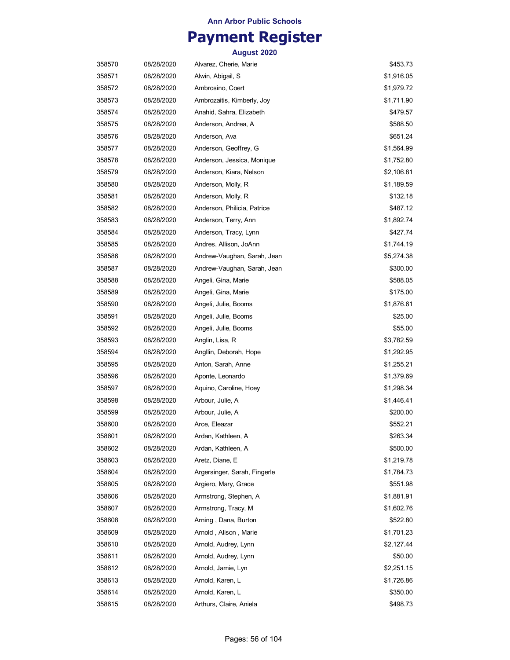## **Payment Register**

| 358570 | 08/28/2020 | Alvarez, Cherie, Marie       | \$453.73   |
|--------|------------|------------------------------|------------|
| 358571 | 08/28/2020 | Alwin, Abigail, S            | \$1,916.05 |
| 358572 | 08/28/2020 | Ambrosino, Coert             | \$1,979.72 |
| 358573 | 08/28/2020 | Ambrozaitis, Kimberly, Joy   | \$1,711.90 |
| 358574 | 08/28/2020 | Anahid, Sahra, Elizabeth     | \$479.57   |
| 358575 | 08/28/2020 | Anderson, Andrea, A          | \$588.50   |
| 358576 | 08/28/2020 | Anderson, Ava                | \$651.24   |
| 358577 | 08/28/2020 | Anderson, Geoffrey, G        | \$1,564.99 |
| 358578 | 08/28/2020 | Anderson, Jessica, Monique   | \$1,752.80 |
| 358579 | 08/28/2020 | Anderson, Kiara, Nelson      | \$2,106.81 |
| 358580 | 08/28/2020 | Anderson, Molly, R           | \$1,189.59 |
| 358581 | 08/28/2020 | Anderson, Molly, R           | \$132.18   |
| 358582 | 08/28/2020 | Anderson, Philicia, Patrice  | \$487.12   |
| 358583 | 08/28/2020 | Anderson, Terry, Ann         | \$1,892.74 |
| 358584 | 08/28/2020 | Anderson, Tracy, Lynn        | \$427.74   |
| 358585 | 08/28/2020 | Andres, Allison, JoAnn       | \$1,744.19 |
| 358586 | 08/28/2020 | Andrew-Vaughan, Sarah, Jean  | \$5,274.38 |
| 358587 | 08/28/2020 | Andrew-Vaughan, Sarah, Jean  | \$300.00   |
| 358588 | 08/28/2020 | Angeli, Gina, Marie          | \$588.05   |
| 358589 | 08/28/2020 | Angeli, Gina, Marie          | \$175.00   |
| 358590 | 08/28/2020 | Angeli, Julie, Booms         | \$1,876.61 |
| 358591 | 08/28/2020 | Angeli, Julie, Booms         | \$25.00    |
| 358592 | 08/28/2020 | Angeli, Julie, Booms         | \$55.00    |
| 358593 | 08/28/2020 | Anglin, Lisa, R              | \$3,782.59 |
| 358594 | 08/28/2020 | Angllin, Deborah, Hope       | \$1,292.95 |
| 358595 | 08/28/2020 | Anton, Sarah, Anne           | \$1,255.21 |
| 358596 | 08/28/2020 | Aponte, Leonardo             | \$1,379.69 |
| 358597 | 08/28/2020 | Aquino, Caroline, Hoey       | \$1,298.34 |
| 358598 | 08/28/2020 | Arbour, Julie, A             | \$1,446.41 |
| 358599 | 08/28/2020 | Arbour, Julie, A             | \$200.00   |
| 358600 | 08/28/2020 | Arce, Eleazar                | \$552.21   |
| 358601 | 08/28/2020 | Ardan, Kathleen, A           | \$263.34   |
| 358602 | 08/28/2020 | Ardan, Kathleen, A           | \$500.00   |
| 358603 | 08/28/2020 | Aretz, Diane, E              | \$1,219.78 |
| 358604 | 08/28/2020 | Argersinger, Sarah, Fingerle | \$1,784.73 |
| 358605 | 08/28/2020 | Argiero, Mary, Grace         | \$551.98   |
| 358606 | 08/28/2020 | Armstrong, Stephen, A        | \$1,881.91 |
| 358607 | 08/28/2020 | Armstrong, Tracy, M          | \$1,602.76 |
| 358608 | 08/28/2020 | Arning, Dana, Burton         | \$522.80   |
| 358609 | 08/28/2020 | Arnold, Alison, Marie        | \$1,701.23 |
| 358610 | 08/28/2020 | Arnold, Audrey, Lynn         | \$2,127.44 |
| 358611 | 08/28/2020 | Arnold, Audrey, Lynn         | \$50.00    |
| 358612 | 08/28/2020 | Arnold, Jamie, Lyn           | \$2,251.15 |
| 358613 | 08/28/2020 | Arnold, Karen, L             | \$1,726.86 |
| 358614 | 08/28/2020 | Arnold, Karen, L             | \$350.00   |
| 358615 | 08/28/2020 | Arthurs, Claire, Aniela      | \$498.73   |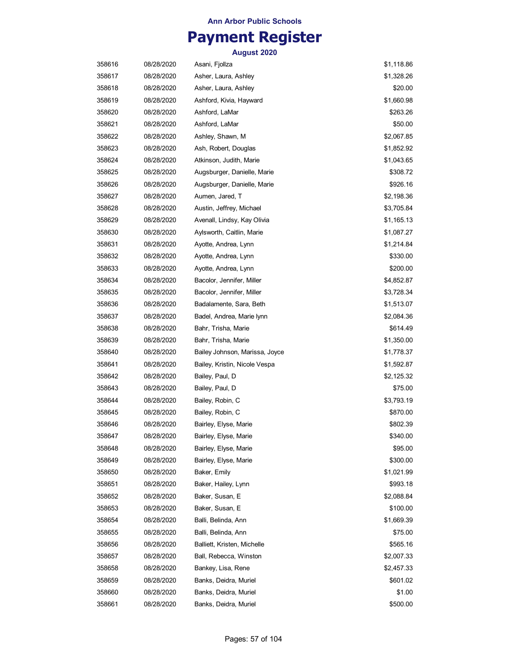# **Payment Register**

| 358616 | 08/28/2020 | Asani, Fjollza                 | \$1,118.86 |
|--------|------------|--------------------------------|------------|
| 358617 | 08/28/2020 | Asher, Laura, Ashley           | \$1,328.26 |
| 358618 | 08/28/2020 | Asher, Laura, Ashley           | \$20.00    |
| 358619 | 08/28/2020 | Ashford, Kivia, Hayward        | \$1,660.98 |
| 358620 | 08/28/2020 | Ashford, LaMar                 | \$263.26   |
| 358621 | 08/28/2020 | Ashford, LaMar                 | \$50.00    |
| 358622 | 08/28/2020 | Ashley, Shawn, M               | \$2,067.85 |
| 358623 | 08/28/2020 | Ash, Robert, Douglas           | \$1,852.92 |
| 358624 | 08/28/2020 | Atkinson, Judith, Marie        | \$1,043.65 |
| 358625 | 08/28/2020 | Augsburger, Danielle, Marie    | \$308.72   |
| 358626 | 08/28/2020 | Augsburger, Danielle, Marie    | \$926.16   |
| 358627 | 08/28/2020 | Aumen, Jared, T                | \$2,198.36 |
| 358628 | 08/28/2020 | Austin, Jeffrey, Michael       | \$3,705.84 |
| 358629 | 08/28/2020 | Avenall, Lindsy, Kay Olivia    | \$1,165.13 |
| 358630 | 08/28/2020 | Aylsworth, Caitlin, Marie      | \$1,087.27 |
| 358631 | 08/28/2020 | Ayotte, Andrea, Lynn           | \$1,214.84 |
| 358632 | 08/28/2020 | Ayotte, Andrea, Lynn           | \$330.00   |
| 358633 | 08/28/2020 | Ayotte, Andrea, Lynn           | \$200.00   |
| 358634 | 08/28/2020 | Bacolor, Jennifer, Miller      | \$4,852.87 |
| 358635 | 08/28/2020 | Bacolor, Jennifer, Miller      | \$3,728.34 |
| 358636 | 08/28/2020 | Badalamente, Sara, Beth        | \$1,513.07 |
| 358637 | 08/28/2020 | Badel, Andrea, Marie lynn      | \$2,084.36 |
| 358638 | 08/28/2020 | Bahr, Trisha, Marie            | \$614.49   |
| 358639 | 08/28/2020 | Bahr, Trisha, Marie            | \$1,350.00 |
| 358640 | 08/28/2020 | Bailey Johnson, Marissa, Joyce | \$1,778.37 |
| 358641 | 08/28/2020 | Bailey, Kristin, Nicole Vespa  | \$1,592.87 |
| 358642 | 08/28/2020 | Bailey, Paul, D                | \$2,125.32 |
| 358643 | 08/28/2020 | Bailey, Paul, D                | \$75.00    |
| 358644 | 08/28/2020 | Bailey, Robin, C               | \$3,793.19 |
| 358645 | 08/28/2020 | Bailey, Robin, C               | \$870.00   |
| 358646 | 08/28/2020 | Bairley, Elyse, Marie          | \$802.39   |
| 358647 | 08/28/2020 | Bairley, Elyse, Marie          | \$340.00   |
| 358648 | 08/28/2020 | Bairley, Elyse, Marie          | \$95.00    |
| 358649 | 08/28/2020 | Bairley, Elyse, Marie          | \$300.00   |
| 358650 | 08/28/2020 | Baker, Emily                   | \$1,021.99 |
| 358651 | 08/28/2020 | Baker, Hailey, Lynn            | \$993.18   |
| 358652 | 08/28/2020 | Baker, Susan, E                | \$2,088.84 |
| 358653 | 08/28/2020 | Baker, Susan, E                | \$100.00   |
| 358654 | 08/28/2020 | Balli, Belinda, Ann            | \$1,669.39 |
| 358655 | 08/28/2020 | Balli, Belinda, Ann            | \$75.00    |
| 358656 | 08/28/2020 | Balliett, Kristen, Michelle    | \$565.16   |
| 358657 | 08/28/2020 | Ball, Rebecca, Winston         | \$2,007.33 |
| 358658 | 08/28/2020 | Bankey, Lisa, Rene             | \$2,457.33 |
| 358659 | 08/28/2020 | Banks, Deidra, Muriel          | \$601.02   |
| 358660 | 08/28/2020 | Banks, Deidra, Muriel          | \$1.00     |
| 358661 | 08/28/2020 | Banks, Deidra, Muriel          | \$500.00   |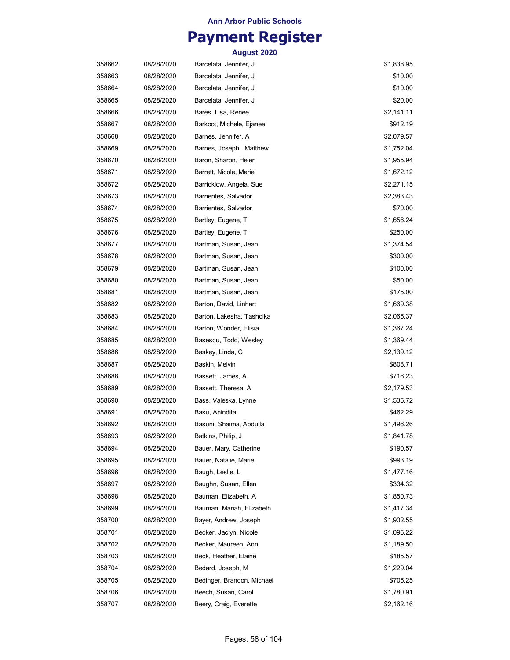## **Payment Register**

| 358662 | 08/28/2020 | Barcelata, Jennifer, J     | \$1,838.95 |
|--------|------------|----------------------------|------------|
| 358663 | 08/28/2020 | Barcelata, Jennifer, J     | \$10.00    |
| 358664 | 08/28/2020 | Barcelata, Jennifer, J     | \$10.00    |
| 358665 | 08/28/2020 | Barcelata, Jennifer, J     | \$20.00    |
| 358666 | 08/28/2020 | Bares, Lisa, Renee         | \$2,141.11 |
| 358667 | 08/28/2020 | Barkoot, Michele, Ejanee   | \$912.19   |
| 358668 | 08/28/2020 | Barnes, Jennifer, A        | \$2,079.57 |
| 358669 | 08/28/2020 | Barnes, Joseph, Matthew    | \$1,752.04 |
| 358670 | 08/28/2020 | Baron, Sharon, Helen       | \$1,955.94 |
| 358671 | 08/28/2020 | Barrett, Nicole, Marie     | \$1,672.12 |
| 358672 | 08/28/2020 | Barricklow, Angela, Sue    | \$2,271.15 |
| 358673 | 08/28/2020 | Barrientes, Salvador       | \$2,383.43 |
| 358674 | 08/28/2020 | Barrientes, Salvador       | \$70.00    |
| 358675 | 08/28/2020 | Bartley, Eugene, T         | \$1,656.24 |
| 358676 | 08/28/2020 | Bartley, Eugene, T         | \$250.00   |
| 358677 | 08/28/2020 | Bartman, Susan, Jean       | \$1,374.54 |
| 358678 | 08/28/2020 | Bartman, Susan, Jean       | \$300.00   |
| 358679 | 08/28/2020 | Bartman, Susan, Jean       | \$100.00   |
| 358680 | 08/28/2020 | Bartman, Susan, Jean       | \$50.00    |
| 358681 | 08/28/2020 | Bartman, Susan, Jean       | \$175.00   |
| 358682 | 08/28/2020 | Barton, David, Linhart     | \$1,669.38 |
| 358683 | 08/28/2020 | Barton, Lakesha, Tashcika  | \$2,065.37 |
| 358684 | 08/28/2020 | Barton, Wonder, Elisia     | \$1,367.24 |
| 358685 | 08/28/2020 | Basescu, Todd, Wesley      | \$1,369.44 |
| 358686 | 08/28/2020 | Baskey, Linda, C           | \$2,139.12 |
| 358687 | 08/28/2020 | Baskin, Melvin             | \$808.71   |
| 358688 | 08/28/2020 | Bassett, James, A          | \$716.23   |
| 358689 | 08/28/2020 | Bassett, Theresa, A        | \$2,179.53 |
| 358690 | 08/28/2020 | Bass, Valeska, Lynne       | \$1,535.72 |
| 358691 | 08/28/2020 | Basu, Anindita             | \$462.29   |
| 358692 | 08/28/2020 | Basuni, Shaima, Abdulla    | \$1,496.26 |
| 358693 | 08/28/2020 | Batkins, Philip, J         | \$1,841.78 |
| 358694 | 08/28/2020 | Bauer, Mary, Catherine     | \$190.57   |
| 358695 | 08/28/2020 | Bauer, Natalie, Marie      | \$993.19   |
| 358696 | 08/28/2020 | Baugh, Leslie, L           | \$1,477.16 |
| 358697 | 08/28/2020 | Baughn, Susan, Ellen       | \$334.32   |
| 358698 | 08/28/2020 | Bauman, Elizabeth, A       | \$1,850.73 |
| 358699 | 08/28/2020 | Bauman, Mariah, Elizabeth  | \$1,417.34 |
| 358700 | 08/28/2020 | Bayer, Andrew, Joseph      | \$1,902.55 |
| 358701 | 08/28/2020 | Becker, Jaclyn, Nicole     | \$1,096.22 |
| 358702 | 08/28/2020 | Becker, Maureen, Ann       | \$1,189.50 |
| 358703 | 08/28/2020 | Beck, Heather, Elaine      | \$185.57   |
| 358704 | 08/28/2020 | Bedard, Joseph, M          | \$1,229.04 |
| 358705 | 08/28/2020 | Bedinger, Brandon, Michael | \$705.25   |
| 358706 | 08/28/2020 | Beech, Susan, Carol        | \$1,780.91 |
| 358707 | 08/28/2020 | Beery, Craig, Everette     | \$2,162.16 |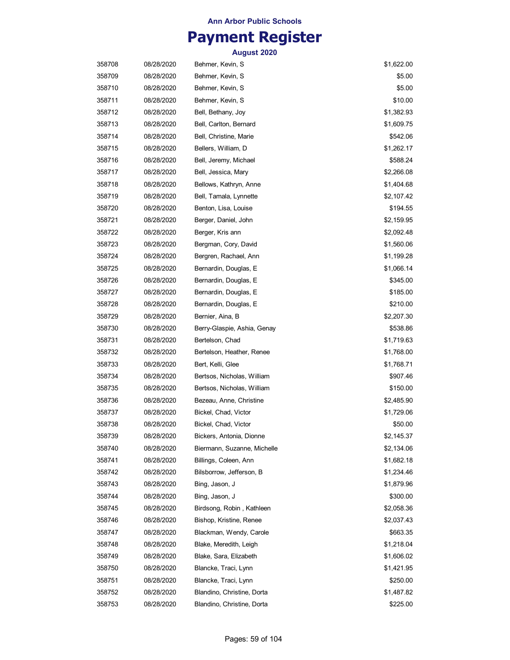## **Payment Register**

| 358708 | 08/28/2020 | Behmer, Kevin, S            | \$1,622.00 |
|--------|------------|-----------------------------|------------|
| 358709 | 08/28/2020 | Behmer, Kevin, S            | \$5.00     |
| 358710 | 08/28/2020 | Behmer, Kevin, S            | \$5.00     |
| 358711 | 08/28/2020 | Behmer, Kevin, S            | \$10.00    |
| 358712 | 08/28/2020 | Bell, Bethany, Joy          | \$1,382.93 |
| 358713 | 08/28/2020 | Bell, Carlton, Bernard      | \$1,609.75 |
| 358714 | 08/28/2020 | Bell, Christine, Marie      | \$542.06   |
| 358715 | 08/28/2020 | Bellers, William, D         | \$1,262.17 |
| 358716 | 08/28/2020 | Bell, Jeremy, Michael       | \$588.24   |
| 358717 | 08/28/2020 | Bell, Jessica, Mary         | \$2,266.08 |
| 358718 | 08/28/2020 | Bellows, Kathryn, Anne      | \$1,404.68 |
| 358719 | 08/28/2020 | Bell, Tamala, Lynnette      | \$2,107.42 |
| 358720 | 08/28/2020 | Benton, Lisa, Louise        | \$194.55   |
| 358721 | 08/28/2020 | Berger, Daniel, John        | \$2,159.95 |
| 358722 | 08/28/2020 | Berger, Kris ann            | \$2,092.48 |
| 358723 | 08/28/2020 | Bergman, Cory, David        | \$1,560.06 |
| 358724 | 08/28/2020 | Bergren, Rachael, Ann       | \$1,199.28 |
| 358725 | 08/28/2020 | Bernardin, Douglas, E       | \$1,066.14 |
| 358726 | 08/28/2020 | Bernardin, Douglas, E       | \$345.00   |
| 358727 | 08/28/2020 | Bernardin, Douglas, E       | \$185.00   |
| 358728 | 08/28/2020 | Bernardin, Douglas, E       | \$210.00   |
| 358729 | 08/28/2020 | Bernier, Aina, B            | \$2,207.30 |
| 358730 | 08/28/2020 | Berry-Glaspie, Ashia, Genay | \$538.86   |
| 358731 | 08/28/2020 | Bertelson, Chad             | \$1,719.63 |
| 358732 | 08/28/2020 | Bertelson, Heather, Renee   | \$1,768.00 |
| 358733 | 08/28/2020 | Bert, Kelli, Glee           | \$1,768.71 |
| 358734 | 08/28/2020 | Bertsos, Nicholas, William  | \$907.46   |
| 358735 | 08/28/2020 | Bertsos, Nicholas, William  | \$150.00   |
| 358736 | 08/28/2020 | Bezeau, Anne, Christine     | \$2,485.90 |
| 358737 | 08/28/2020 | Bickel, Chad, Victor        | \$1,729.06 |
| 358738 | 08/28/2020 | Bickel, Chad, Victor        | \$50.00    |
| 358739 | 08/28/2020 | Bickers, Antonia, Dionne    | \$2,145.37 |
| 358740 | 08/28/2020 | Biermann, Suzanne, Michelle | \$2,134.06 |
| 358741 | 08/28/2020 | Billings, Coleen, Ann       | \$1,682.18 |
| 358742 | 08/28/2020 | Bilsborrow, Jefferson, B    | \$1,234.46 |
| 358743 | 08/28/2020 | Bing, Jason, J              | \$1,879.96 |
| 358744 | 08/28/2020 | Bing, Jason, J              | \$300.00   |
| 358745 | 08/28/2020 | Birdsong, Robin, Kathleen   | \$2,058.36 |
| 358746 | 08/28/2020 | Bishop, Kristine, Renee     | \$2,037.43 |
| 358747 | 08/28/2020 | Blackman, Wendy, Carole     | \$663.35   |
| 358748 | 08/28/2020 | Blake, Meredith, Leigh      | \$1,218.04 |
| 358749 | 08/28/2020 | Blake, Sara, Elizabeth      | \$1,606.02 |
| 358750 | 08/28/2020 | Blancke, Traci, Lynn        | \$1,421.95 |
| 358751 | 08/28/2020 | Blancke, Traci, Lynn        | \$250.00   |
| 358752 | 08/28/2020 | Blandino, Christine, Dorta  | \$1,487.82 |
| 358753 | 08/28/2020 | Blandino, Christine, Dorta  | \$225.00   |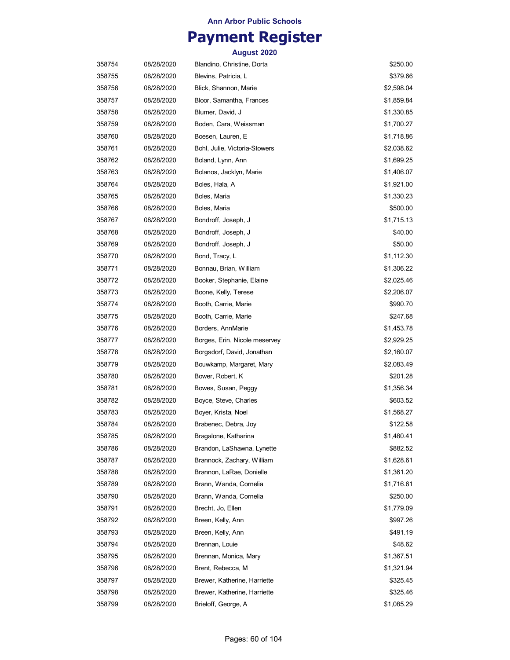## **Payment Register**

| 358754 | 08/28/2020 | Blandino, Christine, Dorta    | \$250.00   |
|--------|------------|-------------------------------|------------|
| 358755 | 08/28/2020 | Blevins, Patricia, L          | \$379.66   |
| 358756 | 08/28/2020 | Blick, Shannon, Marie         | \$2,598.04 |
| 358757 | 08/28/2020 | Bloor, Samantha, Frances      | \$1,859.84 |
| 358758 | 08/28/2020 | Blumer, David, J              | \$1,330.85 |
| 358759 | 08/28/2020 | Boden, Cara, Weissman         | \$1,700.27 |
| 358760 | 08/28/2020 | Boesen, Lauren, E             | \$1,718.86 |
| 358761 | 08/28/2020 | Bohl, Julie, Victoria-Stowers | \$2,038.62 |
| 358762 | 08/28/2020 | Boland, Lynn, Ann             | \$1,699.25 |
| 358763 | 08/28/2020 | Bolanos, Jacklyn, Marie       | \$1,406.07 |
| 358764 | 08/28/2020 | Boles, Hala, A                | \$1,921.00 |
| 358765 | 08/28/2020 | Boles, Maria                  | \$1,330.23 |
| 358766 | 08/28/2020 | Boles, Maria                  | \$500.00   |
| 358767 | 08/28/2020 | Bondroff, Joseph, J           | \$1,715.13 |
| 358768 | 08/28/2020 | Bondroff, Joseph, J           | \$40.00    |
| 358769 | 08/28/2020 | Bondroff, Joseph, J           | \$50.00    |
| 358770 | 08/28/2020 | Bond, Tracy, L                | \$1,112.30 |
| 358771 | 08/28/2020 | Bonnau, Brian, William        | \$1,306.22 |
| 358772 | 08/28/2020 | Booker, Stephanie, Elaine     | \$2,025.46 |
| 358773 | 08/28/2020 | Boone, Kelly, Terese          | \$2,206.07 |
| 358774 | 08/28/2020 | Booth, Carrie, Marie          | \$990.70   |
| 358775 | 08/28/2020 | Booth, Carrie, Marie          | \$247.68   |
| 358776 | 08/28/2020 | Borders, AnnMarie             | \$1,453.78 |
| 358777 | 08/28/2020 | Borges, Erin, Nicole meservey | \$2,929.25 |
| 358778 | 08/28/2020 | Borgsdorf, David, Jonathan    | \$2,160.07 |
| 358779 | 08/28/2020 | Bouwkamp, Margaret, Mary      | \$2,083.49 |
| 358780 | 08/28/2020 | Bower, Robert, K              | \$201.28   |
| 358781 | 08/28/2020 | Bowes, Susan, Peggy           | \$1,356.34 |
| 358782 | 08/28/2020 | Boyce, Steve, Charles         | \$603.52   |
| 358783 | 08/28/2020 | Boyer, Krista, Noel           | \$1,568.27 |
| 358784 | 08/28/2020 | Brabenec, Debra, Joy          | \$122.58   |
| 358785 | 08/28/2020 | Bragalone, Katharina          | \$1,480.41 |
| 358786 | 08/28/2020 | Brandon, LaShawna, Lynette    | \$882.52   |
| 358787 | 08/28/2020 | Brannock, Zachary, William    | \$1,628.61 |
| 358788 | 08/28/2020 | Brannon, LaRae, Donielle      | \$1,361.20 |
| 358789 | 08/28/2020 | Brann, Wanda, Cornelia        | \$1,716.61 |
| 358790 | 08/28/2020 | Brann, Wanda, Cornelia        | \$250.00   |
| 358791 | 08/28/2020 | Brecht, Jo, Ellen             | \$1,779.09 |
| 358792 | 08/28/2020 | Breen, Kelly, Ann             | \$997.26   |
| 358793 | 08/28/2020 | Breen, Kelly, Ann             | \$491.19   |
| 358794 | 08/28/2020 | Brennan, Louie                | \$48.62    |
| 358795 | 08/28/2020 | Brennan, Monica, Mary         | \$1,367.51 |
| 358796 | 08/28/2020 | Brent, Rebecca, M             | \$1,321.94 |
| 358797 | 08/28/2020 | Brewer, Katherine, Harriette  | \$325.45   |
| 358798 | 08/28/2020 | Brewer, Katherine, Harriette  | \$325.46   |
| 358799 | 08/28/2020 | Brieloff, George, A           | \$1,085.29 |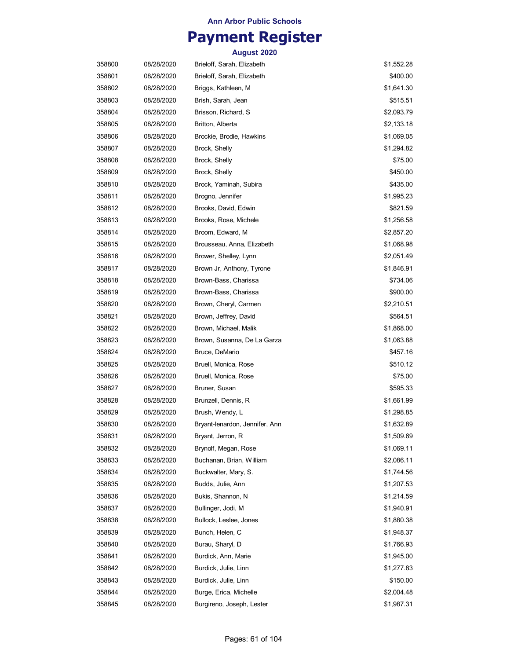## **Payment Register**

| 358800 | 08/28/2020 | Brieloff, Sarah, Elizabeth     | \$1,552.28 |
|--------|------------|--------------------------------|------------|
| 358801 | 08/28/2020 | Brieloff, Sarah, Elizabeth     | \$400.00   |
| 358802 | 08/28/2020 | Briggs, Kathleen, M            | \$1,641.30 |
| 358803 | 08/28/2020 | Brish, Sarah, Jean             | \$515.51   |
| 358804 | 08/28/2020 | Brisson, Richard, S            | \$2,093.79 |
| 358805 | 08/28/2020 | Britton, Alberta               | \$2,133.18 |
| 358806 | 08/28/2020 | Brockie, Brodie, Hawkins       | \$1,069.05 |
| 358807 | 08/28/2020 | Brock, Shelly                  | \$1,294.82 |
| 358808 | 08/28/2020 | Brock, Shelly                  | \$75.00    |
| 358809 | 08/28/2020 | Brock, Shelly                  | \$450.00   |
| 358810 | 08/28/2020 | Brock, Yaminah, Subira         | \$435.00   |
| 358811 | 08/28/2020 | Brogno, Jennifer               | \$1,995.23 |
| 358812 | 08/28/2020 | Brooks, David, Edwin           | \$821.59   |
| 358813 | 08/28/2020 | Brooks, Rose, Michele          | \$1,256.58 |
| 358814 | 08/28/2020 | Broom, Edward, M               | \$2,857.20 |
| 358815 | 08/28/2020 | Brousseau, Anna, Elizabeth     | \$1,068.98 |
| 358816 | 08/28/2020 | Brower, Shelley, Lynn          | \$2,051.49 |
| 358817 | 08/28/2020 | Brown Jr, Anthony, Tyrone      | \$1,846.91 |
| 358818 | 08/28/2020 | Brown-Bass, Charissa           | \$734.06   |
| 358819 | 08/28/2020 | Brown-Bass, Charissa           | \$900.00   |
| 358820 | 08/28/2020 | Brown, Cheryl, Carmen          | \$2,210.51 |
| 358821 | 08/28/2020 | Brown, Jeffrey, David          | \$564.51   |
| 358822 | 08/28/2020 | Brown, Michael, Malik          | \$1,868.00 |
| 358823 | 08/28/2020 | Brown, Susanna, De La Garza    | \$1,063.88 |
| 358824 | 08/28/2020 | Bruce, DeMario                 | \$457.16   |
| 358825 | 08/28/2020 | Bruell, Monica, Rose           | \$510.12   |
| 358826 | 08/28/2020 | Bruell, Monica, Rose           | \$75.00    |
| 358827 | 08/28/2020 | Bruner, Susan                  | \$595.33   |
| 358828 | 08/28/2020 | Brunzell, Dennis, R            | \$1,661.99 |
| 358829 | 08/28/2020 | Brush, Wendy, L                | \$1,298.85 |
| 358830 | 08/28/2020 | Bryant-lenardon, Jennifer, Ann | \$1,632.89 |
| 358831 | 08/28/2020 | Bryant, Jerron, R              | \$1,509.69 |
| 358832 | 08/28/2020 | Brynolf, Megan, Rose           | \$1,069.11 |
| 358833 | 08/28/2020 | Buchanan, Brian, William       | \$2,086.11 |
| 358834 | 08/28/2020 | Buckwalter, Mary, S.           | \$1,744.56 |
| 358835 | 08/28/2020 | Budds, Julie, Ann              | \$1,207.53 |
| 358836 | 08/28/2020 | Bukis, Shannon, N              | \$1,214.59 |
| 358837 | 08/28/2020 | Bullinger, Jodi, M             | \$1,940.91 |
| 358838 | 08/28/2020 | Bullock, Leslee, Jones         | \$1,880.38 |
| 358839 | 08/28/2020 | Bunch, Helen, C                | \$1,948.37 |
| 358840 | 08/28/2020 | Burau, Sharyl, D               | \$1,766.93 |
| 358841 | 08/28/2020 | Burdick, Ann, Marie            | \$1,945.00 |
| 358842 | 08/28/2020 | Burdick, Julie, Linn           | \$1,277.83 |
| 358843 | 08/28/2020 | Burdick, Julie, Linn           | \$150.00   |
| 358844 | 08/28/2020 | Burge, Erica, Michelle         | \$2,004.48 |
| 358845 | 08/28/2020 | Burgireno, Joseph, Lester      | \$1,987.31 |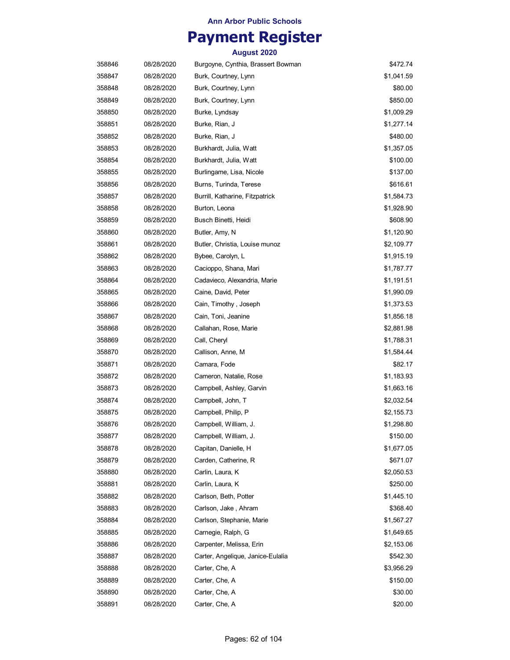## **Payment Register**

| 358846 | 08/28/2020 | Burgoyne, Cynthia, Brassert Bowman | \$472.74   |
|--------|------------|------------------------------------|------------|
| 358847 | 08/28/2020 | Burk, Courtney, Lynn               | \$1,041.59 |
| 358848 | 08/28/2020 | Burk, Courtney, Lynn               | \$80.00    |
| 358849 | 08/28/2020 | Burk, Courtney, Lynn               | \$850.00   |
| 358850 | 08/28/2020 | Burke, Lyndsay                     | \$1,009.29 |
| 358851 | 08/28/2020 | Burke, Rian, J                     | \$1,277.14 |
| 358852 | 08/28/2020 | Burke, Rian, J                     | \$480.00   |
| 358853 | 08/28/2020 | Burkhardt, Julia, Watt             | \$1,357.05 |
| 358854 | 08/28/2020 | Burkhardt, Julia, Watt             | \$100.00   |
| 358855 | 08/28/2020 | Burlingame, Lisa, Nicole           | \$137.00   |
| 358856 | 08/28/2020 | Burns, Turinda, Terese             | \$616.61   |
| 358857 | 08/28/2020 | Burrill, Katharine, Fitzpatrick    | \$1,584.73 |
| 358858 | 08/28/2020 | Burton, Leona                      | \$1,928.90 |
| 358859 | 08/28/2020 | Busch Binetti, Heidi               | \$608.90   |
| 358860 | 08/28/2020 | Butler, Amy, N                     | \$1,120.90 |
| 358861 | 08/28/2020 | Butler, Christia, Louise munoz     | \$2,109.77 |
| 358862 | 08/28/2020 | Bybee, Carolyn, L                  | \$1,915.19 |
| 358863 | 08/28/2020 | Cacioppo, Shana, Mari              | \$1,787.77 |
| 358864 | 08/28/2020 | Cadavieco, Alexandria, Marie       | \$1,191.51 |
| 358865 | 08/28/2020 | Caine, David, Peter                | \$1,990.09 |
| 358866 | 08/28/2020 | Cain, Timothy, Joseph              | \$1,373.53 |
| 358867 | 08/28/2020 | Cain, Toni, Jeanine                | \$1,856.18 |
| 358868 | 08/28/2020 | Callahan, Rose, Marie              | \$2,881.98 |
| 358869 | 08/28/2020 | Call, Cheryl                       | \$1,788.31 |
| 358870 | 08/28/2020 | Callison, Anne, M                  | \$1,584.44 |
| 358871 | 08/28/2020 | Camara, Fode                       | \$82.17    |
| 358872 | 08/28/2020 | Cameron, Natalie, Rose             | \$1,183.93 |
| 358873 | 08/28/2020 | Campbell, Ashley, Garvin           | \$1,663.16 |
| 358874 | 08/28/2020 | Campbell, John, T                  | \$2,032.54 |
| 358875 | 08/28/2020 | Campbell, Philip, P                | \$2,155.73 |
| 358876 | 08/28/2020 | Campbell, William, J.              | \$1,298.80 |
| 358877 | 08/28/2020 | Campbell, William, J.              | \$150.00   |
| 358878 | 08/28/2020 | Capitan, Danielle, H               | \$1,677.05 |
| 358879 | 08/28/2020 | Carden, Catherine, R               | \$671.07   |
| 358880 | 08/28/2020 | Carlin, Laura, K                   | \$2,050.53 |
| 358881 | 08/28/2020 | Carlin, Laura, K                   | \$250.00   |
| 358882 | 08/28/2020 | Carlson, Beth, Potter              | \$1,445.10 |
| 358883 | 08/28/2020 | Carlson, Jake, Ahram               | \$368.40   |
| 358884 | 08/28/2020 | Carlson, Stephanie, Marie          | \$1,567.27 |
| 358885 | 08/28/2020 | Carnegie, Ralph, G                 | \$1,649.65 |
| 358886 | 08/28/2020 | Carpenter, Melissa, Erin           | \$2,153.06 |
| 358887 | 08/28/2020 | Carter, Angelique, Janice-Eulalia  | \$542.30   |
| 358888 | 08/28/2020 | Carter, Che, A                     | \$3,956.29 |
| 358889 | 08/28/2020 | Carter, Che, A                     | \$150.00   |
| 358890 | 08/28/2020 | Carter, Che, A                     | \$30.00    |
| 358891 | 08/28/2020 | Carter, Che, A                     | \$20.00    |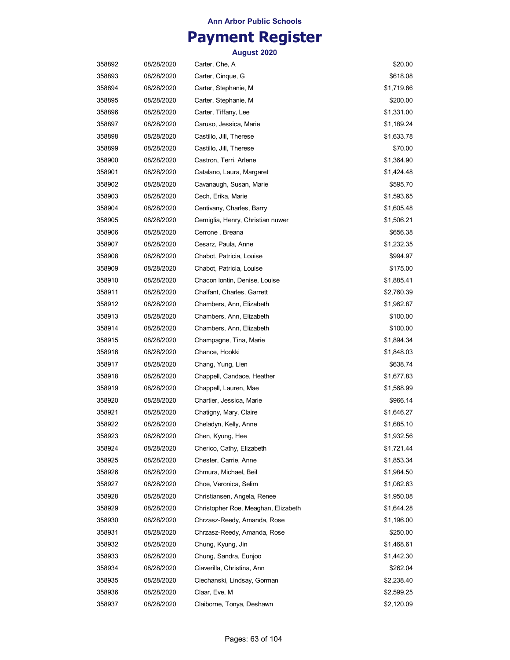## **Payment Register**

| 358892 | 08/28/2020 | Carter, Che, A                      | \$20.00    |
|--------|------------|-------------------------------------|------------|
| 358893 | 08/28/2020 | Carter, Cinque, G                   | \$618.08   |
| 358894 | 08/28/2020 | Carter, Stephanie, M                | \$1,719.86 |
| 358895 | 08/28/2020 | Carter, Stephanie, M                | \$200.00   |
| 358896 | 08/28/2020 | Carter, Tiffany, Lee                | \$1,331.00 |
| 358897 | 08/28/2020 | Caruso, Jessica, Marie              | \$1,189.24 |
| 358898 | 08/28/2020 | Castillo, Jill, Therese             | \$1,633.78 |
| 358899 | 08/28/2020 | Castillo, Jill, Therese             | \$70.00    |
| 358900 | 08/28/2020 | Castron, Terri, Arlene              | \$1,364.90 |
| 358901 | 08/28/2020 | Catalano, Laura, Margaret           | \$1,424.48 |
| 358902 | 08/28/2020 | Cavanaugh, Susan, Marie             | \$595.70   |
| 358903 | 08/28/2020 | Cech, Erika, Marie                  | \$1,593.65 |
| 358904 | 08/28/2020 | Centivany, Charles, Barry           | \$1,605.48 |
| 358905 | 08/28/2020 | Cerniglia, Henry, Christian nuwer   | \$1,506.21 |
| 358906 | 08/28/2020 | Cerrone, Breana                     | \$656.38   |
| 358907 | 08/28/2020 | Cesarz, Paula, Anne                 | \$1,232.35 |
| 358908 | 08/28/2020 | Chabot, Patricia, Louise            | \$994.97   |
| 358909 | 08/28/2020 | Chabot, Patricia, Louise            | \$175.00   |
| 358910 | 08/28/2020 | Chacon Iontin, Denise, Louise       | \$1,885.41 |
| 358911 | 08/28/2020 | Chalfant, Charles, Garrett          | \$2,760.39 |
| 358912 | 08/28/2020 | Chambers, Ann, Elizabeth            | \$1,962.87 |
| 358913 | 08/28/2020 | Chambers, Ann, Elizabeth            | \$100.00   |
| 358914 | 08/28/2020 | Chambers, Ann, Elizabeth            | \$100.00   |
| 358915 | 08/28/2020 | Champagne, Tina, Marie              | \$1,894.34 |
| 358916 | 08/28/2020 | Chance, Hookki                      | \$1,848.03 |
| 358917 | 08/28/2020 | Chang, Yung, Lien                   | \$638.74   |
| 358918 | 08/28/2020 | Chappell, Candace, Heather          | \$1,677.83 |
| 358919 | 08/28/2020 | Chappell, Lauren, Mae               | \$1,568.99 |
| 358920 | 08/28/2020 | Chartier, Jessica, Marie            | \$966.14   |
| 358921 | 08/28/2020 | Chatigny, Mary, Claire              | \$1,646.27 |
| 358922 | 08/28/2020 | Cheladyn, Kelly, Anne               | \$1,685.10 |
| 358923 | 08/28/2020 | Chen, Kyung, Hee                    | \$1,932.56 |
| 358924 | 08/28/2020 | Cherico, Cathy, Elizabeth           | \$1,721.44 |
| 358925 | 08/28/2020 | Chester, Carrie, Anne               | \$1,853.34 |
| 358926 | 08/28/2020 | Chmura, Michael, Beil               | \$1,984.50 |
| 358927 | 08/28/2020 | Choe, Veronica, Selim               | \$1,082.63 |
| 358928 | 08/28/2020 | Christiansen, Angela, Renee         | \$1,950.08 |
| 358929 | 08/28/2020 | Christopher Roe, Meaghan, Elizabeth | \$1,644.28 |
| 358930 | 08/28/2020 | Chrzasz-Reedy, Amanda, Rose         | \$1,196.00 |
| 358931 | 08/28/2020 | Chrzasz-Reedy, Amanda, Rose         | \$250.00   |
| 358932 | 08/28/2020 | Chung, Kyung, Jin                   | \$1,468.61 |
| 358933 | 08/28/2020 | Chung, Sandra, Eunjoo               | \$1,442.30 |
| 358934 | 08/28/2020 | Ciaverilla, Christina, Ann          | \$262.04   |
| 358935 | 08/28/2020 | Ciechanski, Lindsay, Gorman         | \$2,238.40 |
| 358936 | 08/28/2020 | Claar, Eve, M                       | \$2,599.25 |
| 358937 | 08/28/2020 | Claiborne, Tonya, Deshawn           | \$2,120.09 |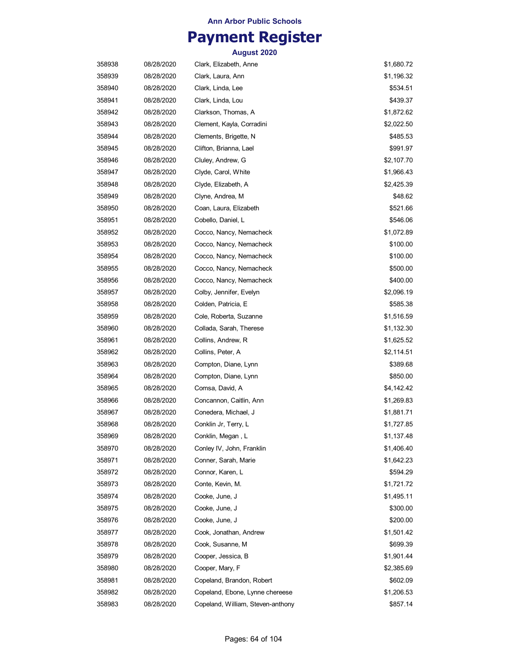## **Payment Register**

| 358938 | 08/28/2020 | Clark, Elizabeth, Anne            | \$1,680.72 |
|--------|------------|-----------------------------------|------------|
| 358939 | 08/28/2020 | Clark, Laura, Ann                 | \$1,196.32 |
| 358940 | 08/28/2020 | Clark, Linda, Lee                 | \$534.51   |
| 358941 | 08/28/2020 | Clark, Linda, Lou                 | \$439.37   |
| 358942 | 08/28/2020 | Clarkson, Thomas, A               | \$1,872.62 |
| 358943 | 08/28/2020 | Clement, Kayla, Corradini         | \$2,022.50 |
| 358944 | 08/28/2020 | Clements, Brigette, N             | \$485.53   |
| 358945 | 08/28/2020 | Clifton, Brianna, Lael            | \$991.97   |
| 358946 | 08/28/2020 | Cluley, Andrew, G                 | \$2,107.70 |
| 358947 | 08/28/2020 | Clyde, Carol, White               | \$1,966.43 |
| 358948 | 08/28/2020 | Clyde, Elizabeth, A               | \$2,425.39 |
| 358949 | 08/28/2020 | Clyne, Andrea, M                  | \$48.62    |
| 358950 | 08/28/2020 | Coan, Laura, Elizabeth            | \$521.66   |
| 358951 | 08/28/2020 | Cobello, Daniel, L                | \$546.06   |
| 358952 | 08/28/2020 | Cocco, Nancy, Nemacheck           | \$1,072.89 |
| 358953 | 08/28/2020 | Cocco, Nancy, Nemacheck           | \$100.00   |
| 358954 | 08/28/2020 | Cocco, Nancy, Nemacheck           | \$100.00   |
| 358955 | 08/28/2020 | Cocco, Nancy, Nemacheck           | \$500.00   |
| 358956 | 08/28/2020 | Cocco, Nancy, Nemacheck           | \$400.00   |
| 358957 | 08/28/2020 | Colby, Jennifer, Evelyn           | \$2,096.19 |
| 358958 | 08/28/2020 | Colden, Patricia, E               | \$585.38   |
| 358959 | 08/28/2020 | Cole, Roberta, Suzanne            | \$1,516.59 |
| 358960 | 08/28/2020 | Collada, Sarah, Therese           | \$1,132.30 |
| 358961 | 08/28/2020 | Collins, Andrew, R                | \$1,625.52 |
| 358962 | 08/28/2020 | Collins, Peter, A                 | \$2,114.51 |
| 358963 | 08/28/2020 | Compton, Diane, Lynn              | \$389.68   |
| 358964 | 08/28/2020 | Compton, Diane, Lynn              | \$850.00   |
| 358965 | 08/28/2020 | Comsa, David, A                   | \$4,142.42 |
| 358966 | 08/28/2020 | Concannon, Caitlin, Ann           | \$1,269.83 |
| 358967 | 08/28/2020 | Conedera, Michael, J              | \$1,881.71 |
| 358968 | 08/28/2020 | Conklin Jr, Terry, L              | \$1,727.85 |
| 358969 | 08/28/2020 | Conklin, Megan , L                | \$1,137.48 |
| 358970 | 08/28/2020 | Conley IV, John, Franklin         | \$1,406.40 |
| 358971 | 08/28/2020 | Conner, Sarah, Marie              | \$1,642.23 |
| 358972 | 08/28/2020 | Connor, Karen, L                  | \$594.29   |
| 358973 | 08/28/2020 | Conte, Kevin, M.                  | \$1,721.72 |
| 358974 | 08/28/2020 | Cooke, June, J                    | \$1,495.11 |
| 358975 | 08/28/2020 | Cooke, June, J                    | \$300.00   |
| 358976 | 08/28/2020 | Cooke, June, J                    | \$200.00   |
| 358977 | 08/28/2020 | Cook, Jonathan, Andrew            | \$1,501.42 |
| 358978 | 08/28/2020 | Cook, Susanne, M                  | \$699.39   |
| 358979 | 08/28/2020 | Cooper, Jessica, B                | \$1,901.44 |
| 358980 | 08/28/2020 | Cooper, Mary, F                   | \$2,385.69 |
| 358981 | 08/28/2020 | Copeland, Brandon, Robert         | \$602.09   |
| 358982 | 08/28/2020 | Copeland, Ebone, Lynne chereese   | \$1,206.53 |
| 358983 | 08/28/2020 | Copeland, William, Steven-anthony | \$857.14   |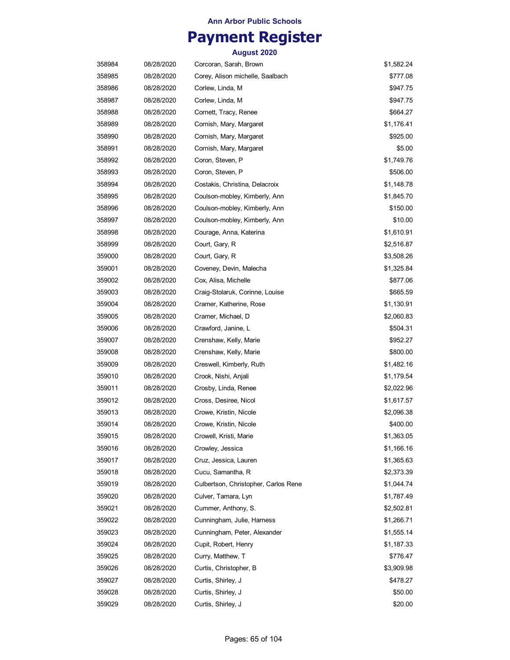# **Payment Register**

| 358984 | 08/28/2020 | Corcoran, Sarah, Brown               | \$1,582.24 |
|--------|------------|--------------------------------------|------------|
| 358985 | 08/28/2020 | Corey, Alison michelle, Saalbach     | \$777.08   |
| 358986 | 08/28/2020 | Corlew, Linda, M                     | \$947.75   |
| 358987 | 08/28/2020 | Corlew, Linda, M                     | \$947.75   |
| 358988 | 08/28/2020 | Cornett, Tracy, Renee                | \$664.27   |
| 358989 | 08/28/2020 | Cornish, Mary, Margaret              | \$1,176.41 |
| 358990 | 08/28/2020 | Cornish, Mary, Margaret              | \$925.00   |
| 358991 | 08/28/2020 | Cornish, Mary, Margaret              | \$5.00     |
| 358992 | 08/28/2020 | Coron, Steven, P                     | \$1,749.76 |
| 358993 | 08/28/2020 | Coron, Steven, P                     | \$506.00   |
| 358994 | 08/28/2020 | Costakis, Christina, Delacroix       | \$1,148.78 |
| 358995 | 08/28/2020 | Coulson-mobley, Kimberly, Ann        | \$1,845.70 |
| 358996 | 08/28/2020 | Coulson-mobley, Kimberly, Ann        | \$150.00   |
| 358997 | 08/28/2020 | Coulson-mobley, Kimberly, Ann        | \$10.00    |
| 358998 | 08/28/2020 | Courage, Anna, Katerina              | \$1,610.91 |
| 358999 | 08/28/2020 | Court, Gary, R                       | \$2,516.87 |
| 359000 | 08/28/2020 | Court, Gary, R                       | \$3,508.26 |
| 359001 | 08/28/2020 | Coveney, Devin, Malecha              | \$1,325.84 |
| 359002 | 08/28/2020 | Cox, Alisa, Michelle                 | \$877.06   |
| 359003 | 08/28/2020 | Craig-Stolaruk, Corinne, Louise      | \$665.59   |
|        | 08/28/2020 | Cramer, Katherine, Rose              | \$1,130.91 |
| 359004 |            |                                      |            |
| 359005 | 08/28/2020 | Cramer, Michael, D                   | \$2,060.83 |
| 359006 | 08/28/2020 | Crawford, Janine, L                  | \$504.31   |
| 359007 | 08/28/2020 | Crenshaw, Kelly, Marie               | \$952.27   |
| 359008 | 08/28/2020 | Crenshaw, Kelly, Marie               | \$800.00   |
| 359009 | 08/28/2020 | Creswell, Kimberly, Ruth             | \$1,482.16 |
| 359010 | 08/28/2020 | Crook, Nishi, Anjali                 | \$1,179.54 |
| 359011 | 08/28/2020 | Crosby, Linda, Renee                 | \$2,022.96 |
| 359012 | 08/28/2020 | Cross, Desiree, Nicol                | \$1,617.57 |
| 359013 | 08/28/2020 | Crowe, Kristin, Nicole               | \$2,096.38 |
| 359014 | 08/28/2020 | Crowe, Kristin, Nicole               | \$400.00   |
| 359015 | 08/28/2020 | Crowell, Kristi, Marie               | \$1,363.05 |
| 359016 | 08/28/2020 | Crowley, Jessica                     | \$1,166.16 |
| 359017 | 08/28/2020 | Cruz, Jessica, Lauren                | \$1,365.63 |
| 359018 | 08/28/2020 | Cucu, Samantha, R                    | \$2,373.39 |
| 359019 | 08/28/2020 | Culbertson, Christopher, Carlos Rene | \$1,044.74 |
| 359020 | 08/28/2020 | Culver, Tamara, Lyn                  | \$1,787.49 |
| 359021 | 08/28/2020 | Cummer, Anthony, S.                  | \$2,502.81 |
| 359022 | 08/28/2020 | Cunningham, Julie, Harness           | \$1,266.71 |
| 359023 | 08/28/2020 | Cunningham, Peter, Alexander         | \$1,555.14 |
| 359024 | 08/28/2020 | Cupit, Robert, Henry                 | \$1,187.33 |
| 359025 | 08/28/2020 | Curry, Matthew, T                    | \$776.47   |
| 359026 | 08/28/2020 | Curtis, Christopher, B               | \$3,909.98 |
| 359027 | 08/28/2020 | Curtis, Shirley, J                   | \$478.27   |
| 359028 | 08/28/2020 | Curtis, Shirley, J                   | \$50.00    |
| 359029 | 08/28/2020 | Curtis, Shirley, J                   | \$20.00    |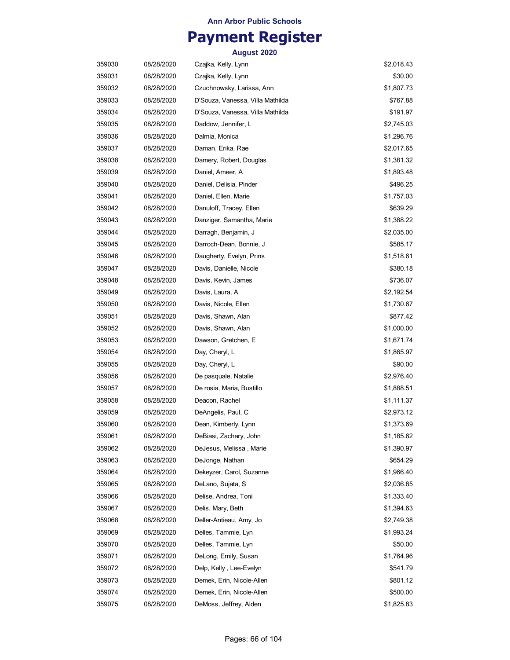## **Payment Register**

| 359030 | 08/28/2020 | Czajka, Kelly, Lynn              | \$2,018.43 |
|--------|------------|----------------------------------|------------|
| 359031 | 08/28/2020 | Czajka, Kelly, Lynn              | \$30.00    |
| 359032 | 08/28/2020 | Czuchnowsky, Larissa, Ann        | \$1,807.73 |
| 359033 | 08/28/2020 | D'Souza, Vanessa, Villa Mathilda | \$767.88   |
| 359034 | 08/28/2020 | D'Souza, Vanessa, Villa Mathilda | \$191.97   |
| 359035 | 08/28/2020 | Daddow, Jennifer, L              | \$2,745.03 |
| 359036 | 08/28/2020 | Dalmia, Monica                   | \$1,296.76 |
| 359037 | 08/28/2020 | Daman, Erika, Rae                | \$2,017.65 |
| 359038 | 08/28/2020 | Damery, Robert, Douglas          | \$1,381.32 |
| 359039 | 08/28/2020 | Daniel, Ameer, A                 | \$1,893.48 |
| 359040 | 08/28/2020 | Daniel, Delisia, Pinder          | \$496.25   |
| 359041 | 08/28/2020 | Daniel, Ellen, Marie             | \$1,757.03 |
| 359042 | 08/28/2020 | Danuloff, Tracey, Ellen          | \$639.29   |
| 359043 | 08/28/2020 | Danziger, Samantha, Marie        | \$1,388.22 |
| 359044 | 08/28/2020 | Darragh, Benjamin, J             | \$2,035.00 |
| 359045 | 08/28/2020 | Darroch-Dean, Bonnie, J          | \$585.17   |
| 359046 | 08/28/2020 | Daugherty, Evelyn, Prins         | \$1,518.61 |
| 359047 | 08/28/2020 | Davis, Danielle, Nicole          | \$380.18   |
| 359048 | 08/28/2020 | Davis, Kevin, James              | \$736.07   |
| 359049 | 08/28/2020 | Davis, Laura, A                  | \$2,192.54 |
| 359050 | 08/28/2020 | Davis, Nicole, Ellen             | \$1,730.67 |
| 359051 | 08/28/2020 | Davis, Shawn, Alan               | \$877.42   |
| 359052 | 08/28/2020 | Davis, Shawn, Alan               | \$1,000.00 |
| 359053 | 08/28/2020 | Dawson, Gretchen, E              | \$1,671.74 |
| 359054 | 08/28/2020 | Day, Cheryl, L                   | \$1,865.97 |
| 359055 | 08/28/2020 | Day, Cheryl, L                   | \$90.00    |
| 359056 | 08/28/2020 | De pasquale, Natalie             | \$2,976.40 |
| 359057 | 08/28/2020 | De rosia, Maria, Bustillo        | \$1,888.51 |
| 359058 | 08/28/2020 | Deacon, Rachel                   | \$1,111.37 |
| 359059 | 08/28/2020 | DeAngelis, Paul, C               | \$2,973.12 |
| 359060 | 08/28/2020 | Dean, Kimberly, Lynn             | \$1,373.69 |
| 359061 | 08/28/2020 | DeBiasi, Zachary, John           | \$1,185.62 |
| 359062 | 08/28/2020 | DeJesus, Melissa, Marie          | \$1,390.97 |
| 359063 | 08/28/2020 | DeJonge, Nathan                  | \$654.29   |
| 359064 | 08/28/2020 | Dekeyzer, Carol, Suzanne         | \$1,966.40 |
| 359065 | 08/28/2020 | DeLano, Sujata, S                | \$2,036.85 |
| 359066 | 08/28/2020 | Delise, Andrea, Toni             | \$1,333.40 |
| 359067 | 08/28/2020 | Delis, Mary, Beth                | \$1,394.63 |
| 359068 | 08/28/2020 | Deller-Antieau, Amy, Jo          | \$2,749.38 |
| 359069 | 08/28/2020 | Delles, Tammie, Lyn              | \$1,993.24 |
| 359070 | 08/28/2020 | Delles, Tammie, Lyn              | \$50.00    |
| 359071 | 08/28/2020 | DeLong, Emily, Susan             | \$1,764.96 |
| 359072 | 08/28/2020 | Delp, Kelly, Lee-Evelyn          | \$541.79   |
| 359073 | 08/28/2020 | Demek, Erin, Nicole-Allen        | \$801.12   |
| 359074 | 08/28/2020 | Demek, Erin, Nicole-Allen        | \$500.00   |
| 359075 | 08/28/2020 | DeMoss, Jeffrey, Alden           | \$1,825.83 |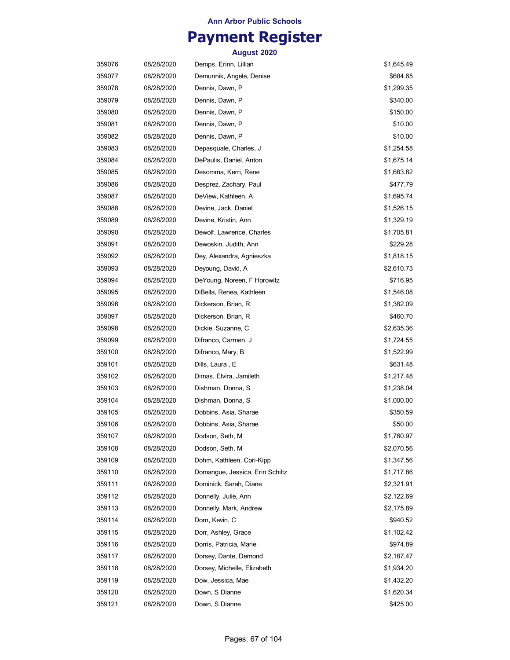# **Payment Register**

| 359076 | 08/28/2020 | Demps, Erinn, Lillian           | \$1,645.49 |
|--------|------------|---------------------------------|------------|
| 359077 | 08/28/2020 | Demunnik, Angele, Denise        | \$684.65   |
| 359078 | 08/28/2020 | Dennis, Dawn, P                 | \$1,299.35 |
| 359079 | 08/28/2020 | Dennis, Dawn, P                 | \$340.00   |
| 359080 | 08/28/2020 | Dennis, Dawn, P                 | \$150.00   |
| 359081 | 08/28/2020 | Dennis, Dawn, P                 | \$10.00    |
| 359082 | 08/28/2020 | Dennis, Dawn, P                 | \$10.00    |
| 359083 | 08/28/2020 | Depasquale, Charles, J          | \$1,254.58 |
| 359084 | 08/28/2020 | DePaulis, Daniel, Anton         | \$1,675.14 |
| 359085 | 08/28/2020 | Desomma, Kerri, Rene            | \$1,683.82 |
| 359086 | 08/28/2020 | Desprez, Zachary, Paul          | \$477.79   |
| 359087 | 08/28/2020 | DeView, Kathleen, A             | \$1,695.74 |
| 359088 | 08/28/2020 | Devine, Jack, Daniel            | \$1,526.15 |
| 359089 | 08/28/2020 | Devine, Kristin, Ann            | \$1,329.19 |
| 359090 | 08/28/2020 | Dewolf, Lawrence, Charles       | \$1,705.81 |
| 359091 | 08/28/2020 | Dewoskin, Judith, Ann           | \$229.28   |
| 359092 | 08/28/2020 | Dey, Alexandra, Agnieszka       | \$1,818.15 |
| 359093 | 08/28/2020 | Deyoung, David, A               | \$2,610.73 |
| 359094 | 08/28/2020 | DeYoung, Noreen, F Horowitz     | \$716.95   |
| 359095 | 08/28/2020 | DiBella, Renea, Kathleen        | \$1,546.08 |
| 359096 | 08/28/2020 | Dickerson, Brian, R             | \$1,382.09 |
| 359097 | 08/28/2020 | Dickerson, Brian, R             | \$460.70   |
| 359098 | 08/28/2020 | Dickie, Suzanne, C              | \$2,635.36 |
| 359099 | 08/28/2020 | Difranco, Carmen, J             | \$1,724.55 |
| 359100 | 08/28/2020 | Difranco, Mary, B               | \$1,522.99 |
| 359101 | 08/28/2020 | Dills, Laura , E                | \$631.48   |
| 359102 | 08/28/2020 | Dimas, Elvira, Jamileth         | \$1,217.48 |
| 359103 | 08/28/2020 | Dishman, Donna, S               | \$1,238.04 |
| 359104 | 08/28/2020 | Dishman, Donna, S               | \$1,000.00 |
| 359105 | 08/28/2020 | Dobbins, Asia, Sharae           | \$350.59   |
| 359106 | 08/28/2020 | Dobbins, Asia, Sharae           | \$50.00    |
| 359107 | 08/28/2020 | Dodson, Seth, M                 | \$1,760.97 |
| 359108 | 08/28/2020 | Dodson, Seth, M                 | \$2,070.56 |
| 359109 | 08/28/2020 | Dohm, Kathleen, Cori-Kipp       | \$1,347.56 |
| 359110 | 08/28/2020 | Domangue, Jessica, Erin Schiltz | \$1,717.86 |
| 359111 | 08/28/2020 | Dominick, Sarah, Diane          | \$2,321.91 |
| 359112 | 08/28/2020 | Donnelly, Julie, Ann            | \$2,122.69 |
| 359113 | 08/28/2020 | Donnelly, Mark, Andrew          | \$2,175.89 |
| 359114 | 08/28/2020 | Dorn, Kevin, C                  | \$940.52   |
| 359115 | 08/28/2020 | Dorr, Ashley, Grace             | \$1,102.42 |
| 359116 | 08/28/2020 | Dorris, Patricia, Marie         | \$974.89   |
| 359117 | 08/28/2020 | Dorsey, Dante, Demond           | \$2,187.47 |
| 359118 | 08/28/2020 | Dorsey, Michelle, Elizabeth     | \$1,934.20 |
| 359119 | 08/28/2020 | Dow, Jessica, Mae               | \$1,432.20 |
| 359120 | 08/28/2020 | Down, S Dianne                  | \$1,620.34 |
| 359121 | 08/28/2020 | Down, S Dianne                  | \$425.00   |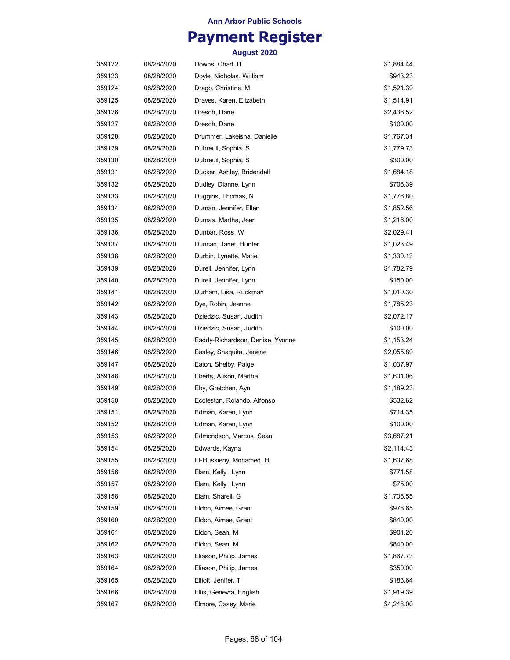## **Payment Register**

| 359122 | 08/28/2020 | Downs, Chad, D                   | \$1,884.44 |
|--------|------------|----------------------------------|------------|
| 359123 | 08/28/2020 | Doyle, Nicholas, William         | \$943.23   |
| 359124 | 08/28/2020 | Drago, Christine, M              | \$1,521.39 |
| 359125 | 08/28/2020 | Draves, Karen, Elizabeth         | \$1,514.91 |
| 359126 | 08/28/2020 | Dresch, Dane                     | \$2,436.52 |
| 359127 | 08/28/2020 | Dresch, Dane                     | \$100.00   |
| 359128 | 08/28/2020 | Drummer, Lakeisha, Danielle      | \$1,767.31 |
| 359129 | 08/28/2020 | Dubreuil, Sophia, S              | \$1,779.73 |
| 359130 | 08/28/2020 | Dubreuil, Sophia, S              | \$300.00   |
| 359131 | 08/28/2020 | Ducker, Ashley, Bridendall       | \$1,684.18 |
| 359132 | 08/28/2020 | Dudley, Dianne, Lynn             | \$706.39   |
| 359133 | 08/28/2020 | Duggins, Thomas, N               | \$1,776.80 |
| 359134 | 08/28/2020 | Duman, Jennifer, Ellen           | \$1,852.56 |
| 359135 | 08/28/2020 | Dumas, Martha, Jean              | \$1,216.00 |
| 359136 | 08/28/2020 | Dunbar, Ross, W                  | \$2,029.41 |
| 359137 | 08/28/2020 | Duncan, Janet, Hunter            | \$1,023.49 |
| 359138 | 08/28/2020 | Durbin, Lynette, Marie           | \$1,330.13 |
| 359139 | 08/28/2020 | Durell, Jennifer, Lynn           | \$1,782.79 |
| 359140 | 08/28/2020 | Durell, Jennifer, Lynn           | \$150.00   |
| 359141 | 08/28/2020 | Durham, Lisa, Ruckman            | \$1,010.30 |
| 359142 | 08/28/2020 | Dye, Robin, Jeanne               | \$1,785.23 |
| 359143 | 08/28/2020 | Dziedzic, Susan, Judith          | \$2,072.17 |
| 359144 | 08/28/2020 | Dziedzic, Susan, Judith          | \$100.00   |
| 359145 | 08/28/2020 | Eaddy-Richardson, Denise, Yvonne | \$1,153.24 |
| 359146 | 08/28/2020 | Easley, Shaquita, Jenene         | \$2,055.89 |
| 359147 | 08/28/2020 | Eaton, Shelby, Paige             | \$1,037.97 |
| 359148 | 08/28/2020 | Eberts, Alison, Martha           | \$1,601.06 |
| 359149 | 08/28/2020 | Eby, Gretchen, Ayn               | \$1,189.23 |
| 359150 | 08/28/2020 | Eccleston, Rolando, Alfonso      | \$532.62   |
| 359151 | 08/28/2020 | Edman, Karen, Lynn               | \$714.35   |
| 359152 | 08/28/2020 | Edman, Karen, Lynn               | \$100.00   |
| 359153 | 08/28/2020 | Edmondson, Marcus, Sean          | \$3,687.21 |
| 359154 | 08/28/2020 | Edwards, Kayna                   | \$2,114.43 |
| 359155 | 08/28/2020 | El-Hussieny, Mohamed, H          | \$1,607.68 |
| 359156 | 08/28/2020 | Elam, Kelly, Lynn                | \$771.58   |
| 359157 | 08/28/2020 | Elam, Kelly, Lynn                | \$75.00    |
| 359158 | 08/28/2020 | Elam, Sharell, G                 | \$1,706.55 |
| 359159 | 08/28/2020 | Eldon, Aimee, Grant              | \$978.65   |
| 359160 | 08/28/2020 | Eldon, Aimee, Grant              | \$840.00   |
| 359161 | 08/28/2020 | Eldon, Sean, M                   | \$901.20   |
| 359162 | 08/28/2020 | Eldon, Sean, M                   | \$840.00   |
| 359163 | 08/28/2020 | Eliason, Philip, James           | \$1,867.73 |
| 359164 | 08/28/2020 | Eliason, Philip, James           | \$350.00   |
| 359165 | 08/28/2020 | Elliott, Jenifer, T              | \$183.64   |
| 359166 | 08/28/2020 | Ellis, Genevra, English          | \$1,919.39 |
| 359167 | 08/28/2020 | Elmore, Casey, Marie             | \$4,248.00 |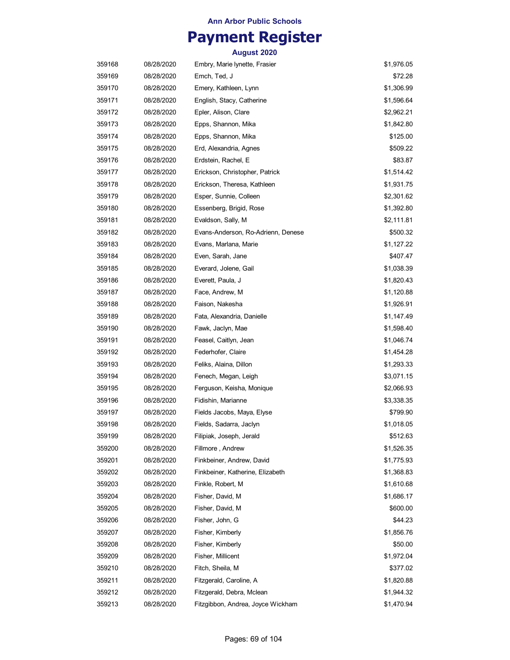## **Payment Register**

| 359168 | 08/28/2020 | Embry, Marie lynette, Frasier      | \$1,976.05 |
|--------|------------|------------------------------------|------------|
| 359169 | 08/28/2020 | Emch, Ted, J                       | \$72.28    |
| 359170 | 08/28/2020 | Emery, Kathleen, Lynn              | \$1,306.99 |
| 359171 | 08/28/2020 | English, Stacy, Catherine          | \$1,596.64 |
| 359172 | 08/28/2020 | Epler, Alison, Clare               | \$2,962.21 |
| 359173 | 08/28/2020 | Epps, Shannon, Mika                | \$1,842.80 |
| 359174 | 08/28/2020 | Epps, Shannon, Mika                | \$125.00   |
| 359175 | 08/28/2020 | Erd, Alexandria, Agnes             | \$509.22   |
| 359176 | 08/28/2020 | Erdstein, Rachel, E                | \$83.87    |
| 359177 | 08/28/2020 | Erickson, Christopher, Patrick     | \$1,514.42 |
| 359178 | 08/28/2020 | Erickson, Theresa, Kathleen        | \$1,931.75 |
| 359179 | 08/28/2020 | Esper, Sunnie, Colleen             | \$2,301.62 |
| 359180 | 08/28/2020 | Essenberg, Brigid, Rose            | \$1,392.80 |
| 359181 | 08/28/2020 | Evaldson, Sally, M                 | \$2,111.81 |
| 359182 | 08/28/2020 | Evans-Anderson, Ro-Adrienn, Denese | \$500.32   |
| 359183 | 08/28/2020 | Evans, Marlana, Marie              | \$1,127.22 |
| 359184 | 08/28/2020 | Even, Sarah, Jane                  | \$407.47   |
| 359185 | 08/28/2020 | Everard, Jolene, Gail              | \$1,038.39 |
| 359186 | 08/28/2020 | Everett, Paula, J                  | \$1,820.43 |
| 359187 | 08/28/2020 | Face, Andrew, M                    | \$1,120.88 |
| 359188 | 08/28/2020 | Faison, Nakesha                    | \$1,926.91 |
| 359189 | 08/28/2020 | Fata, Alexandria, Danielle         | \$1,147.49 |
| 359190 | 08/28/2020 | Fawk, Jaclyn, Mae                  | \$1,598.40 |
| 359191 | 08/28/2020 | Feasel, Caitlyn, Jean              | \$1,046.74 |
| 359192 | 08/28/2020 | Federhofer, Claire                 | \$1,454.28 |
| 359193 | 08/28/2020 | Feliks, Alaina, Dillon             | \$1,293.33 |
| 359194 | 08/28/2020 | Fenech, Megan, Leigh               | \$3,071.15 |
| 359195 | 08/28/2020 | Ferguson, Keisha, Monique          | \$2,066.93 |
| 359196 | 08/28/2020 | Fidishin, Marianne                 | \$3,338.35 |
| 359197 | 08/28/2020 | Fields Jacobs, Maya, Elyse         | \$799.90   |
| 359198 | 08/28/2020 | Fields, Sadarra, Jaclyn            | \$1,018.05 |
| 359199 | 08/28/2020 | Filipiak, Joseph, Jerald           | \$512.63   |
| 359200 | 08/28/2020 | Fillmore, Andrew                   | \$1,526.35 |
| 359201 | 08/28/2020 | Finkbeiner, Andrew, David          | \$1,775.93 |
| 359202 | 08/28/2020 | Finkbeiner, Katherine, Elizabeth   | \$1,368.83 |
| 359203 | 08/28/2020 | Finkle, Robert, M                  | \$1,610.68 |
| 359204 | 08/28/2020 | Fisher, David, M                   | \$1,686.17 |
| 359205 | 08/28/2020 | Fisher, David, M                   | \$600.00   |
| 359206 | 08/28/2020 | Fisher, John, G                    | \$44.23    |
| 359207 | 08/28/2020 | Fisher, Kimberly                   | \$1,856.76 |
| 359208 | 08/28/2020 | Fisher, Kimberly                   | \$50.00    |
| 359209 | 08/28/2020 | Fisher, Millicent                  | \$1,972.04 |
| 359210 | 08/28/2020 | Fitch, Sheila, M                   | \$377.02   |
| 359211 | 08/28/2020 | Fitzgerald, Caroline, A            | \$1,820.88 |
| 359212 | 08/28/2020 | Fitzgerald, Debra, Mclean          | \$1,944.32 |
| 359213 | 08/28/2020 | Fitzgibbon, Andrea, Joyce Wickham  | \$1,470.94 |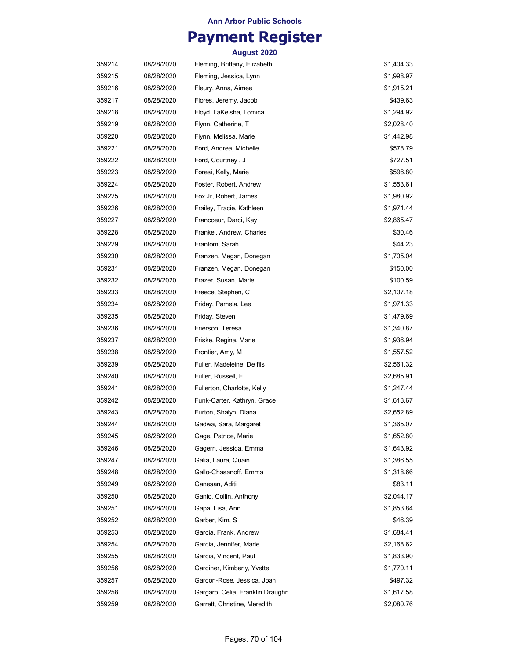## **Payment Register**

| 359214 | 08/28/2020 | Fleming, Brittany, Elizabeth     | \$1,404.33 |
|--------|------------|----------------------------------|------------|
| 359215 | 08/28/2020 | Fleming, Jessica, Lynn           | \$1,998.97 |
| 359216 | 08/28/2020 | Fleury, Anna, Aimee              | \$1,915.21 |
| 359217 | 08/28/2020 | Flores, Jeremy, Jacob            | \$439.63   |
| 359218 | 08/28/2020 | Floyd, LaKeisha, Lomica          | \$1,294.92 |
| 359219 | 08/28/2020 | Flynn, Catherine, T              | \$2,028.40 |
| 359220 | 08/28/2020 | Flynn, Melissa, Marie            | \$1,442.98 |
| 359221 | 08/28/2020 | Ford, Andrea, Michelle           | \$578.79   |
| 359222 | 08/28/2020 | Ford, Courtney , J               | \$727.51   |
| 359223 | 08/28/2020 | Foresi, Kelly, Marie             | \$596.80   |
| 359224 | 08/28/2020 | Foster, Robert, Andrew           | \$1,553.61 |
| 359225 | 08/28/2020 | Fox Jr, Robert, James            | \$1,980.92 |
| 359226 | 08/28/2020 | Frailey, Tracie, Kathleen        | \$1,971.44 |
| 359227 | 08/28/2020 | Francoeur, Darci, Kay            | \$2,865.47 |
| 359228 | 08/28/2020 | Frankel, Andrew, Charles         | \$30.46    |
| 359229 | 08/28/2020 | Frantom, Sarah                   | \$44.23    |
| 359230 | 08/28/2020 | Franzen, Megan, Donegan          | \$1,705.04 |
| 359231 | 08/28/2020 | Franzen, Megan, Donegan          | \$150.00   |
| 359232 | 08/28/2020 | Frazer, Susan, Marie             | \$100.59   |
| 359233 | 08/28/2020 | Freece, Stephen, C               | \$2,107.18 |
| 359234 | 08/28/2020 | Friday, Pamela, Lee              | \$1,971.33 |
| 359235 | 08/28/2020 | Friday, Steven                   | \$1,479.69 |
| 359236 | 08/28/2020 | Frierson, Teresa                 | \$1,340.87 |
| 359237 | 08/28/2020 | Friske, Regina, Marie            | \$1,936.94 |
| 359238 | 08/28/2020 | Frontier, Amy, M                 | \$1,557.52 |
| 359239 | 08/28/2020 | Fuller, Madeleine, De fils       | \$2,561.32 |
| 359240 | 08/28/2020 | Fuller, Russell, F               | \$2,685.91 |
| 359241 | 08/28/2020 | Fullerton, Charlotte, Kelly      | \$1,247.44 |
| 359242 | 08/28/2020 | Funk-Carter, Kathryn, Grace      | \$1,613.67 |
| 359243 | 08/28/2020 | Furton, Shalyn, Diana            | \$2,652.89 |
| 359244 | 08/28/2020 | Gadwa, Sara, Margaret            | \$1,365.07 |
| 359245 | 08/28/2020 | Gage, Patrice, Marie             | \$1,652.80 |
| 359246 | 08/28/2020 | Gagern, Jessica, Emma            | \$1,643.92 |
| 359247 | 08/28/2020 | Galia, Laura, Quain              | \$1,386.55 |
| 359248 | 08/28/2020 | Gallo-Chasanoff, Emma            | \$1,318.66 |
| 359249 | 08/28/2020 | Ganesan, Aditi                   | \$83.11    |
| 359250 | 08/28/2020 | Ganio, Collin, Anthony           | \$2,044.17 |
| 359251 | 08/28/2020 | Gapa, Lisa, Ann                  | \$1,853.84 |
| 359252 | 08/28/2020 | Garber, Kim, S                   | \$46.39    |
| 359253 | 08/28/2020 | Garcia, Frank, Andrew            | \$1,684.41 |
| 359254 | 08/28/2020 | Garcia, Jennifer, Marie          | \$2,168.62 |
| 359255 | 08/28/2020 | Garcia, Vincent, Paul            | \$1,833.90 |
| 359256 | 08/28/2020 | Gardiner, Kimberly, Yvette       | \$1,770.11 |
| 359257 | 08/28/2020 | Gardon-Rose, Jessica, Joan       | \$497.32   |
| 359258 | 08/28/2020 | Gargaro, Celia, Franklin Draughn | \$1,617.58 |
| 359259 | 08/28/2020 | Garrett, Christine, Meredith     | \$2,080.76 |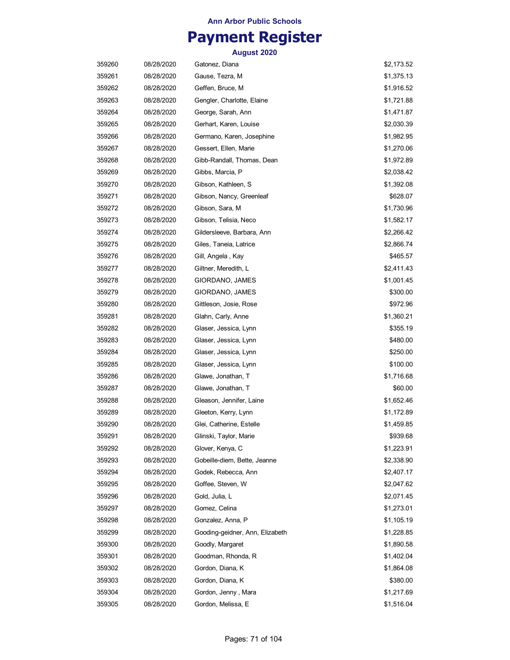## **Payment Register**

| 359260 | 08/28/2020 | Gatonez, Diana                  | \$2,173.52 |
|--------|------------|---------------------------------|------------|
| 359261 | 08/28/2020 | Gause, Tezra, M                 | \$1,375.13 |
| 359262 | 08/28/2020 | Geffen, Bruce, M                | \$1,916.52 |
| 359263 | 08/28/2020 | Gengler, Charlotte, Elaine      | \$1,721.88 |
| 359264 | 08/28/2020 | George, Sarah, Ann              | \$1,471.87 |
| 359265 | 08/28/2020 | Gerhart, Karen, Louise          | \$2,030.39 |
| 359266 | 08/28/2020 | Germano, Karen, Josephine       | \$1,982.95 |
| 359267 | 08/28/2020 | Gessert, Ellen, Marie           | \$1,270.06 |
| 359268 | 08/28/2020 | Gibb-Randall, Thomas, Dean      | \$1,972.89 |
| 359269 | 08/28/2020 | Gibbs, Marcia, P                | \$2,038.42 |
| 359270 | 08/28/2020 | Gibson, Kathleen, S             | \$1,392.08 |
| 359271 | 08/28/2020 | Gibson, Nancy, Greenleaf        | \$628.07   |
| 359272 | 08/28/2020 | Gibson, Sara, M                 | \$1,730.96 |
| 359273 | 08/28/2020 | Gibson, Telisia, Neco           | \$1,582.17 |
| 359274 | 08/28/2020 | Gildersleeve, Barbara, Ann      | \$2,266.42 |
| 359275 | 08/28/2020 | Giles, Taneia, Latrice          | \$2,866.74 |
| 359276 | 08/28/2020 | Gill, Angela, Kay               | \$465.57   |
| 359277 | 08/28/2020 | Giltner, Meredith, L            | \$2,411.43 |
| 359278 | 08/28/2020 | GIORDANO, JAMES                 | \$1,001.45 |
| 359279 | 08/28/2020 | GIORDANO, JAMES                 | \$300.00   |
| 359280 | 08/28/2020 | Gittleson, Josie, Rose          | \$972.96   |
| 359281 | 08/28/2020 | Glahn, Carly, Anne              | \$1,360.21 |
| 359282 | 08/28/2020 | Glaser, Jessica, Lynn           | \$355.19   |
| 359283 | 08/28/2020 | Glaser, Jessica, Lynn           | \$480.00   |
| 359284 | 08/28/2020 | Glaser, Jessica, Lynn           | \$250.00   |
| 359285 | 08/28/2020 | Glaser, Jessica, Lynn           | \$100.00   |
| 359286 | 08/28/2020 | Glawe, Jonathan, T              | \$1,716.68 |
| 359287 | 08/28/2020 | Glawe, Jonathan, T              | \$60.00    |
| 359288 | 08/28/2020 | Gleason, Jennifer, Laine        | \$1,652.46 |
| 359289 | 08/28/2020 | Gleeton, Kerry, Lynn            | \$1,172.89 |
| 359290 | 08/28/2020 | Glei, Catherine, Estelle        | \$1,459.85 |
| 359291 | 08/28/2020 | Glinski, Taylor, Marie          | \$939.68   |
| 359292 | 08/28/2020 | Glover, Kenya, C                | \$1,223.91 |
| 359293 | 08/28/2020 | Gobeille-diem, Bette, Jeanne    | \$2,338.90 |
| 359294 | 08/28/2020 | Godek, Rebecca, Ann             | \$2,407.17 |
| 359295 | 08/28/2020 | Goffee, Steven, W               | \$2,047.62 |
| 359296 | 08/28/2020 | Gold, Julia, L                  | \$2,071.45 |
| 359297 | 08/28/2020 | Gomez, Celina                   | \$1,273.01 |
| 359298 | 08/28/2020 | Gonzalez, Anna, P               | \$1,105.19 |
| 359299 | 08/28/2020 | Gooding-geidner, Ann, Elizabeth | \$1,228.85 |
| 359300 | 08/28/2020 | Goodly, Margaret                | \$1,890.58 |
| 359301 | 08/28/2020 | Goodman, Rhonda, R              | \$1,402.04 |
| 359302 | 08/28/2020 | Gordon, Diana, K                | \$1,864.08 |
| 359303 | 08/28/2020 | Gordon, Diana, K                | \$380.00   |
| 359304 | 08/28/2020 | Gordon, Jenny, Mara             | \$1,217.69 |
| 359305 | 08/28/2020 | Gordon, Melissa, E              | \$1,516.04 |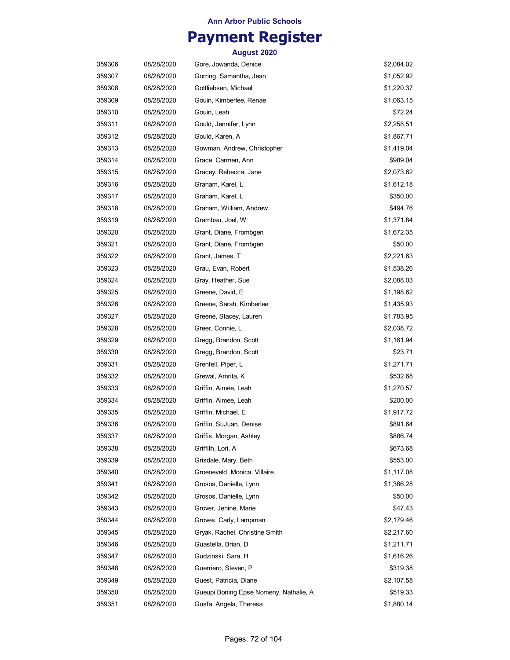## **Payment Register**

| 359306 | 08/28/2020 | Gore, Jowanda, Denice                  | \$2,084.02 |
|--------|------------|----------------------------------------|------------|
| 359307 | 08/28/2020 | Gorring, Samantha, Jean                | \$1,052.92 |
| 359308 | 08/28/2020 | Gottliebsen, Michael                   | \$1,220.37 |
| 359309 | 08/28/2020 | Gouin, Kimberlee, Renae                | \$1,063.15 |
| 359310 | 08/28/2020 | Gouin, Leah                            | \$72.24    |
| 359311 | 08/28/2020 | Gould, Jennifer, Lynn                  | \$2,258.51 |
| 359312 | 08/28/2020 | Gould, Karen, A                        | \$1,867.71 |
| 359313 | 08/28/2020 | Gowman, Andrew, Christopher            | \$1,419.04 |
| 359314 | 08/28/2020 | Grace, Carmen, Ann                     | \$989.04   |
| 359315 | 08/28/2020 | Gracey, Rebecca, Jane                  | \$2,073.62 |
| 359316 | 08/28/2020 | Graham, Karel, L                       | \$1,612.18 |
| 359317 | 08/28/2020 | Graham, Karel, L                       | \$350.00   |
| 359318 | 08/28/2020 | Graham, William, Andrew                | \$494.76   |
| 359319 | 08/28/2020 | Grambau, Joel, W                       | \$1,371.84 |
| 359320 | 08/28/2020 | Grant, Diane, Frombgen                 | \$1,672.35 |
| 359321 | 08/28/2020 | Grant, Diane, Frombgen                 | \$50.00    |
| 359322 | 08/28/2020 | Grant, James, T                        | \$2,221.63 |
| 359323 | 08/28/2020 | Grau, Evan, Robert                     | \$1,538.26 |
| 359324 | 08/28/2020 | Gray, Heather, Sue                     | \$2,088.03 |
| 359325 | 08/28/2020 | Greene, David, E                       | \$1,198.62 |
| 359326 | 08/28/2020 | Greene, Sarah, Kimberlee               | \$1,435.93 |
| 359327 | 08/28/2020 | Greene, Stacey, Lauren                 | \$1,783.95 |
| 359328 | 08/28/2020 | Greer, Connie, L                       | \$2,038.72 |
| 359329 | 08/28/2020 | Gregg, Brandon, Scott                  | \$1,161.94 |
| 359330 | 08/28/2020 | Gregg, Brandon, Scott                  | \$23.71    |
| 359331 | 08/28/2020 | Grenfell, Piper, L                     | \$1,271.71 |
| 359332 | 08/28/2020 | Grewal, Amrita, K                      | \$532.68   |
| 359333 | 08/28/2020 | Griffin, Aimee, Leah                   | \$1,270.57 |
| 359334 | 08/28/2020 | Griffin, Aimee, Leah                   | \$200.00   |
| 359335 | 08/28/2020 | Griffin, Michael, E                    | \$1,917.72 |
| 359336 | 08/28/2020 | Griffin, SuJuan, Denise                | \$891.64   |
| 359337 | 08/28/2020 | Griffis, Morgan, Ashley                | \$886.74   |
| 359338 | 08/28/2020 | Griffith, Lori, A                      | \$673.68   |
| 359339 | 08/28/2020 | Grisdale, Mary, Beth                   | \$553.00   |
| 359340 | 08/28/2020 | Groeneveld, Monica, Villaire           | \$1,117.08 |
| 359341 | 08/28/2020 | Grosos, Danielle, Lynn                 | \$1,386.28 |
| 359342 | 08/28/2020 | Grosos, Danielle, Lynn                 | \$50.00    |
| 359343 | 08/28/2020 | Grover, Jenine, Marie                  | \$47.43    |
| 359344 | 08/28/2020 | Groves, Carly, Lampman                 | \$2,179.46 |
| 359345 | 08/28/2020 | Gryak, Rachel, Christine Smith         | \$2,217.60 |
| 359346 | 08/28/2020 | Guastella, Brian, D                    | \$1,211.71 |
| 359347 | 08/28/2020 | Gudzinski, Sara, H                     | \$1,616.26 |
| 359348 | 08/28/2020 | Guerriero, Steven, P                   | \$319.38   |
| 359349 | 08/28/2020 | Guest, Patricia, Diane                 | \$2,107.58 |
| 359350 | 08/28/2020 | Gueupi Boning Epse Nomeny, Nathalie, A | \$519.33   |
| 359351 | 08/28/2020 | Gusfa, Angela, Theresa                 | \$1,880.14 |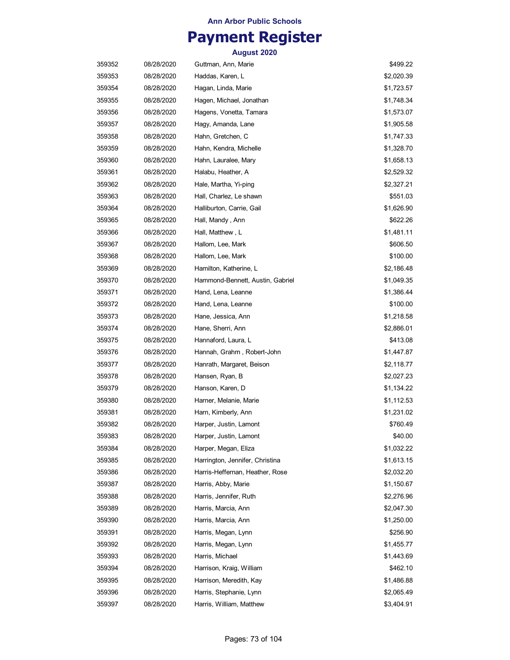## **Payment Register**

| 359352 | 08/28/2020 | Guttman, Ann, Marie              | \$499.22   |
|--------|------------|----------------------------------|------------|
| 359353 | 08/28/2020 | Haddas, Karen, L                 | \$2,020.39 |
| 359354 | 08/28/2020 | Hagan, Linda, Marie              | \$1,723.57 |
| 359355 | 08/28/2020 | Hagen, Michael, Jonathan         | \$1,748.34 |
| 359356 | 08/28/2020 | Hagens, Vonetta, Tamara          | \$1,573.07 |
| 359357 | 08/28/2020 | Hagy, Amanda, Lane               | \$1,905.58 |
| 359358 | 08/28/2020 | Hahn, Gretchen, C                | \$1,747.33 |
| 359359 | 08/28/2020 | Hahn, Kendra, Michelle           | \$1,328.70 |
| 359360 | 08/28/2020 | Hahn, Lauralee, Mary             | \$1,658.13 |
| 359361 | 08/28/2020 | Halabu, Heather, A               | \$2,529.32 |
| 359362 | 08/28/2020 | Hale, Martha, Yi-ping            | \$2,327.21 |
| 359363 | 08/28/2020 | Hall, Charlez, Le shawn          | \$551.03   |
| 359364 | 08/28/2020 | Halliburton, Carrie, Gail        | \$1,626.90 |
| 359365 | 08/28/2020 | Hall, Mandy , Ann                | \$622.26   |
| 359366 | 08/28/2020 | Hall, Matthew, L                 | \$1,481.11 |
| 359367 | 08/28/2020 | Hallom, Lee, Mark                | \$606.50   |
| 359368 | 08/28/2020 | Hallom, Lee, Mark                | \$100.00   |
| 359369 | 08/28/2020 | Hamilton, Katherine, L           | \$2,186.48 |
| 359370 | 08/28/2020 | Hammond-Bennett, Austin, Gabriel | \$1,049.35 |
| 359371 | 08/28/2020 | Hand, Lena, Leanne               | \$1,386.44 |
| 359372 | 08/28/2020 | Hand, Lena, Leanne               | \$100.00   |
| 359373 | 08/28/2020 | Hane, Jessica, Ann               | \$1,218.58 |
| 359374 | 08/28/2020 | Hane, Sherri, Ann                | \$2,886.01 |
| 359375 | 08/28/2020 | Hannaford, Laura, L              | \$413.08   |
| 359376 | 08/28/2020 | Hannah, Grahm, Robert-John       | \$1,447.87 |
| 359377 | 08/28/2020 | Hanrath, Margaret, Beison        | \$2,118.77 |
| 359378 | 08/28/2020 | Hansen, Ryan, B                  | \$2,027.23 |
| 359379 | 08/28/2020 | Hanson, Karen, D                 | \$1,134.22 |
| 359380 | 08/28/2020 | Harner, Melanie, Marie           | \$1,112.53 |
| 359381 | 08/28/2020 | Harn, Kimberly, Ann              | \$1,231.02 |
| 359382 | 08/28/2020 | Harper, Justin, Lamont           | \$760.49   |
| 359383 | 08/28/2020 | Harper, Justin, Lamont           | \$40.00    |
| 359384 | 08/28/2020 | Harper, Megan, Eliza             | \$1,032.22 |
| 359385 | 08/28/2020 | Harrington, Jennifer, Christina  | \$1,613.15 |
| 359386 | 08/28/2020 | Harris-Heffernan, Heather, Rose  | \$2,032.20 |
| 359387 | 08/28/2020 | Harris, Abby, Marie              | \$1,150.67 |
| 359388 | 08/28/2020 | Harris, Jennifer, Ruth           | \$2,276.96 |
| 359389 | 08/28/2020 | Harris, Marcia, Ann              | \$2,047.30 |
| 359390 | 08/28/2020 | Harris, Marcia, Ann              | \$1,250.00 |
| 359391 | 08/28/2020 | Harris, Megan, Lynn              | \$256.90   |
| 359392 | 08/28/2020 | Harris, Megan, Lynn              | \$1,455.77 |
| 359393 | 08/28/2020 | Harris, Michael                  | \$1,443.69 |
| 359394 | 08/28/2020 | Harrison, Kraig, William         | \$462.10   |
| 359395 | 08/28/2020 | Harrison, Meredith, Kay          | \$1,486.88 |
| 359396 | 08/28/2020 | Harris, Stephanie, Lynn          | \$2,065.49 |
| 359397 | 08/28/2020 | Harris, William, Matthew         | \$3,404.91 |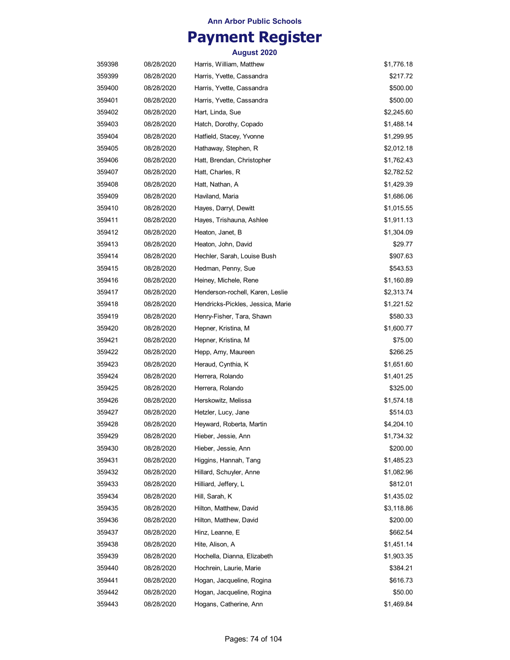## **Payment Register**

| 359398 | 08/28/2020 | Harris, William, Matthew          | \$1,776.18 |
|--------|------------|-----------------------------------|------------|
| 359399 | 08/28/2020 | Harris, Yvette, Cassandra         | \$217.72   |
| 359400 | 08/28/2020 | Harris, Yvette, Cassandra         | \$500.00   |
| 359401 | 08/28/2020 | Harris, Yvette, Cassandra         | \$500.00   |
| 359402 | 08/28/2020 | Hart, Linda, Sue                  | \$2,245.60 |
| 359403 | 08/28/2020 | Hatch, Dorothy, Copado            | \$1,488.14 |
| 359404 | 08/28/2020 | Hatfield, Stacey, Yvonne          | \$1,299.95 |
| 359405 | 08/28/2020 | Hathaway, Stephen, R              | \$2,012.18 |
| 359406 | 08/28/2020 | Hatt, Brendan, Christopher        | \$1,762.43 |
| 359407 | 08/28/2020 | Hatt, Charles, R                  | \$2,782.52 |
| 359408 | 08/28/2020 | Hatt, Nathan, A                   | \$1,429.39 |
| 359409 | 08/28/2020 | Haviland, Maria                   | \$1,686.06 |
| 359410 | 08/28/2020 | Hayes, Darryl, Dewitt             | \$1,015.55 |
| 359411 | 08/28/2020 | Hayes, Trishauna, Ashlee          | \$1,911.13 |
| 359412 | 08/28/2020 | Heaton, Janet, B                  | \$1,304.09 |
| 359413 | 08/28/2020 | Heaton, John, David               | \$29.77    |
| 359414 | 08/28/2020 | Hechler, Sarah, Louise Bush       | \$907.63   |
| 359415 | 08/28/2020 | Hedman, Penny, Sue                | \$543.53   |
| 359416 | 08/28/2020 | Heiney, Michele, Rene             | \$1,160.89 |
| 359417 | 08/28/2020 | Henderson-rochell, Karen, Leslie  | \$2,313.74 |
| 359418 | 08/28/2020 | Hendricks-Pickles, Jessica, Marie | \$1,221.52 |
| 359419 | 08/28/2020 | Henry-Fisher, Tara, Shawn         | \$580.33   |
| 359420 | 08/28/2020 | Hepner, Kristina, M               | \$1,600.77 |
| 359421 | 08/28/2020 | Hepner, Kristina, M               | \$75.00    |
| 359422 | 08/28/2020 | Hepp, Amy, Maureen                | \$266.25   |
| 359423 | 08/28/2020 | Heraud, Cynthia, K                | \$1,651.60 |
| 359424 | 08/28/2020 | Herrera, Rolando                  | \$1,401.25 |
| 359425 | 08/28/2020 | Herrera, Rolando                  | \$325.00   |
| 359426 | 08/28/2020 | Herskowitz, Melissa               | \$1,574.18 |
| 359427 | 08/28/2020 | Hetzler, Lucy, Jane               | \$514.03   |
| 359428 | 08/28/2020 | Heyward, Roberta, Martin          | \$4,204.10 |
| 359429 | 08/28/2020 | Hieber, Jessie, Ann               | \$1,734.32 |
| 359430 | 08/28/2020 | Hieber, Jessie, Ann               | \$200.00   |
| 359431 | 08/28/2020 | Higgins, Hannah, Tang             | \$1,485.23 |
| 359432 | 08/28/2020 | Hillard, Schuyler, Anne           | \$1,082.96 |
| 359433 | 08/28/2020 | Hilliard, Jeffery, L              | \$812.01   |
| 359434 | 08/28/2020 | Hill, Sarah, K                    | \$1,435.02 |
| 359435 | 08/28/2020 | Hilton, Matthew, David            | \$3,118.86 |
| 359436 | 08/28/2020 | Hilton, Matthew, David            | \$200.00   |
| 359437 | 08/28/2020 | Hinz, Leanne, E                   | \$662.54   |
| 359438 | 08/28/2020 | Hite, Alison, A                   | \$1,451.14 |
| 359439 | 08/28/2020 | Hochella, Dianna, Elizabeth       | \$1,903.35 |
| 359440 | 08/28/2020 | Hochrein, Laurie, Marie           | \$384.21   |
| 359441 | 08/28/2020 | Hogan, Jacqueline, Rogina         | \$616.73   |
| 359442 | 08/28/2020 | Hogan, Jacqueline, Rogina         | \$50.00    |
| 359443 | 08/28/2020 | Hogans, Catherine, Ann            | \$1,469.84 |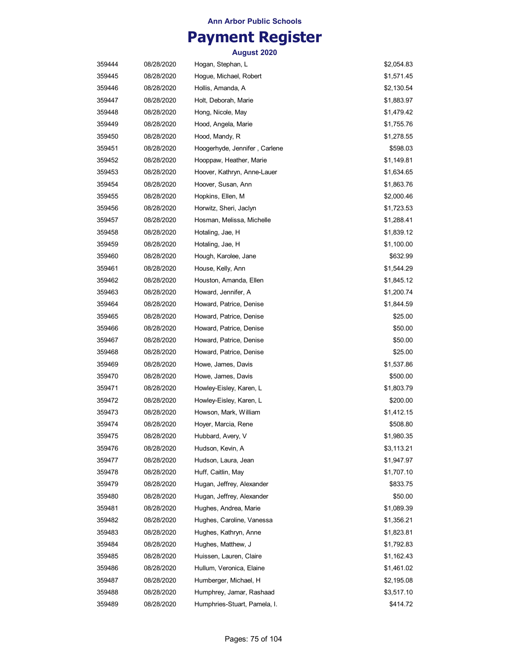# **Payment Register**

| 359444 | 08/28/2020 | Hogan, Stephan, L             | \$2,054.83 |
|--------|------------|-------------------------------|------------|
| 359445 | 08/28/2020 | Hogue, Michael, Robert        | \$1,571.45 |
| 359446 | 08/28/2020 | Hollis, Amanda, A             | \$2,130.54 |
| 359447 | 08/28/2020 | Holt, Deborah, Marie          | \$1,883.97 |
| 359448 | 08/28/2020 | Hong, Nicole, May             | \$1,479.42 |
| 359449 | 08/28/2020 | Hood, Angela, Marie           | \$1,755.76 |
| 359450 | 08/28/2020 | Hood, Mandy, R                | \$1,278.55 |
| 359451 | 08/28/2020 | Hoogerhyde, Jennifer, Carlene | \$598.03   |
| 359452 | 08/28/2020 | Hooppaw, Heather, Marie       | \$1,149.81 |
| 359453 | 08/28/2020 | Hoover, Kathryn, Anne-Lauer   | \$1,634.65 |
| 359454 | 08/28/2020 | Hoover, Susan, Ann            | \$1,863.76 |
| 359455 | 08/28/2020 | Hopkins, Ellen, M             | \$2,000.46 |
| 359456 | 08/28/2020 | Horwitz, Sheri, Jaclyn        | \$1,723.53 |
| 359457 | 08/28/2020 | Hosman, Melissa, Michelle     | \$1,288.41 |
| 359458 | 08/28/2020 | Hotaling, Jae, H              | \$1,839.12 |
| 359459 | 08/28/2020 | Hotaling, Jae, H              | \$1,100.00 |
| 359460 | 08/28/2020 | Hough, Karolee, Jane          | \$632.99   |
| 359461 | 08/28/2020 | House, Kelly, Ann             | \$1,544.29 |
| 359462 | 08/28/2020 | Houston, Amanda, Ellen        | \$1,845.12 |
| 359463 | 08/28/2020 | Howard, Jennifer, A           | \$1,200.74 |
| 359464 | 08/28/2020 | Howard, Patrice, Denise       | \$1,844.59 |
| 359465 | 08/28/2020 | Howard, Patrice, Denise       | \$25.00    |
| 359466 | 08/28/2020 | Howard, Patrice, Denise       | \$50.00    |
| 359467 | 08/28/2020 | Howard, Patrice, Denise       | \$50.00    |
| 359468 | 08/28/2020 | Howard, Patrice, Denise       | \$25.00    |
| 359469 | 08/28/2020 | Howe, James, Davis            | \$1,537.86 |
| 359470 | 08/28/2020 | Howe, James, Davis            | \$500.00   |
| 359471 | 08/28/2020 | Howley-Eisley, Karen, L       | \$1,803.79 |
| 359472 | 08/28/2020 | Howley-Eisley, Karen, L       | \$200.00   |
| 359473 | 08/28/2020 | Howson, Mark, William         | \$1,412.15 |
| 359474 | 08/28/2020 | Hoyer, Marcia, Rene           | \$508.80   |
| 359475 | 08/28/2020 | Hubbard, Avery, V             | \$1,980.35 |
| 359476 | 08/28/2020 | Hudson, Kevin, A              | \$3,113.21 |
| 359477 | 08/28/2020 | Hudson, Laura, Jean           | \$1,947.97 |
| 359478 | 08/28/2020 | Huff, Caitlin, May            | \$1,707.10 |
| 359479 | 08/28/2020 | Hugan, Jeffrey, Alexander     | \$833.75   |
| 359480 | 08/28/2020 | Hugan, Jeffrey, Alexander     | \$50.00    |
| 359481 | 08/28/2020 | Hughes, Andrea, Marie         | \$1,089.39 |
| 359482 | 08/28/2020 | Hughes, Caroline, Vanessa     | \$1,356.21 |
| 359483 | 08/28/2020 | Hughes, Kathryn, Anne         | \$1,823.81 |
| 359484 | 08/28/2020 | Hughes, Matthew, J            | \$1,792.83 |
| 359485 | 08/28/2020 | Huissen, Lauren, Claire       | \$1,162.43 |
| 359486 | 08/28/2020 | Hullum, Veronica, Elaine      | \$1,461.02 |
| 359487 | 08/28/2020 | Humberger, Michael, H         | \$2,195.08 |
| 359488 | 08/28/2020 | Humphrey, Jamar, Rashaad      | \$3,517.10 |
| 359489 | 08/28/2020 | Humphries-Stuart, Pamela, I.  | \$414.72   |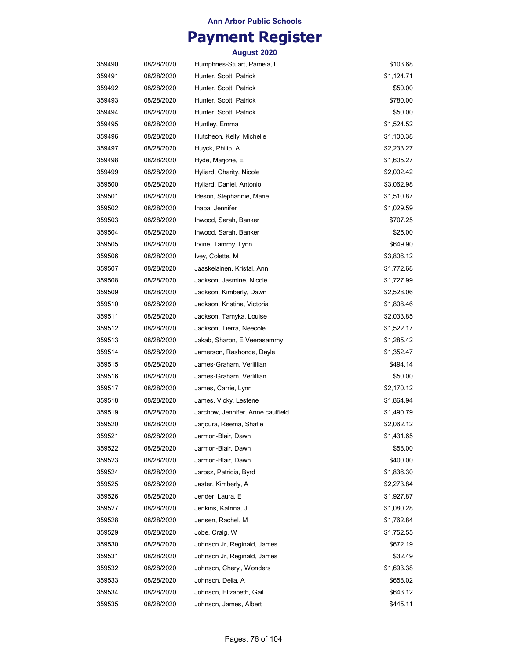# **Payment Register**

| 359490 | 08/28/2020 | Humphries-Stuart, Pamela, I.      | \$103.68   |
|--------|------------|-----------------------------------|------------|
| 359491 | 08/28/2020 | Hunter, Scott, Patrick            | \$1,124.71 |
| 359492 | 08/28/2020 | Hunter, Scott, Patrick            | \$50.00    |
| 359493 | 08/28/2020 | Hunter, Scott, Patrick            | \$780.00   |
| 359494 | 08/28/2020 | Hunter, Scott, Patrick            | \$50.00    |
| 359495 | 08/28/2020 | Huntley, Emma                     | \$1,524.52 |
| 359496 | 08/28/2020 | Hutcheon, Kelly, Michelle         | \$1,100.38 |
| 359497 | 08/28/2020 | Huyck, Philip, A                  | \$2,233.27 |
| 359498 | 08/28/2020 | Hyde, Marjorie, E                 | \$1,605.27 |
| 359499 | 08/28/2020 | Hyliard, Charity, Nicole          | \$2,002.42 |
| 359500 | 08/28/2020 | Hyliard, Daniel, Antonio          | \$3,062.98 |
| 359501 | 08/28/2020 | Ideson, Stephannie, Marie         | \$1,510.87 |
| 359502 | 08/28/2020 | Inaba, Jennifer                   | \$1,029.59 |
| 359503 | 08/28/2020 | Inwood, Sarah, Banker             | \$707.25   |
| 359504 | 08/28/2020 | Inwood, Sarah, Banker             | \$25.00    |
| 359505 | 08/28/2020 | Irvine, Tammy, Lynn               | \$649.90   |
| 359506 | 08/28/2020 | Ivey, Colette, M                  | \$3,806.12 |
| 359507 | 08/28/2020 | Jaaskelainen, Kristal, Ann        | \$1,772.68 |
| 359508 | 08/28/2020 | Jackson, Jasmine, Nicole          | \$1,727.99 |
| 359509 | 08/28/2020 | Jackson, Kimberly, Dawn           | \$2,528.06 |
| 359510 | 08/28/2020 | Jackson, Kristina, Victoria       | \$1,808.46 |
| 359511 | 08/28/2020 | Jackson, Tamyka, Louise           | \$2,033.85 |
| 359512 | 08/28/2020 | Jackson, Tierra, Neecole          | \$1,522.17 |
| 359513 | 08/28/2020 | Jakab, Sharon, E Veerasammy       | \$1,285.42 |
| 359514 | 08/28/2020 | Jamerson, Rashonda, Dayle         | \$1,352.47 |
| 359515 | 08/28/2020 | James-Graham, Verlillian          | \$494.14   |
| 359516 | 08/28/2020 | James-Graham, Verlillian          | \$50.00    |
| 359517 | 08/28/2020 | James, Carrie, Lynn               | \$2,170.12 |
| 359518 | 08/28/2020 | James, Vicky, Lestene             | \$1,864.94 |
| 359519 | 08/28/2020 | Jarchow, Jennifer, Anne caulfield | \$1,490.79 |
| 359520 | 08/28/2020 | Jarjoura, Reema, Shafie           | \$2,062.12 |
| 359521 | 08/28/2020 | Jarmon-Blair, Dawn                | \$1,431.65 |
| 359522 | 08/28/2020 | Jarmon-Blair, Dawn                | \$58.00    |
| 359523 | 08/28/2020 | Jarmon-Blair, Dawn                | \$400.00   |
| 359524 | 08/28/2020 | Jarosz, Patricia, Byrd            | \$1,836.30 |
| 359525 | 08/28/2020 | Jaster, Kimberly, A               | \$2,273.84 |
| 359526 | 08/28/2020 | Jender, Laura, E                  | \$1,927.87 |
| 359527 | 08/28/2020 | Jenkins, Katrina, J               | \$1,080.28 |
| 359528 | 08/28/2020 | Jensen, Rachel, M                 | \$1,762.84 |
| 359529 | 08/28/2020 | Jobe, Craig, W                    | \$1,752.55 |
| 359530 | 08/28/2020 | Johnson Jr, Reginald, James       | \$672.19   |
| 359531 | 08/28/2020 | Johnson Jr, Reginald, James       | \$32.49    |
| 359532 | 08/28/2020 | Johnson, Cheryl, Wonders          | \$1,693.38 |
| 359533 | 08/28/2020 | Johnson, Delia, A                 | \$658.02   |
| 359534 | 08/28/2020 | Johnson, Elizabeth, Gail          | \$643.12   |
| 359535 | 08/28/2020 | Johnson, James, Albert            | \$445.11   |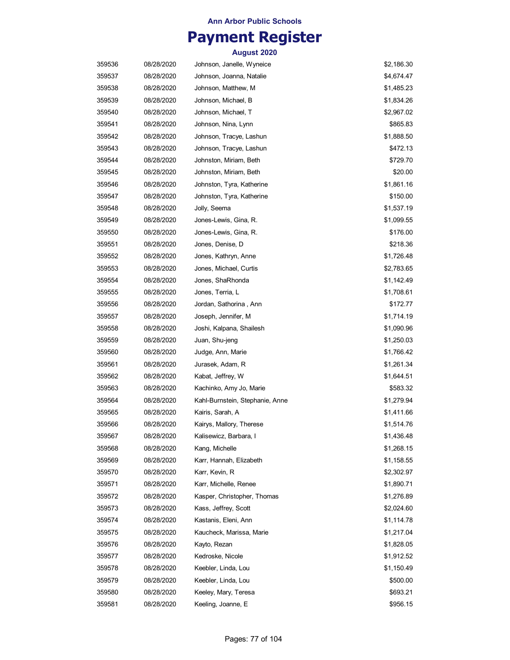# **Payment Register**

| 359536 | 08/28/2020 | Johnson, Janelle, Wyneice       | \$2,186.30 |
|--------|------------|---------------------------------|------------|
| 359537 | 08/28/2020 | Johnson, Joanna, Natalie        | \$4,674.47 |
| 359538 | 08/28/2020 | Johnson, Matthew, M             | \$1,485.23 |
| 359539 | 08/28/2020 | Johnson, Michael, B             | \$1,834.26 |
| 359540 | 08/28/2020 | Johnson, Michael, T             | \$2,967.02 |
| 359541 | 08/28/2020 | Johnson, Nina, Lynn             | \$865.83   |
| 359542 | 08/28/2020 | Johnson, Tracye, Lashun         | \$1,888.50 |
| 359543 | 08/28/2020 | Johnson, Tracye, Lashun         | \$472.13   |
| 359544 | 08/28/2020 | Johnston, Miriam, Beth          | \$729.70   |
| 359545 | 08/28/2020 | Johnston, Miriam, Beth          | \$20.00    |
| 359546 | 08/28/2020 | Johnston, Tyra, Katherine       | \$1,861.16 |
| 359547 | 08/28/2020 | Johnston, Tyra, Katherine       | \$150.00   |
| 359548 | 08/28/2020 | Jolly, Seema                    | \$1,537.19 |
| 359549 | 08/28/2020 | Jones-Lewis, Gina, R.           | \$1,099.55 |
| 359550 | 08/28/2020 | Jones-Lewis, Gina, R.           | \$176.00   |
| 359551 | 08/28/2020 | Jones, Denise, D                | \$218.36   |
| 359552 | 08/28/2020 | Jones, Kathryn, Anne            | \$1,726.48 |
| 359553 | 08/28/2020 | Jones, Michael, Curtis          | \$2,783.65 |
| 359554 | 08/28/2020 | Jones, ShaRhonda                | \$1,142.49 |
| 359555 | 08/28/2020 | Jones, Terria, L                | \$1,708.61 |
| 359556 | 08/28/2020 | Jordan, Sathorina , Ann         | \$172.77   |
| 359557 | 08/28/2020 | Joseph, Jennifer, M             | \$1,714.19 |
| 359558 | 08/28/2020 | Joshi, Kalpana, Shailesh        | \$1,090.96 |
| 359559 | 08/28/2020 | Juan, Shu-jeng                  | \$1,250.03 |
| 359560 | 08/28/2020 | Judge, Ann, Marie               | \$1,766.42 |
| 359561 | 08/28/2020 | Jurasek, Adam, R                | \$1,261.34 |
| 359562 | 08/28/2020 | Kabat, Jeffrey, W               | \$1,644.51 |
| 359563 | 08/28/2020 | Kachinko, Amy Jo, Marie         | \$583.32   |
| 359564 | 08/28/2020 | Kahl-Burnstein, Stephanie, Anne | \$1,279.94 |
| 359565 | 08/28/2020 | Kairis, Sarah, A                | \$1,411.66 |
| 359566 | 08/28/2020 | Kairys, Mallory, Therese        | \$1,514.76 |
| 359567 | 08/28/2020 | Kalisewicz, Barbara, I          | \$1,436.48 |
| 359568 | 08/28/2020 | Kang, Michelle                  | \$1,268.15 |
| 359569 | 08/28/2020 | Karr, Hannah, Elizabeth         | \$1,158.55 |
| 359570 | 08/28/2020 | Karr, Kevin, R                  | \$2,302.97 |
| 359571 | 08/28/2020 | Karr, Michelle, Renee           | \$1,890.71 |
| 359572 | 08/28/2020 | Kasper, Christopher, Thomas     | \$1,276.89 |
| 359573 | 08/28/2020 | Kass, Jeffrey, Scott            | \$2,024.60 |
| 359574 | 08/28/2020 | Kastanis, Eleni, Ann            | \$1,114.78 |
| 359575 | 08/28/2020 | Kaucheck, Marissa, Marie        | \$1,217.04 |
| 359576 | 08/28/2020 | Kayto, Rezan                    | \$1,828.05 |
| 359577 | 08/28/2020 | Kedroske, Nicole                | \$1,912.52 |
| 359578 | 08/28/2020 | Keebler, Linda, Lou             | \$1,150.49 |
| 359579 | 08/28/2020 | Keebler, Linda, Lou             | \$500.00   |
| 359580 | 08/28/2020 | Keeley, Mary, Teresa            | \$693.21   |
| 359581 | 08/28/2020 | Keeling, Joanne, E              | \$956.15   |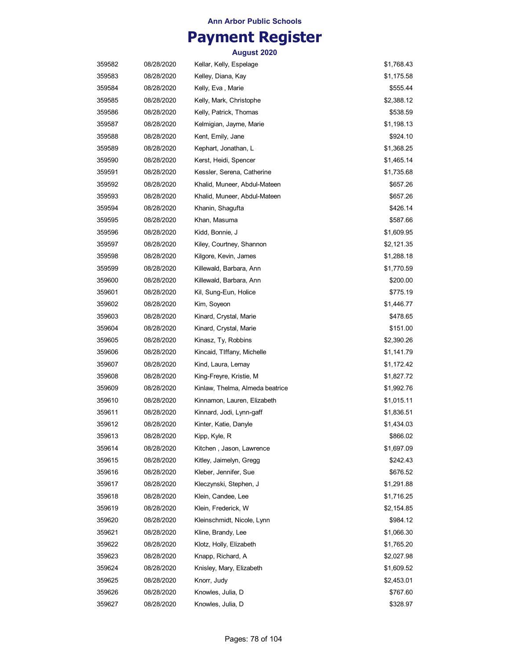## **Payment Register**

| 359582 | 08/28/2020 | Kellar, Kelly, Espelage         | \$1,768.43 |
|--------|------------|---------------------------------|------------|
| 359583 | 08/28/2020 | Kelley, Diana, Kay              | \$1,175.58 |
| 359584 | 08/28/2020 | Kelly, Eva, Marie               | \$555.44   |
| 359585 | 08/28/2020 | Kelly, Mark, Christophe         | \$2,388.12 |
| 359586 | 08/28/2020 | Kelly, Patrick, Thomas          | \$538.59   |
| 359587 | 08/28/2020 | Kelmigian, Jayme, Marie         | \$1,198.13 |
| 359588 | 08/28/2020 | Kent, Emily, Jane               | \$924.10   |
| 359589 | 08/28/2020 | Kephart, Jonathan, L            | \$1,368.25 |
| 359590 | 08/28/2020 | Kerst, Heidi, Spencer           | \$1,465.14 |
| 359591 | 08/28/2020 | Kessler, Serena, Catherine      | \$1,735.68 |
| 359592 | 08/28/2020 | Khalid, Muneer, Abdul-Mateen    | \$657.26   |
| 359593 | 08/28/2020 | Khalid, Muneer, Abdul-Mateen    | \$657.26   |
| 359594 | 08/28/2020 | Khanin, Shagufta                | \$426.14   |
| 359595 | 08/28/2020 | Khan, Masuma                    | \$587.66   |
| 359596 | 08/28/2020 | Kidd, Bonnie, J                 | \$1,609.95 |
| 359597 | 08/28/2020 | Kiley, Courtney, Shannon        | \$2,121.35 |
| 359598 | 08/28/2020 | Kilgore, Kevin, James           | \$1,288.18 |
| 359599 | 08/28/2020 | Killewald, Barbara, Ann         | \$1,770.59 |
| 359600 | 08/28/2020 | Killewald, Barbara, Ann         | \$200.00   |
| 359601 | 08/28/2020 | Kil, Sung-Eun, Holice           | \$775.19   |
| 359602 | 08/28/2020 | Kim, Soyeon                     | \$1,446.77 |
| 359603 | 08/28/2020 | Kinard, Crystal, Marie          | \$478.65   |
| 359604 | 08/28/2020 | Kinard, Crystal, Marie          | \$151.00   |
| 359605 | 08/28/2020 | Kinasz, Ty, Robbins             | \$2,390.26 |
| 359606 | 08/28/2020 | Kincaid, TIffany, Michelle      | \$1,141.79 |
| 359607 | 08/28/2020 | Kind, Laura, Lemay              | \$1,172.42 |
| 359608 | 08/28/2020 | King-Freyre, Kristie, M         | \$1,827.72 |
| 359609 | 08/28/2020 | Kinlaw, Thelma, Almeda beatrice | \$1,992.76 |
| 359610 | 08/28/2020 | Kinnamon, Lauren, Elizabeth     | \$1,015.11 |
| 359611 | 08/28/2020 | Kinnard, Jodi, Lynn-gaff        | \$1,836.51 |
| 359612 | 08/28/2020 | Kinter, Katie, Danyle           | \$1,434.03 |
| 359613 | 08/28/2020 | Kipp, Kyle, R                   | \$866.02   |
| 359614 | 08/28/2020 | Kitchen, Jason, Lawrence        | \$1,697.09 |
| 359615 | 08/28/2020 | Kitley, Jaimelyn, Gregg         | \$242.43   |
| 359616 | 08/28/2020 | Kleber, Jennifer, Sue           | \$676.52   |
| 359617 | 08/28/2020 | Kleczynski, Stephen, J          | \$1,291.88 |
| 359618 | 08/28/2020 | Klein, Candee, Lee              | \$1,716.25 |
| 359619 | 08/28/2020 | Klein, Frederick, W             | \$2,154.85 |
| 359620 | 08/28/2020 | Kleinschmidt, Nicole, Lynn      | \$984.12   |
| 359621 | 08/28/2020 | Kline, Brandy, Lee              | \$1,066.30 |
| 359622 | 08/28/2020 | Klotz, Holly, Elizabeth         | \$1,765.20 |
| 359623 | 08/28/2020 | Knapp, Richard, A               | \$2,027.98 |
| 359624 | 08/28/2020 | Knisley, Mary, Elizabeth        | \$1,609.52 |
| 359625 | 08/28/2020 | Knorr, Judy                     | \$2,453.01 |
| 359626 | 08/28/2020 | Knowles, Julia, D               | \$767.60   |
| 359627 | 08/28/2020 | Knowles, Julia, D               | \$328.97   |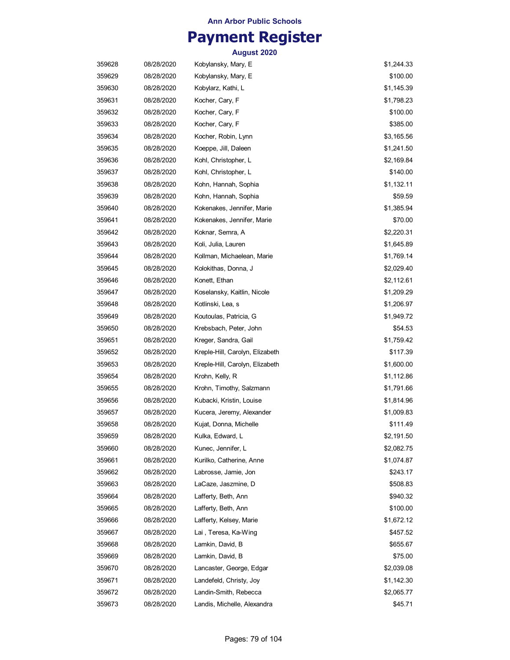## **Payment Register**

| 359628 | 08/28/2020 | Kobylansky, Mary, E             | \$1,244.33 |
|--------|------------|---------------------------------|------------|
| 359629 | 08/28/2020 | Kobylansky, Mary, E             | \$100.00   |
| 359630 | 08/28/2020 | Kobylarz, Kathi, L              | \$1,145.39 |
| 359631 | 08/28/2020 | Kocher, Cary, F                 | \$1,798.23 |
| 359632 | 08/28/2020 | Kocher, Cary, F                 | \$100.00   |
| 359633 | 08/28/2020 | Kocher, Cary, F                 | \$385.00   |
| 359634 | 08/28/2020 | Kocher, Robin, Lynn             | \$3,165.56 |
| 359635 | 08/28/2020 | Koeppe, Jill, Daleen            | \$1,241.50 |
| 359636 | 08/28/2020 | Kohl, Christopher, L            | \$2,169.84 |
| 359637 | 08/28/2020 | Kohl, Christopher, L            | \$140.00   |
| 359638 | 08/28/2020 | Kohn, Hannah, Sophia            | \$1,132.11 |
| 359639 | 08/28/2020 | Kohn, Hannah, Sophia            | \$59.59    |
| 359640 | 08/28/2020 | Kokenakes, Jennifer, Marie      | \$1,385.94 |
| 359641 | 08/28/2020 | Kokenakes, Jennifer, Marie      | \$70.00    |
| 359642 | 08/28/2020 | Koknar, Semra, A                | \$2,220.31 |
| 359643 | 08/28/2020 | Koli, Julia, Lauren             | \$1,645.89 |
| 359644 | 08/28/2020 | Kollman, Michaelean, Marie      | \$1,769.14 |
| 359645 | 08/28/2020 | Kolokithas, Donna, J            | \$2,029.40 |
| 359646 | 08/28/2020 | Konett, Ethan                   | \$2,112.61 |
| 359647 | 08/28/2020 | Koselansky, Kaitlin, Nicole     | \$1,209.29 |
| 359648 | 08/28/2020 | Kotlinski, Lea, s               | \$1,206.97 |
| 359649 | 08/28/2020 | Koutoulas, Patricia, G          | \$1,949.72 |
| 359650 | 08/28/2020 | Krebsbach, Peter, John          | \$54.53    |
| 359651 | 08/28/2020 | Kreger, Sandra, Gail            | \$1,759.42 |
| 359652 | 08/28/2020 | Kreple-Hill, Carolyn, Elizabeth | \$117.39   |
| 359653 | 08/28/2020 | Kreple-Hill, Carolyn, Elizabeth | \$1,600.00 |
| 359654 | 08/28/2020 | Krohn, Kelly, R                 | \$1,112.86 |
| 359655 | 08/28/2020 | Krohn, Timothy, Salzmann        | \$1,791.66 |
| 359656 | 08/28/2020 | Kubacki, Kristin, Louise        | \$1,814.96 |
| 359657 | 08/28/2020 | Kucera, Jeremy, Alexander       | \$1,009.83 |
| 359658 | 08/28/2020 | Kujat, Donna, Michelle          | \$111.49   |
| 359659 | 08/28/2020 | Kulka, Edward, L                | \$2,191.50 |
| 359660 | 08/28/2020 | Kunec, Jennifer, L              | \$2,082.75 |
| 359661 | 08/28/2020 | Kurilko, Catherine, Anne        | \$1,074.87 |
| 359662 | 08/28/2020 | Labrosse, Jamie, Jon            | \$243.17   |
| 359663 | 08/28/2020 | LaCaze, Jaszmine, D             | \$508.83   |
| 359664 | 08/28/2020 | Lafferty, Beth, Ann             | \$940.32   |
| 359665 | 08/28/2020 | Lafferty, Beth, Ann             | \$100.00   |
| 359666 | 08/28/2020 | Lafferty, Kelsey, Marie         | \$1,672.12 |
| 359667 | 08/28/2020 | Lai, Teresa, Ka-Wing            | \$457.52   |
| 359668 | 08/28/2020 | Lamkin, David, B                | \$655.67   |
| 359669 | 08/28/2020 | Lamkin, David, B                | \$75.00    |
| 359670 | 08/28/2020 | Lancaster, George, Edgar        | \$2,039.08 |
| 359671 | 08/28/2020 | Landefeld, Christy, Joy         | \$1,142.30 |
| 359672 | 08/28/2020 | Landin-Smith, Rebecca           | \$2,065.77 |
| 359673 | 08/28/2020 | Landis, Michelle, Alexandra     | \$45.71    |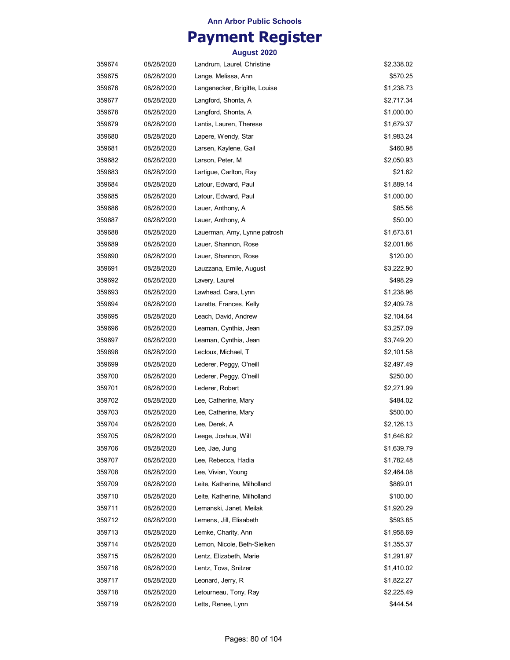## **Payment Register**

| 359674 | 08/28/2020 | Landrum, Laurel, Christine    | \$2,338.02 |
|--------|------------|-------------------------------|------------|
| 359675 | 08/28/2020 | Lange, Melissa, Ann           | \$570.25   |
| 359676 | 08/28/2020 | Langenecker, Brigitte, Louise | \$1,238.73 |
| 359677 | 08/28/2020 | Langford, Shonta, A           | \$2,717.34 |
| 359678 | 08/28/2020 | Langford, Shonta, A           | \$1,000.00 |
| 359679 | 08/28/2020 | Lantis, Lauren, Therese       | \$1,679.37 |
| 359680 | 08/28/2020 | Lapere, Wendy, Star           | \$1,983.24 |
| 359681 | 08/28/2020 | Larsen, Kaylene, Gail         | \$460.98   |
| 359682 | 08/28/2020 | Larson, Peter, M              | \$2,050.93 |
| 359683 | 08/28/2020 | Lartigue, Carlton, Ray        | \$21.62    |
| 359684 | 08/28/2020 | Latour, Edward, Paul          | \$1,889.14 |
| 359685 | 08/28/2020 | Latour, Edward, Paul          | \$1,000.00 |
| 359686 | 08/28/2020 | Lauer, Anthony, A             | \$85.56    |
| 359687 | 08/28/2020 | Lauer, Anthony, A             | \$50.00    |
| 359688 | 08/28/2020 | Lauerman, Amy, Lynne patrosh  | \$1,673.61 |
| 359689 | 08/28/2020 | Lauer, Shannon, Rose          | \$2,001.86 |
| 359690 | 08/28/2020 | Lauer, Shannon, Rose          | \$120.00   |
| 359691 | 08/28/2020 | Lauzzana, Emile, August       | \$3,222.90 |
| 359692 | 08/28/2020 | Lavery, Laurel                | \$498.29   |
| 359693 | 08/28/2020 | Lawhead, Cara, Lynn           | \$1,238.96 |
| 359694 | 08/28/2020 | Lazette, Frances, Kelly       | \$2,409.78 |
| 359695 | 08/28/2020 | Leach, David, Andrew          | \$2,104.64 |
| 359696 | 08/28/2020 | Leaman, Cynthia, Jean         | \$3,257.09 |
| 359697 | 08/28/2020 | Leaman, Cynthia, Jean         | \$3,749.20 |
| 359698 | 08/28/2020 | Lecloux, Michael, T           | \$2,101.58 |
| 359699 | 08/28/2020 | Lederer, Peggy, O'neill       | \$2,497.49 |
| 359700 | 08/28/2020 | Lederer, Peggy, O'neill       | \$250.00   |
| 359701 | 08/28/2020 | Lederer, Robert               | \$2,271.99 |
| 359702 | 08/28/2020 | Lee, Catherine, Mary          | \$484.02   |
| 359703 | 08/28/2020 | Lee, Catherine, Mary          | \$500.00   |
| 359704 | 08/28/2020 | Lee, Derek, A                 | \$2,126.13 |
| 359705 | 08/28/2020 | Leege, Joshua, Will           | \$1,646.82 |
| 359706 | 08/28/2020 | Lee, Jae, Jung                | \$1,639.79 |
| 359707 | 08/28/2020 | Lee, Rebecca, Hadia           | \$1,782.48 |
| 359708 | 08/28/2020 | Lee, Vivian, Young            | \$2,464.08 |
| 359709 | 08/28/2020 | Leite, Katherine, Milholland  | \$869.01   |
| 359710 | 08/28/2020 | Leite, Katherine, Milholland  | \$100.00   |
| 359711 | 08/28/2020 | Lemanski, Janet, Meilak       | \$1,920.29 |
| 359712 | 08/28/2020 | Lemens, Jill, Elisabeth       | \$593.85   |
| 359713 | 08/28/2020 | Lemke, Charity, Ann           | \$1,958.69 |
| 359714 | 08/28/2020 | Lemon, Nicole, Beth-Sielken   | \$1,355.37 |
| 359715 | 08/28/2020 | Lentz, Elizabeth, Marie       | \$1,291.97 |
| 359716 | 08/28/2020 | Lentz, Tova, Snitzer          | \$1,410.02 |
| 359717 | 08/28/2020 | Leonard, Jerry, R             | \$1,822.27 |
| 359718 | 08/28/2020 | Letourneau, Tony, Ray         | \$2,225.49 |
| 359719 | 08/28/2020 | Letts, Renee, Lynn            | \$444.54   |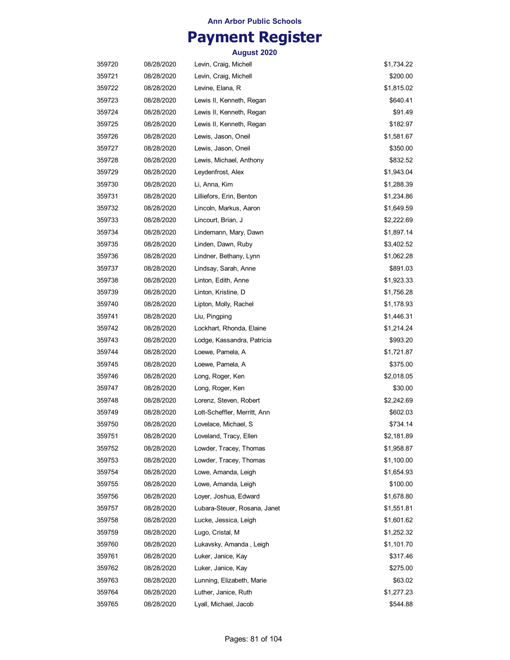## **Payment Register**

| 359720 | 08/28/2020 | Levin, Craig, Michell        | \$1,734.22 |
|--------|------------|------------------------------|------------|
| 359721 | 08/28/2020 | Levin, Craig, Michell        | \$200.00   |
| 359722 | 08/28/2020 | Levine, Elana, R             | \$1,815.02 |
| 359723 | 08/28/2020 | Lewis II, Kenneth, Regan     | \$640.41   |
| 359724 | 08/28/2020 | Lewis II, Kenneth, Regan     | \$91.49    |
| 359725 | 08/28/2020 | Lewis II, Kenneth, Regan     | \$182.97   |
| 359726 | 08/28/2020 | Lewis, Jason, Oneil          | \$1,581.67 |
| 359727 | 08/28/2020 | Lewis, Jason, Oneil          | \$350.00   |
| 359728 | 08/28/2020 | Lewis, Michael, Anthony      | \$832.52   |
| 359729 | 08/28/2020 | Leydenfrost, Alex            | \$1,943.04 |
| 359730 | 08/28/2020 | Li, Anna, Kim                | \$1,288.39 |
| 359731 | 08/28/2020 | Lilliefors, Erin, Benton     | \$1,234.86 |
| 359732 | 08/28/2020 | Lincoln, Markus, Aaron       | \$1,649.59 |
| 359733 | 08/28/2020 | Lincourt, Brian, J           | \$2,222.69 |
| 359734 | 08/28/2020 | Lindemann, Mary, Dawn        | \$1,897.14 |
| 359735 | 08/28/2020 | Linden, Dawn, Ruby           | \$3,402.52 |
| 359736 | 08/28/2020 | Lindner, Bethany, Lynn       | \$1,062.28 |
| 359737 | 08/28/2020 | Lindsay, Sarah, Anne         | \$891.03   |
| 359738 | 08/28/2020 | Linton, Edith, Anne          | \$1,923.33 |
| 359739 | 08/28/2020 | Linton, Kristine, D          | \$1,756.28 |
| 359740 | 08/28/2020 | Lipton, Molly, Rachel        | \$1,178.93 |
| 359741 | 08/28/2020 | Liu, Pingping                | \$1,446.31 |
| 359742 | 08/28/2020 | Lockhart, Rhonda, Elaine     | \$1,214.24 |
| 359743 | 08/28/2020 | Lodge, Kassandra, Patricia   | \$993.20   |
| 359744 | 08/28/2020 | Loewe, Pamela, A             | \$1,721.87 |
| 359745 | 08/28/2020 | Loewe, Pamela, A             | \$375.00   |
| 359746 | 08/28/2020 | Long, Roger, Ken             | \$2,018.05 |
| 359747 | 08/28/2020 | Long, Roger, Ken             | \$30.00    |
| 359748 | 08/28/2020 | Lorenz, Steven, Robert       | \$2,242.69 |
| 359749 | 08/28/2020 | Lott-Scheffler, Merritt, Ann | \$602.03   |
| 359750 | 08/28/2020 | Lovelace, Michael, S         | \$734.14   |
| 359751 | 08/28/2020 | Loveland, Tracy, Ellen       | \$2,181.89 |
| 359752 | 08/28/2020 | Lowder, Tracey, Thomas       | \$1,958.87 |
| 359753 | 08/28/2020 | Lowder, Tracey, Thomas       | \$1,100.00 |
| 359754 | 08/28/2020 | Lowe, Amanda, Leigh          | \$1,654.93 |
| 359755 | 08/28/2020 | Lowe, Amanda, Leigh          | \$100.00   |
| 359756 | 08/28/2020 | Loyer, Joshua, Edward        | \$1,678.80 |
| 359757 | 08/28/2020 | Lubara-Steuer, Rosana, Janet | \$1,551.81 |
| 359758 | 08/28/2020 | Lucke, Jessica, Leigh        | \$1,601.62 |
| 359759 | 08/28/2020 | Lugo, Cristal, M             | \$1,252.32 |
| 359760 | 08/28/2020 | Lukavsky, Amanda, Leigh      | \$1,101.70 |
| 359761 | 08/28/2020 | Luker, Janice, Kay           | \$317.46   |
| 359762 | 08/28/2020 | Luker, Janice, Kay           | \$275.00   |
| 359763 | 08/28/2020 | Lunning, Elizabeth, Marie    | \$63.02    |
| 359764 | 08/28/2020 | Luther, Janice, Ruth         | \$1,277.23 |
| 359765 | 08/28/2020 | Lyall, Michael, Jacob        | \$544.88   |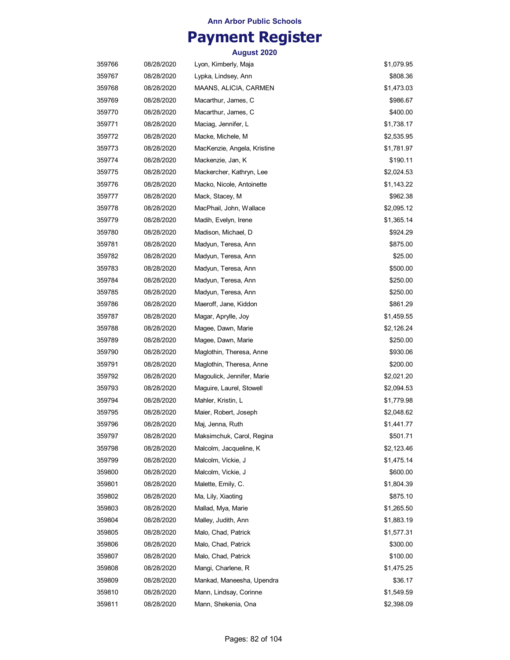## **Payment Register**

| 359766 | 08/28/2020 | Lyon, Kimberly, Maja        | \$1,079.95 |
|--------|------------|-----------------------------|------------|
| 359767 | 08/28/2020 | Lypka, Lindsey, Ann         | \$808.36   |
| 359768 | 08/28/2020 | MAANS, ALICIA, CARMEN       | \$1,473.03 |
| 359769 | 08/28/2020 | Macarthur, James, C         | \$986.67   |
| 359770 | 08/28/2020 | Macarthur, James, C         | \$400.00   |
| 359771 | 08/28/2020 | Maciag, Jennifer, L         | \$1,738.17 |
| 359772 | 08/28/2020 | Macke, Michele, M           | \$2,535.95 |
| 359773 | 08/28/2020 | MacKenzie, Angela, Kristine | \$1,781.97 |
| 359774 | 08/28/2020 | Mackenzie, Jan, K           | \$190.11   |
| 359775 | 08/28/2020 | Mackercher, Kathryn, Lee    | \$2,024.53 |
| 359776 | 08/28/2020 | Macko, Nicole, Antoinette   | \$1,143.22 |
| 359777 | 08/28/2020 | Mack, Stacey, M             | \$962.38   |
| 359778 | 08/28/2020 | MacPhail, John, Wallace     | \$2,095.12 |
| 359779 | 08/28/2020 | Madih, Evelyn, Irene        | \$1,365.14 |
| 359780 | 08/28/2020 | Madison, Michael, D         | \$924.29   |
| 359781 | 08/28/2020 | Madyun, Teresa, Ann         | \$875.00   |
| 359782 | 08/28/2020 | Madyun, Teresa, Ann         | \$25.00    |
| 359783 | 08/28/2020 | Madyun, Teresa, Ann         | \$500.00   |
| 359784 | 08/28/2020 | Madyun, Teresa, Ann         | \$250.00   |
| 359785 | 08/28/2020 | Madyun, Teresa, Ann         | \$250.00   |
| 359786 | 08/28/2020 | Maeroff, Jane, Kiddon       | \$861.29   |
| 359787 | 08/28/2020 | Magar, Aprylle, Joy         | \$1,459.55 |
| 359788 | 08/28/2020 | Magee, Dawn, Marie          | \$2,126.24 |
| 359789 | 08/28/2020 | Magee, Dawn, Marie          | \$250.00   |
| 359790 | 08/28/2020 | Maglothin, Theresa, Anne    | \$930.06   |
| 359791 | 08/28/2020 | Maglothin, Theresa, Anne    | \$200.00   |
| 359792 | 08/28/2020 | Magoulick, Jennifer, Marie  | \$2,021.20 |
| 359793 | 08/28/2020 | Maguire, Laurel, Stowell    | \$2,094.53 |
| 359794 | 08/28/2020 | Mahler, Kristin, L          | \$1,779.98 |
| 359795 | 08/28/2020 | Maier, Robert, Joseph       | \$2,048.62 |
| 359796 | 08/28/2020 | Maj, Jenna, Ruth            | \$1,441.77 |
| 359797 | 08/28/2020 | Maksimchuk, Carol, Regina   | \$501.71   |
| 359798 | 08/28/2020 | Malcolm, Jacqueline, K      | \$2,123.46 |
| 359799 | 08/28/2020 | Malcolm, Vickie, J          | \$1,475.14 |
| 359800 | 08/28/2020 | Malcolm, Vickie, J          | \$600.00   |
| 359801 | 08/28/2020 | Malette, Emily, C.          | \$1,804.39 |
| 359802 | 08/28/2020 | Ma, Lily, Xiaoting          | \$875.10   |
| 359803 | 08/28/2020 | Mallad, Mya, Marie          | \$1,265.50 |
| 359804 | 08/28/2020 | Malley, Judith, Ann         | \$1,883.19 |
| 359805 | 08/28/2020 | Malo, Chad, Patrick         | \$1,577.31 |
| 359806 | 08/28/2020 | Malo, Chad, Patrick         | \$300.00   |
| 359807 | 08/28/2020 | Malo, Chad, Patrick         | \$100.00   |
| 359808 | 08/28/2020 | Mangi, Charlene, R          | \$1,475.25 |
| 359809 | 08/28/2020 | Mankad, Maneesha, Upendra   | \$36.17    |
| 359810 | 08/28/2020 | Mann, Lindsay, Corinne      | \$1,549.59 |
| 359811 | 08/28/2020 | Mann, Shekenia, Ona         | \$2,398.09 |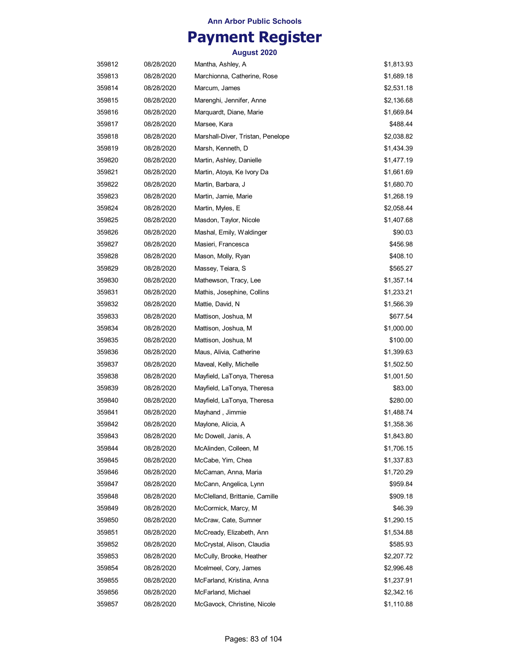## **Payment Register**

| 359812 | 08/28/2020 | Mantha, Ashley, A                 | \$1,813.93 |
|--------|------------|-----------------------------------|------------|
| 359813 | 08/28/2020 | Marchionna, Catherine, Rose       | \$1,689.18 |
| 359814 | 08/28/2020 | Marcum, James                     | \$2,531.18 |
| 359815 | 08/28/2020 | Marenghi, Jennifer, Anne          | \$2,136.68 |
| 359816 | 08/28/2020 | Marquardt, Diane, Marie           | \$1,669.84 |
| 359817 | 08/28/2020 | Marsee, Kara                      | \$488.44   |
| 359818 | 08/28/2020 | Marshall-Diver, Tristan, Penelope | \$2,038.82 |
| 359819 | 08/28/2020 | Marsh, Kenneth, D                 | \$1,434.39 |
| 359820 | 08/28/2020 | Martin, Ashley, Danielle          | \$1,477.19 |
| 359821 | 08/28/2020 | Martin, Atoya, Ke Ivory Da        | \$1,661.69 |
| 359822 | 08/28/2020 | Martin, Barbara, J                | \$1,680.70 |
| 359823 | 08/28/2020 | Martin, Jamie, Marie              | \$1,268.19 |
| 359824 | 08/28/2020 | Martin, Myles, E                  | \$2,058.44 |
| 359825 | 08/28/2020 | Masdon, Taylor, Nicole            | \$1,407.68 |
| 359826 | 08/28/2020 | Mashal, Emily, Waldinger          | \$90.03    |
| 359827 | 08/28/2020 | Masieri, Francesca                | \$456.98   |
| 359828 | 08/28/2020 | Mason, Molly, Ryan                | \$408.10   |
| 359829 | 08/28/2020 | Massey, Teiara, S                 | \$565.27   |
| 359830 | 08/28/2020 | Mathewson, Tracy, Lee             | \$1,357.14 |
| 359831 | 08/28/2020 | Mathis, Josephine, Collins        | \$1,233.21 |
| 359832 | 08/28/2020 | Mattie, David, N                  | \$1,566.39 |
| 359833 | 08/28/2020 | Mattison, Joshua, M               | \$677.54   |
| 359834 | 08/28/2020 | Mattison, Joshua, M               | \$1,000.00 |
| 359835 | 08/28/2020 | Mattison, Joshua, M               | \$100.00   |
| 359836 | 08/28/2020 | Maus, Alivia, Catherine           | \$1,399.63 |
| 359837 | 08/28/2020 | Maveal, Kelly, Michelle           | \$1,502.50 |
| 359838 | 08/28/2020 | Mayfield, LaTonya, Theresa        | \$1,001.50 |
| 359839 | 08/28/2020 | Mayfield, LaTonya, Theresa        | \$83.00    |
| 359840 | 08/28/2020 | Mayfield, LaTonya, Theresa        | \$280.00   |
| 359841 | 08/28/2020 | Mayhand, Jimmie                   | \$1,488.74 |
| 359842 | 08/28/2020 | Maylone, Alicia, A                | \$1,358.36 |
| 359843 | 08/28/2020 | Mc Dowell, Janis, A               | \$1,843.80 |
| 359844 | 08/28/2020 | McAlinden, Colleen, M             | \$1,706.15 |
| 359845 | 08/28/2020 | McCabe, Yim, Chea                 | \$1,337.83 |
| 359846 | 08/28/2020 | McCaman, Anna, Maria              | \$1,720.29 |
| 359847 | 08/28/2020 | McCann, Angelica, Lynn            | \$959.84   |
| 359848 | 08/28/2020 | McClelland, Brittanie, Camille    | \$909.18   |
| 359849 | 08/28/2020 | McCormick, Marcy, M               | \$46.39    |
| 359850 | 08/28/2020 | McCraw, Cate, Sumner              | \$1,290.15 |
| 359851 | 08/28/2020 | McCready, Elizabeth, Ann          | \$1,534.88 |
| 359852 | 08/28/2020 | McCrystal, Alison, Claudia        | \$585.93   |
| 359853 | 08/28/2020 | McCully, Brooke, Heather          | \$2,207.72 |
| 359854 | 08/28/2020 | Mcelmeel, Cory, James             | \$2,996.48 |
| 359855 | 08/28/2020 | McFarland, Kristina, Anna         | \$1,237.91 |
| 359856 | 08/28/2020 | McFarland, Michael                | \$2,342.16 |
| 359857 | 08/28/2020 | McGavock, Christine, Nicole       | \$1,110.88 |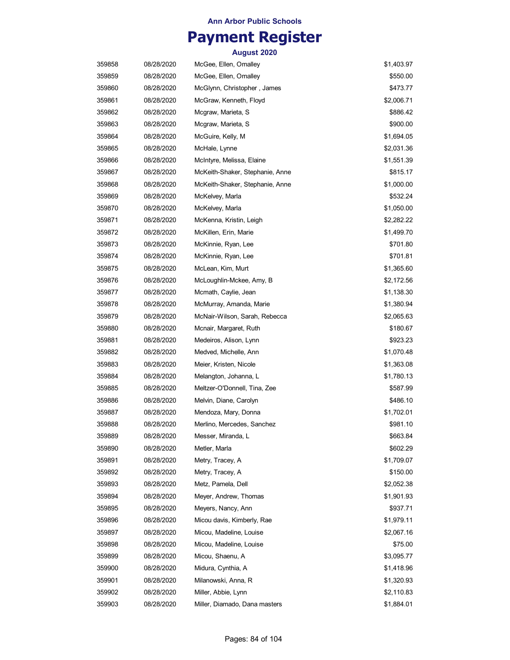## **Payment Register**

| 359858 | 08/28/2020 | McGee, Ellen, Omalley           | \$1,403.97 |
|--------|------------|---------------------------------|------------|
| 359859 | 08/28/2020 | McGee, Ellen, Omalley           | \$550.00   |
| 359860 | 08/28/2020 | McGlynn, Christopher, James     | \$473.77   |
| 359861 | 08/28/2020 | McGraw, Kenneth, Floyd          | \$2,006.71 |
| 359862 | 08/28/2020 | Mcgraw, Marieta, S              | \$886.42   |
| 359863 | 08/28/2020 | Mcgraw, Marieta, S              | \$900.00   |
| 359864 | 08/28/2020 | McGuire, Kelly, M               | \$1,694.05 |
| 359865 | 08/28/2020 | McHale, Lynne                   | \$2,031.36 |
| 359866 | 08/28/2020 | McIntyre, Melissa, Elaine       | \$1,551.39 |
| 359867 | 08/28/2020 | McKeith-Shaker, Stephanie, Anne | \$815.17   |
| 359868 | 08/28/2020 | McKeith-Shaker, Stephanie, Anne | \$1,000.00 |
| 359869 | 08/28/2020 | McKelvey, Marla                 | \$532.24   |
| 359870 | 08/28/2020 | McKelvey, Marla                 | \$1,050.00 |
| 359871 | 08/28/2020 | McKenna, Kristin, Leigh         | \$2,282.22 |
| 359872 | 08/28/2020 | McKillen, Erin, Marie           | \$1,499.70 |
| 359873 | 08/28/2020 | McKinnie, Ryan, Lee             | \$701.80   |
| 359874 | 08/28/2020 | McKinnie, Ryan, Lee             | \$701.81   |
| 359875 | 08/28/2020 | McLean, Kim, Murt               | \$1,365.60 |
| 359876 | 08/28/2020 | McLoughlin-Mckee, Amy, B        | \$2,172.56 |
| 359877 | 08/28/2020 | Mcmath, Caylie, Jean            | \$1,138.30 |
| 359878 | 08/28/2020 | McMurray, Amanda, Marie         | \$1,380.94 |
| 359879 | 08/28/2020 | McNair-Wilson, Sarah, Rebecca   | \$2,065.63 |
| 359880 | 08/28/2020 | Mcnair, Margaret, Ruth          | \$180.67   |
| 359881 | 08/28/2020 | Medeiros, Alison, Lynn          | \$923.23   |
| 359882 | 08/28/2020 | Medved, Michelle, Ann           | \$1,070.48 |
| 359883 | 08/28/2020 | Meier, Kristen, Nicole          | \$1,363.08 |
| 359884 | 08/28/2020 | Melangton, Johanna, L           | \$1,780.13 |
| 359885 | 08/28/2020 | Meltzer-O'Donnell, Tina, Zee    | \$587.99   |
| 359886 | 08/28/2020 | Melvin, Diane, Carolyn          | \$486.10   |
| 359887 | 08/28/2020 | Mendoza, Mary, Donna            | \$1,702.01 |
| 359888 | 08/28/2020 | Merlino, Mercedes, Sanchez      | \$981.10   |
| 359889 | 08/28/2020 | Messer, Miranda, L              | \$663.84   |
| 359890 | 08/28/2020 | Metler, Marla                   | \$602.29   |
| 359891 | 08/28/2020 | Metry, Tracey, A                | \$1,709.07 |
| 359892 | 08/28/2020 | Metry, Tracey, A                | \$150.00   |
| 359893 | 08/28/2020 | Metz, Pamela, Dell              | \$2,052.38 |
| 359894 | 08/28/2020 | Meyer, Andrew, Thomas           | \$1,901.93 |
| 359895 | 08/28/2020 | Meyers, Nancy, Ann              | \$937.71   |
| 359896 | 08/28/2020 | Micou davis, Kimberly, Rae      | \$1,979.11 |
| 359897 | 08/28/2020 | Micou, Madeline, Louise         | \$2,067.16 |
| 359898 | 08/28/2020 | Micou, Madeline, Louise         | \$75.00    |
| 359899 | 08/28/2020 | Micou, Shaenu, A                | \$3,095.77 |
| 359900 | 08/28/2020 | Midura, Cynthia, A              | \$1,418.96 |
| 359901 | 08/28/2020 | Milanowski, Anna, R             | \$1,320.93 |
| 359902 | 08/28/2020 | Miller, Abbie, Lynn             | \$2,110.83 |
| 359903 | 08/28/2020 | Miller, Diamado, Dana masters   | \$1,884.01 |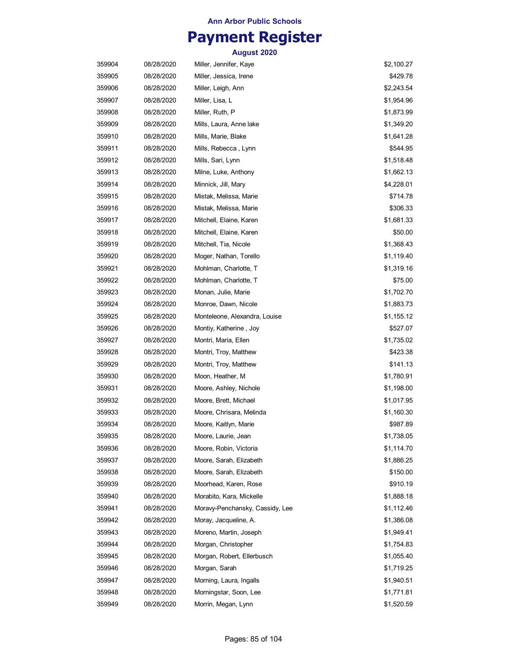## **Payment Register**

| 359904 | 08/28/2020 | Miller, Jennifer, Kaye          | \$2,100.27 |
|--------|------------|---------------------------------|------------|
| 359905 | 08/28/2020 | Miller, Jessica, Irene          | \$429.78   |
| 359906 | 08/28/2020 | Miller, Leigh, Ann              | \$2,243.54 |
| 359907 | 08/28/2020 | Miller, Lisa, L                 | \$1,954.96 |
| 359908 | 08/28/2020 | Miller, Ruth, P                 | \$1,873.99 |
| 359909 | 08/28/2020 | Mills, Laura, Anne lake         | \$1,349.20 |
| 359910 | 08/28/2020 | Mills, Marie, Blake             | \$1,641.28 |
| 359911 | 08/28/2020 | Mills, Rebecca , Lynn           | \$544.95   |
| 359912 | 08/28/2020 | Mills, Sari, Lynn               | \$1,518.48 |
| 359913 | 08/28/2020 | Milne, Luke, Anthony            | \$1,662.13 |
| 359914 | 08/28/2020 | Minnick, Jill, Mary             | \$4,228.01 |
| 359915 | 08/28/2020 | Mistak, Melissa, Marie          | \$714.78   |
| 359916 | 08/28/2020 | Mistak, Melissa, Marie          | \$306.33   |
| 359917 | 08/28/2020 | Mitchell, Elaine, Karen         | \$1,681.33 |
| 359918 | 08/28/2020 | Mitchell, Elaine, Karen         | \$50.00    |
| 359919 | 08/28/2020 | Mitchell, Tia, Nicole           | \$1,368.43 |
| 359920 | 08/28/2020 | Moger, Nathan, Torello          | \$1,119.40 |
| 359921 | 08/28/2020 | Mohlman, Charlotte, T           | \$1,319.16 |
| 359922 | 08/28/2020 | Mohlman, Charlotte, T           | \$75.00    |
| 359923 | 08/28/2020 | Monan, Julie, Marie             | \$1,702.70 |
| 359924 | 08/28/2020 | Monroe, Dawn, Nicole            | \$1,883.73 |
| 359925 | 08/28/2020 | Monteleone, Alexandra, Louise   | \$1,155.12 |
| 359926 | 08/28/2020 | Montiy, Katherine, Joy          | \$527.07   |
| 359927 | 08/28/2020 | Montri, Maria, Ellen            | \$1,735.02 |
| 359928 | 08/28/2020 | Montri, Troy, Matthew           | \$423.38   |
| 359929 | 08/28/2020 | Montri, Troy, Matthew           | \$141.13   |
| 359930 | 08/28/2020 | Moon, Heather, M                | \$1,780.91 |
| 359931 | 08/28/2020 | Moore, Ashley, Nichole          | \$1,198.00 |
| 359932 | 08/28/2020 | Moore, Brett, Michael           | \$1,017.95 |
| 359933 | 08/28/2020 | Moore, Chrisara, Melinda        | \$1,160.30 |
| 359934 | 08/28/2020 | Moore, Kaitlyn, Marie           | \$987.89   |
| 359935 | 08/28/2020 | Moore, Laurie, Jean             | \$1,738.05 |
| 359936 | 08/28/2020 | Moore, Robin, Victoria          | \$1,114.70 |
| 359937 | 08/28/2020 | Moore, Sarah, Elizabeth         | \$1,886.25 |
| 359938 | 08/28/2020 | Moore, Sarah, Elizabeth         | \$150.00   |
| 359939 | 08/28/2020 | Moorhead, Karen, Rose           | \$910.19   |
| 359940 | 08/28/2020 | Morabito, Kara, Mickelle        | \$1,888.18 |
| 359941 | 08/28/2020 | Moravy-Penchansky, Cassidy, Lee | \$1,112.46 |
| 359942 | 08/28/2020 | Moray, Jacqueline, A.           | \$1,386.08 |
| 359943 | 08/28/2020 | Moreno, Martin, Joseph          | \$1,949.41 |
| 359944 | 08/28/2020 | Morgan, Christopher             | \$1,754.83 |
| 359945 | 08/28/2020 | Morgan, Robert, Ellerbusch      | \$1,055.40 |
| 359946 | 08/28/2020 | Morgan, Sarah                   | \$1,719.25 |
| 359947 | 08/28/2020 | Morning, Laura, Ingalls         | \$1,940.51 |
| 359948 | 08/28/2020 | Morningstar, Soon, Lee          | \$1,771.81 |
| 359949 | 08/28/2020 | Morrin, Megan, Lynn             | \$1,520.59 |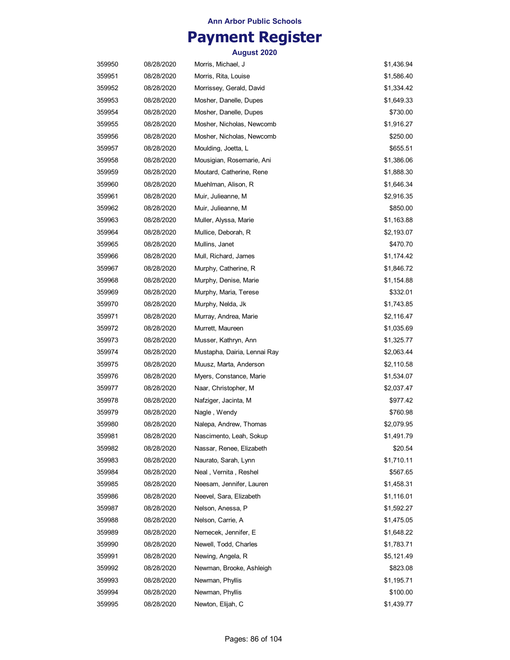## **Payment Register**

| 359950 | 08/28/2020 | Morris, Michael, J           | \$1,436.94 |
|--------|------------|------------------------------|------------|
| 359951 | 08/28/2020 | Morris, Rita, Louise         | \$1,586.40 |
| 359952 | 08/28/2020 | Morrissey, Gerald, David     | \$1,334.42 |
| 359953 | 08/28/2020 | Mosher, Danelle, Dupes       | \$1,649.33 |
| 359954 | 08/28/2020 | Mosher, Danelle, Dupes       | \$730.00   |
| 359955 | 08/28/2020 | Mosher, Nicholas, Newcomb    | \$1,916.27 |
| 359956 | 08/28/2020 | Mosher, Nicholas, Newcomb    | \$250.00   |
| 359957 | 08/28/2020 | Moulding, Joetta, L          | \$655.51   |
| 359958 | 08/28/2020 | Mousigian, Rosemarie, Ani    | \$1,386.06 |
| 359959 | 08/28/2020 | Moutard, Catherine, Rene     | \$1,888.30 |
| 359960 | 08/28/2020 | Muehlman, Alison, R          | \$1,646.34 |
| 359961 | 08/28/2020 | Muir, Julieanne, M           | \$2,916.35 |
| 359962 | 08/28/2020 | Muir, Julieanne, M           | \$850.00   |
| 359963 | 08/28/2020 | Muller, Alyssa, Marie        | \$1,163.88 |
| 359964 | 08/28/2020 | Mullice, Deborah, R          | \$2,193.07 |
| 359965 | 08/28/2020 | Mullins, Janet               | \$470.70   |
| 359966 | 08/28/2020 | Mull, Richard, James         | \$1,174.42 |
| 359967 | 08/28/2020 | Murphy, Catherine, R         | \$1,846.72 |
| 359968 | 08/28/2020 | Murphy, Denise, Marie        | \$1,154.88 |
| 359969 | 08/28/2020 | Murphy, Maria, Terese        | \$332.01   |
| 359970 | 08/28/2020 | Murphy, Nelda, Jk            | \$1,743.85 |
| 359971 | 08/28/2020 | Murray, Andrea, Marie        | \$2,116.47 |
| 359972 | 08/28/2020 | Murrett, Maureen             | \$1,035.69 |
| 359973 | 08/28/2020 | Musser, Kathryn, Ann         | \$1,325.77 |
| 359974 | 08/28/2020 | Mustapha, Dairia, Lennai Ray | \$2,063.44 |
| 359975 | 08/28/2020 | Muusz, Marta, Anderson       | \$2,110.58 |
| 359976 | 08/28/2020 | Myers, Constance, Marie      | \$1,534.07 |
| 359977 | 08/28/2020 | Naar, Christopher, M         | \$2,037.47 |
| 359978 | 08/28/2020 | Nafziger, Jacinta, M         | \$977.42   |
| 359979 | 08/28/2020 | Nagle, Wendy                 | \$760.98   |
| 359980 | 08/28/2020 | Nalepa, Andrew, Thomas       | \$2,079.95 |
| 359981 | 08/28/2020 | Nascimento, Leah, Sokup      | \$1,491.79 |
| 359982 | 08/28/2020 | Nassar, Renee, Elizabeth     | \$20.54    |
| 359983 | 08/28/2020 | Naurato, Sarah, Lynn         | \$1,710.11 |
| 359984 | 08/28/2020 | Neal, Vernita, Reshel        | \$567.65   |
| 359985 | 08/28/2020 | Neesam, Jennifer, Lauren     | \$1,458.31 |
| 359986 | 08/28/2020 | Neevel, Sara, Elizabeth      | \$1,116.01 |
| 359987 | 08/28/2020 | Nelson, Anessa, P            | \$1,592.27 |
| 359988 | 08/28/2020 | Nelson, Carrie, A            | \$1,475.05 |
| 359989 | 08/28/2020 | Nemecek, Jennifer, E         | \$1,648.22 |
| 359990 | 08/28/2020 | Newell, Todd, Charles        | \$1,783.71 |
| 359991 | 08/28/2020 | Newing, Angela, R            | \$5,121.49 |
| 359992 | 08/28/2020 | Newman, Brooke, Ashleigh     | \$823.08   |
| 359993 | 08/28/2020 | Newman, Phyllis              | \$1,195.71 |
| 359994 | 08/28/2020 | Newman, Phyllis              | \$100.00   |
| 359995 | 08/28/2020 | Newton, Elijah, C            | \$1,439.77 |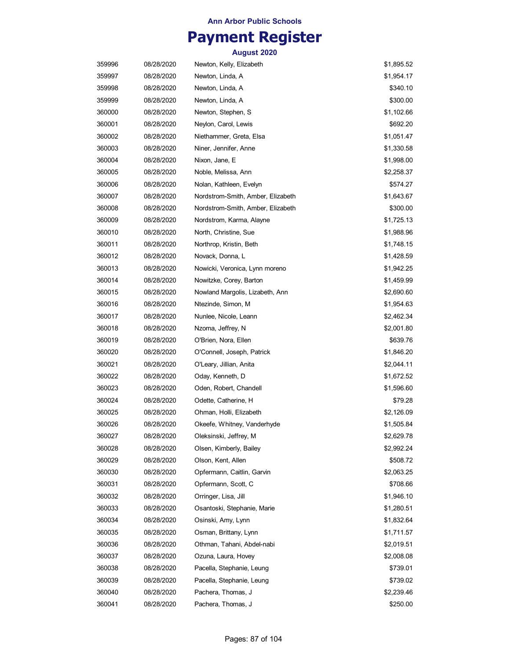# **Payment Register**

| 359996 | 08/28/2020 | Newton, Kelly, Elizabeth          | \$1,895.52 |
|--------|------------|-----------------------------------|------------|
| 359997 | 08/28/2020 | Newton, Linda, A                  | \$1,954.17 |
| 359998 | 08/28/2020 | Newton, Linda, A                  | \$340.10   |
| 359999 | 08/28/2020 | Newton, Linda, A                  | \$300.00   |
| 360000 | 08/28/2020 | Newton, Stephen, S                | \$1,102.66 |
| 360001 | 08/28/2020 | Neylon, Carol, Lewis              | \$692.20   |
| 360002 | 08/28/2020 | Niethammer, Greta, Elsa           | \$1,051.47 |
| 360003 | 08/28/2020 | Niner, Jennifer, Anne             | \$1,330.58 |
| 360004 | 08/28/2020 | Nixon, Jane, E                    | \$1,998.00 |
| 360005 | 08/28/2020 | Noble, Melissa, Ann               | \$2,258.37 |
| 360006 | 08/28/2020 | Nolan, Kathleen, Evelyn           | \$574.27   |
| 360007 | 08/28/2020 | Nordstrom-Smith, Amber, Elizabeth | \$1,643.67 |
| 360008 | 08/28/2020 | Nordstrom-Smith, Amber, Elizabeth | \$300.00   |
| 360009 | 08/28/2020 | Nordstrom, Karma, Alayne          | \$1,725.13 |
| 360010 | 08/28/2020 | North, Christine, Sue             | \$1,988.96 |
| 360011 | 08/28/2020 | Northrop, Kristin, Beth           | \$1,748.15 |
| 360012 | 08/28/2020 | Novack, Donna, L                  | \$1,428.59 |
| 360013 | 08/28/2020 | Nowicki, Veronica, Lynn moreno    | \$1,942.25 |
| 360014 | 08/28/2020 | Nowitzke, Corey, Barton           | \$1,459.99 |
| 360015 | 08/28/2020 | Nowland Margolis, Lizabeth, Ann   | \$2,690.60 |
| 360016 | 08/28/2020 | Ntezinde, Simon, M                | \$1,954.63 |
| 360017 | 08/28/2020 | Nunlee, Nicole, Leann             | \$2,462.34 |
| 360018 | 08/28/2020 | Nzoma, Jeffrey, N                 | \$2,001.80 |
| 360019 | 08/28/2020 | O'Brien, Nora, Ellen              | \$639.76   |
| 360020 | 08/28/2020 | O'Connell, Joseph, Patrick        | \$1,846.20 |
| 360021 | 08/28/2020 | O'Leary, Jillian, Anita           | \$2,044.11 |
| 360022 | 08/28/2020 | Oday, Kenneth, D                  | \$1,672.52 |
| 360023 | 08/28/2020 | Oden, Robert, Chandell            | \$1,596.60 |
| 360024 | 08/28/2020 | Odette, Catherine, H              | \$79.28    |
| 360025 | 08/28/2020 | Ohman, Holli, Elizabeth           | \$2,126.09 |
| 360026 | 08/28/2020 | Okeefe, Whitney, Vanderhyde       | \$1,505.84 |
| 360027 | 08/28/2020 | Oleksinski, Jeffrey, M            | \$2,629.78 |
| 360028 | 08/28/2020 | Olsen, Kimberly, Bailey           | \$2,992.24 |
| 360029 | 08/28/2020 | Olson, Kent, Allen                | \$508.72   |
| 360030 | 08/28/2020 | Opfermann, Caitlin, Garvin        | \$2,063.25 |
| 360031 | 08/28/2020 | Opfermann, Scott, C               | \$708.66   |
| 360032 | 08/28/2020 | Orringer, Lisa, Jill              | \$1,946.10 |
| 360033 | 08/28/2020 | Osantoski, Stephanie, Marie       | \$1,280.51 |
| 360034 | 08/28/2020 | Osinski, Amy, Lynn                | \$1,832.64 |
| 360035 | 08/28/2020 | Osman, Brittany, Lynn             | \$1,711.57 |
| 360036 | 08/28/2020 | Othman, Tahani, Abdel-nabi        | \$2,019.51 |
| 360037 | 08/28/2020 | Ozuna, Laura, Hovey               | \$2,008.08 |
| 360038 | 08/28/2020 | Pacella, Stephanie, Leung         | \$739.01   |
| 360039 | 08/28/2020 | Pacella, Stephanie, Leung         | \$739.02   |
| 360040 | 08/28/2020 | Pachera, Thomas, J                | \$2,239.46 |
| 360041 | 08/28/2020 | Pachera, Thomas, J                | \$250.00   |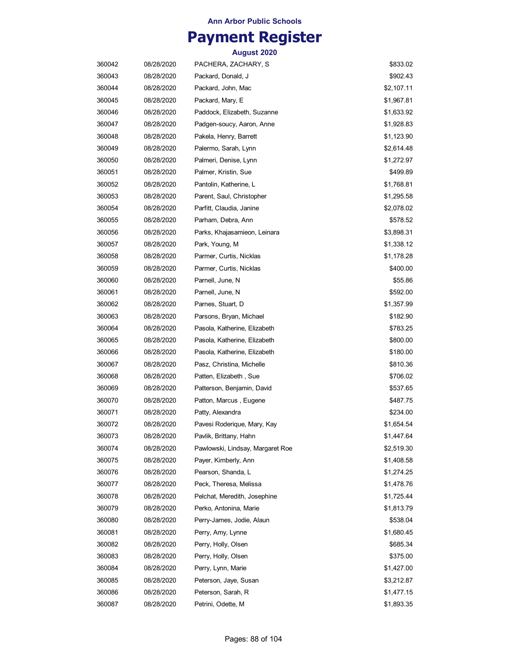## **Payment Register**

| 360042 | 08/28/2020 | PACHERA, ZACHARY, S              | \$833.02   |
|--------|------------|----------------------------------|------------|
| 360043 | 08/28/2020 | Packard, Donald, J               | \$902.43   |
| 360044 | 08/28/2020 | Packard, John, Mac               | \$2,107.11 |
| 360045 | 08/28/2020 | Packard, Mary, E                 | \$1,967.81 |
| 360046 | 08/28/2020 | Paddock, Elizabeth, Suzanne      | \$1,633.92 |
| 360047 | 08/28/2020 | Padgen-soucy, Aaron, Anne        | \$1,928.83 |
| 360048 | 08/28/2020 | Pakela, Henry, Barrett           | \$1,123.90 |
| 360049 | 08/28/2020 | Palermo, Sarah, Lynn             | \$2,614.48 |
| 360050 | 08/28/2020 | Palmeri, Denise, Lynn            | \$1,272.97 |
| 360051 | 08/28/2020 | Palmer, Kristin, Sue             | \$499.89   |
| 360052 | 08/28/2020 | Pantolin, Katherine, L           | \$1,768.81 |
| 360053 | 08/28/2020 | Parent, Saul, Christopher        | \$1,295.58 |
| 360054 | 08/28/2020 | Parfitt, Claudia, Janine         | \$2,078.02 |
| 360055 | 08/28/2020 | Parham, Debra, Ann               | \$578.52   |
| 360056 | 08/28/2020 | Parks, Khajasamieon, Leinara     | \$3,898.31 |
| 360057 | 08/28/2020 | Park, Young, M                   | \$1,338.12 |
| 360058 | 08/28/2020 | Parmer, Curtis, Nicklas          | \$1,178.28 |
| 360059 | 08/28/2020 | Parmer, Curtis, Nicklas          | \$400.00   |
| 360060 | 08/28/2020 | Parnell, June, N                 | \$55.86    |
| 360061 | 08/28/2020 | Parnell, June, N                 | \$592.00   |
| 360062 | 08/28/2020 | Parnes, Stuart, D                | \$1,357.99 |
| 360063 | 08/28/2020 | Parsons, Bryan, Michael          | \$182.90   |
| 360064 | 08/28/2020 | Pasola, Katherine, Elizabeth     | \$783.25   |
| 360065 | 08/28/2020 | Pasola, Katherine, Elizabeth     | \$800.00   |
| 360066 | 08/28/2020 | Pasola, Katherine, Elizabeth     | \$180.00   |
| 360067 | 08/28/2020 | Pasz, Christina, Michelle        | \$810.36   |
| 360068 | 08/28/2020 | Patten, Elizabeth, Sue           | \$706.02   |
| 360069 | 08/28/2020 | Patterson, Benjamin, David       | \$537.65   |
| 360070 | 08/28/2020 | Patton, Marcus, Eugene           | \$487.75   |
| 360071 | 08/28/2020 | Patty, Alexandra                 | \$234.00   |
| 360072 | 08/28/2020 | Pavesi Roderique, Mary, Kay      | \$1,654.54 |
| 360073 | 08/28/2020 | Pavlik, Brittany, Hahn           | \$1,447.64 |
| 360074 | 08/28/2020 | Pawlowski, Lindsay, Margaret Roe | \$2,519.30 |
| 360075 | 08/28/2020 | Payer, Kimberly, Ann             | \$1,408.58 |
| 360076 | 08/28/2020 | Pearson, Shanda, L               | \$1,274.25 |
| 360077 | 08/28/2020 | Peck, Theresa, Melissa           | \$1,478.76 |
| 360078 | 08/28/2020 | Pelchat, Meredith, Josephine     | \$1,725.44 |
| 360079 | 08/28/2020 | Perko, Antonina, Marie           | \$1,813.79 |
| 360080 | 08/28/2020 | Perry-James, Jodie, Alaun        | \$538.04   |
| 360081 | 08/28/2020 | Perry, Amy, Lynne                | \$1,680.45 |
| 360082 | 08/28/2020 | Perry, Holly, Olsen              | \$685.34   |
| 360083 | 08/28/2020 | Perry, Holly, Olsen              | \$375.00   |
| 360084 | 08/28/2020 | Perry, Lynn, Marie               | \$1,427.00 |
| 360085 | 08/28/2020 | Peterson, Jaye, Susan            | \$3,212.87 |
| 360086 | 08/28/2020 | Peterson, Sarah, R               | \$1,477.15 |
| 360087 | 08/28/2020 | Petrini, Odette, M               | \$1,893.35 |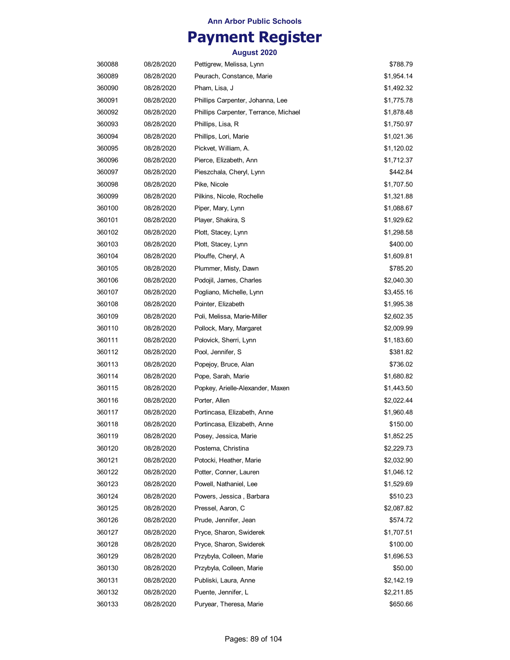## **Payment Register**

| 360088 | 08/28/2020 | Pettigrew, Melissa, Lynn              | \$788.79   |
|--------|------------|---------------------------------------|------------|
| 360089 | 08/28/2020 | Peurach, Constance, Marie             | \$1,954.14 |
| 360090 | 08/28/2020 | Pham, Lisa, J                         | \$1,492.32 |
| 360091 | 08/28/2020 | Phillips Carpenter, Johanna, Lee      | \$1,775.78 |
| 360092 | 08/28/2020 | Phillips Carpenter, Terrance, Michael | \$1,878.48 |
| 360093 | 08/28/2020 | Phillips, Lisa, R                     | \$1,750.97 |
| 360094 | 08/28/2020 | Phillips, Lori, Marie                 | \$1,021.36 |
| 360095 | 08/28/2020 | Pickvet, William, A.                  | \$1,120.02 |
| 360096 | 08/28/2020 | Pierce, Elizabeth, Ann                | \$1,712.37 |
| 360097 | 08/28/2020 | Pieszchala, Cheryl, Lynn              | \$442.84   |
| 360098 | 08/28/2020 | Pike, Nicole                          | \$1,707.50 |
| 360099 | 08/28/2020 | Pilkins, Nicole, Rochelle             | \$1,321.88 |
| 360100 | 08/28/2020 | Piper, Mary, Lynn                     | \$1,088.67 |
| 360101 | 08/28/2020 | Player, Shakira, S                    | \$1,929.62 |
| 360102 | 08/28/2020 | Plott, Stacey, Lynn                   | \$1,298.58 |
| 360103 | 08/28/2020 | Plott, Stacey, Lynn                   | \$400.00   |
| 360104 | 08/28/2020 | Plouffe, Cheryl, A                    | \$1,609.81 |
| 360105 | 08/28/2020 | Plummer, Misty, Dawn                  | \$785.20   |
| 360106 | 08/28/2020 | Podojil, James, Charles               | \$2,040.30 |
| 360107 | 08/28/2020 | Pogliano, Michelle, Lynn              | \$3,455.16 |
| 360108 | 08/28/2020 | Pointer, Elizabeth                    | \$1,995.38 |
| 360109 | 08/28/2020 | Poli, Melissa, Marie-Miller           | \$2,602.35 |
| 360110 | 08/28/2020 | Pollock, Mary, Margaret               | \$2,009.99 |
| 360111 | 08/28/2020 | Polovick, Sherri, Lynn                | \$1,183.60 |
| 360112 | 08/28/2020 | Pool, Jennifer, S                     | \$381.82   |
| 360113 | 08/28/2020 | Popejoy, Bruce, Alan                  | \$736.02   |
| 360114 | 08/28/2020 | Pope, Sarah, Marie                    | \$1,680.82 |
| 360115 | 08/28/2020 | Popkey, Arielle-Alexander, Maxen      | \$1,443.50 |
| 360116 | 08/28/2020 | Porter, Allen                         | \$2,022.44 |
| 360117 | 08/28/2020 | Portincasa, Elizabeth, Anne           | \$1,960.48 |
| 360118 | 08/28/2020 | Portincasa, Elizabeth, Anne           | \$150.00   |
| 360119 | 08/28/2020 | Posey, Jessica, Marie                 | \$1,852.25 |
| 360120 | 08/28/2020 | Postema, Christina                    | \$2,229.73 |
| 360121 | 08/28/2020 | Potocki, Heather, Marie               | \$2,032.90 |
| 360122 | 08/28/2020 | Potter, Conner, Lauren                | \$1,046.12 |
| 360123 | 08/28/2020 | Powell, Nathaniel, Lee                | \$1,529.69 |
| 360124 | 08/28/2020 | Powers, Jessica, Barbara              | \$510.23   |
| 360125 | 08/28/2020 | Pressel, Aaron, C                     | \$2,087.82 |
| 360126 | 08/28/2020 | Prude, Jennifer, Jean                 | \$574.72   |
| 360127 | 08/28/2020 | Pryce, Sharon, Swiderek               | \$1,707.51 |
| 360128 | 08/28/2020 | Pryce, Sharon, Swiderek               | \$100.00   |
| 360129 | 08/28/2020 | Przybyla, Colleen, Marie              | \$1,696.53 |
| 360130 | 08/28/2020 | Przybyla, Colleen, Marie              | \$50.00    |
| 360131 | 08/28/2020 | Publiski, Laura, Anne                 | \$2,142.19 |
| 360132 | 08/28/2020 | Puente, Jennifer, L                   | \$2,211.85 |
| 360133 | 08/28/2020 | Puryear, Theresa, Marie               | \$650.66   |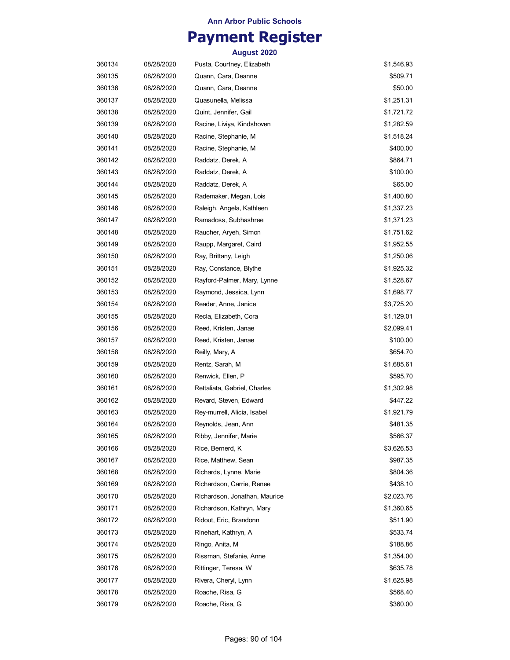## **Payment Register**

| 360134 | 08/28/2020 | Pusta, Courtney, Elizabeth    | \$1,546.93 |
|--------|------------|-------------------------------|------------|
| 360135 | 08/28/2020 | Quann, Cara, Deanne           | \$509.71   |
| 360136 | 08/28/2020 | Quann, Cara, Deanne           | \$50.00    |
| 360137 | 08/28/2020 | Quasunella, Melissa           | \$1,251.31 |
| 360138 | 08/28/2020 | Quint, Jennifer, Gail         | \$1,721.72 |
| 360139 | 08/28/2020 | Racine, Liviya, Kindshoven    | \$1,282.59 |
| 360140 | 08/28/2020 | Racine, Stephanie, M          | \$1,518.24 |
| 360141 | 08/28/2020 | Racine, Stephanie, M          | \$400.00   |
| 360142 | 08/28/2020 | Raddatz, Derek, A             | \$864.71   |
| 360143 | 08/28/2020 | Raddatz, Derek, A             | \$100.00   |
| 360144 | 08/28/2020 | Raddatz, Derek, A             | \$65.00    |
| 360145 | 08/28/2020 | Rademaker, Megan, Lois        | \$1,400.80 |
| 360146 | 08/28/2020 | Raleigh, Angela, Kathleen     | \$1,337.23 |
| 360147 | 08/28/2020 | Ramadoss, Subhashree          | \$1,371.23 |
| 360148 | 08/28/2020 | Raucher, Aryeh, Simon         | \$1,751.62 |
| 360149 | 08/28/2020 | Raupp, Margaret, Caird        | \$1,952.55 |
| 360150 | 08/28/2020 | Ray, Brittany, Leigh          | \$1,250.06 |
| 360151 | 08/28/2020 | Ray, Constance, Blythe        | \$1,925.32 |
| 360152 | 08/28/2020 | Rayford-Palmer, Mary, Lynne   | \$1,528.67 |
| 360153 | 08/28/2020 | Raymond, Jessica, Lynn        | \$1,698.77 |
| 360154 | 08/28/2020 | Reader, Anne, Janice          | \$3,725.20 |
| 360155 | 08/28/2020 | Recla, Elizabeth, Cora        | \$1,129.01 |
| 360156 | 08/28/2020 | Reed, Kristen, Janae          | \$2,099.41 |
| 360157 | 08/28/2020 | Reed, Kristen, Janae          | \$100.00   |
| 360158 | 08/28/2020 | Reilly, Mary, A               | \$654.70   |
| 360159 | 08/28/2020 | Rentz, Sarah, M               | \$1,685.61 |
| 360160 | 08/28/2020 | Renwick, Ellen, P             | \$595.70   |
| 360161 | 08/28/2020 | Rettaliata, Gabriel, Charles  | \$1,302.98 |
| 360162 | 08/28/2020 | Revard, Steven, Edward        | \$447.22   |
| 360163 | 08/28/2020 | Rey-murrell, Alicia, Isabel   | \$1,921.79 |
| 360164 | 08/28/2020 | Reynolds, Jean, Ann           | \$481.35   |
| 360165 | 08/28/2020 | Ribby, Jennifer, Marie        | \$566.37   |
| 360166 | 08/28/2020 | Rice, Bernerd, K              | \$3,626.53 |
| 360167 | 08/28/2020 | Rice, Matthew, Sean           | \$987.35   |
| 360168 | 08/28/2020 | Richards, Lynne, Marie        | \$804.36   |
| 360169 | 08/28/2020 | Richardson, Carrie, Renee     | \$438.10   |
| 360170 | 08/28/2020 | Richardson, Jonathan, Maurice | \$2,023.76 |
| 360171 | 08/28/2020 | Richardson, Kathryn, Mary     | \$1,360.65 |
| 360172 | 08/28/2020 | Ridout, Eric, Brandonn        | \$511.90   |
| 360173 | 08/28/2020 | Rinehart, Kathryn, A          | \$533.74   |
| 360174 | 08/28/2020 | Ringo, Anita, M               | \$188.86   |
| 360175 | 08/28/2020 | Rissman, Stefanie, Anne       | \$1,354.00 |
| 360176 | 08/28/2020 | Rittinger, Teresa, W          | \$635.78   |
| 360177 | 08/28/2020 | Rivera, Cheryl, Lynn          | \$1,625.98 |
| 360178 | 08/28/2020 | Roache, Risa, G               | \$568.40   |
| 360179 | 08/28/2020 | Roache, Risa, G               | \$360.00   |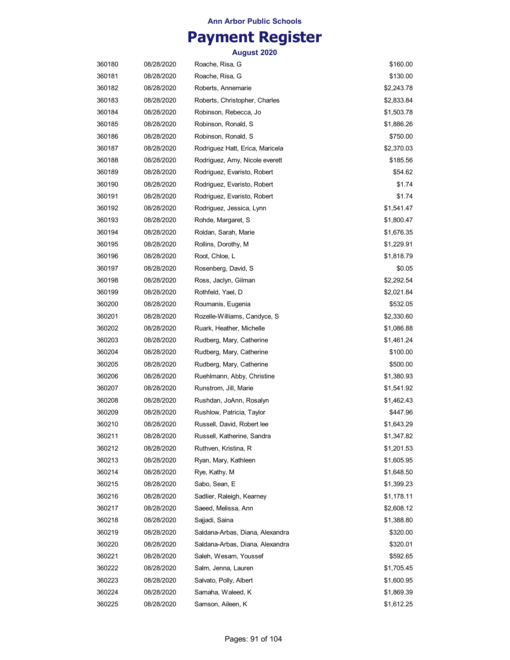## **Payment Register**

| 360180 | 08/28/2020 | Roache, Risa, G                 | \$160.00   |
|--------|------------|---------------------------------|------------|
| 360181 | 08/28/2020 | Roache, Risa, G                 | \$130.00   |
| 360182 | 08/28/2020 | Roberts, Annemarie              | \$2,243.78 |
| 360183 | 08/28/2020 | Roberts, Christopher, Charles   | \$2,833.84 |
| 360184 | 08/28/2020 | Robinson, Rebecca, Jo           | \$1,503.78 |
| 360185 | 08/28/2020 | Robinson, Ronald, S             | \$1,886.26 |
| 360186 | 08/28/2020 | Robinson, Ronald, S             | \$750.00   |
| 360187 | 08/28/2020 | Rodriguez Hatt, Erica, Maricela | \$2,370.03 |
| 360188 | 08/28/2020 | Rodriguez, Amy, Nicole everett  | \$185.56   |
| 360189 | 08/28/2020 | Rodriguez, Evaristo, Robert     | \$54.62    |
| 360190 | 08/28/2020 | Rodriguez, Evaristo, Robert     | \$1.74     |
| 360191 | 08/28/2020 | Rodriguez, Evaristo, Robert     | \$1.74     |
| 360192 | 08/28/2020 | Rodriguez, Jessica, Lynn        | \$1,541.47 |
| 360193 | 08/28/2020 | Rohde, Margaret, S              | \$1,800.47 |
| 360194 | 08/28/2020 | Roldan, Sarah, Marie            | \$1,676.35 |
| 360195 | 08/28/2020 | Rollins, Dorothy, M             | \$1,229.91 |
| 360196 | 08/28/2020 | Root, Chloe, L                  | \$1,818.79 |
| 360197 | 08/28/2020 | Rosenberg, David, S             | \$0.05     |
| 360198 | 08/28/2020 | Ross, Jaclyn, Gilman            | \$2,292.54 |
| 360199 | 08/28/2020 | Rothfeld, Yael, D               | \$2,021.84 |
| 360200 | 08/28/2020 | Roumanis, Eugenia               | \$532.05   |
| 360201 | 08/28/2020 | Rozelle-Williams, Candyce, S    | \$2,330.60 |
| 360202 | 08/28/2020 | Ruark, Heather, Michelle        | \$1,086.88 |
| 360203 | 08/28/2020 | Rudberg, Mary, Catherine        | \$1,461.24 |
| 360204 | 08/28/2020 | Rudberg, Mary, Catherine        | \$100.00   |
| 360205 | 08/28/2020 | Rudberg, Mary, Catherine        | \$500.00   |
| 360206 | 08/28/2020 | Ruehlmann, Abby, Christine      | \$1,380.93 |
| 360207 | 08/28/2020 | Runstrom, Jill, Marie           | \$1,541.92 |
| 360208 | 08/28/2020 | Rushdan, JoAnn, Rosalyn         | \$1,462.43 |
| 360209 | 08/28/2020 | Rushlow, Patricia, Taylor       | \$447.96   |
| 360210 | 08/28/2020 | Russell, David, Robert lee      | \$1,643.29 |
| 360211 | 08/28/2020 | Russell, Katherine, Sandra      | \$1,347.82 |
| 360212 | 08/28/2020 | Ruthven, Kristina, R            | \$1,201.53 |
| 360213 | 08/28/2020 | Ryan, Mary, Kathleen            | \$1,605.95 |
| 360214 | 08/28/2020 | Rye, Kathy, M                   | \$1,648.50 |
| 360215 | 08/28/2020 | Sabo, Sean, E                   | \$1,399.23 |
| 360216 | 08/28/2020 | Sadlier, Raleigh, Kearney       | \$1,178.11 |
| 360217 | 08/28/2020 | Saeed, Melissa, Ann             | \$2,608.12 |
| 360218 | 08/28/2020 | Sajjadi, Saina                  | \$1,388.80 |
| 360219 | 08/28/2020 | Saldana-Arbas, Diana, Alexandra | \$320.00   |
| 360220 | 08/28/2020 | Saldana-Arbas, Diana, Alexandra | \$320.01   |
| 360221 | 08/28/2020 | Saleh, Wesam, Youssef           | \$592.65   |
| 360222 | 08/28/2020 | Salm, Jenna, Lauren             | \$1,705.45 |
| 360223 | 08/28/2020 | Salvato, Polly, Albert          | \$1,600.95 |
| 360224 | 08/28/2020 | Samaha, Waleed, K               | \$1,869.39 |
| 360225 | 08/28/2020 | Samson, Aileen, K               | \$1,612.25 |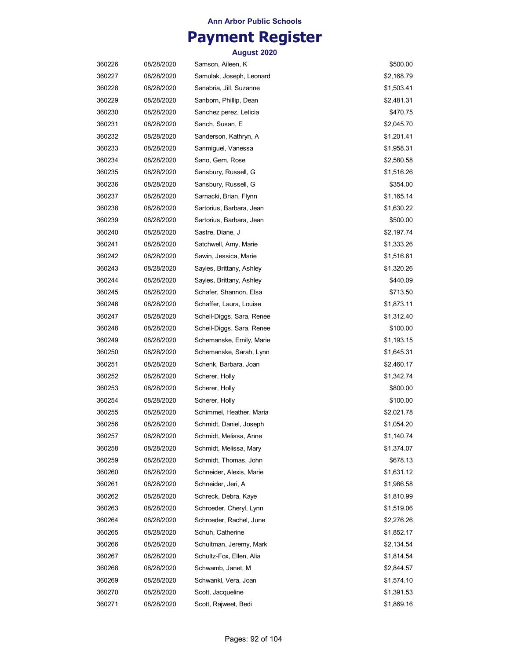## **Payment Register**

| 360226 | 08/28/2020 | Samson, Aileen, K         | \$500.00   |
|--------|------------|---------------------------|------------|
| 360227 | 08/28/2020 | Samulak, Joseph, Leonard  | \$2,168.79 |
| 360228 | 08/28/2020 | Sanabria, Jill, Suzanne   | \$1,503.41 |
| 360229 | 08/28/2020 | Sanborn, Phillip, Dean    | \$2,481.31 |
| 360230 | 08/28/2020 | Sanchez perez, Leticia    | \$470.75   |
| 360231 | 08/28/2020 | Sanch, Susan, E           | \$2,045.70 |
| 360232 | 08/28/2020 | Sanderson, Kathryn, A     | \$1,201.41 |
| 360233 | 08/28/2020 | Sanmiguel, Vanessa        | \$1,958.31 |
| 360234 | 08/28/2020 | Sano, Gem, Rose           | \$2,580.58 |
| 360235 | 08/28/2020 | Sansbury, Russell, G      | \$1,516.26 |
| 360236 | 08/28/2020 | Sansbury, Russell, G      | \$354.00   |
| 360237 | 08/28/2020 | Sarnacki, Brian, Flynn    | \$1,165.14 |
| 360238 | 08/28/2020 | Sartorius, Barbara, Jean  | \$1,630.22 |
| 360239 | 08/28/2020 | Sartorius, Barbara, Jean  | \$500.00   |
| 360240 | 08/28/2020 | Sastre, Diane, J          | \$2,197.74 |
| 360241 | 08/28/2020 | Satchwell, Amy, Marie     | \$1,333.26 |
| 360242 | 08/28/2020 | Sawin, Jessica, Marie     | \$1,516.61 |
| 360243 | 08/28/2020 | Sayles, Brittany, Ashley  | \$1,320.26 |
| 360244 | 08/28/2020 | Sayles, Brittany, Ashley  | \$440.09   |
| 360245 | 08/28/2020 | Schafer, Shannon, Elsa    | \$713.50   |
| 360246 | 08/28/2020 | Schaffer, Laura, Louise   | \$1,873.11 |
| 360247 | 08/28/2020 | Scheil-Diggs, Sara, Renee | \$1,312.40 |
| 360248 | 08/28/2020 | Scheil-Diggs, Sara, Renee | \$100.00   |
| 360249 | 08/28/2020 | Schemanske, Emily, Marie  | \$1,193.15 |
| 360250 | 08/28/2020 | Schemanske, Sarah, Lynn   | \$1,645.31 |
| 360251 | 08/28/2020 | Schenk, Barbara, Joan     | \$2,460.17 |
| 360252 | 08/28/2020 | Scherer, Holly            | \$1,342.74 |
| 360253 | 08/28/2020 | Scherer, Holly            | \$800.00   |
| 360254 | 08/28/2020 | Scherer, Holly            | \$100.00   |
| 360255 | 08/28/2020 | Schimmel, Heather, Maria  | \$2,021.78 |
| 360256 | 08/28/2020 | Schmidt, Daniel, Joseph   | \$1,054.20 |
| 360257 | 08/28/2020 | Schmidt, Melissa, Anne    | \$1,140.74 |
| 360258 | 08/28/2020 | Schmidt, Melissa, Mary    | \$1,374.07 |
| 360259 | 08/28/2020 | Schmidt, Thomas, John     | \$678.13   |
| 360260 | 08/28/2020 | Schneider, Alexis, Marie  | \$1,631.12 |
| 360261 | 08/28/2020 | Schneider, Jeri, A        | \$1,986.58 |
| 360262 | 08/28/2020 | Schreck, Debra, Kaye      | \$1,810.99 |
| 360263 | 08/28/2020 | Schroeder, Cheryl, Lynn   | \$1,519.06 |
| 360264 | 08/28/2020 | Schroeder, Rachel, June   | \$2,276.26 |
| 360265 | 08/28/2020 | Schuh, Catherine          | \$1,852.17 |
| 360266 | 08/28/2020 | Schuitman, Jeremy, Mark   | \$2,134.54 |
| 360267 | 08/28/2020 | Schultz-Fox, Ellen, Alia  | \$1,814.54 |
| 360268 | 08/28/2020 | Schwamb, Janet, M         | \$2,844.57 |
| 360269 | 08/28/2020 | Schwankl, Vera, Joan      | \$1,574.10 |
| 360270 | 08/28/2020 | Scott, Jacqueline         | \$1,391.53 |
| 360271 | 08/28/2020 | Scott, Rajweet, Bedi      | \$1,869.16 |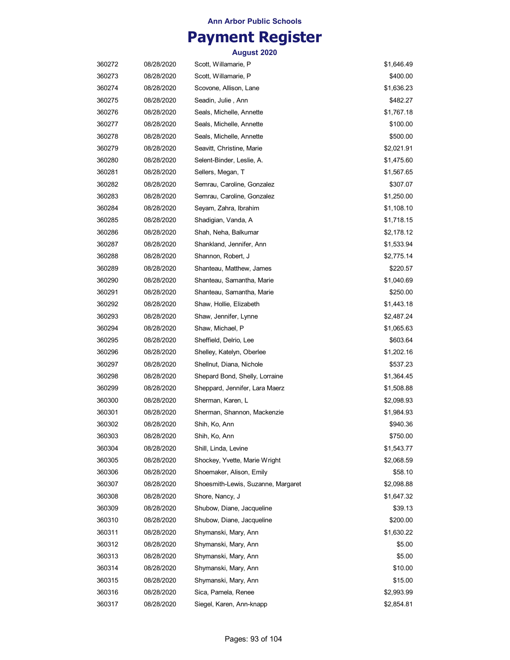## **Payment Register**

| 360272 | 08/28/2020 | Scott, Willamarie, P               | \$1,646.49 |
|--------|------------|------------------------------------|------------|
| 360273 | 08/28/2020 | Scott, Willamarie, P               | \$400.00   |
| 360274 | 08/28/2020 | Scovone, Allison, Lane             | \$1,636.23 |
| 360275 | 08/28/2020 | Seadin, Julie , Ann                | \$482.27   |
| 360276 | 08/28/2020 | Seals, Michelle, Annette           | \$1,767.18 |
| 360277 | 08/28/2020 | Seals, Michelle, Annette           | \$100.00   |
| 360278 | 08/28/2020 | Seals, Michelle, Annette           | \$500.00   |
| 360279 | 08/28/2020 | Seavitt, Christine, Marie          | \$2,021.91 |
| 360280 | 08/28/2020 | Selent-Binder, Leslie, A.          | \$1,475.60 |
| 360281 | 08/28/2020 | Sellers, Megan, T                  | \$1,567.65 |
| 360282 | 08/28/2020 | Semrau, Caroline, Gonzalez         | \$307.07   |
| 360283 | 08/28/2020 | Semrau, Caroline, Gonzalez         | \$1,250.00 |
| 360284 | 08/28/2020 | Seyam, Zahra, Ibrahim              | \$1,108.10 |
| 360285 | 08/28/2020 | Shadigian, Vanda, A                | \$1,718.15 |
| 360286 | 08/28/2020 | Shah, Neha, Balkumar               | \$2,178.12 |
| 360287 | 08/28/2020 | Shankland, Jennifer, Ann           | \$1,533.94 |
| 360288 | 08/28/2020 | Shannon, Robert, J                 | \$2,775.14 |
| 360289 | 08/28/2020 | Shanteau, Matthew, James           | \$220.57   |
| 360290 | 08/28/2020 | Shanteau, Samantha, Marie          | \$1,040.69 |
| 360291 | 08/28/2020 | Shanteau, Samantha, Marie          | \$250.00   |
| 360292 | 08/28/2020 | Shaw, Hollie, Elizabeth            | \$1,443.18 |
| 360293 | 08/28/2020 | Shaw, Jennifer, Lynne              | \$2,487.24 |
| 360294 | 08/28/2020 | Shaw, Michael, P                   | \$1,065.63 |
| 360295 | 08/28/2020 | Sheffield, Delrio, Lee             | \$603.64   |
| 360296 | 08/28/2020 | Shelley, Katelyn, Oberlee          | \$1,202.16 |
| 360297 | 08/28/2020 | Shellnut, Diana, Nichole           | \$537.23   |
| 360298 | 08/28/2020 | Shepard Bond, Shelly, Lorraine     | \$1,364.45 |
| 360299 | 08/28/2020 | Sheppard, Jennifer, Lara Maerz     | \$1,508.88 |
| 360300 | 08/28/2020 | Sherman, Karen, L                  | \$2,098.93 |
| 360301 | 08/28/2020 | Sherman, Shannon, Mackenzie        | \$1,984.93 |
| 360302 | 08/28/2020 | Shih, Ko, Ann                      | \$940.36   |
| 360303 | 08/28/2020 | Shih, Ko, Ann                      | \$750.00   |
| 360304 | 08/28/2020 | Shill, Linda, Levine               | \$1,543.77 |
| 360305 | 08/28/2020 | Shockey, Yvette, Marie Wright      | \$2,068.59 |
| 360306 | 08/28/2020 | Shoemaker, Alison, Emily           | \$58.10    |
| 360307 | 08/28/2020 | Shoesmith-Lewis, Suzanne, Margaret | \$2,098.88 |
| 360308 | 08/28/2020 | Shore, Nancy, J                    | \$1,647.32 |
| 360309 | 08/28/2020 | Shubow, Diane, Jacqueline          | \$39.13    |
| 360310 | 08/28/2020 | Shubow, Diane, Jacqueline          | \$200.00   |
| 360311 | 08/28/2020 | Shymanski, Mary, Ann               | \$1,630.22 |
| 360312 | 08/28/2020 | Shymanski, Mary, Ann               | \$5.00     |
| 360313 | 08/28/2020 | Shymanski, Mary, Ann               | \$5.00     |
| 360314 | 08/28/2020 | Shymanski, Mary, Ann               | \$10.00    |
| 360315 | 08/28/2020 | Shymanski, Mary, Ann               | \$15.00    |
| 360316 | 08/28/2020 | Sica, Pamela, Renee                | \$2,993.99 |
| 360317 | 08/28/2020 | Siegel, Karen, Ann-knapp           | \$2,854.81 |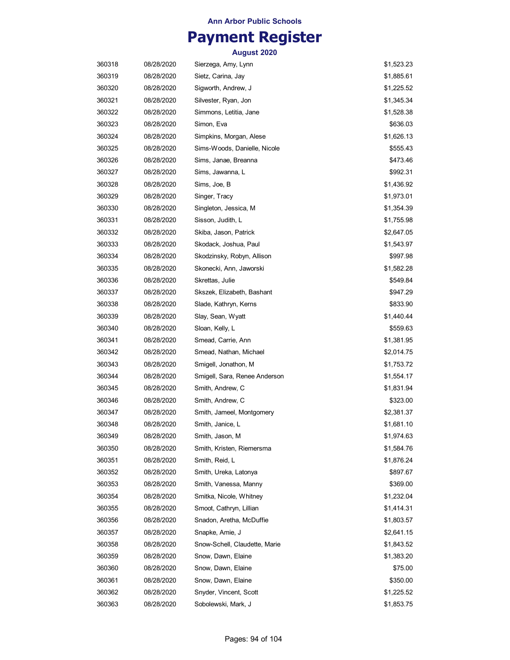## **Payment Register**

| 360318 | 08/28/2020 | Sierzega, Amy, Lynn           | \$1,523.23 |
|--------|------------|-------------------------------|------------|
| 360319 | 08/28/2020 | Sietz, Carina, Jay            | \$1,885.61 |
| 360320 | 08/28/2020 | Sigworth, Andrew, J           | \$1,225.52 |
| 360321 | 08/28/2020 | Silvester, Ryan, Jon          | \$1,345.34 |
| 360322 | 08/28/2020 | Simmons, Letitia, Jane        | \$1,528.38 |
| 360323 | 08/28/2020 | Simon, Eva                    | \$636.03   |
| 360324 | 08/28/2020 | Simpkins, Morgan, Alese       | \$1,626.13 |
| 360325 | 08/28/2020 | Sims-Woods, Danielle, Nicole  | \$555.43   |
| 360326 | 08/28/2020 | Sims, Janae, Breanna          | \$473.46   |
| 360327 | 08/28/2020 | Sims, Jawanna, L              | \$992.31   |
| 360328 | 08/28/2020 | Sims, Joe, B                  | \$1,436.92 |
| 360329 | 08/28/2020 | Singer, Tracy                 | \$1,973.01 |
| 360330 | 08/28/2020 | Singleton, Jessica, M         | \$1,354.39 |
| 360331 | 08/28/2020 | Sisson, Judith, L             | \$1,755.98 |
| 360332 | 08/28/2020 | Skiba, Jason, Patrick         | \$2,647.05 |
| 360333 | 08/28/2020 | Skodack, Joshua, Paul         | \$1,543.97 |
| 360334 | 08/28/2020 | Skodzinsky, Robyn, Allison    | \$997.98   |
| 360335 | 08/28/2020 | Skonecki, Ann, Jaworski       | \$1,582.28 |
| 360336 | 08/28/2020 | Skrettas, Julie               | \$549.84   |
| 360337 | 08/28/2020 | Skszek, Elizabeth, Bashant    | \$947.29   |
| 360338 | 08/28/2020 | Slade, Kathryn, Kerns         | \$833.90   |
| 360339 | 08/28/2020 | Slay, Sean, Wyatt             | \$1,440.44 |
| 360340 | 08/28/2020 | Sloan, Kelly, L               | \$559.63   |
| 360341 | 08/28/2020 | Smead, Carrie, Ann            | \$1,381.95 |
| 360342 | 08/28/2020 | Smead, Nathan, Michael        | \$2,014.75 |
| 360343 | 08/28/2020 | Smigell, Jonathon, M          | \$1,753.72 |
| 360344 | 08/28/2020 | Smigell, Sara, Renee Anderson | \$1,554.17 |
| 360345 | 08/28/2020 | Smith, Andrew, C              | \$1,831.94 |
| 360346 | 08/28/2020 | Smith, Andrew, C              | \$323.00   |
| 360347 | 08/28/2020 | Smith, Jameel, Montgomery     | \$2,381.37 |
| 360348 | 08/28/2020 | Smith, Janice, L              | \$1,681.10 |
| 360349 | 08/28/2020 | Smith, Jason, M               | \$1,974.63 |
| 360350 | 08/28/2020 | Smith, Kristen, Riemersma     | \$1,584.76 |
| 360351 | 08/28/2020 | Smith, Reid, L                | \$1,876.24 |
| 360352 | 08/28/2020 | Smith, Ureka, Latonya         | \$897.67   |
| 360353 | 08/28/2020 | Smith, Vanessa, Manny         | \$369.00   |
| 360354 | 08/28/2020 | Smitka, Nicole, Whitney       | \$1,232.04 |
| 360355 | 08/28/2020 | Smoot, Cathryn, Lillian       | \$1,414.31 |
| 360356 | 08/28/2020 | Snadon, Aretha, McDuffie      | \$1,803.57 |
| 360357 | 08/28/2020 | Snapke, Amie, J               | \$2,641.15 |
| 360358 | 08/28/2020 | Snow-Schell, Claudette, Marie | \$1,843.52 |
| 360359 | 08/28/2020 | Snow, Dawn, Elaine            | \$1,383.20 |
| 360360 | 08/28/2020 | Snow, Dawn, Elaine            | \$75.00    |
| 360361 | 08/28/2020 | Snow, Dawn, Elaine            | \$350.00   |
| 360362 | 08/28/2020 | Snyder, Vincent, Scott        | \$1,225.52 |
| 360363 | 08/28/2020 | Sobolewski, Mark, J           | \$1,853.75 |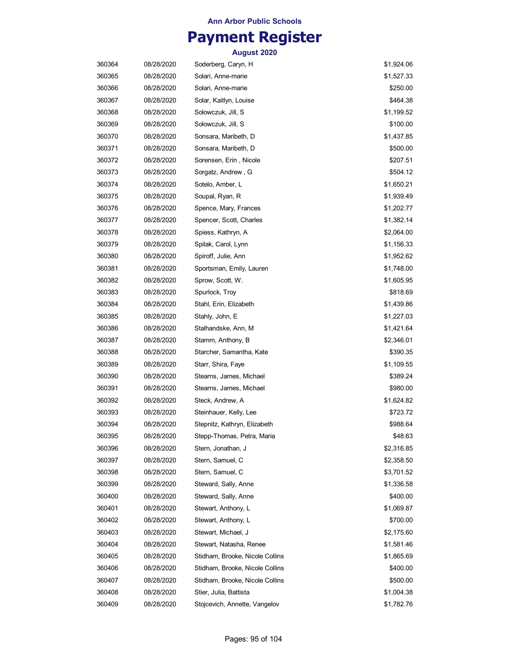## **Payment Register**

| 360364 | 08/28/2020 | Soderberg, Caryn, H             | \$1,924.06 |
|--------|------------|---------------------------------|------------|
| 360365 | 08/28/2020 | Solari, Anne-marie              | \$1,527.33 |
| 360366 | 08/28/2020 | Solari, Anne-marie              | \$250.00   |
| 360367 | 08/28/2020 | Solar, Kaitlyn, Louise          | \$464.38   |
| 360368 | 08/28/2020 | Solowczuk, Jill, S              | \$1,199.52 |
| 360369 | 08/28/2020 | Solowczuk, Jill, S              | \$100.00   |
| 360370 | 08/28/2020 | Sonsara, Maribeth, D            | \$1,437.85 |
| 360371 | 08/28/2020 | Sonsara, Maribeth, D            | \$500.00   |
| 360372 | 08/28/2020 | Sorensen, Erin, Nicole          | \$207.51   |
| 360373 | 08/28/2020 | Sorgatz, Andrew, G              | \$504.12   |
| 360374 | 08/28/2020 | Sotelo, Amber, L                | \$1,650.21 |
| 360375 | 08/28/2020 | Soupal, Ryan, R                 | \$1,939.49 |
| 360376 | 08/28/2020 | Spence, Mary, Frances           | \$1,202.77 |
| 360377 | 08/28/2020 | Spencer, Scott, Charles         | \$1,382.14 |
| 360378 | 08/28/2020 | Spiess, Kathryn, A              | \$2,064.00 |
| 360379 | 08/28/2020 | Spilak, Carol, Lynn             | \$1,156.33 |
| 360380 | 08/28/2020 | Spiroff, Julie, Ann             | \$1,952.62 |
| 360381 | 08/28/2020 | Sportsman, Emily, Lauren        | \$1,748.00 |
| 360382 | 08/28/2020 | Sprow, Scott, W.                | \$1,605.95 |
| 360383 | 08/28/2020 | Spurlock, Troy                  | \$818.69   |
| 360384 | 08/28/2020 | Stahl, Erin, Elizabeth          | \$1,439.86 |
| 360385 | 08/28/2020 | Stahly, John, E                 | \$1,227.03 |
| 360386 | 08/28/2020 | Stalhandske, Ann, M             | \$1,421.64 |
| 360387 | 08/28/2020 | Stamm, Anthony, B               | \$2,346.01 |
| 360388 | 08/28/2020 | Starcher, Samantha, Kate        | \$390.35   |
| 360389 | 08/28/2020 | Starr, Shira, Faye              | \$1,109.55 |
| 360390 | 08/28/2020 | Stearns, James, Michael         | \$389.24   |
| 360391 | 08/28/2020 | Stearns, James, Michael         | \$980.00   |
| 360392 | 08/28/2020 | Steck, Andrew, A                | \$1,624.82 |
| 360393 | 08/28/2020 | Steinhauer, Kelly, Lee          | \$723.72   |
| 360394 | 08/28/2020 | Stepnitz, Kathryn, Elizabeth    | \$988.64   |
| 360395 | 08/28/2020 | Stepp-Thomas, Petra, Maria      | \$48.63    |
| 360396 | 08/28/2020 | Stern, Jonathan, J              | \$2,316.85 |
| 360397 | 08/28/2020 | Stern, Samuel, C                | \$2,358.50 |
| 360398 | 08/28/2020 | Stern, Samuel, C                | \$3,701.52 |
| 360399 | 08/28/2020 | Steward, Sally, Anne            | \$1,336.58 |
| 360400 | 08/28/2020 | Steward, Sally, Anne            | \$400.00   |
| 360401 | 08/28/2020 | Stewart, Anthony, L             | \$1,069.87 |
| 360402 | 08/28/2020 | Stewart, Anthony, L             | \$700.00   |
| 360403 | 08/28/2020 | Stewart, Michael, J             | \$2,175.60 |
| 360404 | 08/28/2020 | Stewart, Natasha, Renee         | \$1,581.46 |
| 360405 | 08/28/2020 | Stidham, Brooke, Nicole Collins | \$1,865.69 |
| 360406 | 08/28/2020 | Stidham, Brooke, Nicole Collins | \$400.00   |
| 360407 | 08/28/2020 | Stidham, Brooke, Nicole Collins | \$500.00   |
| 360408 | 08/28/2020 | Stier, Julia, Battista          | \$1,004.38 |
| 360409 | 08/28/2020 | Stojcevich, Annette, Vangelov   | \$1,782.76 |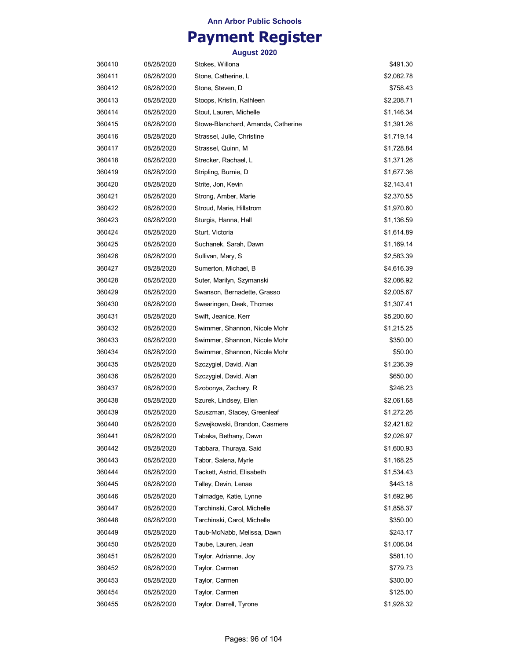## **Payment Register**

| 360410 | 08/28/2020 | Stokes, Willona                    | \$491.30   |
|--------|------------|------------------------------------|------------|
| 360411 | 08/28/2020 | Stone, Catherine, L                | \$2,082.78 |
| 360412 | 08/28/2020 | Stone, Steven, D                   | \$758.43   |
| 360413 | 08/28/2020 | Stoops, Kristin, Kathleen          | \$2,208.71 |
| 360414 | 08/28/2020 | Stout, Lauren, Michelle            | \$1,146.34 |
| 360415 | 08/28/2020 | Stowe-Blanchard, Amanda, Catherine | \$1,391.26 |
| 360416 | 08/28/2020 | Strassel, Julie, Christine         | \$1,719.14 |
| 360417 | 08/28/2020 | Strassel, Quinn, M                 | \$1,728.84 |
| 360418 | 08/28/2020 | Strecker, Rachael, L               | \$1,371.26 |
| 360419 | 08/28/2020 | Stripling, Burnie, D               | \$1,677.36 |
| 360420 | 08/28/2020 | Strite, Jon, Kevin                 | \$2,143.41 |
| 360421 | 08/28/2020 | Strong, Amber, Marie               | \$2,370.55 |
| 360422 | 08/28/2020 | Stroud, Marie, Hillstrom           | \$1,970.60 |
| 360423 | 08/28/2020 | Sturgis, Hanna, Hall               | \$1,136.59 |
| 360424 | 08/28/2020 | Sturt, Victoria                    | \$1,614.89 |
| 360425 | 08/28/2020 | Suchanek, Sarah, Dawn              | \$1,169.14 |
| 360426 | 08/28/2020 | Sullivan, Mary, S                  | \$2,583.39 |
| 360427 | 08/28/2020 | Sumerton, Michael, B               | \$4,616.39 |
| 360428 | 08/28/2020 | Suter, Marilyn, Szymanski          | \$2,086.92 |
| 360429 | 08/28/2020 | Swanson, Bernadette, Grasso        | \$2,005.67 |
| 360430 | 08/28/2020 | Swearingen, Deak, Thomas           | \$1,307.41 |
| 360431 | 08/28/2020 | Swift, Jeanice, Kerr               | \$5,200.60 |
| 360432 | 08/28/2020 | Swimmer, Shannon, Nicole Mohr      | \$1,215.25 |
| 360433 | 08/28/2020 | Swimmer, Shannon, Nicole Mohr      | \$350.00   |
| 360434 | 08/28/2020 | Swimmer, Shannon, Nicole Mohr      | \$50.00    |
| 360435 | 08/28/2020 | Szczygiel, David, Alan             | \$1,236.39 |
| 360436 | 08/28/2020 | Szczygiel, David, Alan             | \$650.00   |
| 360437 | 08/28/2020 | Szobonya, Zachary, R               | \$246.23   |
| 360438 | 08/28/2020 | Szurek, Lindsey, Ellen             | \$2,061.68 |
| 360439 | 08/28/2020 | Szuszman, Stacey, Greenleaf        | \$1,272.26 |
| 360440 | 08/28/2020 | Szwejkowski, Brandon, Casmere      | \$2,421.82 |
| 360441 | 08/28/2020 | Tabaka, Bethany, Dawn              | \$2,026.97 |
| 360442 | 08/28/2020 | Tabbara, Thuraya, Said             | \$1,600.93 |
| 360443 | 08/28/2020 | Tabor, Salena, Myrle               | \$1,168.25 |
| 360444 | 08/28/2020 | Tackett, Astrid, Elisabeth         | \$1,534.43 |
| 360445 | 08/28/2020 | Talley, Devin, Lenae               | \$443.18   |
| 360446 | 08/28/2020 | Talmadge, Katie, Lynne             | \$1,692.96 |
| 360447 | 08/28/2020 | Tarchinski, Carol, Michelle        | \$1,858.37 |
| 360448 | 08/28/2020 | Tarchinski, Carol, Michelle        | \$350.00   |
| 360449 | 08/28/2020 | Taub-McNabb, Melissa, Dawn         | \$243.17   |
| 360450 | 08/28/2020 | Taube, Lauren, Jean                | \$1,006.04 |
| 360451 | 08/28/2020 | Taylor, Adrianne, Joy              | \$581.10   |
| 360452 | 08/28/2020 | Taylor, Carmen                     | \$779.73   |
| 360453 | 08/28/2020 | Taylor, Carmen                     | \$300.00   |
| 360454 | 08/28/2020 | Taylor, Carmen                     | \$125.00   |
| 360455 | 08/28/2020 | Taylor, Darrell, Tyrone            | \$1,928.32 |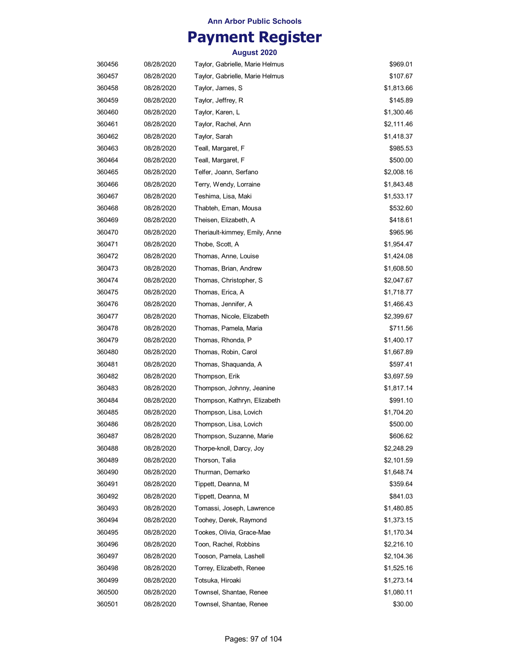# **Payment Register**

| 360456 | 08/28/2020 | Taylor, Gabrielle, Marie Helmus | \$969.01   |
|--------|------------|---------------------------------|------------|
| 360457 | 08/28/2020 | Taylor, Gabrielle, Marie Helmus | \$107.67   |
| 360458 | 08/28/2020 | Taylor, James, S                | \$1,813.66 |
| 360459 | 08/28/2020 | Taylor, Jeffrey, R              | \$145.89   |
| 360460 | 08/28/2020 | Taylor, Karen, L                | \$1,300.46 |
| 360461 | 08/28/2020 | Taylor, Rachel, Ann             | \$2,111.46 |
| 360462 | 08/28/2020 | Taylor, Sarah                   | \$1,418.37 |
| 360463 | 08/28/2020 | Teall, Margaret, F              | \$985.53   |
| 360464 | 08/28/2020 | Teall, Margaret, F              | \$500.00   |
| 360465 | 08/28/2020 | Telfer, Joann, Serfano          | \$2,008.16 |
| 360466 | 08/28/2020 | Terry, Wendy, Lorraine          | \$1,843.48 |
| 360467 | 08/28/2020 | Teshima, Lisa, Maki             | \$1,533.17 |
| 360468 | 08/28/2020 | Thabteh, Eman, Mousa            | \$532.60   |
| 360469 | 08/28/2020 | Theisen, Elizabeth, A           | \$418.61   |
| 360470 | 08/28/2020 | Theriault-kimmey, Emily, Anne   | \$965.96   |
| 360471 | 08/28/2020 | Thobe, Scott, A                 | \$1,954.47 |
| 360472 | 08/28/2020 | Thomas, Anne, Louise            | \$1,424.08 |
| 360473 | 08/28/2020 | Thomas, Brian, Andrew           | \$1,608.50 |
| 360474 | 08/28/2020 | Thomas, Christopher, S          | \$2,047.67 |
| 360475 | 08/28/2020 | Thomas, Erica, A                | \$1,718.77 |
| 360476 | 08/28/2020 | Thomas, Jennifer, A             | \$1,466.43 |
| 360477 | 08/28/2020 | Thomas, Nicole, Elizabeth       | \$2,399.67 |
| 360478 | 08/28/2020 | Thomas, Pamela, Maria           | \$711.56   |
| 360479 | 08/28/2020 | Thomas, Rhonda, P               | \$1,400.17 |
| 360480 | 08/28/2020 | Thomas, Robin, Carol            | \$1,667.89 |
| 360481 | 08/28/2020 | Thomas, Shaquanda, A            | \$597.41   |
| 360482 | 08/28/2020 | Thompson, Erik                  | \$3,697.59 |
| 360483 | 08/28/2020 | Thompson, Johnny, Jeanine       | \$1,817.14 |
| 360484 | 08/28/2020 | Thompson, Kathryn, Elizabeth    | \$991.10   |
| 360485 | 08/28/2020 | Thompson, Lisa, Lovich          | \$1,704.20 |
| 360486 | 08/28/2020 | Thompson, Lisa, Lovich          | \$500.00   |
| 360487 | 08/28/2020 | Thompson, Suzanne, Marie        | \$606.62   |
| 360488 | 08/28/2020 | Thorpe-knoll, Darcy, Joy        | \$2,248.29 |
| 360489 | 08/28/2020 | Thorson, Talia                  | \$2,101.59 |
| 360490 | 08/28/2020 | Thurman, Demarko                | \$1,648.74 |
| 360491 | 08/28/2020 | Tippett, Deanna, M              | \$359.64   |
| 360492 | 08/28/2020 | Tippett, Deanna, M              | \$841.03   |
| 360493 | 08/28/2020 | Tomassi, Joseph, Lawrence       | \$1,480.85 |
| 360494 | 08/28/2020 | Toohey, Derek, Raymond          | \$1,373.15 |
| 360495 | 08/28/2020 | Tookes, Olivia, Grace-Mae       | \$1,170.34 |
| 360496 | 08/28/2020 | Toon, Rachel, Robbins           | \$2,216.10 |
| 360497 | 08/28/2020 | Tooson, Pamela, Lashell         | \$2,104.36 |
| 360498 | 08/28/2020 | Torrey, Elizabeth, Renee        | \$1,525.16 |
| 360499 | 08/28/2020 | Totsuka, Hiroaki                | \$1,273.14 |
| 360500 | 08/28/2020 | Townsel, Shantae, Renee         | \$1,080.11 |
| 360501 | 08/28/2020 | Townsel, Shantae, Renee         | \$30.00    |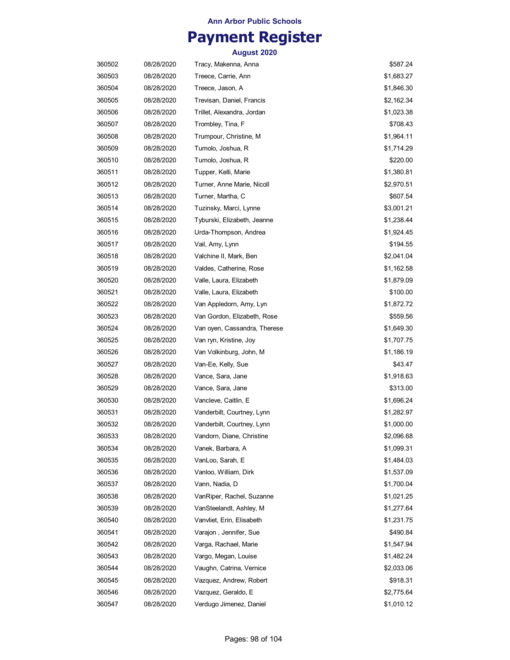## **Payment Register**

| 360502 | 08/28/2020 | Tracy, Makenna, Anna         | \$587.24   |
|--------|------------|------------------------------|------------|
| 360503 | 08/28/2020 | Treece, Carrie, Ann          | \$1,683.27 |
| 360504 | 08/28/2020 | Treece, Jason, A             | \$1,846.30 |
| 360505 | 08/28/2020 | Trevisan, Daniel, Francis    | \$2,162.34 |
| 360506 | 08/28/2020 | Trillet, Alexandra, Jordan   | \$1,023.38 |
| 360507 | 08/28/2020 | Trombley, Tina, F            | \$708.43   |
| 360508 | 08/28/2020 | Trumpour, Christine, M       | \$1,964.11 |
| 360509 | 08/28/2020 | Tumolo, Joshua, R            | \$1,714.29 |
| 360510 | 08/28/2020 | Tumolo, Joshua, R            | \$220.00   |
| 360511 | 08/28/2020 | Tupper, Kelli, Marie         | \$1,380.81 |
| 360512 | 08/28/2020 | Turner, Anne Marie, Nicoll   | \$2,970.51 |
| 360513 | 08/28/2020 | Turner, Martha, C            | \$607.54   |
| 360514 | 08/28/2020 | Tuzinsky, Marci, Lynne       | \$3,001.21 |
| 360515 | 08/28/2020 | Tyburski, Elizabeth, Jeanne  | \$1,238.44 |
| 360516 | 08/28/2020 | Urda-Thompson, Andrea        | \$1,924.45 |
| 360517 | 08/28/2020 | Vail, Amy, Lynn              | \$194.55   |
| 360518 | 08/28/2020 | Valchine II, Mark, Ben       | \$2,041.04 |
| 360519 | 08/28/2020 | Valdes, Catherine, Rose      | \$1,162.58 |
| 360520 | 08/28/2020 | Valle, Laura, Elizabeth      | \$1,879.09 |
| 360521 | 08/28/2020 | Valle, Laura, Elizabeth      | \$100.00   |
| 360522 | 08/28/2020 | Van Appledorn, Amy, Lyn      | \$1,872.72 |
| 360523 | 08/28/2020 | Van Gordon, Elizabeth, Rose  | \$559.56   |
| 360524 | 08/28/2020 | Van oyen, Cassandra, Therese | \$1,649.30 |
| 360525 | 08/28/2020 | Van ryn, Kristine, Joy       | \$1,707.75 |
| 360526 | 08/28/2020 | Van Volkinburg, John, M      | \$1,186.19 |
| 360527 | 08/28/2020 | Van-Ee, Kelly, Sue           | \$43.47    |
| 360528 | 08/28/2020 | Vance, Sara, Jane            | \$1,918.63 |
| 360529 | 08/28/2020 | Vance, Sara, Jane            | \$313.00   |
| 360530 | 08/28/2020 | Vancleve, Caitlin, E         | \$1,696.24 |
| 360531 | 08/28/2020 | Vanderbilt, Courtney, Lynn   | \$1,282.97 |
| 360532 | 08/28/2020 | Vanderbilt, Courtney, Lynn   | \$1,000.00 |
| 360533 | 08/28/2020 | Vandorn, Diane, Christine    | \$2,096.68 |
| 360534 | 08/28/2020 | Vanek, Barbara, A            | \$1,099.31 |
| 360535 | 08/28/2020 | VanLoo, Sarah, E             | \$1,484.03 |
| 360536 | 08/28/2020 | Vanloo, William, Dirk        | \$1,537.09 |
| 360537 | 08/28/2020 | Vann, Nadia, D               | \$1,700.04 |
| 360538 | 08/28/2020 | VanRiper, Rachel, Suzanne    | \$1,021.25 |
| 360539 | 08/28/2020 | VanSteelandt, Ashley, M      | \$1,277.64 |
| 360540 | 08/28/2020 | Vanvliet, Erin, Elisabeth    | \$1,231.75 |
| 360541 | 08/28/2020 | Varajon, Jennifer, Sue       | \$490.84   |
| 360542 | 08/28/2020 | Varga, Rachael, Marie        | \$1,547.94 |
| 360543 | 08/28/2020 | Vargo, Megan, Louise         | \$1,482.24 |
| 360544 | 08/28/2020 | Vaughn, Catrina, Vernice     | \$2,033.06 |
| 360545 | 08/28/2020 | Vazquez, Andrew, Robert      | \$918.31   |
| 360546 | 08/28/2020 | Vazquez, Geraldo, E          | \$2,775.64 |
| 360547 | 08/28/2020 | Verdugo Jimenez, Daniel      | \$1,010.12 |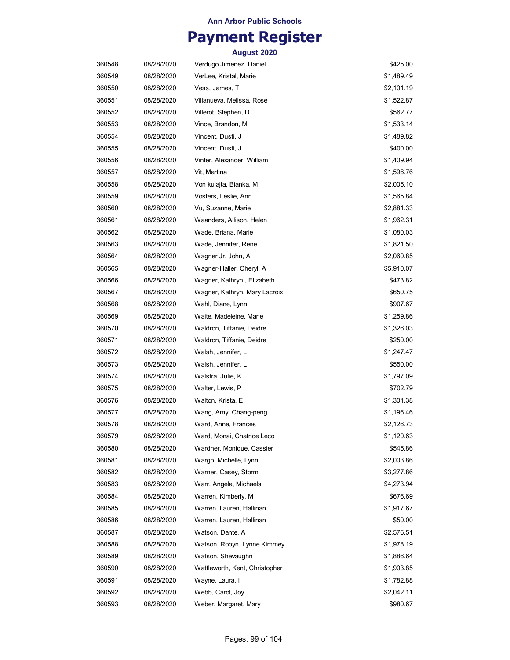## **Payment Register**

| 360548 | 08/28/2020 | Verdugo Jimenez, Daniel        | \$425.00   |
|--------|------------|--------------------------------|------------|
| 360549 | 08/28/2020 | VerLee, Kristal, Marie         | \$1,489.49 |
| 360550 | 08/28/2020 | Vess, James, T                 | \$2,101.19 |
| 360551 | 08/28/2020 | Villanueva, Melissa, Rose      | \$1,522.87 |
| 360552 | 08/28/2020 | Villerot, Stephen, D           | \$562.77   |
| 360553 | 08/28/2020 | Vince, Brandon, M              | \$1,533.14 |
| 360554 | 08/28/2020 | Vincent, Dusti, J              | \$1,489.82 |
| 360555 | 08/28/2020 | Vincent, Dusti, J              | \$400.00   |
| 360556 | 08/28/2020 | Vinter, Alexander, William     | \$1,409.94 |
| 360557 | 08/28/2020 | Vit, Martina                   | \$1,596.76 |
| 360558 | 08/28/2020 | Von kulajta, Bianka, M         | \$2,005.10 |
| 360559 | 08/28/2020 | Vosters, Leslie, Ann           | \$1,565.84 |
| 360560 | 08/28/2020 | Vu, Suzanne, Marie             | \$2,881.33 |
| 360561 | 08/28/2020 | Waanders, Allison, Helen       | \$1,962.31 |
| 360562 | 08/28/2020 | Wade, Briana, Marie            | \$1,080.03 |
| 360563 | 08/28/2020 | Wade, Jennifer, Rene           | \$1,821.50 |
| 360564 | 08/28/2020 | Wagner Jr, John, A             | \$2,060.85 |
| 360565 | 08/28/2020 | Wagner-Haller, Cheryl, A       | \$5,910.07 |
| 360566 | 08/28/2020 | Wagner, Kathryn , Elizabeth    | \$473.82   |
| 360567 | 08/28/2020 | Wagner, Kathryn, Mary Lacroix  | \$650.75   |
| 360568 | 08/28/2020 | Wahl, Diane, Lynn              | \$907.67   |
| 360569 | 08/28/2020 | Waite, Madeleine, Marie        | \$1,259.86 |
| 360570 | 08/28/2020 | Waldron, Tiffanie, Deidre      | \$1,326.03 |
| 360571 | 08/28/2020 | Waldron, Tiffanie, Deidre      | \$250.00   |
| 360572 | 08/28/2020 | Walsh, Jennifer, L             | \$1,247.47 |
| 360573 | 08/28/2020 | Walsh, Jennifer, L             | \$550.00   |
| 360574 | 08/28/2020 | Walstra, Julie, K              | \$1,797.09 |
| 360575 | 08/28/2020 | Walter, Lewis, P               | \$702.79   |
| 360576 | 08/28/2020 | Walton, Krista, E              | \$1,301.38 |
| 360577 | 08/28/2020 | Wang, Amy, Chang-peng          | \$1,196.46 |
| 360578 | 08/28/2020 | Ward, Anne, Frances            | \$2,126.73 |
| 360579 | 08/28/2020 | Ward, Monai, Chatrice Leco     | \$1,120.63 |
| 360580 | 08/28/2020 | Wardner, Monique, Cassier      | \$545.86   |
| 360581 | 08/28/2020 | Wargo, Michelle, Lynn          | \$2,003.86 |
| 360582 | 08/28/2020 | Warner, Casey, Storm           | \$3,277.86 |
| 360583 | 08/28/2020 | Warr, Angela, Michaels         | \$4,273.94 |
| 360584 | 08/28/2020 | Warren, Kimberly, M            | \$676.69   |
| 360585 | 08/28/2020 | Warren, Lauren, Hallinan       | \$1,917.67 |
| 360586 | 08/28/2020 | Warren, Lauren, Hallinan       | \$50.00    |
| 360587 | 08/28/2020 | Watson, Dante, A               | \$2,576.51 |
| 360588 | 08/28/2020 | Watson, Robyn, Lynne Kimmey    | \$1,978.19 |
| 360589 | 08/28/2020 | Watson, Shevaughn              | \$1,886.64 |
| 360590 | 08/28/2020 | Wattleworth, Kent, Christopher | \$1,903.85 |
| 360591 | 08/28/2020 | Wayne, Laura, I                | \$1,782.88 |
| 360592 | 08/28/2020 | Webb, Carol, Joy               | \$2,042.11 |
| 360593 | 08/28/2020 | Weber, Margaret, Mary          | \$980.67   |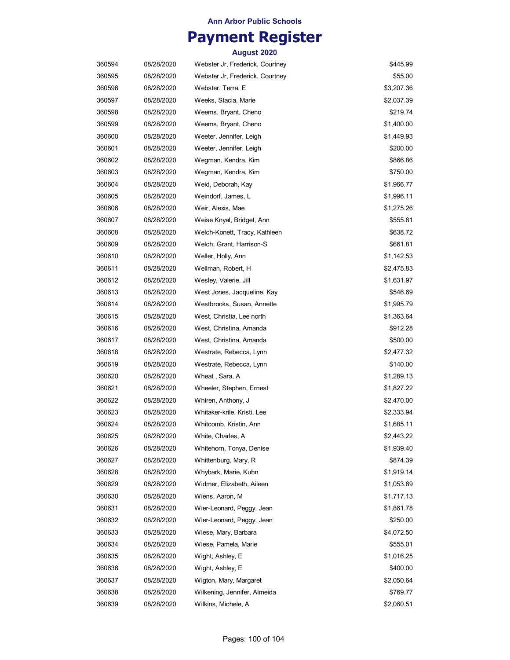## **Payment Register**

| 360594 | 08/28/2020 | Webster Jr, Frederick, Courtney | \$445.99   |
|--------|------------|---------------------------------|------------|
| 360595 | 08/28/2020 | Webster Jr, Frederick, Courtney | \$55.00    |
| 360596 | 08/28/2020 | Webster, Terra, E               | \$3,207.36 |
| 360597 | 08/28/2020 | Weeks, Stacia, Marie            | \$2,037.39 |
| 360598 | 08/28/2020 | Weems, Bryant, Cheno            | \$219.74   |
| 360599 | 08/28/2020 | Weems, Bryant, Cheno            | \$1,400.00 |
| 360600 | 08/28/2020 | Weeter, Jennifer, Leigh         | \$1,449.93 |
| 360601 | 08/28/2020 | Weeter, Jennifer, Leigh         | \$200.00   |
| 360602 | 08/28/2020 | Wegman, Kendra, Kim             | \$866.86   |
| 360603 | 08/28/2020 | Wegman, Kendra, Kim             | \$750.00   |
| 360604 | 08/28/2020 | Weid, Deborah, Kay              | \$1,966.77 |
| 360605 | 08/28/2020 | Weindorf, James, L              | \$1,996.11 |
| 360606 | 08/28/2020 | Weir, Alexis, Mae               | \$1,275.26 |
| 360607 | 08/28/2020 | Weise Knyal, Bridget, Ann       | \$555.81   |
| 360608 | 08/28/2020 | Welch-Konett, Tracy, Kathleen   | \$638.72   |
| 360609 | 08/28/2020 | Welch, Grant, Harrison-S        | \$661.81   |
| 360610 | 08/28/2020 | Weller, Holly, Ann              | \$1,142.53 |
| 360611 | 08/28/2020 | Wellman, Robert, H              | \$2,475.83 |
| 360612 | 08/28/2020 | Wesley, Valerie, Jill           | \$1,631.97 |
| 360613 | 08/28/2020 | West Jones, Jacqueline, Kay     | \$546.69   |
| 360614 | 08/28/2020 | Westbrooks, Susan, Annette      | \$1,995.79 |
| 360615 | 08/28/2020 | West, Christia, Lee north       | \$1,363.64 |
| 360616 | 08/28/2020 | West, Christina, Amanda         | \$912.28   |
| 360617 | 08/28/2020 | West, Christina, Amanda         | \$500.00   |
| 360618 | 08/28/2020 | Westrate, Rebecca, Lynn         | \$2,477.32 |
| 360619 | 08/28/2020 | Westrate, Rebecca, Lynn         | \$140.00   |
| 360620 | 08/28/2020 | Wheat, Sara, A                  | \$1,289.13 |
| 360621 | 08/28/2020 | Wheeler, Stephen, Ernest        | \$1,827.22 |
| 360622 | 08/28/2020 | Whiren, Anthony, J              | \$2,470.00 |
| 360623 | 08/28/2020 | Whitaker-krile, Kristi, Lee     | \$2,333.94 |
| 360624 | 08/28/2020 | Whitcomb, Kristin, Ann          | \$1,685.11 |
| 360625 | 08/28/2020 | White, Charles, A               | \$2,443.22 |
| 360626 | 08/28/2020 | Whitehorn, Tonya, Denise        | \$1,939.40 |
| 360627 | 08/28/2020 | Whittenburg, Mary, R            | \$874.39   |
| 360628 | 08/28/2020 | Whybark, Marie, Kuhn            | \$1,919.14 |
| 360629 | 08/28/2020 | Widmer, Elizabeth, Aileen       | \$1,053.89 |
| 360630 | 08/28/2020 | Wiens, Aaron, M                 | \$1,717.13 |
| 360631 | 08/28/2020 | Wier-Leonard, Peggy, Jean       | \$1,861.78 |
| 360632 | 08/28/2020 | Wier-Leonard, Peggy, Jean       | \$250.00   |
| 360633 | 08/28/2020 | Wiese, Mary, Barbara            | \$4,072.50 |
| 360634 | 08/28/2020 | Wiese, Pamela, Marie            | \$555.01   |
| 360635 | 08/28/2020 | Wight, Ashley, E                | \$1,016.25 |
| 360636 | 08/28/2020 | Wight, Ashley, E                | \$400.00   |
| 360637 | 08/28/2020 | Wigton, Mary, Margaret          | \$2,050.64 |
| 360638 | 08/28/2020 | Wilkening, Jennifer, Almeida    | \$769.77   |
| 360639 | 08/28/2020 | Wilkins, Michele, A             | \$2,060.51 |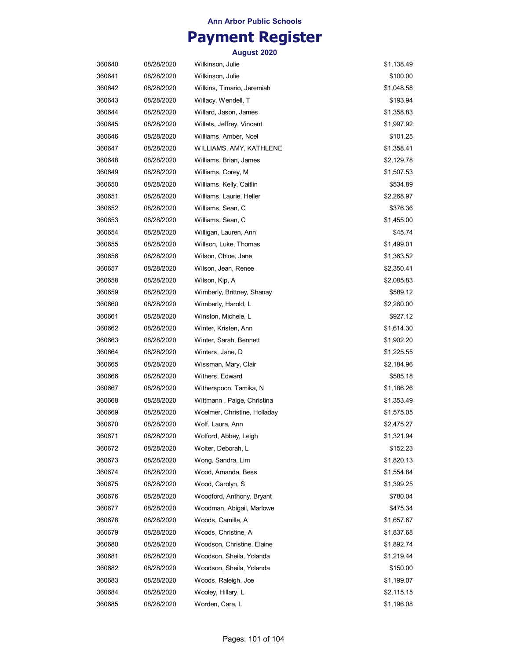## **Payment Register**

| 360640 | 08/28/2020 | Wilkinson, Julie             | \$1,138.49 |
|--------|------------|------------------------------|------------|
| 360641 | 08/28/2020 | Wilkinson, Julie             | \$100.00   |
| 360642 | 08/28/2020 | Wilkins, Timario, Jeremiah   | \$1,048.58 |
| 360643 | 08/28/2020 | Willacy, Wendell, T          | \$193.94   |
| 360644 | 08/28/2020 | Willard, Jason, James        | \$1,358.83 |
| 360645 | 08/28/2020 | Willets, Jeffrey, Vincent    | \$1,997.92 |
| 360646 | 08/28/2020 | Williams, Amber, Noel        | \$101.25   |
| 360647 | 08/28/2020 | WILLIAMS, AMY, KATHLENE      | \$1,358.41 |
| 360648 | 08/28/2020 | Williams, Brian, James       | \$2,129.78 |
| 360649 | 08/28/2020 | Williams, Corey, M           | \$1,507.53 |
| 360650 | 08/28/2020 | Williams, Kelly, Caitlin     | \$534.89   |
| 360651 | 08/28/2020 | Williams, Laurie, Heller     | \$2,268.97 |
| 360652 | 08/28/2020 | Williams, Sean, C            | \$376.36   |
| 360653 | 08/28/2020 | Williams, Sean, C            | \$1,455.00 |
| 360654 | 08/28/2020 | Willigan, Lauren, Ann        | \$45.74    |
| 360655 | 08/28/2020 | Willson, Luke, Thomas        | \$1,499.01 |
| 360656 | 08/28/2020 | Wilson, Chloe, Jane          | \$1,363.52 |
| 360657 | 08/28/2020 | Wilson, Jean, Renee          | \$2,350.41 |
| 360658 | 08/28/2020 | Wilson, Kip, A               | \$2,085.83 |
| 360659 | 08/28/2020 | Wimberly, Brittney, Shanay   | \$589.12   |
| 360660 | 08/28/2020 | Wimberly, Harold, L          | \$2,260.00 |
| 360661 | 08/28/2020 | Winston, Michele, L          | \$927.12   |
| 360662 | 08/28/2020 | Winter, Kristen, Ann         | \$1,614.30 |
| 360663 | 08/28/2020 | Winter, Sarah, Bennett       | \$1,902.20 |
| 360664 | 08/28/2020 | Winters, Jane, D             | \$1,225.55 |
| 360665 | 08/28/2020 | Wissman, Mary, Clair         | \$2,184.96 |
| 360666 | 08/28/2020 | Withers, Edward              | \$585.18   |
| 360667 | 08/28/2020 | Witherspoon, Tamika, N       | \$1,186.26 |
| 360668 | 08/28/2020 | Wittmann , Paige, Christina  | \$1,353.49 |
| 360669 | 08/28/2020 | Woelmer, Christine, Holladay | \$1,575.05 |
| 360670 | 08/28/2020 | Wolf, Laura, Ann             | \$2,475.27 |
| 360671 | 08/28/2020 | Wolford, Abbey, Leigh        | \$1,321.94 |
| 360672 | 08/28/2020 | Wolter, Deborah, L           | \$152.23   |
| 360673 | 08/28/2020 | Wong, Sandra, Lim            | \$1,820.13 |
| 360674 | 08/28/2020 | Wood, Amanda, Bess           | \$1,554.84 |
| 360675 | 08/28/2020 | Wood, Carolyn, S             | \$1,399.25 |
| 360676 | 08/28/2020 | Woodford, Anthony, Bryant    | \$780.04   |
| 360677 | 08/28/2020 | Woodman, Abigail, Marlowe    | \$475.34   |
| 360678 | 08/28/2020 | Woods, Camille, A            | \$1,657.67 |
| 360679 | 08/28/2020 | Woods, Christine, A          | \$1,837.68 |
| 360680 | 08/28/2020 | Woodson, Christine, Elaine   | \$1,892.74 |
| 360681 | 08/28/2020 | Woodson, Sheila, Yolanda     | \$1,219.44 |
| 360682 | 08/28/2020 | Woodson, Sheila, Yolanda     | \$150.00   |
| 360683 | 08/28/2020 | Woods, Raleigh, Joe          | \$1,199.07 |
| 360684 | 08/28/2020 | Wooley, Hillary, L           | \$2,115.15 |
| 360685 | 08/28/2020 | Worden, Cara, L              | \$1,196.08 |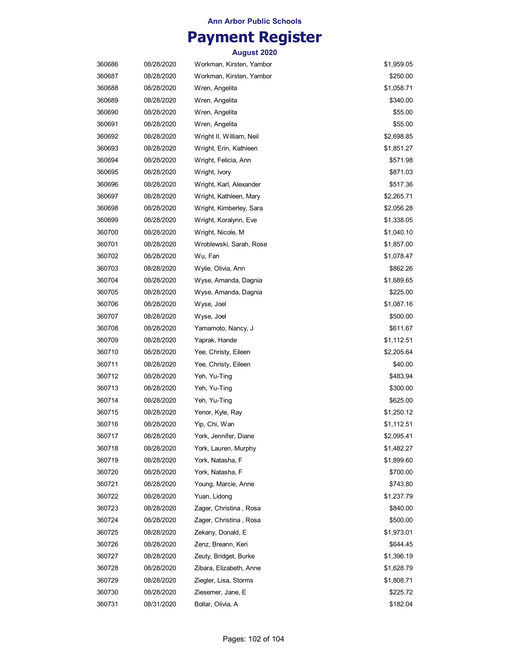## **Payment Register**

| 360686 | 08/28/2020 | Workman, Kirsten, Yambor | \$1,959.05 |
|--------|------------|--------------------------|------------|
| 360687 | 08/28/2020 | Workman, Kirsten, Yambor | \$250.00   |
| 360688 | 08/28/2020 | Wren, Angelita           | \$1,058.71 |
| 360689 | 08/28/2020 | Wren, Angelita           | \$340.00   |
| 360690 | 08/28/2020 | Wren, Angelita           | \$55.00    |
| 360691 | 08/28/2020 | Wren, Angelita           | \$55.00    |
| 360692 | 08/28/2020 | Wright II, William, Neil | \$2,698.85 |
| 360693 | 08/28/2020 | Wright, Erin, Kathleen   | \$1,851.27 |
| 360694 | 08/28/2020 | Wright, Felicia, Ann     | \$571.98   |
| 360695 | 08/28/2020 | Wright, Ivory            | \$871.03   |
| 360696 | 08/28/2020 | Wright, Karl, Alexander  | \$517.36   |
| 360697 | 08/28/2020 | Wright, Kathleen, Mary   | \$2,265.71 |
| 360698 | 08/28/2020 | Wright, Kimberley, Sara  | \$2,056.28 |
| 360699 | 08/28/2020 | Wright, Koralynn, Eve    | \$1,338.05 |
| 360700 | 08/28/2020 | Wright, Nicole, M        | \$1,040.10 |
| 360701 | 08/28/2020 | Wroblewski, Sarah, Rose  | \$1,857.00 |
| 360702 | 08/28/2020 | Wu, Fan                  | \$1,078.47 |
| 360703 | 08/28/2020 | Wylie, Olivia, Ann       | \$862.26   |
| 360704 | 08/28/2020 | Wyse, Amanda, Dagnia     | \$1,689.65 |
| 360705 | 08/28/2020 | Wyse, Amanda, Dagnia     | \$225.00   |
| 360706 | 08/28/2020 | Wyse, Joel               | \$1,087.16 |
| 360707 | 08/28/2020 | Wyse, Joel               | \$500.00   |
| 360708 | 08/28/2020 | Yamamoto, Nancy, J       | \$611.67   |
| 360709 | 08/28/2020 | Yaprak, Hande            | \$1,112.51 |
| 360710 | 08/28/2020 | Yee, Christy, Eileen     | \$2,205.64 |
| 360711 | 08/28/2020 | Yee, Christy, Eileen     | \$40.00    |
| 360712 | 08/28/2020 | Yeh, Yu-Ting             | \$483.94   |
| 360713 | 08/28/2020 | Yeh, Yu-Ting             | \$300.00   |
| 360714 | 08/28/2020 | Yeh, Yu-Ting             | \$625.00   |
| 360715 | 08/28/2020 | Yenor, Kyle, Ray         | \$1,250.12 |
| 360716 | 08/28/2020 | Yip, Chi, Wan            | \$1,112.51 |
| 360717 | 08/28/2020 | York, Jennifer, Diane    | \$2,095.41 |
| 360718 | 08/28/2020 | York, Lauren, Murphy     | \$1,482.27 |
| 360719 | 08/28/2020 | York, Natasha, F         | \$1,899.60 |
| 360720 | 08/28/2020 | York, Natasha, F         | \$700.00   |
| 360721 | 08/28/2020 | Young, Marcie, Anne      | \$743.80   |
| 360722 | 08/28/2020 | Yuan, Lidong             | \$1,237.79 |
| 360723 | 08/28/2020 | Zager, Christina, Rosa   | \$840.00   |
| 360724 | 08/28/2020 | Zager, Christina, Rosa   | \$500.00   |
| 360725 | 08/28/2020 | Zekany, Donald, E        | \$1,973.01 |
| 360726 | 08/28/2020 | Zenz, Breann, Keri       | \$644.45   |
| 360727 | 08/28/2020 | Zeuty, Bridget, Burke    | \$1,396.19 |
| 360728 | 08/28/2020 | Zibara, Elizabeth, Anne  | \$1,628.79 |
| 360729 | 08/28/2020 | Ziegler, Lisa, Storms    | \$1,808.71 |
| 360730 | 08/28/2020 | Ziesemer, Jane, E        | \$225.72   |
| 360731 | 08/31/2020 | Bollar, Olivia, A        | \$182.04   |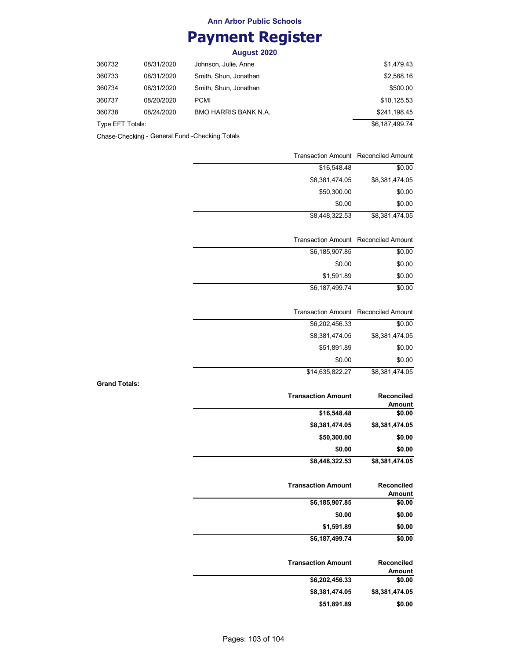## **Payment Register**

**August 2020**

| 360732           | 08/31/2020 | Johnson, Julie, Anne        | \$1.479.43     |
|------------------|------------|-----------------------------|----------------|
| 360733           | 08/31/2020 | Smith, Shun, Jonathan       | \$2,588.16     |
| 360734           | 08/31/2020 | Smith, Shun, Jonathan       | \$500.00       |
| 360737           | 08/20/2020 | PCMI                        | \$10,125.53    |
| 360738           | 08/24/2020 | <b>BMO HARRIS BANK N.A.</b> | \$241.198.45   |
| Type EFT Totals: |            |                             | \$6,187,499.74 |

Chase-Checking - General Fund -Checking Totals

**Grand Totals:**

|                             | <b>Transaction Amount</b> Reconciled Amount |
|-----------------------------|---------------------------------------------|
| \$0.00                      | \$16,548.48                                 |
| \$8,381,474.05              | \$8,381,474.05                              |
| \$0.00                      | \$50,300.00                                 |
| \$0.00                      | \$0.00                                      |
| \$8,381,474.05              | \$8,448,322.53                              |
|                             |                                             |
|                             | <b>Transaction Amount Reconciled Amount</b> |
| \$0.00                      | \$6,185,907.85                              |
| \$0.00                      | \$0.00                                      |
| \$0.00                      | \$1,591.89                                  |
| \$0.00                      | \$6,187,499.74                              |
| <b>Reconciled Amount</b>    | <b>Transaction Amount</b>                   |
| \$0.00                      | \$6,202,456.33                              |
| \$8,381,474.05              | \$8,381,474.05                              |
| \$0.00                      | \$51,891.89                                 |
| \$0.00                      | \$0.00                                      |
| \$8,381,474.05              | \$14,635,822.27                             |
| Reconciled<br><b>Amount</b> | <b>Transaction Amount</b>                   |
| \$0.00                      | \$16,548.48                                 |
| \$8,381,474.05              | \$8,381,474.05                              |
| \$0.00                      | \$50,300.00                                 |
| \$0.00                      | \$0.00                                      |
| \$8,381,474.05              | \$8,448,322.53                              |
| Reconciled<br>Amount        | <b>Transaction Amount</b>                   |
| \$0.00                      | \$6,185,907.85                              |
| \$0.00                      | \$0.00                                      |
| \$0.00                      | \$1,591.89                                  |
| \$0.00                      | \$6,187,499.74                              |
| Reconciled<br><b>Amount</b> | <b>Transaction Amount</b>                   |
| \$0.00                      | \$6,202,456.33                              |
|                             |                                             |
| \$8,381,474.05<br>\$0.00    | \$8,381,474.05<br>\$51,891.89               |

Pages: 103 of 104